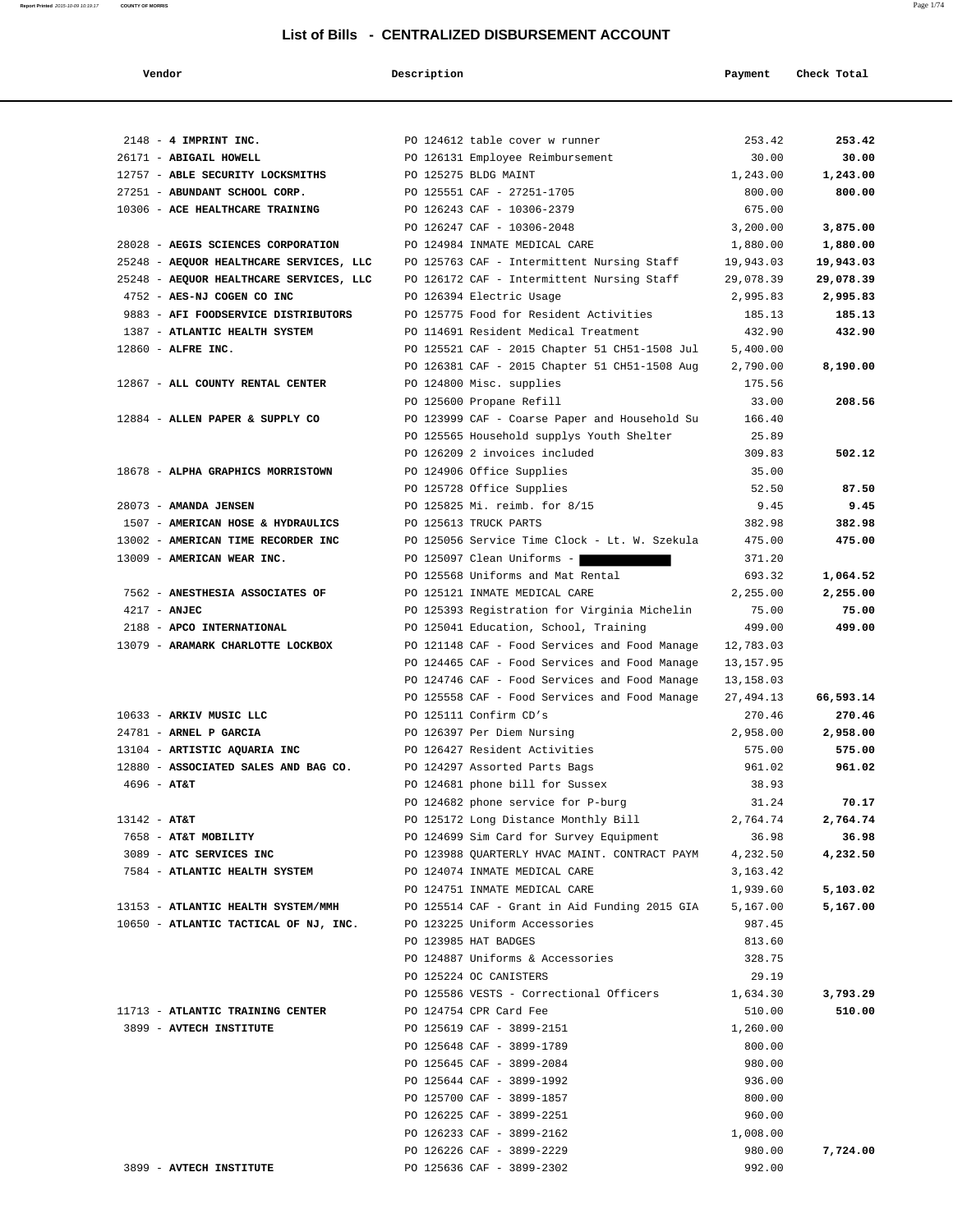| Vendor                                  | Description |                                               | Payment    | Check Total |
|-----------------------------------------|-------------|-----------------------------------------------|------------|-------------|
|                                         |             |                                               |            |             |
| $2148$ - 4 IMPRINT INC.                 |             | PO 124612 table cover w runner                | 253.42     | 253.42      |
| 26171 - ABIGAIL HOWELL                  |             | PO 126131 Employee Reimbursement              | 30.00      | 30.00       |
| 12757 - ABLE SECURITY LOCKSMITHS        |             | PO 125275 BLDG MAINT                          | 1,243.00   | 1,243.00    |
| 27251 - ABUNDANT SCHOOL CORP.           |             | PO 125551 CAF - 27251-1705                    | 800.00     | 800.00      |
| 10306 - ACE HEALTHCARE TRAINING         |             | PO 126243 CAF - 10306-2379                    | 675.00     |             |
|                                         |             | PO 126247 CAF - 10306-2048                    | 3,200.00   | 3,875.00    |
| 28028 - AEGIS SCIENCES CORPORATION      |             | PO 124984 INMATE MEDICAL CARE                 | 1,880.00   | 1,880.00    |
| 25248 - AEQUOR HEALTHCARE SERVICES, LLC |             | PO 125763 CAF - Intermittent Nursing Staff    | 19,943.03  | 19,943.03   |
| 25248 - AEQUOR HEALTHCARE SERVICES, LLC |             | PO 126172 CAF - Intermittent Nursing Staff    | 29,078.39  | 29,078.39   |
| 4752 - AES-NJ COGEN CO INC              |             | PO 126394 Electric Usage                      | 2,995.83   | 2,995.83    |
| 9883 - AFI FOODSERVICE DISTRIBUTORS     |             | PO 125775 Food for Resident Activities        | 185.13     | 185.13      |
| 1387 - ATLANTIC HEALTH SYSTEM           |             | PO 114691 Resident Medical Treatment          | 432.90     | 432.90      |
| 12860 - ALFRE INC.                      |             | PO 125521 CAF - 2015 Chapter 51 CH51-1508 Jul | 5,400.00   |             |
|                                         |             | PO 126381 CAF - 2015 Chapter 51 CH51-1508 Aug | 2,790.00   | 8,190.00    |
| 12867 - ALL COUNTY RENTAL CENTER        |             | PO 124800 Misc. supplies                      | 175.56     |             |
|                                         |             | PO 125600 Propane Refill                      | 33.00      | 208.56      |
| 12884 - ALLEN PAPER & SUPPLY CO         |             | PO 123999 CAF - Coarse Paper and Household Su | 166.40     |             |
|                                         |             | PO 125565 Household supplys Youth Shelter     | 25.89      |             |
|                                         |             | PO 126209 2 invoices included                 | 309.83     | 502.12      |
| 18678 - ALPHA GRAPHICS MORRISTOWN       |             | PO 124906 Office Supplies                     | 35.00      |             |
|                                         |             | PO 125728 Office Supplies                     | 52.50      | 87.50       |
| 28073 - AMANDA JENSEN                   |             | PO 125825 Mi. reimb. for 8/15                 | 9.45       | 9.45        |
| 1507 - AMERICAN HOSE & HYDRAULICS       |             | PO 125613 TRUCK PARTS                         | 382.98     | 382.98      |
| 13002 - AMERICAN TIME RECORDER INC      |             | PO 125056 Service Time Clock - Lt. W. Szekula | 475.00     | 475.00      |
| 13009 - AMERICAN WEAR INC.              |             | PO 125097 Clean Uniforms -                    | 371.20     |             |
|                                         |             | PO 125568 Uniforms and Mat Rental             | 693.32     | 1,064.52    |
| 7562 - ANESTHESIA ASSOCIATES OF         |             | PO 125121 INMATE MEDICAL CARE                 | 2,255.00   | 2,255.00    |
| $4217 - ANJEC$                          |             | PO 125393 Registration for Virginia Michelin  | 75.00      | 75.00       |
| 2188 - APCO INTERNATIONAL               |             | PO 125041 Education, School, Training         | 499.00     | 499.00      |
| 13079 - ARAMARK CHARLOTTE LOCKBOX       |             | PO 121148 CAF - Food Services and Food Manage | 12,783.03  |             |
|                                         |             | PO 124465 CAF - Food Services and Food Manage | 13,157.95  |             |
|                                         |             | PO 124746 CAF - Food Services and Food Manage | 13,158.03  |             |
|                                         |             | PO 125558 CAF - Food Services and Food Manage | 27, 494.13 | 66,593.14   |
| 10633 - ARKIV MUSIC LLC                 |             | PO 125111 Confirm CD's                        | 270.46     | 270.46      |
| 24781 - ARNEL P GARCIA                  |             | PO 126397 Per Diem Nursing                    | 2,958.00   | 2,958.00    |
| 13104 - ARTISTIC AQUARIA INC            |             | PO 126427 Resident Activities                 | 575.00     | 575.00      |
| 12880 - ASSOCIATED SALES AND BAG CO.    |             | PO 124297 Assorted Parts Bags                 | 961.02     | 961.02      |
| $4696 - AT&T$                           |             | PO 124681 phone bill for Sussex               | 38.93      |             |
|                                         |             | PO 124682 phone service for P-burg            | 31.24      | 70.17       |
| $13142 - AT&T$                          |             | PO 125172 Long Distance Monthly Bill          | 2,764.74   | 2,764.74    |
| 7658 - AT&T MOBILITY                    |             | PO 124699 Sim Card for Survey Equipment       | 36.98      | 36.98       |
| 3089 - ATC SERVICES INC                 |             | PO 123988 QUARTERLY HVAC MAINT. CONTRACT PAYM | 4,232.50   | 4,232.50    |
| 7584 - ATLANTIC HEALTH SYSTEM           |             | PO 124074 INMATE MEDICAL CARE                 | 3, 163. 42 |             |
|                                         |             | PO 124751 INMATE MEDICAL CARE                 | 1,939.60   | 5,103.02    |
| 13153 - ATLANTIC HEALTH SYSTEM/MMH      |             | PO 125514 CAF - Grant in Aid Funding 2015 GIA | 5,167.00   | 5,167.00    |
| 10650 - ATLANTIC TACTICAL OF NJ, INC.   |             | PO 123225 Uniform Accessories                 | 987.45     |             |
|                                         |             | PO 123985 HAT BADGES                          | 813.60     |             |
|                                         |             | PO 124887 Uniforms & Accessories              | 328.75     |             |
|                                         |             | PO 125224 OC CANISTERS                        | 29.19      |             |
|                                         |             | PO 125586 VESTS - Correctional Officers       | 1,634.30   | 3,793.29    |
| 11713 - ATLANTIC TRAINING CENTER        |             | PO 124754 CPR Card Fee                        | 510.00     | 510.00      |
| 3899 - AVTECH INSTITUTE                 |             | PO 125619 CAF - 3899-2151                     | 1,260.00   |             |
|                                         |             | PO 125648 CAF - 3899-1789                     | 800.00     |             |
|                                         |             | PO 125645 CAF - 3899-2084                     | 980.00     |             |
|                                         |             | PO 125644 CAF - 3899-1992                     | 936.00     |             |
|                                         |             | PO 125700 CAF - 3899-1857                     | 800.00     |             |
|                                         |             | PO 126225 CAF - 3899-2251                     | 960.00     |             |
|                                         |             | PO 126233 CAF - 3899-2162                     | 1,008.00   |             |
|                                         |             | PO 126226 CAF - 3899-2229                     | 980.00     | 7,724.00    |
| 3899 - AVTECH INSTITUTE                 |             | PO 125636 CAF - 3899-2302                     | 992.00     |             |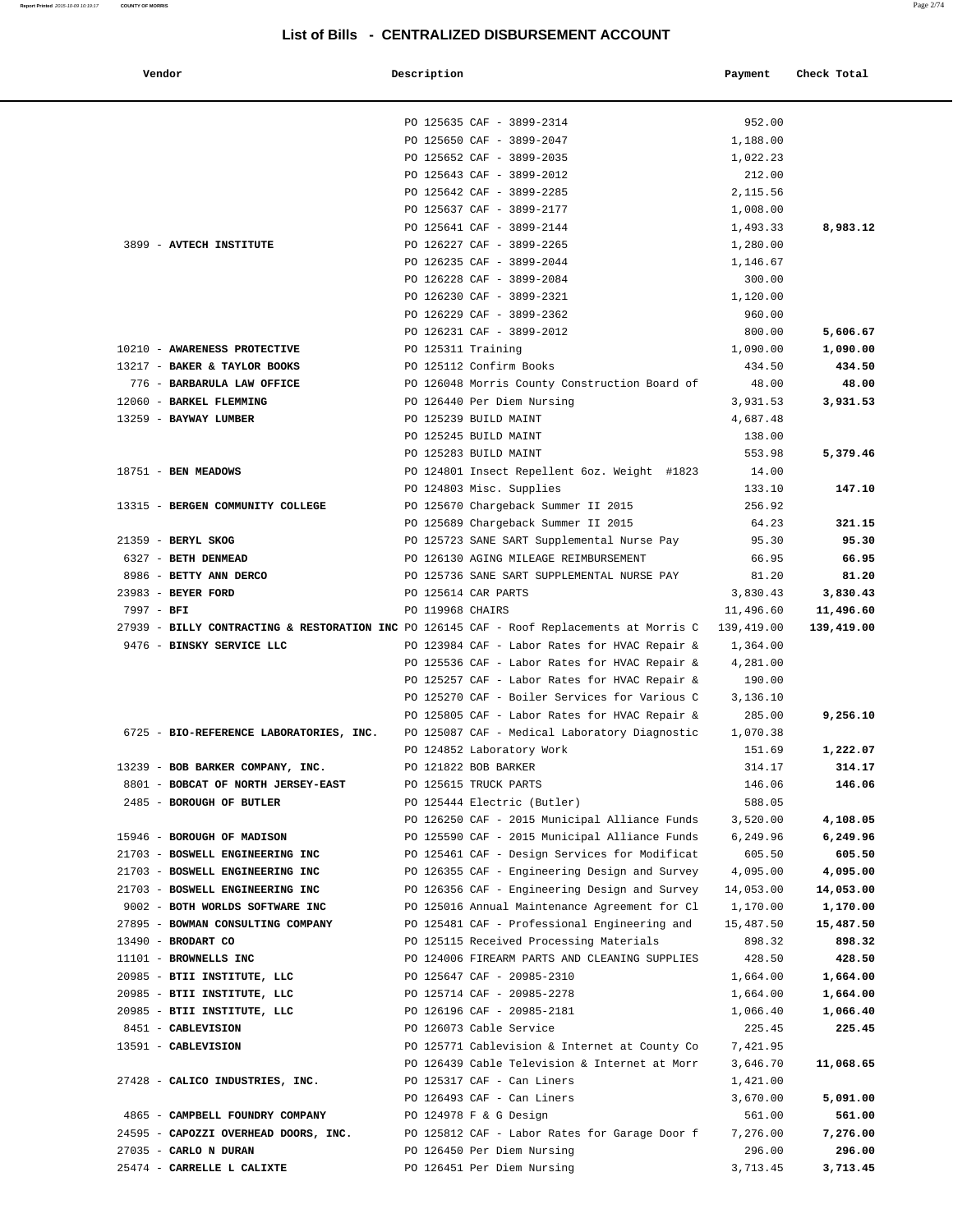| Vendor                                                                                                                 | Description        |                                               | Payment                | Check Total |
|------------------------------------------------------------------------------------------------------------------------|--------------------|-----------------------------------------------|------------------------|-------------|
|                                                                                                                        |                    | PO 125635 CAF - 3899-2314                     | 952.00                 |             |
|                                                                                                                        |                    | PO 125650 CAF - 3899-2047                     | 1,188.00               |             |
|                                                                                                                        |                    | PO 125652 CAF - 3899-2035                     | 1,022.23               |             |
|                                                                                                                        |                    | PO 125643 CAF - 3899-2012                     | 212.00                 |             |
|                                                                                                                        |                    | PO 125642 CAF - 3899-2285                     | 2,115.56               |             |
|                                                                                                                        |                    | PO 125637 CAF - 3899-2177                     | 1,008.00               |             |
|                                                                                                                        |                    | PO 125641 CAF - 3899-2144                     | 1,493.33               | 8,983.12    |
| 3899 - AVTECH INSTITUTE                                                                                                |                    | PO 126227 CAF - 3899-2265                     | 1,280.00               |             |
|                                                                                                                        |                    | PO 126235 CAF - 3899-2044                     | 1,146.67               |             |
|                                                                                                                        |                    | PO 126228 CAF - 3899-2084                     | 300.00                 |             |
|                                                                                                                        |                    | PO 126230 CAF - 3899-2321                     | 1,120.00               |             |
|                                                                                                                        |                    | PO 126229 CAF - 3899-2362                     | 960.00                 |             |
|                                                                                                                        |                    | PO 126231 CAF - 3899-2012                     | 800.00                 | 5,606.67    |
| 10210 - AWARENESS PROTECTIVE                                                                                           | PO 125311 Training |                                               | 1,090.00               | 1,090.00    |
| 13217 - BAKER & TAYLOR BOOKS                                                                                           |                    | PO 125112 Confirm Books                       | 434.50                 | 434.50      |
| 776 - BARBARULA LAW OFFICE                                                                                             |                    | PO 126048 Morris County Construction Board of | 48.00                  | 48.00       |
| 12060 - BARKEL FLEMMING                                                                                                |                    | PO 126440 Per Diem Nursing                    | 3,931.53               | 3,931.53    |
| 13259 - BAYWAY LUMBER                                                                                                  |                    | PO 125239 BUILD MAINT                         | 4,687.48               |             |
|                                                                                                                        |                    | PO 125245 BUILD MAINT                         | 138.00                 |             |
|                                                                                                                        |                    | PO 125283 BUILD MAINT                         | 553.98                 | 5,379.46    |
| 18751 - BEN MEADOWS                                                                                                    |                    | PO 124801 Insect Repellent 6oz. Weight #1823  | 14.00                  |             |
|                                                                                                                        |                    | PO 124803 Misc. Supplies                      | 133.10                 | 147.10      |
| 13315 - BERGEN COMMUNITY COLLEGE                                                                                       |                    | PO 125670 Chargeback Summer II 2015           | 256.92                 |             |
|                                                                                                                        |                    | PO 125689 Chargeback Summer II 2015           | 64.23                  | 321.15      |
| 21359 - BERYL SKOG                                                                                                     |                    | PO 125723 SANE SART Supplemental Nurse Pay    | 95.30                  | 95.30       |
| 6327 - BETH DENMEAD                                                                                                    |                    | PO 126130 AGING MILEAGE REIMBURSEMENT         | 66.95                  | 66.95       |
| 8986 - BETTY ANN DERCO                                                                                                 |                    | PO 125736 SANE SART SUPPLEMENTAL NURSE PAY    | 81.20                  | 81.20       |
| 23983 - BEYER FORD                                                                                                     |                    | PO 125614 CAR PARTS                           | 3,830.43               | 3,830.43    |
| 7997 - BFI                                                                                                             | PO 119968 CHAIRS   |                                               | 11,496.60              | 11,496.60   |
| 27939 - BILLY CONTRACTING & RESTORATION INC PO 126145 CAF - Roof Replacements at Morris C<br>9476 - BINSKY SERVICE LLC |                    | PO 123984 CAF - Labor Rates for HVAC Repair & | 139,419.00<br>1,364.00 | 139,419.00  |
|                                                                                                                        |                    | PO 125536 CAF - Labor Rates for HVAC Repair & | 4,281.00               |             |
|                                                                                                                        |                    | PO 125257 CAF - Labor Rates for HVAC Repair & | 190.00                 |             |
|                                                                                                                        |                    | PO 125270 CAF - Boiler Services for Various C | 3,136.10               |             |
|                                                                                                                        |                    | PO 125805 CAF - Labor Rates for HVAC Repair & | 285.00                 | 9,256.10    |
| 6725 - BIO-REFERENCE LABORATORIES, INC.                                                                                |                    | PO 125087 CAF - Medical Laboratory Diagnostic | 1,070.38               |             |
|                                                                                                                        |                    | PO 124852 Laboratory Work                     | 151.69                 | 1,222.07    |
| 13239 - BOB BARKER COMPANY, INC.                                                                                       |                    | PO 121822 BOB BARKER                          | 314.17                 | 314.17      |
| 8801 - BOBCAT OF NORTH JERSEY-EAST                                                                                     |                    | PO 125615 TRUCK PARTS                         | 146.06                 | 146.06      |
| 2485 - BOROUGH OF BUTLER                                                                                               |                    | PO 125444 Electric (Butler)                   | 588.05                 |             |
|                                                                                                                        |                    | PO 126250 CAF - 2015 Municipal Alliance Funds | 3,520.00               | 4,108.05    |
| 15946 - BOROUGH OF MADISON                                                                                             |                    | PO 125590 CAF - 2015 Municipal Alliance Funds | 6,249.96               | 6,249.96    |
| 21703 - BOSWELL ENGINEERING INC                                                                                        |                    | PO 125461 CAF - Design Services for Modificat | 605.50                 | 605.50      |
| 21703 - BOSWELL ENGINEERING INC                                                                                        |                    | PO 126355 CAF - Engineering Design and Survey | 4,095.00               | 4,095.00    |
| 21703 - BOSWELL ENGINEERING INC                                                                                        |                    | PO 126356 CAF - Engineering Design and Survey | 14,053.00              | 14,053.00   |
| 9002 - BOTH WORLDS SOFTWARE INC                                                                                        |                    | PO 125016 Annual Maintenance Agreement for Cl | 1,170.00               | 1,170.00    |
| 27895 - BOWMAN CONSULTING COMPANY                                                                                      |                    | PO 125481 CAF - Professional Engineering and  | 15,487.50              | 15,487.50   |
| 13490 - BRODART CO                                                                                                     |                    | PO 125115 Received Processing Materials       | 898.32                 | 898.32      |
| 11101 - BROWNELLS INC                                                                                                  |                    | PO 124006 FIREARM PARTS AND CLEANING SUPPLIES | 428.50                 | 428.50      |
| 20985 - BTII INSTITUTE, LLC                                                                                            |                    | PO 125647 CAF - 20985-2310                    | 1,664.00               | 1,664.00    |
| 20985 - BTII INSTITUTE, LLC                                                                                            |                    | PO 125714 CAF - 20985-2278                    | 1,664.00               | 1,664.00    |
| 20985 - BTII INSTITUTE, LLC                                                                                            |                    | PO 126196 CAF - 20985-2181                    | 1,066.40               | 1,066.40    |
| 8451 - CABLEVISION                                                                                                     |                    | PO 126073 Cable Service                       | 225.45                 | 225.45      |
| 13591 - CABLEVISION                                                                                                    |                    | PO 125771 Cablevision & Internet at County Co | 7,421.95               |             |
|                                                                                                                        |                    | PO 126439 Cable Television & Internet at Morr | 3,646.70               | 11,068.65   |
| 27428 - CALICO INDUSTRIES, INC.                                                                                        |                    | PO 125317 CAF - Can Liners                    | 1,421.00               |             |
|                                                                                                                        |                    | PO 126493 CAF - Can Liners                    | 3,670.00               | 5,091.00    |
| 4865 - CAMPBELL FOUNDRY COMPANY                                                                                        |                    | PO 124978 F & G Design                        | 561.00                 | 561.00      |
| 24595 - CAPOZZI OVERHEAD DOORS, INC.                                                                                   |                    | PO 125812 CAF - Labor Rates for Garage Door f | 7,276.00               | 7,276.00    |
| 27035 - CARLO N DURAN                                                                                                  |                    | PO 126450 Per Diem Nursing                    | 296.00                 | 296.00      |
| 25474 - CARRELLE L CALIXTE                                                                                             |                    | PO 126451 Per Diem Nursing                    | 3,713.45               | 3,713.45    |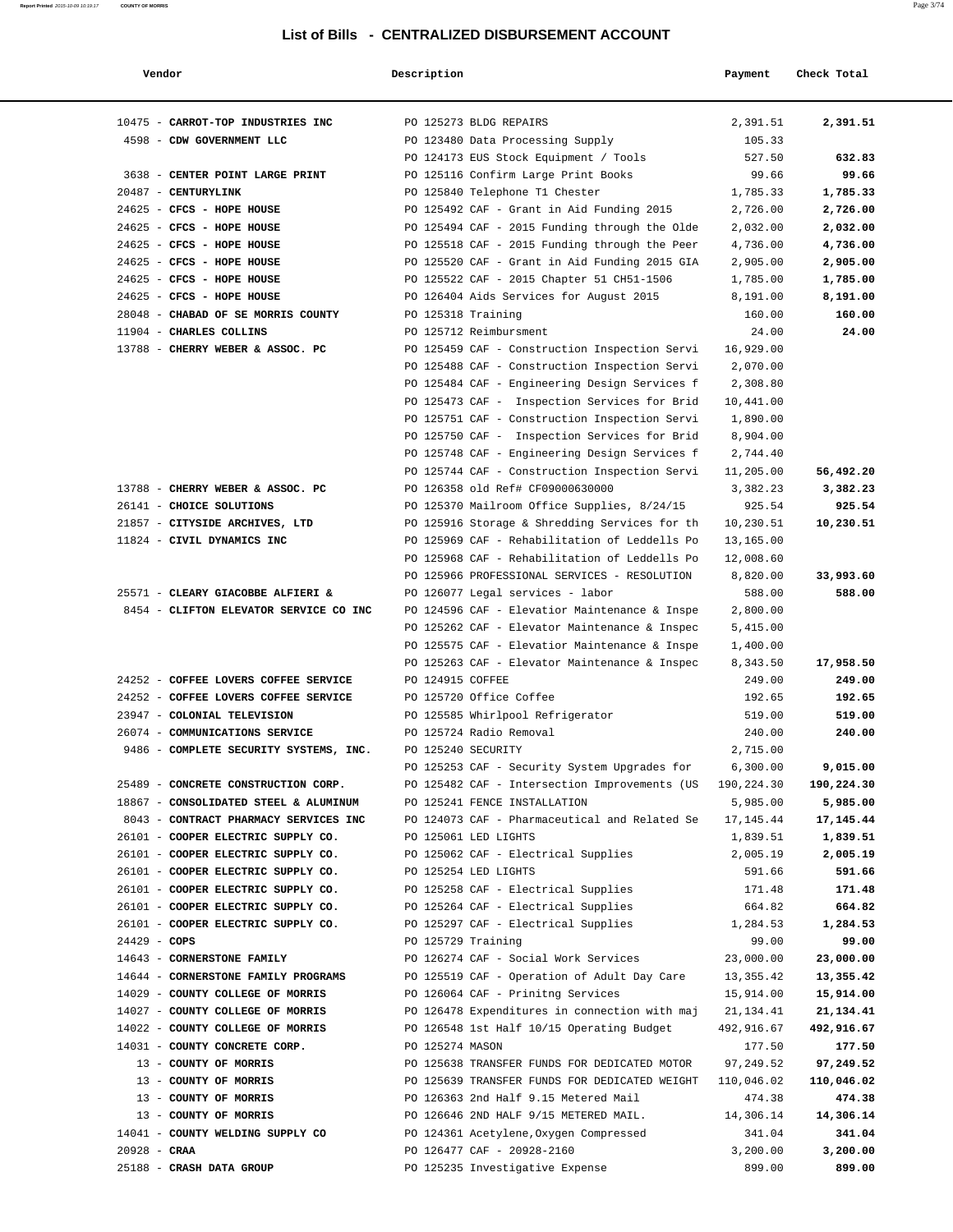| Vendor                                                          | Description        |                                                                                     | Payment                | Check Total            |
|-----------------------------------------------------------------|--------------------|-------------------------------------------------------------------------------------|------------------------|------------------------|
| 10475 - CARROT-TOP INDUSTRIES INC                               |                    | PO 125273 BLDG REPAIRS                                                              | 2,391.51               | 2,391.51               |
| 4598 - CDW GOVERNMENT LLC                                       |                    | PO 123480 Data Processing Supply                                                    | 105.33                 |                        |
|                                                                 |                    | PO 124173 EUS Stock Equipment / Tools                                               | 527.50                 | 632.83                 |
| 3638 - CENTER POINT LARGE PRINT                                 |                    | PO 125116 Confirm Large Print Books                                                 | 99.66                  | 99.66                  |
| 20487 - CENTURYLINK                                             |                    | PO 125840 Telephone T1 Chester                                                      | 1,785.33               | 1,785.33               |
| 24625 - CFCS - HOPE HOUSE                                       |                    | PO 125492 CAF - Grant in Aid Funding 2015                                           | 2,726.00               | 2,726.00               |
| 24625 - CFCS - HOPE HOUSE                                       |                    | PO 125494 CAF - 2015 Funding through the Olde                                       | 2,032.00               | 2,032.00               |
| 24625 - CFCS - HOPE HOUSE                                       |                    | PO 125518 CAF - 2015 Funding through the Peer                                       | 4,736.00               | 4,736.00               |
| 24625 - CFCS - HOPE HOUSE                                       |                    | PO 125520 CAF - Grant in Aid Funding 2015 GIA                                       | 2,905.00               | 2,905.00               |
| 24625 - CFCS - HOPE HOUSE                                       |                    | PO 125522 CAF - 2015 Chapter 51 CH51-1506                                           | 1,785.00               | 1,785.00               |
| 24625 - CFCS - HOPE HOUSE<br>28048 - CHABAD OF SE MORRIS COUNTY | PO 125318 Training | PO 126404 Aids Services for August 2015                                             | 8,191.00<br>160.00     | 8,191.00<br>160.00     |
| 11904 - CHARLES COLLINS                                         |                    | PO 125712 Reimbursment                                                              | 24.00                  | 24.00                  |
| 13788 - CHERRY WEBER & ASSOC. PC                                |                    | PO 125459 CAF - Construction Inspection Servi                                       | 16,929.00              |                        |
|                                                                 |                    | PO 125488 CAF - Construction Inspection Servi                                       | 2,070.00               |                        |
|                                                                 |                    | PO 125484 CAF - Engineering Design Services f                                       | 2,308.80               |                        |
|                                                                 |                    | PO 125473 CAF - Inspection Services for Brid                                        | 10,441.00              |                        |
|                                                                 |                    | PO 125751 CAF - Construction Inspection Servi                                       | 1,890.00               |                        |
|                                                                 |                    | PO 125750 CAF - Inspection Services for Brid                                        | 8,904.00               |                        |
|                                                                 |                    | PO 125748 CAF - Engineering Design Services f                                       | 2,744.40               |                        |
|                                                                 |                    | PO 125744 CAF - Construction Inspection Servi                                       | 11,205.00              | 56,492.20              |
| 13788 - CHERRY WEBER & ASSOC. PC                                |                    | PO 126358 old Ref# CF09000630000                                                    | 3,382.23               | 3,382.23               |
| 26141 - CHOICE SOLUTIONS                                        |                    | PO 125370 Mailroom Office Supplies, 8/24/15                                         | 925.54                 | 925.54                 |
| 21857 - CITYSIDE ARCHIVES, LTD                                  |                    | PO 125916 Storage & Shredding Services for th                                       | 10,230.51              | 10,230.51              |
| 11824 - CIVIL DYNAMICS INC                                      |                    | PO 125969 CAF - Rehabilitation of Leddells Po                                       | 13,165.00              |                        |
|                                                                 |                    | PO 125968 CAF - Rehabilitation of Leddells Po                                       | 12,008.60              |                        |
|                                                                 |                    | PO 125966 PROFESSIONAL SERVICES - RESOLUTION                                        | 8,820.00               | 33,993.60              |
| 25571 - CLEARY GIACOBBE ALFIERI &                               |                    | PO 126077 Legal services - labor                                                    | 588.00                 | 588.00                 |
| 8454 - CLIFTON ELEVATOR SERVICE CO INC                          |                    | PO 124596 CAF - Elevatior Maintenance & Inspe                                       | 2,800.00               |                        |
|                                                                 |                    | PO 125262 CAF - Elevator Maintenance & Inspec                                       | 5,415.00               |                        |
|                                                                 |                    | PO 125575 CAF - Elevatior Maintenance & Inspe                                       | 1,400.00               |                        |
| 24252 - COFFEE LOVERS COFFEE SERVICE                            | PO 124915 COFFEE   | PO 125263 CAF - Elevator Maintenance & Inspec                                       | 8,343.50<br>249.00     | 17,958.50<br>249.00    |
| 24252 - COFFEE LOVERS COFFEE SERVICE                            |                    | PO 125720 Office Coffee                                                             | 192.65                 | 192.65                 |
| 23947 - COLONIAL TELEVISION                                     |                    | PO 125585 Whirlpool Refrigerator                                                    | 519.00                 | 519.00                 |
| 26074 - COMMUNICATIONS SERVICE                                  |                    | PO 125724 Radio Removal                                                             | 240.00                 | 240.00                 |
| 9486 - COMPLETE SECURITY SYSTEMS, INC.                          | PO 125240 SECURITY |                                                                                     | 2,715.00               |                        |
|                                                                 |                    | PO 125253 CAF - Security System Upgrades for                                        | 6,300.00               | 9,015.00               |
| 25489 - CONCRETE CONSTRUCTION CORP.                             |                    | PO 125482 CAF - Intersection Improvements (US                                       | 190,224.30             | 190,224.30             |
| 18867 - CONSOLIDATED STEEL & ALUMINUM                           |                    | PO 125241 FENCE INSTALLATION                                                        | 5,985.00               | 5,985.00               |
| 8043 - CONTRACT PHARMACY SERVICES INC                           |                    | PO 124073 CAF - Pharmaceutical and Related Se                                       | 17,145.44              | 17,145.44              |
| 26101 - COOPER ELECTRIC SUPPLY CO.                              |                    | PO 125061 LED LIGHTS                                                                | 1,839.51               | 1,839.51               |
| 26101 - COOPER ELECTRIC SUPPLY CO.                              |                    | PO 125062 CAF - Electrical Supplies                                                 | 2,005.19               | 2,005.19               |
| 26101 - COOPER ELECTRIC SUPPLY CO.                              |                    | PO 125254 LED LIGHTS                                                                | 591.66                 | 591.66                 |
| 26101 - COOPER ELECTRIC SUPPLY CO.                              |                    | PO 125258 CAF - Electrical Supplies                                                 | 171.48                 | 171.48                 |
| 26101 - COOPER ELECTRIC SUPPLY CO.                              |                    | PO 125264 CAF - Electrical Supplies                                                 | 664.82                 | 664.82                 |
| 26101 - COOPER ELECTRIC SUPPLY CO.                              |                    | PO 125297 CAF - Electrical Supplies                                                 | 1,284.53               | 1,284.53               |
| $24429 - COPS$<br>14643 - CORNERSTONE FAMILY                    | PO 125729 Training |                                                                                     | 99.00                  | 99.00                  |
| 14644 - CORNERSTONE FAMILY PROGRAMS                             |                    | PO 126274 CAF - Social Work Services<br>PO 125519 CAF - Operation of Adult Day Care | 23,000.00<br>13,355.42 | 23,000.00<br>13,355.42 |
| 14029 - COUNTY COLLEGE OF MORRIS                                |                    | PO 126064 CAF - Prinitng Services                                                   | 15,914.00              | 15,914.00              |
| 14027 - COUNTY COLLEGE OF MORRIS                                |                    | PO 126478 Expenditures in connection with maj                                       | 21,134.41              | 21,134.41              |
| 14022 - COUNTY COLLEGE OF MORRIS                                |                    | PO 126548 1st Half 10/15 Operating Budget                                           | 492,916.67             | 492,916.67             |
| 14031 - COUNTY CONCRETE CORP.                                   | PO 125274 MASON    |                                                                                     | 177.50                 | 177.50                 |
| 13 - COUNTY OF MORRIS                                           |                    | PO 125638 TRANSFER FUNDS FOR DEDICATED MOTOR                                        | 97,249.52              | 97,249.52              |
| 13 - COUNTY OF MORRIS                                           |                    | PO 125639 TRANSFER FUNDS FOR DEDICATED WEIGHT                                       | 110,046.02             | 110,046.02             |
| 13 - COUNTY OF MORRIS                                           |                    | PO 126363 2nd Half 9.15 Metered Mail                                                | 474.38                 | 474.38                 |
| 13 - COUNTY OF MORRIS                                           |                    | PO 126646 2ND HALF 9/15 METERED MAIL.                                               | 14,306.14              | 14,306.14              |
| 14041 - COUNTY WELDING SUPPLY CO                                |                    | PO 124361 Acetylene, Oxygen Compressed                                              | 341.04                 | 341.04                 |
| $20928 - CRAA$                                                  |                    | PO 126477 CAF - 20928-2160                                                          | 3,200.00               | 3,200.00               |
| 25188 - CRASH DATA GROUP                                        |                    | PO 125235 Investigative Expense                                                     | 899.00                 | 899.00                 |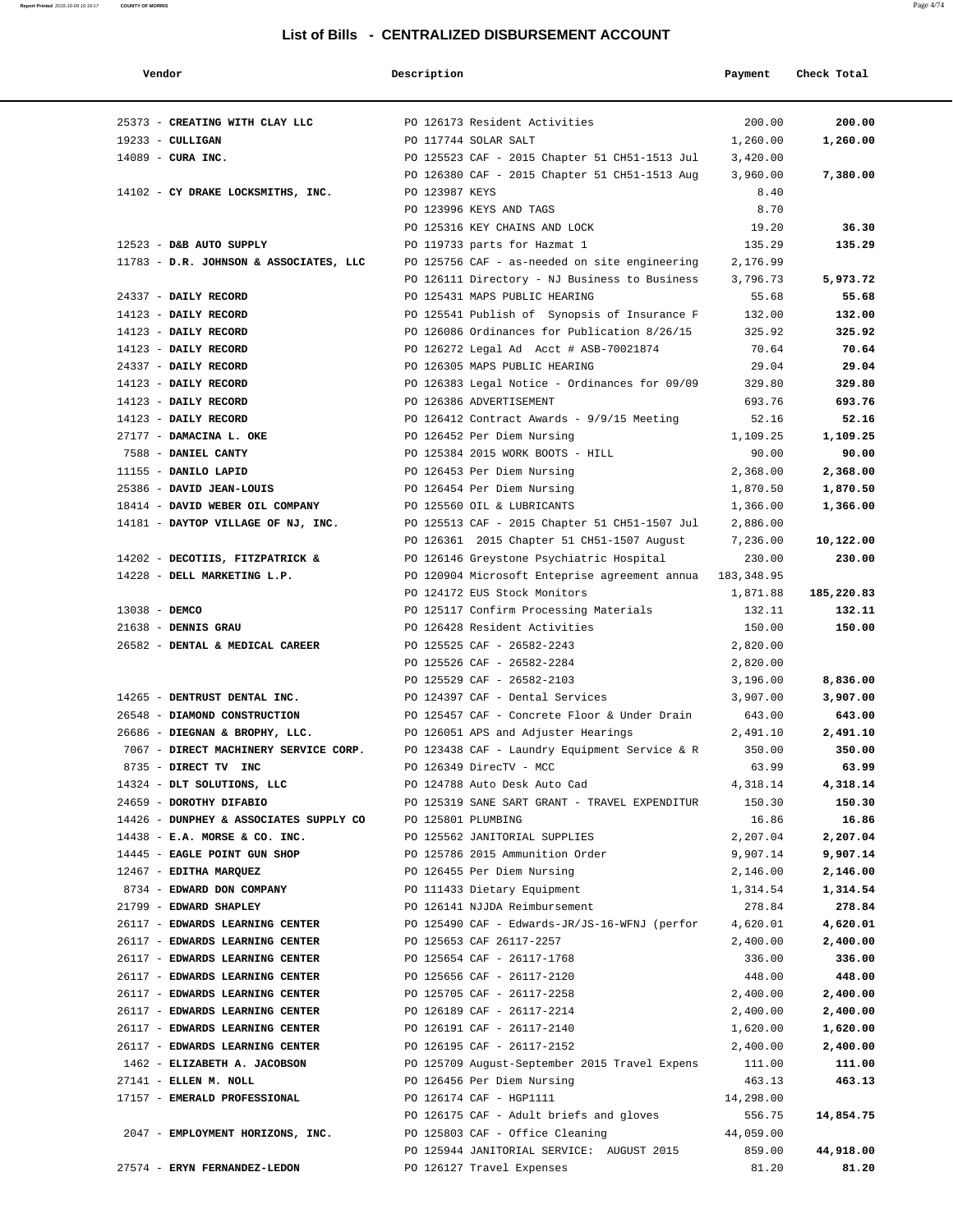| Vendor                                                       | Description    |                                                          | Payment              | Check Total |
|--------------------------------------------------------------|----------------|----------------------------------------------------------|----------------------|-------------|
|                                                              |                |                                                          |                      |             |
| 25373 - CREATING WITH CLAY LLC PO 126173 Resident Activities |                |                                                          | 200.00               | 200.00      |
| 19233 - CULLIGAN                                             |                | PO 117744 SOLAR SALT                                     | 1,260.00             | 1,260.00    |
| 14089 - CURA INC.                                            |                | PO 125523 CAF - 2015 Chapter 51 CH51-1513 Jul            | 3,420.00             |             |
|                                                              |                | PO 126380 CAF - 2015 Chapter 51 CH51-1513 Aug            | 3,960.00             | 7,380.00    |
| 14102 - CY DRAKE LOCKSMITHS, INC.                            | PO 123987 KEYS |                                                          | 8.40                 |             |
|                                                              |                | PO 123996 KEYS AND TAGS                                  | 8.70                 |             |
|                                                              |                | PO 125316 KEY CHAINS AND LOCK                            | 19.20                | 36.30       |
| 12523 - D&B AUTO SUPPLY                                      |                | PO 119733 parts for Hazmat 1                             | 135.29               | 135.29      |
| 11783 - D.R. JOHNSON & ASSOCIATES, LLC                       |                | PO 125756 CAF - as-needed on site engineering            | 2,176.99             |             |
|                                                              |                | PO 126111 Directory - NJ Business to Business            | 3,796.73             | 5,973.72    |
| 24337 - DAILY RECORD                                         |                | PO 125431 MAPS PUBLIC HEARING                            | 55.68                | 55.68       |
| 14123 - DAILY RECORD                                         |                | PO 125541 Publish of Synopsis of Insurance F             | 132.00               | 132.00      |
| 14123 - DAILY RECORD                                         |                | PO 126086 Ordinances for Publication 8/26/15             | 325.92               | 325.92      |
| 14123 - DAILY RECORD                                         |                | PO 126272 Legal Ad Acct # ASB-70021874                   | 70.64                | 70.64       |
| 24337 - DAILY RECORD                                         |                | PO 126305 MAPS PUBLIC HEARING                            | 29.04                | 29.04       |
| 14123 - DAILY RECORD                                         |                | PO 126383 Legal Notice - Ordinances for 09/09            | 329.80               | 329.80      |
| 14123 - DAILY RECORD                                         |                | PO 126386 ADVERTISEMENT                                  | 693.76               | 693.76      |
| 14123 - DAILY RECORD                                         |                | PO 126412 Contract Awards - 9/9/15 Meeting               | 52.16                | 52.16       |
| 27177 - DAMACINA L. OKE                                      |                | PO 126452 Per Diem Nursing                               | 1,109.25             | 1,109.25    |
| 7588 - DANIEL CANTY<br>11155 - DANILO LAPID                  |                | PO 125384 2015 WORK BOOTS - HILL                         | 90.00                | 90.00       |
|                                                              |                | PO 126453 Per Diem Nursing<br>PO 126454 Per Diem Nursing | 2,368.00             | 2,368.00    |
| 25386 - DAVID JEAN-LOUIS<br>18414 - DAVID WEBER OIL COMPANY  |                | PO 125560 OIL & LUBRICANTS                               | 1,870.50<br>1,366.00 | 1,870.50    |
| 14181 - DAYTOP VILLAGE OF NJ, INC.                           |                | PO 125513 CAF - 2015 Chapter 51 CH51-1507 Jul            | 2,886.00             | 1,366.00    |
|                                                              |                | PO 126361 2015 Chapter 51 CH51-1507 August               | 7,236.00             | 10,122.00   |
| 14202 - DECOTIIS, FITZPATRICK &                              |                | PO 126146 Greystone Psychiatric Hospital                 | 230.00               | 230.00      |
| 14228 - DELL MARKETING L.P.                                  |                | PO 120904 Microsoft Enteprise agreement annua            | 183,348.95           |             |
|                                                              |                | PO 124172 EUS Stock Monitors                             | 1,871.88             | 185,220.83  |
| 13038 - DEMCO                                                |                | PO 125117 Confirm Processing Materials                   | 132.11               | 132.11      |
| 21638 - DENNIS GRAU                                          |                | PO 126428 Resident Activities                            | 150.00               | 150.00      |
| 26582 - DENTAL & MEDICAL CAREER                              |                | PO 125525 CAF - 26582-2243                               | 2,820.00             |             |
|                                                              |                | PO 125526 CAF - 26582-2284                               | 2,820.00             |             |
|                                                              |                | PO 125529 CAF - 26582-2103                               | 3,196.00             | 8,836.00    |
| 14265 - DENTRUST DENTAL INC.                                 |                | PO 124397 CAF - Dental Services                          | 3,907.00             | 3,907.00    |
| 26548 - DIAMOND CONSTRUCTION                                 |                | PO 125457 CAF - Concrete Floor & Under Drain             | 643.00               | 643.00      |
| 26686 - DIEGNAN & BROPHY, LLC.                               |                | PO 126051 APS and Adjuster Hearings                      | 2,491.10             | 2,491.10    |
| 7067 - DIRECT MACHINERY SERVICE CORP.                        |                | PO 123438 CAF - Laundry Equipment Service & R            | 350.00               | 350.00      |
| 8735 - DIRECT TV INC                                         |                | PO 126349 DirecTV - MCC                                  | 63.99                | 63.99       |
| 14324 - DLT SOLUTIONS, LLC                                   |                | PO 124788 Auto Desk Auto Cad                             | 4,318.14             | 4,318.14    |
| 24659 - DOROTHY DIFABIO                                      |                | PO 125319 SANE SART GRANT - TRAVEL EXPENDITUR            | 150.30               | 150.30      |
| 14426 - DUNPHEY & ASSOCIATES SUPPLY CO PO 125801 PLUMBING    |                |                                                          | 16.86                | 16.86       |
| $14438$ - E.A. MORSE & CO. INC.                              |                | PO 125562 JANITORIAL SUPPLIES                            | 2,207.04             | 2,207.04    |
| 14445 - EAGLE POINT GUN SHOP                                 |                | PO 125786 2015 Ammunition Order                          | 9,907.14             | 9,907.14    |
| 12467 - EDITHA MARQUEZ                                       |                | PO 126455 Per Diem Nursing                               | 2,146.00             | 2,146.00    |
| 8734 - EDWARD DON COMPANY                                    |                | PO 111433 Dietary Equipment                              | 1,314.54             | 1,314.54    |
| 21799 - EDWARD SHAPLEY                                       |                | PO 126141 NJJDA Reimbursement                            | 278.84               | 278.84      |
| 26117 - EDWARDS LEARNING CENTER                              |                | PO 125490 CAF - Edwards-JR/JS-16-WFNJ (perfor            | 4,620.01             | 4,620.01    |
| 26117 - EDWARDS LEARNING CENTER                              |                | PO 125653 CAF 26117-2257                                 | 2,400.00             | 2,400.00    |
| 26117 - EDWARDS LEARNING CENTER                              |                | PO 125654 CAF - 26117-1768                               | 336.00               | 336.00      |
| 26117 - EDWARDS LEARNING CENTER                              |                | PO 125656 CAF - 26117-2120                               | 448.00               | 448.00      |
| 26117 - EDWARDS LEARNING CENTER                              |                | PO 125705 CAF - 26117-2258                               | 2,400.00             | 2,400.00    |
| 26117 - EDWARDS LEARNING CENTER                              |                | PO 126189 CAF - 26117-2214                               | 2,400.00             | 2,400.00    |
| 26117 - EDWARDS LEARNING CENTER                              |                | PO 126191 CAF - 26117-2140                               | 1,620.00             | 1,620.00    |
| 26117 - EDWARDS LEARNING CENTER                              |                | PO 126195 CAF - 26117-2152                               | 2,400.00             | 2,400.00    |
| 1462 - ELIZABETH A. JACOBSON                                 |                | PO 125709 August-September 2015 Travel Expens            | 111.00               | 111.00      |
| 27141 - ELLEN M. NOLL                                        |                | PO 126456 Per Diem Nursing                               | 463.13               | 463.13      |
| 17157 - EMERALD PROFESSIONAL                                 |                | PO 126174 CAF - HGP1111                                  | 14,298.00            |             |
|                                                              |                | PO 126175 CAF - Adult briefs and gloves                  | 556.75               | 14,854.75   |
| 2047 - EMPLOYMENT HORIZONS, INC.                             |                | PO 125803 CAF - Office Cleaning                          | 44,059.00            |             |
|                                                              |                | PO 125944 JANITORIAL SERVICE: AUGUST 2015                | 859.00               | 44,918.00   |
| 27574 - ERYN FERNANDEZ-LEDON                                 |                | PO 126127 Travel Expenses                                | 81.20                | 81.20       |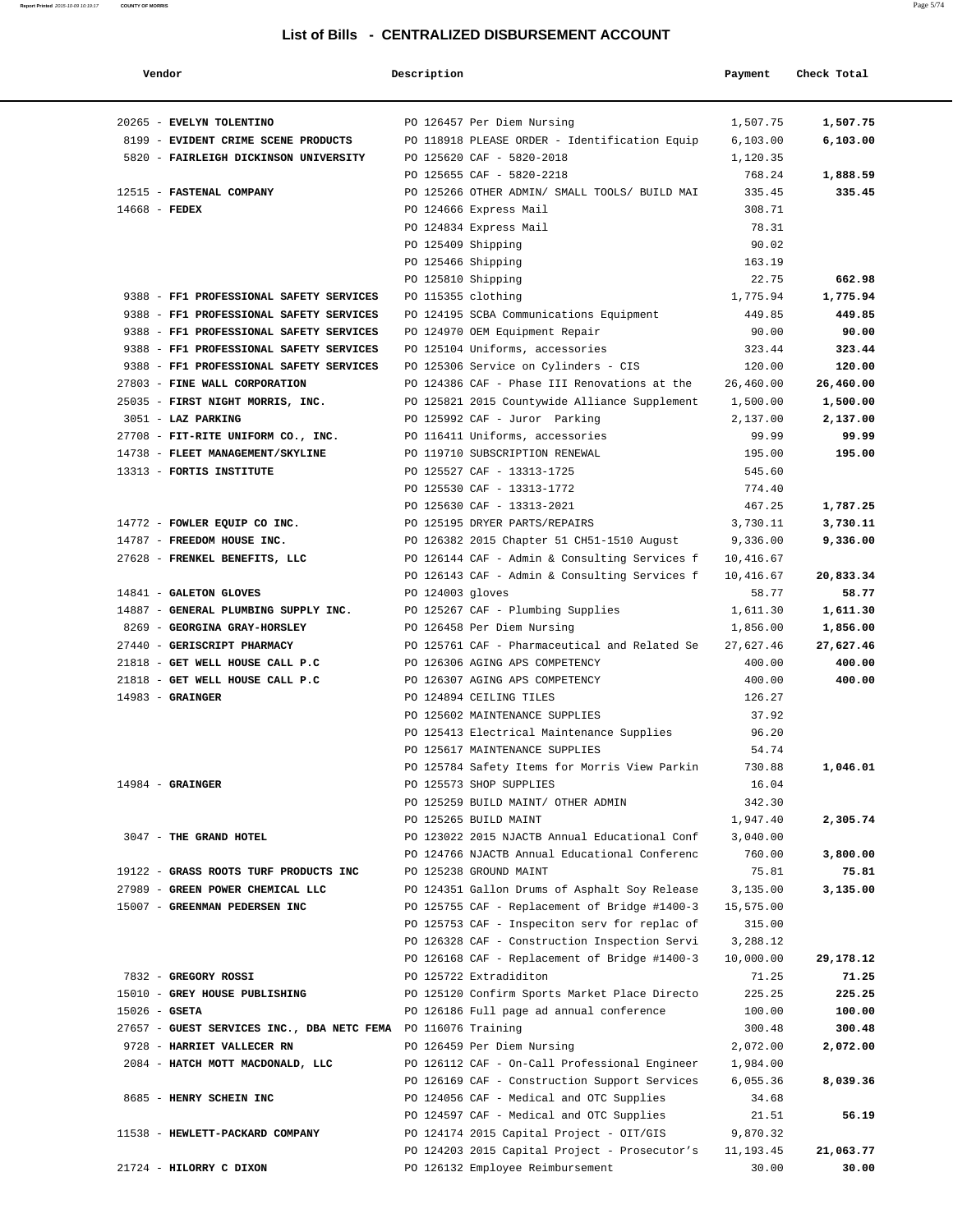| Vendor                                                                             | Description      |                                                                           | Payment            | Check Total        |
|------------------------------------------------------------------------------------|------------------|---------------------------------------------------------------------------|--------------------|--------------------|
| 20265 - EVELYN TOLENTINO                                                           |                  | PO 126457 Per Diem Nursing                                                | 1,507.75           | 1,507.75           |
| 8199 - EVIDENT CRIME SCENE PRODUCTS                                                |                  | PO 118918 PLEASE ORDER - Identification Equip                             | 6, 103.00          | 6,103.00           |
| 5820 - FAIRLEIGH DICKINSON UNIVERSITY                                              |                  | PO 125620 CAF - 5820-2018                                                 | 1,120.35           |                    |
|                                                                                    |                  | PO 125655 CAF - 5820-2218                                                 | 768.24             | 1,888.59           |
| 12515 - FASTENAL COMPANY                                                           |                  | PO 125266 OTHER ADMIN/ SMALL TOOLS/ BUILD MAI                             | 335.45             | 335.45             |
| $14668$ - FEDEX                                                                    |                  | PO 124666 Express Mail                                                    | 308.71             |                    |
|                                                                                    |                  | PO 124834 Express Mail                                                    | 78.31              |                    |
|                                                                                    |                  | PO 125409 Shipping                                                        | 90.02              |                    |
|                                                                                    |                  | PO 125466 Shipping                                                        | 163.19             |                    |
|                                                                                    |                  | PO 125810 Shipping                                                        | 22.75              | 662.98             |
| 9388 - FF1 PROFESSIONAL SAFETY SERVICES<br>9388 - FF1 PROFESSIONAL SAFETY SERVICES |                  | PO 115355 clothing                                                        | 1,775.94<br>449.85 | 1,775.94<br>449.85 |
| 9388 - FF1 PROFESSIONAL SAFETY SERVICES                                            |                  | PO 124195 SCBA Communications Equipment<br>PO 124970 OEM Equipment Repair | 90.00              | 90.00              |
| 9388 - FF1 PROFESSIONAL SAFETY SERVICES                                            |                  | PO 125104 Uniforms, accessories                                           | 323.44             | 323.44             |
| 9388 - FF1 PROFESSIONAL SAFETY SERVICES                                            |                  | PO 125306 Service on Cylinders - CIS                                      | 120.00             | 120.00             |
| 27803 - FINE WALL CORPORATION                                                      |                  | PO 124386 CAF - Phase III Renovations at the                              | 26,460.00          | 26,460.00          |
| 25035 - FIRST NIGHT MORRIS, INC.                                                   |                  | PO 125821 2015 Countywide Alliance Supplement                             | 1,500.00           | 1,500.00           |
| 3051 - LAZ PARKING                                                                 |                  | PO 125992 CAF - Juror Parking                                             | 2,137.00           | 2,137.00           |
| 27708 - FIT-RITE UNIFORM CO., INC.                                                 |                  | PO 116411 Uniforms, accessories                                           | 99.99              | 99.99              |
| 14738 - FLEET MANAGEMENT/SKYLINE                                                   |                  | PO 119710 SUBSCRIPTION RENEWAL                                            | 195.00             | 195.00             |
| 13313 - FORTIS INSTITUTE                                                           |                  | PO 125527 CAF - 13313-1725                                                | 545.60             |                    |
|                                                                                    |                  | PO 125530 CAF - 13313-1772                                                | 774.40             |                    |
|                                                                                    |                  | PO 125630 CAF - 13313-2021                                                | 467.25             | 1,787.25           |
| 14772 - FOWLER EQUIP CO INC.                                                       |                  | PO 125195 DRYER PARTS/REPAIRS                                             | 3,730.11           | 3,730.11           |
| 14787 - FREEDOM HOUSE INC.                                                         |                  | PO 126382 2015 Chapter 51 CH51-1510 August                                | 9,336.00           | 9,336.00           |
| 27628 - FRENKEL BENEFITS, LLC                                                      |                  | PO 126144 CAF - Admin & Consulting Services f                             | 10,416.67          |                    |
|                                                                                    |                  | PO 126143 CAF - Admin & Consulting Services f                             | 10,416.67          | 20,833.34          |
| 14841 - GALETON GLOVES                                                             | PO 124003 gloves |                                                                           | 58.77              | 58.77              |
| 14887 - GENERAL PLUMBING SUPPLY INC.                                               |                  | PO 125267 CAF - Plumbing Supplies                                         | 1,611.30           | 1,611.30           |
| 8269 - GEORGINA GRAY-HORSLEY                                                       |                  | PO 126458 Per Diem Nursing                                                | 1,856.00           | 1,856.00           |
| 27440 - GERISCRIPT PHARMACY                                                        |                  | PO 125761 CAF - Pharmaceutical and Related Se                             | 27,627.46          | 27,627.46          |
| 21818 - GET WELL HOUSE CALL P.C<br>21818 - GET WELL HOUSE CALL P.C                 |                  | PO 126306 AGING APS COMPETENCY                                            | 400.00             | 400.00<br>400.00   |
| $14983$ - GRAINGER                                                                 |                  | PO 126307 AGING APS COMPETENCY<br>PO 124894 CEILING TILES                 | 400.00<br>126.27   |                    |
|                                                                                    |                  | PO 125602 MAINTENANCE SUPPLIES                                            | 37.92              |                    |
|                                                                                    |                  | PO 125413 Electrical Maintenance Supplies                                 | 96.20              |                    |
|                                                                                    |                  | PO 125617 MAINTENANCE SUPPLIES                                            | 54.74              |                    |
|                                                                                    |                  | PO 125784 Safety Items for Morris View Parkin                             | 730.88             | 1,046.01           |
| $14984$ - GRAINGER                                                                 |                  | PO 125573 SHOP SUPPLIES                                                   | 16.04              |                    |
|                                                                                    |                  | PO 125259 BUILD MAINT/ OTHER ADMIN                                        | 342.30             |                    |
|                                                                                    |                  | PO 125265 BUILD MAINT                                                     | 1,947.40           | 2,305.74           |
| 3047 - THE GRAND HOTEL                                                             |                  | PO 123022 2015 NJACTB Annual Educational Conf                             | 3,040.00           |                    |
|                                                                                    |                  | PO 124766 NJACTB Annual Educational Conferenc                             | 760.00             | 3,800.00           |
| 19122 - GRASS ROOTS TURF PRODUCTS INC                                              |                  | PO 125238 GROUND MAINT                                                    | 75.81              | 75.81              |
| 27989 - GREEN POWER CHEMICAL LLC                                                   |                  | PO 124351 Gallon Drums of Asphalt Soy Release                             | 3,135.00           | 3,135.00           |
| 15007 - GREENMAN PEDERSEN INC                                                      |                  | PO 125755 CAF - Replacement of Bridge #1400-3                             | 15,575.00          |                    |
|                                                                                    |                  | PO 125753 CAF - Inspeciton serv for replac of                             | 315.00             |                    |
|                                                                                    |                  | PO 126328 CAF - Construction Inspection Servi                             | 3,288.12           |                    |
|                                                                                    |                  | PO 126168 CAF - Replacement of Bridge #1400-3                             | 10,000.00          | 29,178.12          |
| 7832 - GREGORY ROSSI<br>15010 - GREY HOUSE PUBLISHING                              |                  | PO 125722 Extradiditon<br>PO 125120 Confirm Sports Market Place Directo   | 71.25              | 71.25<br>225.25    |
| $15026$ - GSETA                                                                    |                  | PO 126186 Full page ad annual conference                                  | 225.25<br>100.00   | 100.00             |
| 27657 - GUEST SERVICES INC., DBA NETC FEMA PO 116076 Training                      |                  |                                                                           | 300.48             | 300.48             |
| 9728 - HARRIET VALLECER RN                                                         |                  | PO 126459 Per Diem Nursing                                                | 2,072.00           | 2,072.00           |
| 2084 - HATCH MOTT MACDONALD, LLC                                                   |                  | PO 126112 CAF - On-Call Professional Engineer                             | 1,984.00           |                    |
|                                                                                    |                  | PO 126169 CAF - Construction Support Services                             | 6,055.36           | 8,039.36           |
| 8685 - HENRY SCHEIN INC                                                            |                  | PO 124056 CAF - Medical and OTC Supplies                                  | 34.68              |                    |
|                                                                                    |                  | PO 124597 CAF - Medical and OTC Supplies                                  | 21.51              | 56.19              |
| 11538 - HEWLETT-PACKARD COMPANY                                                    |                  | PO 124174 2015 Capital Project - OIT/GIS                                  | 9,870.32           |                    |
|                                                                                    |                  | PO 124203 2015 Capital Project - Prosecutor's                             | 11,193.45          | 21,063.77          |
| 21724 - HILORRY C DIXON                                                            |                  | PO 126132 Employee Reimbursement                                          | 30.00              | 30.00              |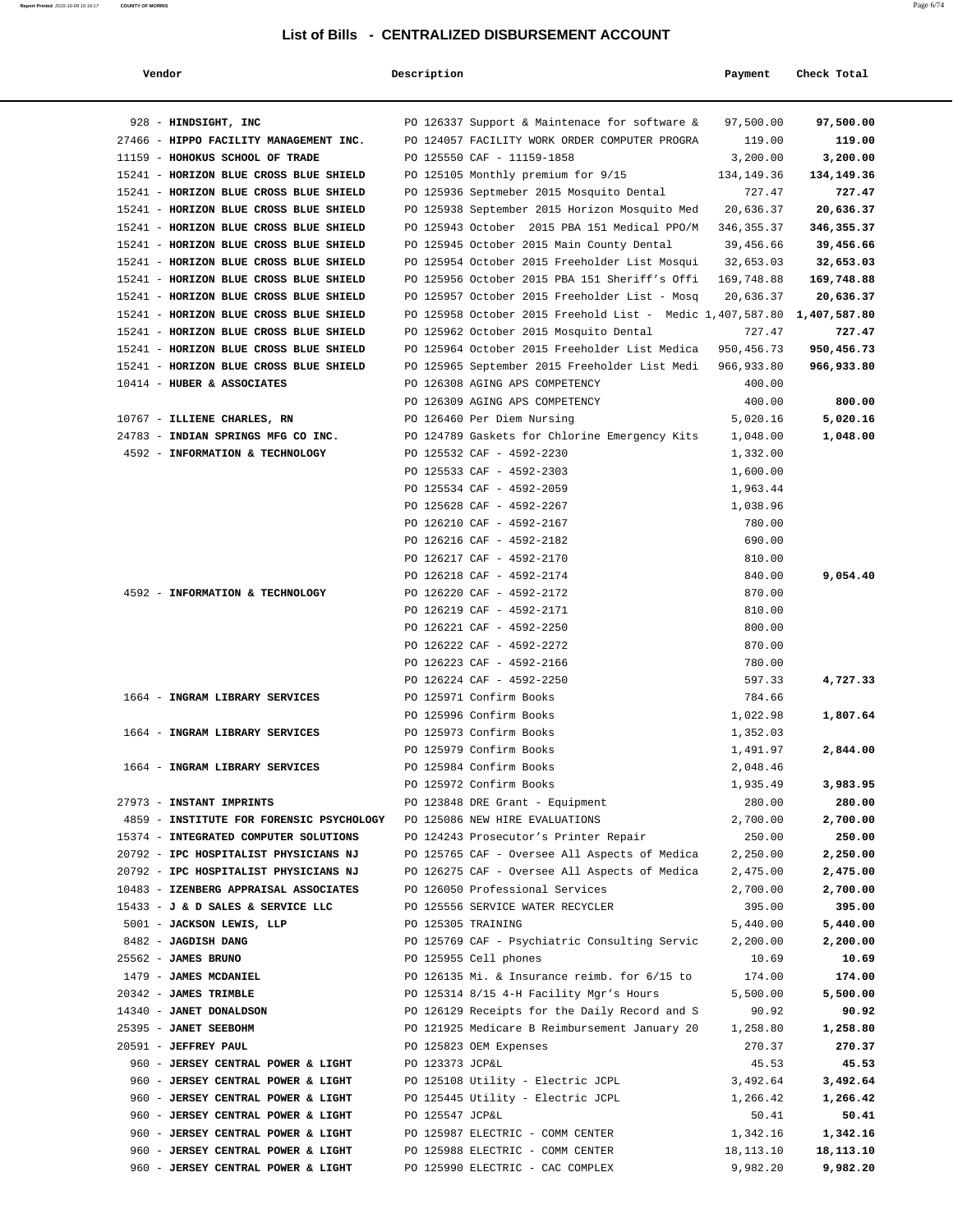| Vendor                                                                  | Description        |                                                                       | Payment              | Check Total       |
|-------------------------------------------------------------------------|--------------------|-----------------------------------------------------------------------|----------------------|-------------------|
| 928 - HINDSIGHT, INC                                                    |                    | PO 126337 Support & Maintenace for software &                         | 97,500.00            | 97,500.00         |
| 27466 - HIPPO FACILITY MANAGEMENT INC.                                  |                    | PO 124057 FACILITY WORK ORDER COMPUTER PROGRA                         | 119.00               | 119.00            |
| 11159 - HOHOKUS SCHOOL OF TRADE                                         |                    | PO 125550 CAF - 11159-1858                                            | 3,200.00             | 3,200.00          |
| 15241 - HORIZON BLUE CROSS BLUE SHIELD                                  |                    | PO 125105 Monthly premium for 9/15                                    | 134,149.36           | 134,149.36        |
| 15241 - HORIZON BLUE CROSS BLUE SHIELD                                  |                    | PO 125936 Septmeber 2015 Mosquito Dental                              | 727.47               | 727.47            |
| 15241 - HORIZON BLUE CROSS BLUE SHIELD                                  |                    | PO 125938 September 2015 Horizon Mosquito Med                         | 20,636.37            | 20,636.37         |
| 15241 - HORIZON BLUE CROSS BLUE SHIELD                                  |                    | PO 125943 October 2015 PBA 151 Medical PPO/M                          | 346, 355. 37         | 346, 355.37       |
| 15241 - HORIZON BLUE CROSS BLUE SHIELD                                  |                    | PO 125945 October 2015 Main County Dental                             | 39,456.66            | 39,456.66         |
| 15241 - HORIZON BLUE CROSS BLUE SHIELD                                  |                    | PO 125954 October 2015 Freeholder List Mosqui                         | 32,653.03            | 32,653.03         |
| 15241 - HORIZON BLUE CROSS BLUE SHIELD                                  |                    | PO 125956 October 2015 PBA 151 Sheriff's Offi                         | 169,748.88           | 169,748.88        |
| 15241 - HORIZON BLUE CROSS BLUE SHIELD                                  |                    | PO 125957 October 2015 Freeholder List - Mosq                         | 20,636.37            | 20,636.37         |
| 15241 - HORIZON BLUE CROSS BLUE SHIELD                                  |                    | PO 125958 October 2015 Freehold List - Medic 1,407,587.80             |                      | 1,407,587.80      |
| 15241 - HORIZON BLUE CROSS BLUE SHIELD                                  |                    | PO 125962 October 2015 Mosquito Dental                                | 727.47               | 727.47            |
| 15241 - HORIZON BLUE CROSS BLUE SHIELD                                  |                    | PO 125964 October 2015 Freeholder List Medica                         | 950, 456. 73         | 950,456.73        |
| 15241 - HORIZON BLUE CROSS BLUE SHIELD                                  |                    | PO 125965 September 2015 Freeholder List Medi                         | 966,933.80           | 966,933.80        |
| 10414 - HUBER & ASSOCIATES                                              |                    | PO 126308 AGING APS COMPETENCY                                        | 400.00               |                   |
|                                                                         |                    | PO 126309 AGING APS COMPETENCY                                        | 400.00               | 800.00            |
| 10767 - ILLIENE CHARLES, RN                                             |                    | PO 126460 Per Diem Nursing                                            | 5,020.16             | 5,020.16          |
| 24783 - INDIAN SPRINGS MFG CO INC.                                      |                    | PO 124789 Gaskets for Chlorine Emergency Kits                         | 1,048.00             | 1,048.00          |
| 4592 - INFORMATION & TECHNOLOGY                                         |                    | PO 125532 CAF - 4592-2230                                             | 1,332.00             |                   |
|                                                                         |                    | PO 125533 CAF - 4592-2303<br>PO 125534 CAF - 4592-2059                | 1,600.00             |                   |
|                                                                         |                    | PO 125628 CAF - 4592-2267                                             | 1,963.44<br>1,038.96 |                   |
|                                                                         |                    | PO 126210 CAF - 4592-2167                                             | 780.00               |                   |
|                                                                         |                    | PO 126216 CAF - 4592-2182                                             | 690.00               |                   |
|                                                                         |                    | PO 126217 CAF - 4592-2170                                             | 810.00               |                   |
|                                                                         |                    | PO 126218 CAF - 4592-2174                                             | 840.00               | 9,054.40          |
| 4592 - INFORMATION & TECHNOLOGY                                         |                    | PO 126220 CAF - 4592-2172                                             | 870.00               |                   |
|                                                                         |                    | PO 126219 CAF - 4592-2171                                             | 810.00               |                   |
|                                                                         |                    | PO 126221 CAF - 4592-2250                                             | 800.00               |                   |
|                                                                         |                    | PO 126222 CAF - 4592-2272                                             | 870.00               |                   |
|                                                                         |                    | PO 126223 CAF - 4592-2166                                             | 780.00               |                   |
|                                                                         |                    | PO 126224 CAF - 4592-2250                                             | 597.33               | 4,727.33          |
| 1664 - INGRAM LIBRARY SERVICES                                          |                    | PO 125971 Confirm Books                                               | 784.66               |                   |
|                                                                         |                    | PO 125996 Confirm Books                                               | 1,022.98             | 1,807.64          |
| 1664 - INGRAM LIBRARY SERVICES                                          |                    | PO 125973 Confirm Books                                               | 1,352.03             |                   |
|                                                                         |                    | PO 125979 Confirm Books                                               | 1,491.97             | 2,844.00          |
| 1664 - INGRAM LIBRARY SERVICES                                          |                    | PO 125984 Confirm Books                                               | 2,048.46             |                   |
|                                                                         |                    | PO 125972 Confirm Books                                               | 1,935.49             | 3,983.95          |
| 27973 - INSTANT IMPRINTS                                                |                    | PO 123848 DRE Grant - Equipment                                       | 280.00               | 280.00            |
| 4859 - INSTITUTE FOR FORENSIC PSYCHOLOGY PO 125086 NEW HIRE EVALUATIONS |                    |                                                                       | 2,700.00             | 2,700.00          |
| 15374 - INTEGRATED COMPUTER SOLUTIONS                                   |                    | PO 124243 Prosecutor's Printer Repair                                 | 250.00               | 250.00            |
| 20792 - IPC HOSPITALIST PHYSICIANS NJ                                   |                    | PO 125765 CAF - Oversee All Aspects of Medica                         | 2,250.00             | 2,250.00          |
| 20792 - IPC HOSPITALIST PHYSICIANS NJ                                   |                    | PO 126275 CAF - Oversee All Aspects of Medica                         | 2,475.00             | 2,475.00          |
| 10483 - IZENBERG APPRAISAL ASSOCIATES                                   |                    | PO 126050 Professional Services                                       | 2,700.00             | 2,700.00          |
| 15433 - J & D SALES & SERVICE LLC                                       |                    | PO 125556 SERVICE WATER RECYCLER                                      | 395.00               | 395.00            |
| 5001 - JACKSON LEWIS, LLP                                               | PO 125305 TRAINING |                                                                       | 5,440.00             | 5,440.00          |
| 8482 - JAGDISH DANG<br>25562 - JAMES BRUNO                              |                    | PO 125769 CAF - Psychiatric Consulting Servic                         | 2,200.00             | 2,200.00<br>10.69 |
| 1479 - JAMES MCDANIEL                                                   |                    | PO 125955 Cell phones<br>PO 126135 Mi. & Insurance reimb. for 6/15 to | 10.69<br>174.00      | 174.00            |
| 20342 - JAMES TRIMBLE                                                   |                    | PO 125314 8/15 4-H Facility Mgr's Hours                               | 5,500.00             | 5,500.00          |
| 14340 - JANET DONALDSON                                                 |                    | PO 126129 Receipts for the Daily Record and S                         | 90.92                | 90.92             |
| 25395 - JANET SEEBOHM                                                   |                    | PO 121925 Medicare B Reimbursement January 20                         | 1,258.80             | 1,258.80          |
| 20591 - JEFFREY PAUL                                                    |                    | PO 125823 OEM Expenses                                                | 270.37               | 270.37            |
| 960 - JERSEY CENTRAL POWER & LIGHT                                      | PO 123373 JCP&L    |                                                                       | 45.53                | 45.53             |
| 960 - JERSEY CENTRAL POWER & LIGHT                                      |                    | PO 125108 Utility - Electric JCPL                                     | 3,492.64             | 3,492.64          |
| 960 - JERSEY CENTRAL POWER & LIGHT                                      |                    | PO 125445 Utility - Electric JCPL                                     | 1,266.42             | 1,266.42          |
| 960 - JERSEY CENTRAL POWER & LIGHT                                      | PO 125547 JCP&L    |                                                                       | 50.41                | 50.41             |
| 960 - JERSEY CENTRAL POWER & LIGHT                                      |                    | PO 125987 ELECTRIC - COMM CENTER                                      | 1,342.16             | 1,342.16          |
| 960 - JERSEY CENTRAL POWER & LIGHT                                      |                    | PO 125988 ELECTRIC - COMM CENTER                                      | 18, 113. 10          | 18,113.10         |
| 960 - JERSEY CENTRAL POWER & LIGHT                                      |                    | PO 125990 ELECTRIC - CAC COMPLEX                                      | 9,982.20             | 9,982.20          |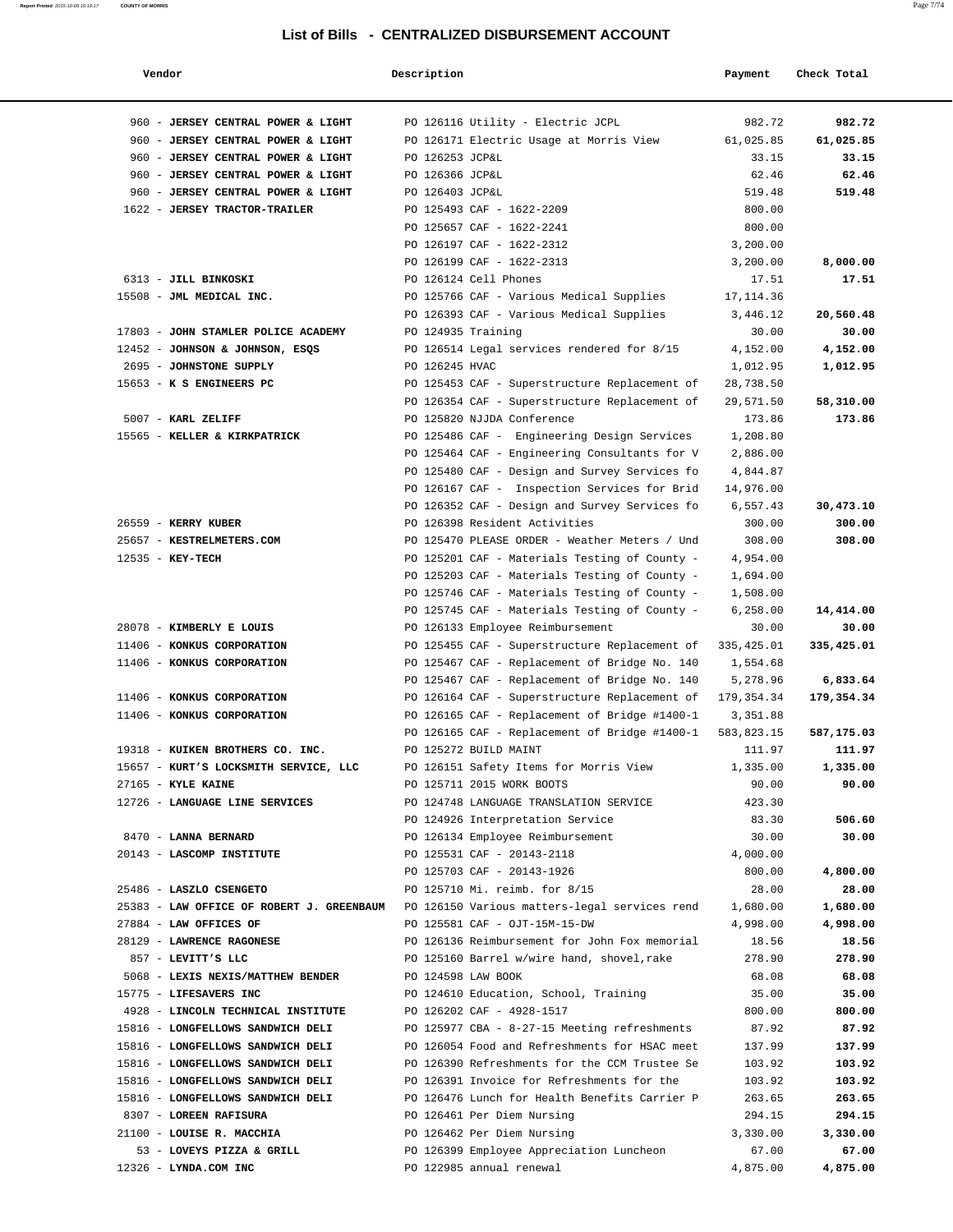| Vendor                                    | Description        |                                               | Payment     | Check Total |
|-------------------------------------------|--------------------|-----------------------------------------------|-------------|-------------|
| 960 - JERSEY CENTRAL POWER & LIGHT        |                    | PO 126116 Utility - Electric JCPL             | 982.72      | 982.72      |
| 960 - JERSEY CENTRAL POWER & LIGHT        |                    | PO 126171 Electric Usage at Morris View       | 61,025.85   | 61,025.85   |
| 960 - JERSEY CENTRAL POWER & LIGHT        | PO 126253 JCP&L    |                                               | 33.15       | 33.15       |
| 960 - JERSEY CENTRAL POWER & LIGHT        | PO 126366 JCP&L    |                                               | 62.46       | 62.46       |
| 960 - JERSEY CENTRAL POWER & LIGHT        | PO 126403 JCP&L    |                                               | 519.48      | 519.48      |
| 1622 - JERSEY TRACTOR-TRAILER             |                    | PO 125493 CAF - 1622-2209                     | 800.00      |             |
|                                           |                    | PO 125657 CAF - 1622-2241                     | 800.00      |             |
|                                           |                    | PO 126197 CAF - 1622-2312                     | 3,200.00    |             |
|                                           |                    | PO 126199 CAF - 1622-2313                     | 3,200.00    | 8,000.00    |
| 6313 - JILL BINKOSKI                      |                    | PO 126124 Cell Phones                         | 17.51       | 17.51       |
| 15508 - JML MEDICAL INC.                  |                    | PO 125766 CAF - Various Medical Supplies      | 17, 114.36  |             |
|                                           |                    | PO 126393 CAF - Various Medical Supplies      | 3,446.12    | 20,560.48   |
| 17803 - JOHN STAMLER POLICE ACADEMY       | PO 124935 Training |                                               | 30.00       | 30.00       |
| 12452 - JOHNSON & JOHNSON, ESQS           |                    | PO 126514 Legal services rendered for 8/15    | 4,152.00    | 4,152.00    |
| 2695 - JOHNSTONE SUPPLY                   | PO 126245 HVAC     |                                               | 1,012.95    | 1,012.95    |
| 15653 - K S ENGINEERS PC                  |                    | PO 125453 CAF - Superstructure Replacement of | 28,738.50   |             |
|                                           |                    | PO 126354 CAF - Superstructure Replacement of | 29,571.50   | 58,310.00   |
| 5007 - KARL ZELIFF                        |                    | PO 125820 NJJDA Conference                    | 173.86      | 173.86      |
| 15565 - KELLER & KIRKPATRICK              |                    | PO 125486 CAF - Engineering Design Services   | 1,208.80    |             |
|                                           |                    | PO 125464 CAF - Engineering Consultants for V | 2,886.00    |             |
|                                           |                    | PO 125480 CAF - Design and Survey Services fo | 4,844.87    |             |
|                                           |                    | PO 126167 CAF - Inspection Services for Brid  | 14,976.00   |             |
|                                           |                    | PO 126352 CAF - Design and Survey Services fo | 6,557.43    | 30,473.10   |
| 26559 - KERRY KUBER                       |                    | PO 126398 Resident Activities                 | 300.00      | 300.00      |
| 25657 - KESTRELMETERS.COM                 |                    | PO 125470 PLEASE ORDER - Weather Meters / Und | 308.00      | 308.00      |
| 12535 - KEY-TECH                          |                    | PO 125201 CAF - Materials Testing of County - | 4,954.00    |             |
|                                           |                    | PO 125203 CAF - Materials Testing of County - | 1,694.00    |             |
|                                           |                    | PO 125746 CAF - Materials Testing of County - | 1,508.00    |             |
|                                           |                    | PO 125745 CAF - Materials Testing of County - | 6,258.00    | 14,414.00   |
| 28078 - KIMBERLY E LOUIS                  |                    | PO 126133 Employee Reimbursement              | 30.00       | 30.00       |
| 11406 - KONKUS CORPORATION                |                    | PO 125455 CAF - Superstructure Replacement of | 335, 425.01 | 335,425.01  |
| 11406 - KONKUS CORPORATION                |                    | PO 125467 CAF - Replacement of Bridge No. 140 | 1,554.68    |             |
|                                           |                    | PO 125467 CAF - Replacement of Bridge No. 140 | 5,278.96    | 6,833.64    |
| 11406 - KONKUS CORPORATION                |                    | PO 126164 CAF - Superstructure Replacement of | 179,354.34  | 179,354.34  |
| 11406 - KONKUS CORPORATION                |                    | PO 126165 CAF - Replacement of Bridge #1400-1 | 3,351.88    |             |
|                                           |                    | PO 126165 CAF - Replacement of Bridge #1400-1 | 583,823.15  | 587,175.03  |
| 19318 - KUIKEN BROTHERS CO. INC.          |                    | PO 125272 BUILD MAINT                         | 111.97      | 111.97      |
| 15657 - KURT'S LOCKSMITH SERVICE, LLC     |                    | PO 126151 Safety Items for Morris View        | 1,335.00    | 1,335.00    |
| $27165$ - KYLE KAINE                      |                    | PO 125711 2015 WORK BOOTS                     | 90.00       | 90.00       |
| 12726 - LANGUAGE LINE SERVICES            |                    | PO 124748 LANGUAGE TRANSLATION SERVICE        | 423.30      |             |
|                                           |                    | PO 124926 Interpretation Service              | 83.30       | 506.60      |
| 8470 - LANNA BERNARD                      |                    | PO 126134 Employee Reimbursement              | 30.00       | 30.00       |
| 20143 - LASCOMP INSTITUTE                 |                    | PO 125531 CAF - 20143-2118                    | 4,000.00    |             |
|                                           |                    | PO 125703 CAF - 20143-1926                    | 800.00      | 4,800.00    |
| 25486 - LASZLO CSENGETO                   |                    | PO 125710 Mi. reimb. for 8/15                 | 28.00       | 28.00       |
| 25383 - LAW OFFICE OF ROBERT J. GREENBAUM |                    | PO 126150 Various matters-legal services rend | 1,680.00    | 1,680.00    |
| 27884 - LAW OFFICES OF                    |                    | PO 125581 CAF - OJT-15M-15-DW                 | 4,998.00    | 4,998.00    |
| 28129 - LAWRENCE RAGONESE                 |                    | PO 126136 Reimbursement for John Fox memorial | 18.56       | 18.56       |
| 857 - LEVITT'S LLC                        |                    | PO 125160 Barrel w/wire hand, shovel, rake    | 278.90      | 278.90      |
| 5068 - LEXIS NEXIS/MATTHEW BENDER         | PO 124598 LAW BOOK |                                               | 68.08       | 68.08       |
| 15775 - LIFESAVERS INC                    |                    | PO 124610 Education, School, Training         | 35.00       | 35.00       |
| 4928 - LINCOLN TECHNICAL INSTITUTE        |                    | PO 126202 CAF - 4928-1517                     | 800.00      | 800.00      |
| 15816 - LONGFELLOWS SANDWICH DELI         |                    | PO 125977 CBA - 8-27-15 Meeting refreshments  | 87.92       | 87.92       |
| 15816 - LONGFELLOWS SANDWICH DELI         |                    | PO 126054 Food and Refreshments for HSAC meet | 137.99      | 137.99      |
| 15816 - LONGFELLOWS SANDWICH DELI         |                    | PO 126390 Refreshments for the CCM Trustee Se | 103.92      | 103.92      |
| 15816 - LONGFELLOWS SANDWICH DELI         |                    | PO 126391 Invoice for Refreshments for the    | 103.92      | 103.92      |
| 15816 - LONGFELLOWS SANDWICH DELI         |                    | PO 126476 Lunch for Health Benefits Carrier P | 263.65      | 263.65      |
| 8307 - LOREEN RAFISURA                    |                    | PO 126461 Per Diem Nursing                    | 294.15      | 294.15      |
| 21100 - LOUISE R. MACCHIA                 |                    | PO 126462 Per Diem Nursing                    | 3,330.00    | 3,330.00    |
| 53 - LOVEYS PIZZA & GRILL                 |                    | PO 126399 Employee Appreciation Luncheon      | 67.00       | 67.00       |
| 12326 - LYNDA.COM INC                     |                    | PO 122985 annual renewal                      | 4,875.00    | 4,875.00    |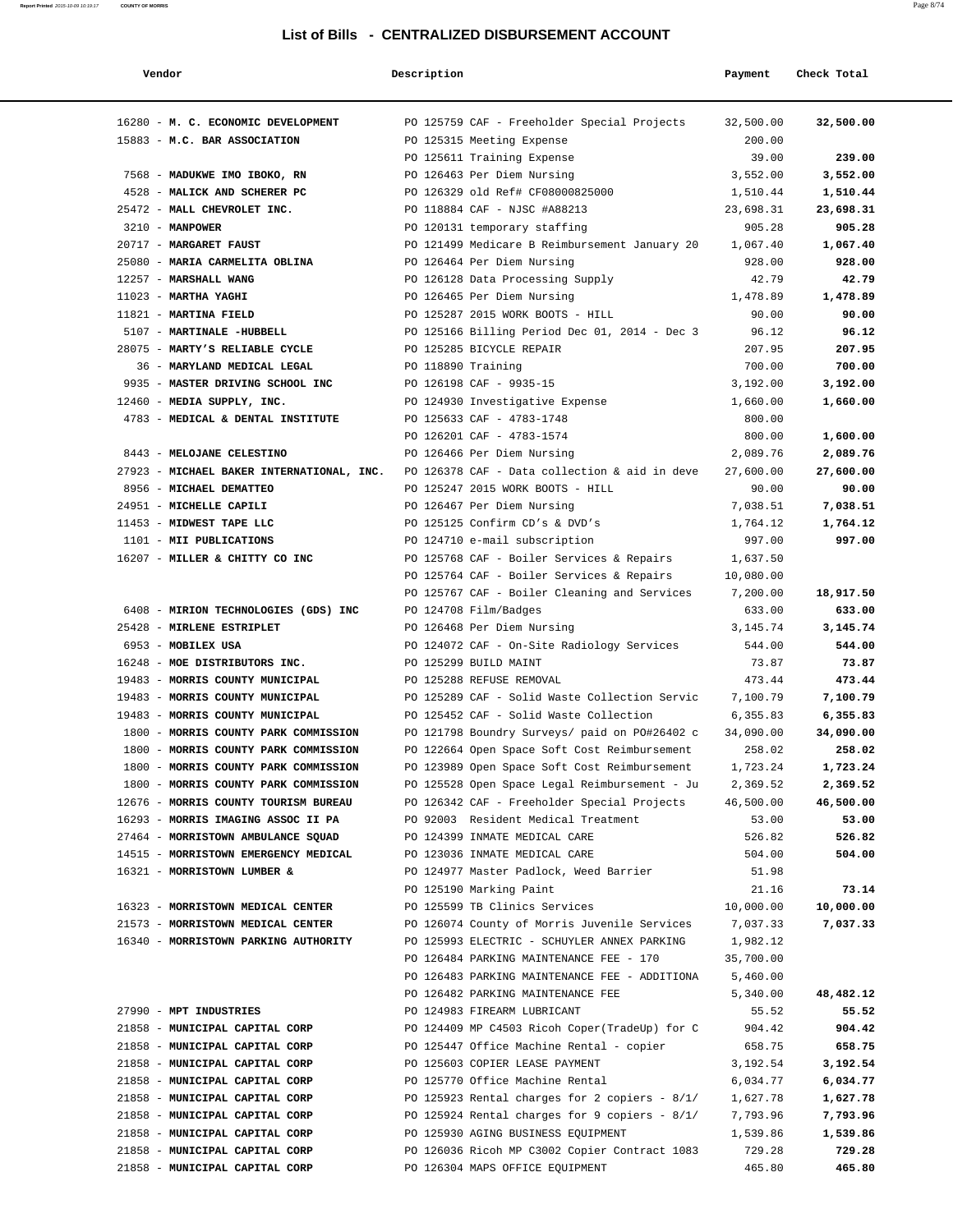| Vendor                                                                 | Description        |                                                                               | Payment            | Check Total           |
|------------------------------------------------------------------------|--------------------|-------------------------------------------------------------------------------|--------------------|-----------------------|
| 16280 - M. C. ECONOMIC DEVELOPMENT                                     |                    | PO 125759 CAF - Freeholder Special Projects                                   | 32,500.00          | 32,500.00             |
| 15883 - M.C. BAR ASSOCIATION                                           |                    | PO 125315 Meeting Expense                                                     | 200.00             |                       |
|                                                                        |                    | PO 125611 Training Expense                                                    | 39.00              | 239.00                |
| 7568 - MADUKWE IMO IBOKO, RN                                           |                    | PO 126463 Per Diem Nursing                                                    | 3,552.00           | 3,552.00              |
| 4528 - MALICK AND SCHERER PC                                           |                    | PO 126329 old Ref# CF08000825000                                              | 1,510.44           | 1,510.44              |
| 25472 - MALL CHEVROLET INC.                                            |                    | PO 118884 CAF - NJSC #A88213                                                  | 23,698.31          | 23,698.31             |
| $3210 - MANPOWER$                                                      |                    | PO 120131 temporary staffing                                                  | 905.28             | 905.28                |
| 20717 - MARGARET FAUST                                                 |                    | PO 121499 Medicare B Reimbursement January 20                                 | 1,067.40           | 1,067.40              |
| 25080 - MARIA CARMELITA OBLINA                                         |                    | PO 126464 Per Diem Nursing                                                    | 928.00             | 928.00                |
| 12257 - MARSHALL WANG                                                  |                    | PO 126128 Data Processing Supply                                              | 42.79              | 42.79                 |
| $11023$ - MARTHA YAGHI                                                 |                    | PO 126465 Per Diem Nursing                                                    | 1,478.89           | 1,478.89              |
| 11821 - MARTINA FIELD                                                  |                    | PO 125287 2015 WORK BOOTS - HILL                                              | 90.00              | 90.00                 |
| 5107 - MARTINALE -HUBBELL                                              |                    | PO 125166 Billing Period Dec 01, 2014 - Dec 3                                 | 96.12              | 96.12                 |
| 28075 - MARTY'S RELIABLE CYCLE                                         |                    | PO 125285 BICYCLE REPAIR                                                      | 207.95             | 207.95                |
| 36 - MARYLAND MEDICAL LEGAL                                            | PO 118890 Training |                                                                               | 700.00             | 700.00                |
| 9935 - MASTER DRIVING SCHOOL INC                                       |                    | PO 126198 CAF - 9935-15                                                       | 3,192.00           | 3,192.00              |
| 12460 - MEDIA SUPPLY, INC.                                             |                    | PO 124930 Investigative Expense                                               | 1,660.00           | 1,660.00              |
| 4783 - MEDICAL & DENTAL INSTITUTE                                      |                    | PO 125633 CAF - 4783-1748                                                     | 800.00             |                       |
|                                                                        |                    | PO 126201 CAF - 4783-1574                                                     | 800.00             | 1,600.00              |
| 8443 - MELOJANE CELESTINO                                              |                    | PO 126466 Per Diem Nursing                                                    | 2,089.76           | 2,089.76              |
| 27923 - MICHAEL BAKER INTERNATIONAL, INC.                              |                    | PO 126378 CAF - Data collection & aid in deve                                 | 27,600.00          | 27,600.00             |
| 8956 - MICHAEL DEMATTEO                                                |                    | PO 125247 2015 WORK BOOTS - HILL                                              | 90.00              | 90.00                 |
| 24951 - MICHELLE CAPILI                                                |                    | PO 126467 Per Diem Nursing                                                    | 7,038.51           | 7,038.51              |
| 11453 - MIDWEST TAPE LLC<br>1101 - MII PUBLICATIONS                    |                    | PO 125125 Confirm CD's & DVD's<br>PO 124710 e-mail subscription               | 1,764.12<br>997.00 | 1,764.12<br>997.00    |
| 16207 - MILLER & CHITTY CO INC                                         |                    | PO 125768 CAF - Boiler Services & Repairs                                     | 1,637.50           |                       |
|                                                                        |                    | PO 125764 CAF - Boiler Services & Repairs                                     | 10,080.00          |                       |
|                                                                        |                    | PO 125767 CAF - Boiler Cleaning and Services                                  | 7,200.00           | 18,917.50             |
| 6408 - MIRION TECHNOLOGIES (GDS) INC                                   |                    | PO 124708 Film/Badges                                                         | 633.00             | 633.00                |
| 25428 - MIRLENE ESTRIPLET                                              |                    | PO 126468 Per Diem Nursing                                                    | 3, 145. 74         | 3,145.74              |
| 6953 - MOBILEX USA                                                     |                    | PO 124072 CAF - On-Site Radiology Services                                    | 544.00             | 544.00                |
| 16248 - MOE DISTRIBUTORS INC.                                          |                    | PO 125299 BUILD MAINT                                                         | 73.87              | 73.87                 |
| 19483 - MORRIS COUNTY MUNICIPAL                                        |                    | PO 125288 REFUSE REMOVAL                                                      | 473.44             | 473.44                |
| 19483 - MORRIS COUNTY MUNICIPAL                                        |                    | PO 125289 CAF - Solid Waste Collection Servic                                 | 7,100.79           | 7,100.79              |
| 19483 - MORRIS COUNTY MUNICIPAL                                        |                    | PO 125452 CAF - Solid Waste Collection                                        | 6,355.83           | 6,355.83              |
| 1800 - MORRIS COUNTY PARK COMMISSION                                   |                    | PO 121798 Boundry Surveys/ paid on PO#26402 c                                 | 34,090.00          | 34,090.00             |
| 1800 - MORRIS COUNTY PARK COMMISSION                                   |                    | PO 122664 Open Space Soft Cost Reimbursement                                  | 258.02             | 258.02                |
| 1800 - MORRIS COUNTY PARK COMMISSION                                   |                    | PO 123989 Open Space Soft Cost Reimbursement                                  | 1,723.24           | 1,723.24              |
| 1800 - MORRIS COUNTY PARK COMMISSION                                   |                    | PO 125528 Open Space Legal Reimbursement - Ju                                 | 2,369.52           | 2,369.52              |
| 12676 - MORRIS COUNTY TOURISM BUREAU                                   |                    | PO 126342 CAF - Freeholder Special Projects                                   | 46,500.00          | 46,500.00             |
| 16293 - MORRIS IMAGING ASSOC II PA                                     |                    | PO 92003 Resident Medical Treatment                                           | 53.00              | 53.00                 |
| 27464 - MORRISTOWN AMBULANCE SQUAD                                     |                    | PO 124399 INMATE MEDICAL CARE                                                 | 526.82             | 526.82                |
| 14515 - MORRISTOWN EMERGENCY MEDICAL                                   |                    | PO 123036 INMATE MEDICAL CARE                                                 | 504.00             | 504.00                |
| 16321 - MORRISTOWN LUMBER &                                            |                    | PO 124977 Master Padlock, Weed Barrier                                        | 51.98              |                       |
|                                                                        |                    | PO 125190 Marking Paint                                                       | 21.16<br>10,000.00 | 73.14                 |
| 16323 - MORRISTOWN MEDICAL CENTER<br>21573 - MORRISTOWN MEDICAL CENTER |                    | PO 125599 TB Clinics Services<br>PO 126074 County of Morris Juvenile Services | 7,037.33           | 10,000.00<br>7,037.33 |
| 16340 - MORRISTOWN PARKING AUTHORITY                                   |                    | PO 125993 ELECTRIC - SCHUYLER ANNEX PARKING                                   | 1,982.12           |                       |
|                                                                        |                    | PO 126484 PARKING MAINTENANCE FEE - 170                                       | 35,700.00          |                       |
|                                                                        |                    | PO 126483 PARKING MAINTENANCE FEE - ADDITIONA                                 | 5,460.00           |                       |
|                                                                        |                    | PO 126482 PARKING MAINTENANCE FEE                                             | 5,340.00           | 48,482.12             |
| 27990 - MPT INDUSTRIES                                                 |                    | PO 124983 FIREARM LUBRICANT                                                   | 55.52              | 55.52                 |
| 21858 - MUNICIPAL CAPITAL CORP                                         |                    | PO 124409 MP C4503 Ricoh Coper(TradeUp) for C                                 | 904.42             | 904.42                |
| 21858 - MUNICIPAL CAPITAL CORP                                         |                    | PO 125447 Office Machine Rental - copier                                      | 658.75             | 658.75                |
| 21858 - MUNICIPAL CAPITAL CORP                                         |                    | PO 125603 COPIER LEASE PAYMENT                                                | 3,192.54           | 3,192.54              |
| 21858 - MUNICIPAL CAPITAL CORP                                         |                    | PO 125770 Office Machine Rental                                               | 6,034.77           | 6,034.77              |
| 21858 - MUNICIPAL CAPITAL CORP                                         |                    | PO 125923 Rental charges for 2 copiers - 8/1/                                 | 1,627.78           | 1,627.78              |
| 21858 - MUNICIPAL CAPITAL CORP                                         |                    | PO 125924 Rental charges for 9 copiers - $8/1/$                               | 7,793.96           | 7,793.96              |
| 21858 - MUNICIPAL CAPITAL CORP                                         |                    | PO 125930 AGING BUSINESS EQUIPMENT                                            | 1,539.86           | 1,539.86              |
| 21858 - MUNICIPAL CAPITAL CORP                                         |                    | PO 126036 Ricoh MP C3002 Copier Contract 1083                                 | 729.28             | 729.28                |
| 21858 - MUNICIPAL CAPITAL CORP                                         |                    | PO 126304 MAPS OFFICE EQUIPMENT                                               | 465.80             | 465.80                |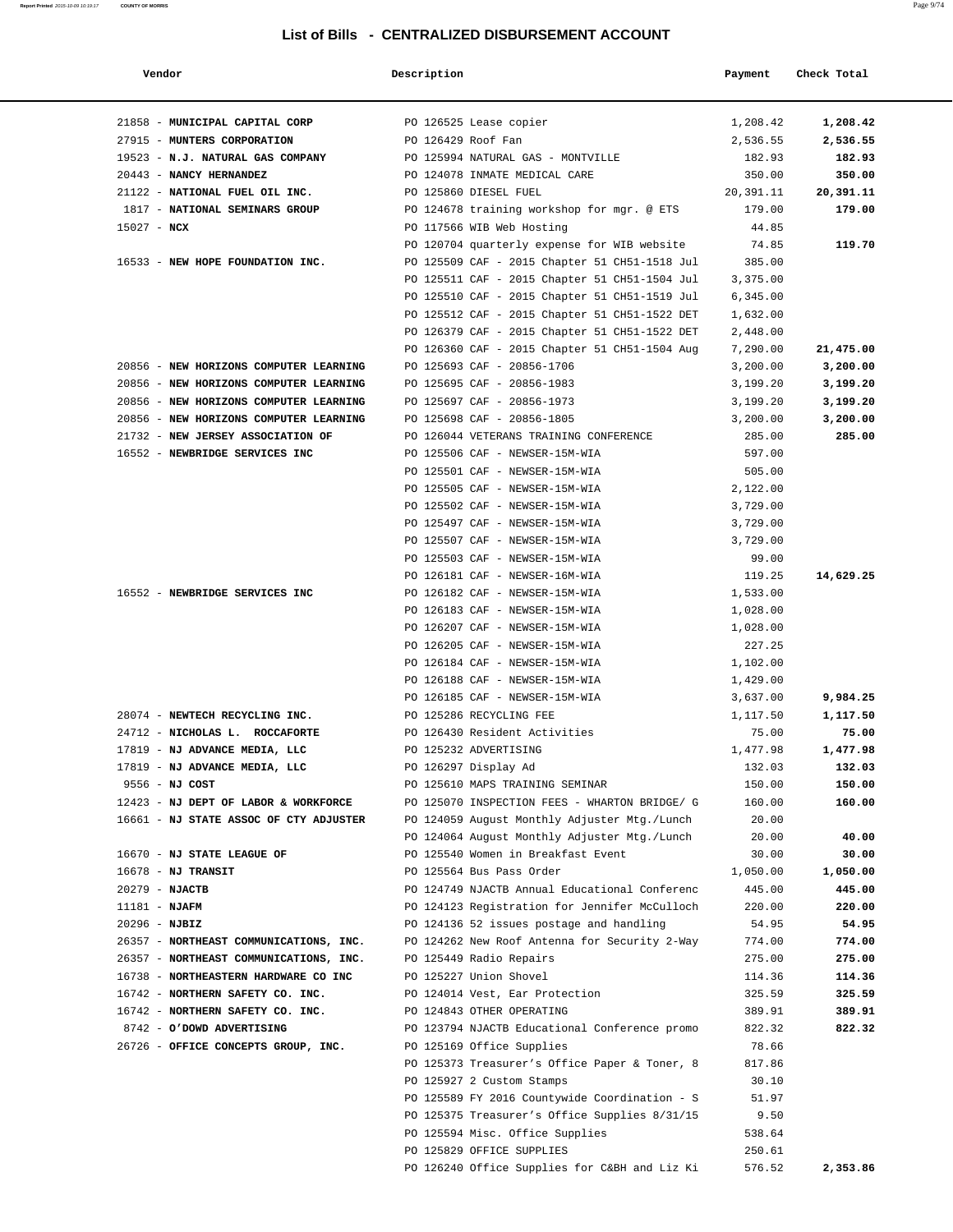| Vendor                                 | Description        |                                                                  | Payment              | Check Total |
|----------------------------------------|--------------------|------------------------------------------------------------------|----------------------|-------------|
| 21858 - MUNICIPAL CAPITAL CORP         |                    | PO 126525 Lease copier                                           | 1,208.42             | 1,208.42    |
| 27915 - MUNTERS CORPORATION            | PO 126429 Roof Fan |                                                                  | 2,536.55             | 2,536.55    |
| 19523 - N.J. NATURAL GAS COMPANY       |                    | PO 125994 NATURAL GAS - MONTVILLE                                | 182.93               | 182.93      |
| 20443 - NANCY HERNANDEZ                |                    | PO 124078 INMATE MEDICAL CARE                                    | 350.00               | 350.00      |
| 21122 - NATIONAL FUEL OIL INC.         |                    | PO 125860 DIESEL FUEL                                            | 20,391.11            | 20,391.11   |
| 1817 - NATIONAL SEMINARS GROUP         |                    | PO 124678 training workshop for mgr. @ ETS                       | 179.00               | 179.00      |
| $15027 - NCX$                          |                    | PO 117566 WIB Web Hosting                                        | 44.85                |             |
|                                        |                    | PO 120704 quarterly expense for WIB website                      | 74.85                | 119.70      |
| 16533 - NEW HOPE FOUNDATION INC.       |                    | PO 125509 CAF - 2015 Chapter 51 CH51-1518 Jul                    | 385.00               |             |
|                                        |                    | PO 125511 CAF - 2015 Chapter 51 CH51-1504 Jul                    | 3,375.00             |             |
|                                        |                    | PO 125510 CAF - 2015 Chapter 51 CH51-1519 Jul                    | 6,345.00             |             |
|                                        |                    | PO 125512 CAF - 2015 Chapter 51 CH51-1522 DET                    | 1,632.00             |             |
|                                        |                    | PO 126379 CAF - 2015 Chapter 51 CH51-1522 DET                    | 2,448.00             |             |
|                                        |                    | PO 126360 CAF - 2015 Chapter 51 CH51-1504 Aug                    | 7,290.00             | 21,475.00   |
| 20856 - NEW HORIZONS COMPUTER LEARNING |                    | PO 125693 CAF - 20856-1706                                       | 3,200.00             | 3,200.00    |
| 20856 - NEW HORIZONS COMPUTER LEARNING |                    | PO 125695 CAF - 20856-1983                                       | 3,199.20             | 3,199.20    |
| 20856 - NEW HORIZONS COMPUTER LEARNING |                    | PO 125697 CAF - 20856-1973                                       | 3,199.20             | 3,199.20    |
| 20856 - NEW HORIZONS COMPUTER LEARNING |                    | PO 125698 CAF - 20856-1805                                       | 3,200.00             | 3,200.00    |
| 21732 - NEW JERSEY ASSOCIATION OF      |                    | PO 126044 VETERANS TRAINING CONFERENCE                           | 285.00               | 285.00      |
| 16552 - NEWBRIDGE SERVICES INC         |                    | PO 125506 CAF - NEWSER-15M-WIA                                   | 597.00               |             |
|                                        |                    | PO 125501 CAF - NEWSER-15M-WIA                                   | 505.00               |             |
|                                        |                    | PO 125505 CAF - NEWSER-15M-WIA                                   | 2,122.00             |             |
|                                        |                    | PO 125502 CAF - NEWSER-15M-WIA                                   | 3,729.00             |             |
|                                        |                    | PO 125497 CAF - NEWSER-15M-WIA                                   | 3,729.00             |             |
|                                        |                    | PO 125507 CAF - NEWSER-15M-WIA                                   | 3,729.00             |             |
|                                        |                    | PO 125503 CAF - NEWSER-15M-WIA                                   | 99.00                |             |
| 16552 - NEWBRIDGE SERVICES INC         |                    | PO 126181 CAF - NEWSER-16M-WIA                                   | 119.25               | 14,629.25   |
|                                        |                    | PO 126182 CAF - NEWSER-15M-WIA<br>PO 126183 CAF - NEWSER-15M-WIA | 1,533.00<br>1,028.00 |             |
|                                        |                    | PO 126207 CAF - NEWSER-15M-WIA                                   | 1,028.00             |             |
|                                        |                    | PO 126205 CAF - NEWSER-15M-WIA                                   | 227.25               |             |
|                                        |                    | PO 126184 CAF - NEWSER-15M-WIA                                   | 1,102.00             |             |
|                                        |                    | PO 126188 CAF - NEWSER-15M-WIA                                   | 1,429.00             |             |
|                                        |                    | PO 126185 CAF - NEWSER-15M-WIA                                   | 3,637.00             | 9,984.25    |
| 28074 - NEWTECH RECYCLING INC.         |                    | PO 125286 RECYCLING FEE                                          | 1,117.50             | 1,117.50    |
| 24712 - NICHOLAS L. ROCCAFORTE         |                    | PO 126430 Resident Activities                                    | 75.00                | 75.00       |
| 17819 - NJ ADVANCE MEDIA, LLC          |                    | PO 125232 ADVERTISING                                            | 1,477.98             | 1,477.98    |
| 17819 - NJ ADVANCE MEDIA, LLC          |                    | PO 126297 Display Ad                                             | 132.03               | 132.03      |
| 9556 - NJ COST                         |                    | PO 125610 MAPS TRAINING SEMINAR                                  | 150.00               | 150.00      |
| 12423 - NJ DEPT OF LABOR & WORKFORCE   |                    | PO 125070 INSPECTION FEES - WHARTON BRIDGE/ G                    | 160.00               | 160.00      |
| 16661 - NJ STATE ASSOC OF CTY ADJUSTER |                    | PO 124059 August Monthly Adjuster Mtg./Lunch                     | 20.00                |             |
|                                        |                    | PO 124064 August Monthly Adjuster Mtg./Lunch                     | 20.00                | 40.00       |
| 16670 - NJ STATE LEAGUE OF             |                    | PO 125540 Women in Breakfast Event                               | 30.00                | 30.00       |
| $16678$ - NJ TRANSIT                   |                    | PO 125564 Bus Pass Order                                         | 1,050.00             | 1,050.00    |
| 20279 - NJACTB                         |                    | PO 124749 NJACTB Annual Educational Conferenc                    | 445.00               | 445.00      |
| $11181 - NJAFM$                        |                    | PO 124123 Registration for Jennifer McCulloch                    | 220.00               | 220.00      |
| 20296 - NJBIZ                          |                    | PO 124136 52 issues postage and handling                         | 54.95                | 54.95       |
| 26357 - NORTHEAST COMMUNICATIONS, INC. |                    | PO 124262 New Roof Antenna for Security 2-Way                    | 774.00               | 774.00      |
| 26357 - NORTHEAST COMMUNICATIONS, INC. |                    | PO 125449 Radio Repairs                                          | 275.00               | 275.00      |
| 16738 - NORTHEASTERN HARDWARE CO INC   |                    | PO 125227 Union Shovel                                           | 114.36               | 114.36      |
| 16742 - NORTHERN SAFETY CO. INC.       |                    | PO 124014 Vest, Ear Protection                                   | 325.59               | 325.59      |
| 16742 - NORTHERN SAFETY CO. INC.       |                    | PO 124843 OTHER OPERATING                                        | 389.91               | 389.91      |
| 8742 - O'DOWD ADVERTISING              |                    | PO 123794 NJACTB Educational Conference promo                    | 822.32               | 822.32      |
| 26726 - OFFICE CONCEPTS GROUP, INC.    |                    | PO 125169 Office Supplies                                        | 78.66                |             |
|                                        |                    | PO 125373 Treasurer's Office Paper & Toner, 8                    | 817.86               |             |
|                                        |                    | PO 125927 2 Custom Stamps                                        | 30.10                |             |
|                                        |                    | PO 125589 FY 2016 Countywide Coordination - S                    | 51.97                |             |
|                                        |                    | PO 125375 Treasurer's Office Supplies 8/31/15                    | 9.50                 |             |
|                                        |                    | PO 125594 Misc. Office Supplies                                  | 538.64               |             |
|                                        |                    | PO 125829 OFFICE SUPPLIES                                        | 250.61               |             |
|                                        |                    | PO 126240 Office Supplies for C&BH and Liz Ki                    | 576.52               | 2,353.86    |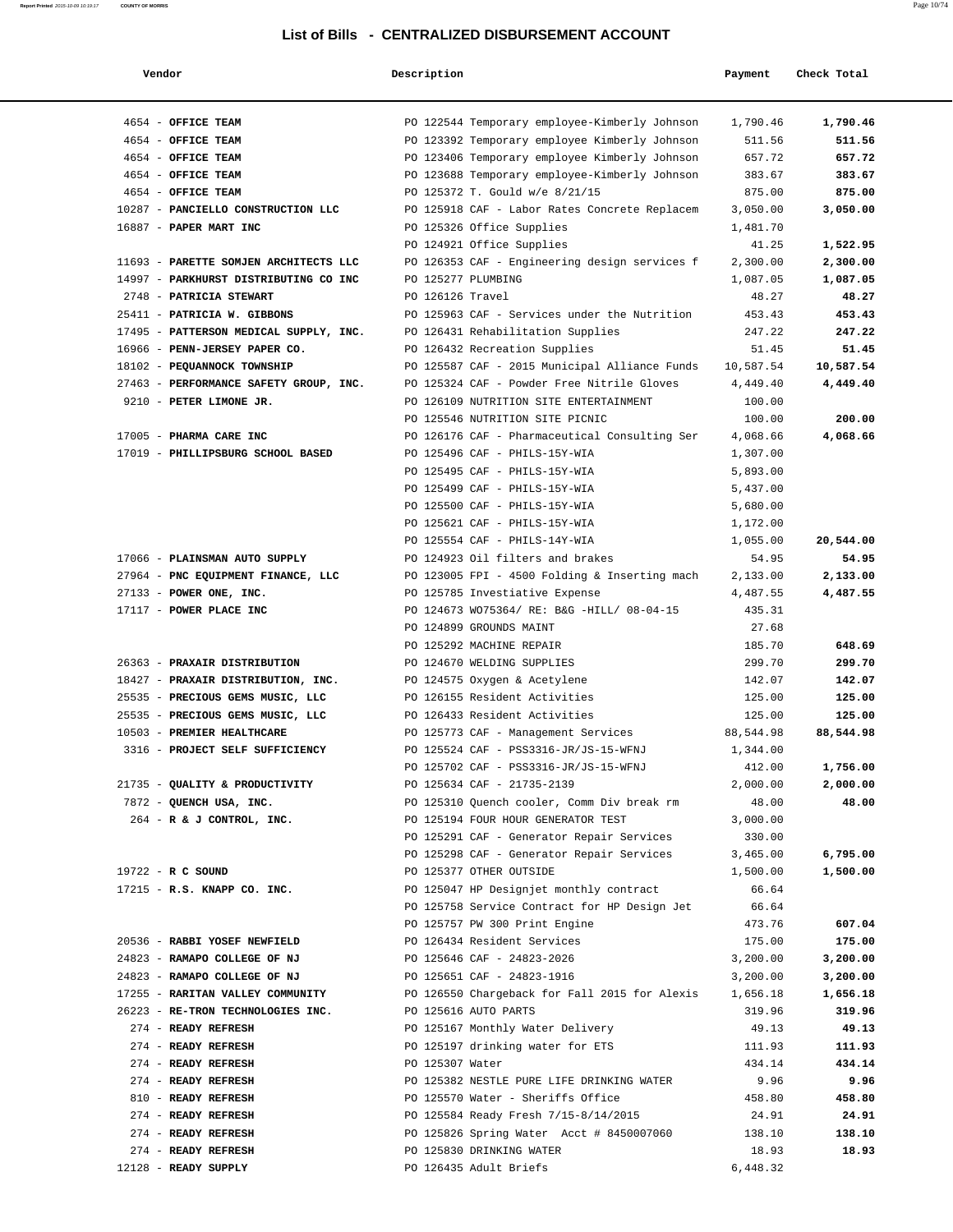| Vendor                                 | Description      |                                               | Payment   | Check Total |
|----------------------------------------|------------------|-----------------------------------------------|-----------|-------------|
| 4654 - OFFICE TEAM                     |                  | PO 122544 Temporary employee-Kimberly Johnson | 1,790.46  | 1,790.46    |
| 4654 - OFFICE TEAM                     |                  | PO 123392 Temporary employee Kimberly Johnson | 511.56    | 511.56      |
| 4654 - OFFICE TEAM                     |                  | PO 123406 Temporary employee Kimberly Johnson | 657.72    | 657.72      |
| 4654 - OFFICE TEAM                     |                  | PO 123688 Temporary employee-Kimberly Johnson | 383.67    | 383.67      |
| 4654 - OFFICE TEAM                     |                  | PO 125372 T. Gould w/e 8/21/15                | 875.00    | 875.00      |
| 10287 - PANCIELLO CONSTRUCTION LLC     |                  | PO 125918 CAF - Labor Rates Concrete Replacem | 3,050.00  | 3,050.00    |
| 16887 - PAPER MART INC                 |                  | PO 125326 Office Supplies                     | 1,481.70  |             |
|                                        |                  | PO 124921 Office Supplies                     | 41.25     | 1,522.95    |
| 11693 - PARETTE SOMJEN ARCHITECTS LLC  |                  | PO 126353 CAF - Engineering design services f | 2,300.00  | 2,300.00    |
| 14997 - PARKHURST DISTRIBUTING CO INC  |                  | PO 125277 PLUMBING                            | 1,087.05  | 1,087.05    |
| 2748 - PATRICIA STEWART                | PO 126126 Travel |                                               | 48.27     | 48.27       |
| 25411 - PATRICIA W. GIBBONS            |                  | PO 125963 CAF - Services under the Nutrition  | 453.43    | 453.43      |
| 17495 - PATTERSON MEDICAL SUPPLY, INC. |                  | PO 126431 Rehabilitation Supplies             | 247.22    | 247.22      |
| 16966 - PENN-JERSEY PAPER CO.          |                  | PO 126432 Recreation Supplies                 | 51.45     | 51.45       |
| 18102 - PEQUANNOCK TOWNSHIP            |                  | PO 125587 CAF - 2015 Municipal Alliance Funds | 10,587.54 | 10,587.54   |
| 27463 - PERFORMANCE SAFETY GROUP, INC. |                  | PO 125324 CAF - Powder Free Nitrile Gloves    | 4,449.40  | 4,449.40    |
| 9210 - PETER LIMONE JR.                |                  | PO 126109 NUTRITION SITE ENTERTAINMENT        | 100.00    |             |
|                                        |                  | PO 125546 NUTRITION SITE PICNIC               | 100.00    | 200.00      |
| 17005 - PHARMA CARE INC                |                  | PO 126176 CAF - Pharmaceutical Consulting Ser | 4,068.66  | 4,068.66    |
| 17019 - PHILLIPSBURG SCHOOL BASED      |                  | PO 125496 CAF - PHILS-15Y-WIA                 | 1,307.00  |             |
|                                        |                  | PO 125495 CAF - PHILS-15Y-WIA                 | 5,893.00  |             |
|                                        |                  | PO 125499 CAF - PHILS-15Y-WIA                 | 5,437.00  |             |
|                                        |                  | PO 125500 CAF - PHILS-15Y-WIA                 | 5,680.00  |             |
|                                        |                  | PO 125621 CAF - PHILS-15Y-WIA                 | 1,172.00  |             |
|                                        |                  | PO 125554 CAF - PHILS-14Y-WIA                 | 1,055.00  | 20,544.00   |
| 17066 - PLAINSMAN AUTO SUPPLY          |                  | PO 124923 Oil filters and brakes              | 54.95     | 54.95       |
| 27964 - PNC EQUIPMENT FINANCE, LLC     |                  | PO 123005 FPI - 4500 Folding & Inserting mach | 2,133.00  | 2,133.00    |
| $27133$ - POWER ONE, INC.              |                  | PO 125785 Investiative Expense                | 4,487.55  | 4,487.55    |
| 17117 - POWER PLACE INC                |                  | PO 124673 WO75364/ RE: B&G -HILL/ 08-04-15    | 435.31    |             |
|                                        |                  | PO 124899 GROUNDS MAINT                       | 27.68     |             |
|                                        |                  | PO 125292 MACHINE REPAIR                      | 185.70    | 648.69      |
| 26363 - PRAXAIR DISTRIBUTION           |                  | PO 124670 WELDING SUPPLIES                    | 299.70    | 299.70      |
| 18427 - PRAXAIR DISTRIBUTION, INC.     |                  | PO 124575 Oxygen & Acetylene                  | 142.07    | 142.07      |
| 25535 - PRECIOUS GEMS MUSIC, LLC       |                  | PO 126155 Resident Activities                 | 125.00    | 125.00      |
| 25535 - PRECIOUS GEMS MUSIC, LLC       |                  | PO 126433 Resident Activities                 | 125.00    | 125.00      |
| 10503 - PREMIER HEALTHCARE             |                  | PO 125773 CAF - Management Services           | 88,544.98 | 88,544.98   |
| 3316 - PROJECT SELF SUFFICIENCY        |                  | PO 125524 CAF - PSS3316-JR/JS-15-WFNJ         | 1,344.00  |             |
|                                        |                  | PO 125702 CAF - PSS3316-JR/JS-15-WFNJ         | 412.00    | 1,756.00    |
| 21735 - QUALITY & PRODUCTIVITY         |                  | PO 125634 CAF - 21735-2139                    | 2,000.00  | 2,000.00    |
| 7872 - QUENCH USA, INC.                |                  | PO 125310 Ouench cooler, Comm Div break rm    | 48.00     | 48.00       |
| $264$ - R & J CONTROL, INC.            |                  | PO 125194 FOUR HOUR GENERATOR TEST            | 3,000.00  |             |
|                                        |                  | PO 125291 CAF - Generator Repair Services     | 330.00    |             |
|                                        |                  | PO 125298 CAF - Generator Repair Services     | 3,465.00  | 6,795.00    |
| 19722 - R C SOUND                      |                  | PO 125377 OTHER OUTSIDE                       | 1,500.00  | 1,500.00    |
| $17215$ - R.S. KNAPP CO. INC.          |                  | PO 125047 HP Designjet monthly contract       | 66.64     |             |
|                                        |                  | PO 125758 Service Contract for HP Design Jet  | 66.64     |             |
|                                        |                  | PO 125757 PW 300 Print Engine                 | 473.76    | 607.04      |
| 20536 - RABBI YOSEF NEWFIELD           |                  | PO 126434 Resident Services                   | 175.00    | 175.00      |
| 24823 - RAMAPO COLLEGE OF NJ           |                  | PO 125646 CAF - 24823-2026                    | 3,200.00  | 3,200.00    |
| 24823 - RAMAPO COLLEGE OF NJ           |                  | PO 125651 CAF - 24823-1916                    | 3,200.00  | 3,200.00    |
| 17255 - RARITAN VALLEY COMMUNITY       |                  | PO 126550 Chargeback for Fall 2015 for Alexis | 1,656.18  | 1,656.18    |
| 26223 - RE-TRON TECHNOLOGIES INC.      |                  | PO 125616 AUTO PARTS                          | 319.96    | 319.96      |
| 274 - READY REFRESH                    |                  | PO 125167 Monthly Water Delivery              | 49.13     | 49.13       |
| 274 - READY REFRESH                    |                  | PO 125197 drinking water for ETS              | 111.93    | 111.93      |
| 274 - READY REFRESH                    | PO 125307 Water  |                                               | 434.14    | 434.14      |
| 274 - READY REFRESH                    |                  | PO 125382 NESTLE PURE LIFE DRINKING WATER     | 9.96      | 9.96        |
| 810 - READY REFRESH                    |                  | PO 125570 Water - Sheriffs Office             | 458.80    | 458.80      |
| 274 - READY REFRESH                    |                  |                                               |           | 24.91       |
|                                        |                  | PO 125584 Ready Fresh 7/15-8/14/2015          | 24.91     |             |
| 274 - READY REFRESH                    |                  | PO 125826 Spring Water Acct # 8450007060      | 138.10    | 138.10      |
| 274 - READY REFRESH                    |                  | PO 125830 DRINKING WATER                      | 18.93     | 18.93       |
| 12128 - READY SUPPLY                   |                  | PO 126435 Adult Briefs                        | 6,448.32  |             |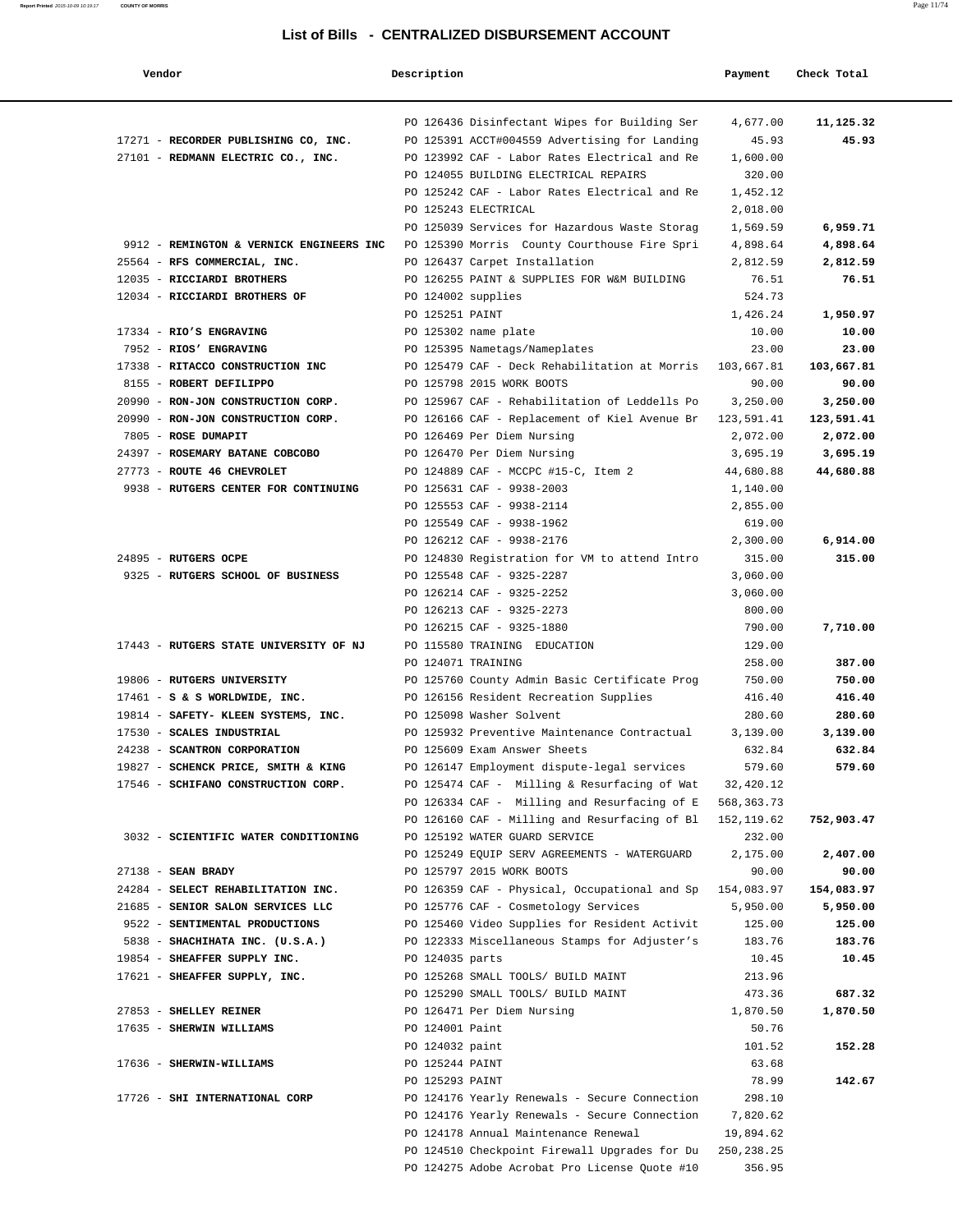| Vendor                                   | Description        |                                               | Payment     | Check Total |
|------------------------------------------|--------------------|-----------------------------------------------|-------------|-------------|
|                                          |                    |                                               |             |             |
|                                          |                    | PO 126436 Disinfectant Wipes for Building Ser | 4,677.00    | 11,125.32   |
| 17271 - RECORDER PUBLISHING CO, INC.     |                    | PO 125391 ACCT#004559 Advertising for Landing | 45.93       | 45.93       |
| 27101 - REDMANN ELECTRIC CO., INC.       |                    | PO 123992 CAF - Labor Rates Electrical and Re | 1,600.00    |             |
|                                          |                    | PO 124055 BUILDING ELECTRICAL REPAIRS         | 320.00      |             |
|                                          |                    | PO 125242 CAF - Labor Rates Electrical and Re | 1,452.12    |             |
|                                          |                    | PO 125243 ELECTRICAL                          | 2,018.00    |             |
|                                          |                    | PO 125039 Services for Hazardous Waste Storag | 1,569.59    | 6,959.71    |
| 9912 - REMINGTON & VERNICK ENGINEERS INC |                    | PO 125390 Morris County Courthouse Fire Spri  | 4,898.64    | 4,898.64    |
| 25564 - RFS COMMERCIAL, INC.             |                    | PO 126437 Carpet Installation                 | 2,812.59    | 2,812.59    |
| 12035 - RICCIARDI BROTHERS               |                    | PO 126255 PAINT & SUPPLIES FOR W&M BUILDING   | 76.51       | 76.51       |
| 12034 - RICCIARDI BROTHERS OF            | PO 124002 supplies |                                               | 524.73      |             |
|                                          | PO 125251 PAINT    |                                               | 1,426.24    | 1,950.97    |
| 17334 - RIO'S ENGRAVING                  |                    | PO 125302 name plate                          | 10.00       | 10.00       |
| 7952 - RIOS' ENGRAVING                   |                    | PO 125395 Nametags/Nameplates                 | 23.00       | 23.00       |
| 17338 - RITACCO CONSTRUCTION INC         |                    | PO 125479 CAF - Deck Rehabilitation at Morris | 103,667.81  | 103,667.81  |
| 8155 - ROBERT DEFILIPPO                  |                    | PO 125798 2015 WORK BOOTS                     | 90.00       | 90.00       |
| 20990 - RON-JON CONSTRUCTION CORP.       |                    | PO 125967 CAF - Rehabilitation of Leddells Po | 3,250.00    | 3,250.00    |
| 20990 - RON-JON CONSTRUCTION CORP.       |                    | PO 126166 CAF - Replacement of Kiel Avenue Br | 123,591.41  | 123,591.41  |
| 7805 - ROSE DUMAPIT                      |                    | PO 126469 Per Diem Nursing                    | 2,072.00    | 2,072.00    |
| 24397 - ROSEMARY BATANE COBCOBO          |                    | PO 126470 Per Diem Nursing                    | 3,695.19    | 3,695.19    |
| 27773 - ROUTE 46 CHEVROLET               |                    | PO 124889 CAF - MCCPC #15-C, Item 2           | 44,680.88   | 44,680.88   |
| 9938 - RUTGERS CENTER FOR CONTINUING     |                    | PO 125631 CAF - 9938-2003                     | 1,140.00    |             |
|                                          |                    | PO 125553 CAF - 9938-2114                     | 2,855.00    |             |
|                                          |                    | PO 125549 CAF - 9938-1962                     | 619.00      |             |
|                                          |                    | PO 126212 CAF - 9938-2176                     | 2,300.00    | 6,914.00    |
| 24895 - RUTGERS OCPE                     |                    | PO 124830 Registration for VM to attend Intro | 315.00      | 315.00      |
| 9325 - RUTGERS SCHOOL OF BUSINESS        |                    | PO 125548 CAF - 9325-2287                     | 3,060.00    |             |
|                                          |                    | PO 126214 CAF - 9325-2252                     | 3,060.00    |             |
|                                          |                    | PO 126213 CAF - 9325-2273                     | 800.00      |             |
|                                          |                    | PO 126215 CAF - 9325-1880                     | 790.00      | 7,710.00    |
| 17443 - RUTGERS STATE UNIVERSITY OF NJ   |                    | PO 115580 TRAINING EDUCATION                  | 129.00      |             |
|                                          | PO 124071 TRAINING |                                               | 258.00      | 387.00      |
| 19806 - RUTGERS UNIVERSITY               |                    | PO 125760 County Admin Basic Certificate Prog | 750.00      | 750.00      |
| $17461 - S$ & S WORLDWIDE, INC.          |                    | PO 126156 Resident Recreation Supplies        | 416.40      | 416.40      |
| 19814 - SAFETY- KLEEN SYSTEMS, INC.      |                    | PO 125098 Washer Solvent                      | 280.60      | 280.60      |
| 17530 - SCALES INDUSTRIAL                |                    | PO 125932 Preventive Maintenance Contractual  | 3,139.00    | 3,139.00    |
| 24238 - SCANTRON CORPORATION             |                    | PO 125609 Exam Answer Sheets                  | 632.84      | 632.84      |
| 19827 - SCHENCK PRICE, SMITH & KING      |                    | PO 126147 Employment dispute-legal services   | 579.60      | 579.60      |
| 17546 - SCHIFANO CONSTRUCTION CORP.      |                    | PO 125474 CAF - Milling & Resurfacing of Wat  | 32,420.12   |             |
|                                          |                    | PO 126334 CAF - Milling and Resurfacing of E  | 568,363.73  |             |
|                                          |                    | PO 126160 CAF - Milling and Resurfacing of Bl | 152,119.62  | 752,903.47  |
| 3032 - SCIENTIFIC WATER CONDITIONING     |                    | PO 125192 WATER GUARD SERVICE                 | 232.00      |             |
|                                          |                    | PO 125249 EQUIP SERV AGREEMENTS - WATERGUARD  | 2,175.00    | 2,407.00    |
| $27138$ - SEAN BRADY                     |                    | PO 125797 2015 WORK BOOTS                     | 90.00       | 90.00       |
| 24284 - SELECT REHABILITATION INC.       |                    | PO 126359 CAF - Physical, Occupational and Sp | 154,083.97  | 154,083.97  |
| 21685 - SENIOR SALON SERVICES LLC        |                    | PO 125776 CAF - Cosmetology Services          | 5,950.00    | 5,950.00    |
| 9522 - SENTIMENTAL PRODUCTIONS           |                    | PO 125460 Video Supplies for Resident Activit | 125.00      | 125.00      |
| 5838 - SHACHIHATA INC. (U.S.A.)          |                    | PO 122333 Miscellaneous Stamps for Adjuster's | 183.76      | 183.76      |
| 19854 - SHEAFFER SUPPLY INC.             | PO 124035 parts    |                                               | 10.45       | 10.45       |
| 17621 - SHEAFFER SUPPLY, INC.            |                    | PO 125268 SMALL TOOLS/ BUILD MAINT            | 213.96      |             |
|                                          |                    | PO 125290 SMALL TOOLS/ BUILD MAINT            | 473.36      | 687.32      |
| 27853 - SHELLEY REINER                   |                    | PO 126471 Per Diem Nursing                    | 1,870.50    | 1,870.50    |
| 17635 - SHERWIN WILLIAMS                 | PO 124001 Paint    |                                               | 50.76       |             |
|                                          | PO 124032 paint    |                                               | 101.52      | 152.28      |
| 17636 - SHERWIN-WILLIAMS                 | PO 125244 PAINT    |                                               | 63.68       |             |
|                                          | PO 125293 PAINT    |                                               | 78.99       | 142.67      |
| 17726 - SHI INTERNATIONAL CORP           |                    | PO 124176 Yearly Renewals - Secure Connection | 298.10      |             |
|                                          |                    | PO 124176 Yearly Renewals - Secure Connection | 7,820.62    |             |
|                                          |                    | PO 124178 Annual Maintenance Renewal          | 19,894.62   |             |
|                                          |                    | PO 124510 Checkpoint Firewall Upgrades for Du | 250, 238.25 |             |
|                                          |                    | PO 124275 Adobe Acrobat Pro License Quote #10 | 356.95      |             |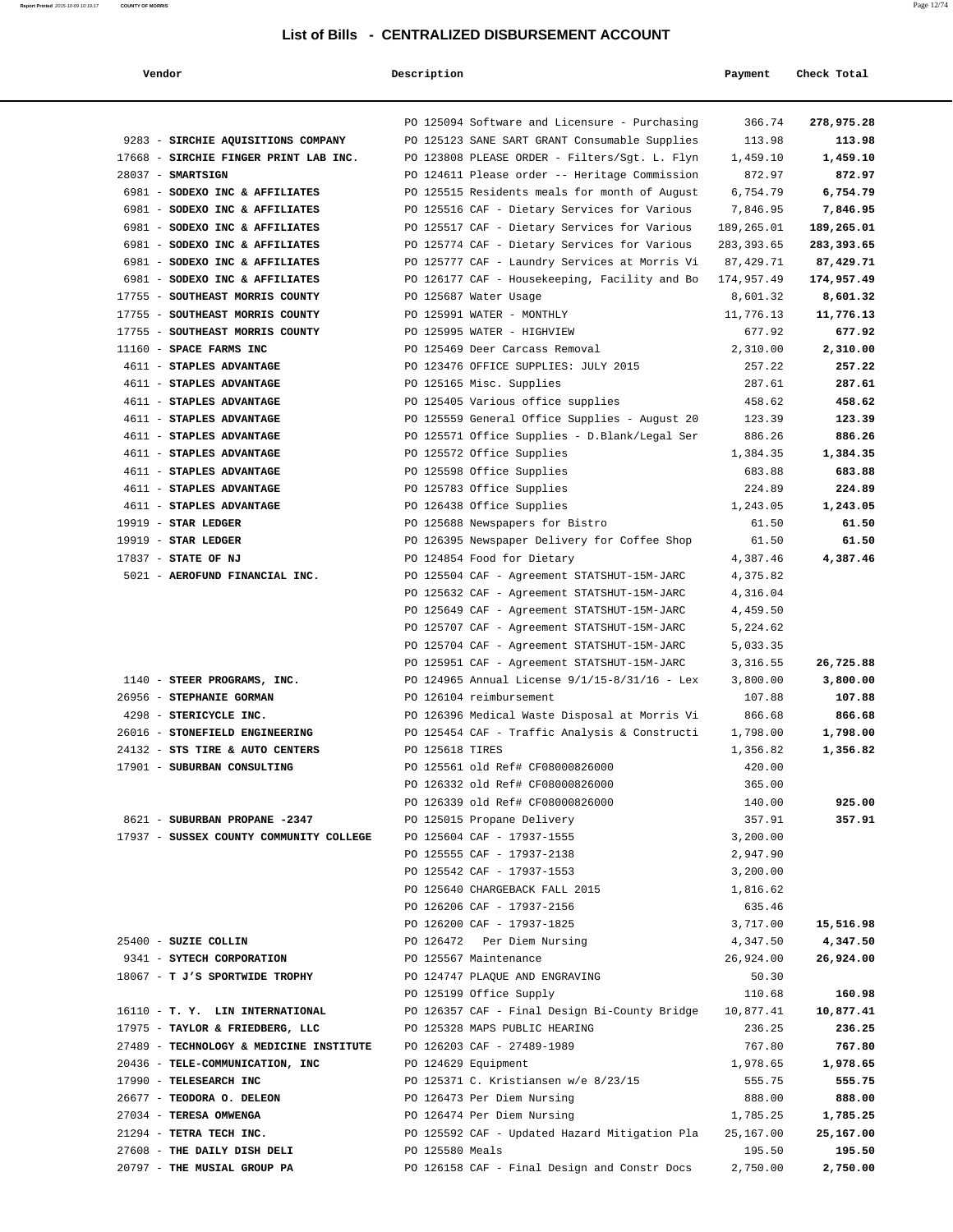| Vendor                                  | Description     |                                                 | Payment     | Check Total |
|-----------------------------------------|-----------------|-------------------------------------------------|-------------|-------------|
|                                         |                 | PO 125094 Software and Licensure - Purchasing   | 366.74      | 278,975.28  |
| 9283 - SIRCHIE AQUISITIONS COMPANY      |                 | PO 125123 SANE SART GRANT Consumable Supplies   | 113.98      | 113.98      |
| 17668 - SIRCHIE FINGER PRINT LAB INC.   |                 | PO 123808 PLEASE ORDER - Filters/Sgt. L. Flyn   | 1,459.10    | 1,459.10    |
| $28037 - SMARTSIGN$                     |                 | PO 124611 Please order -- Heritage Commission   | 872.97      | 872.97      |
| 6981 - SODEXO INC & AFFILIATES          |                 | PO 125515 Residents meals for month of August   | 6,754.79    | 6,754.79    |
| 6981 - SODEXO INC & AFFILIATES          |                 | PO 125516 CAF - Dietary Services for Various    | 7,846.95    | 7,846.95    |
| 6981 - SODEXO INC & AFFILIATES          |                 | PO 125517 CAF - Dietary Services for Various    | 189,265.01  | 189,265.01  |
| 6981 - SODEXO INC & AFFILIATES          |                 | PO 125774 CAF - Dietary Services for Various    | 283, 393.65 | 283,393.65  |
| 6981 - SODEXO INC & AFFILIATES          |                 | PO 125777 CAF - Laundry Services at Morris Vi   | 87,429.71   | 87,429.71   |
| 6981 - SODEXO INC & AFFILIATES          |                 | PO 126177 CAF - Housekeeping, Facility and Bo   | 174,957.49  | 174,957.49  |
| 17755 - SOUTHEAST MORRIS COUNTY         |                 | PO 125687 Water Usage                           | 8,601.32    | 8,601.32    |
| 17755 - SOUTHEAST MORRIS COUNTY         |                 | PO 125991 WATER - MONTHLY                       | 11,776.13   | 11,776.13   |
| 17755 - SOUTHEAST MORRIS COUNTY         |                 | PO 125995 WATER - HIGHVIEW                      | 677.92      | 677.92      |
| 11160 - SPACE FARMS INC                 |                 | PO 125469 Deer Carcass Removal                  | 2,310.00    | 2,310.00    |
| 4611 - STAPLES ADVANTAGE                |                 | PO 123476 OFFICE SUPPLIES: JULY 2015            | 257.22      | 257.22      |
| 4611 - STAPLES ADVANTAGE                |                 | PO 125165 Misc. Supplies                        | 287.61      | 287.61      |
| 4611 - STAPLES ADVANTAGE                |                 | PO 125405 Various office supplies               | 458.62      | 458.62      |
| 4611 - STAPLES ADVANTAGE                |                 | PO 125559 General Office Supplies - August 20   | 123.39      | 123.39      |
| 4611 - STAPLES ADVANTAGE                |                 | PO 125571 Office Supplies - D.Blank/Legal Ser   | 886.26      | 886.26      |
| 4611 - STAPLES ADVANTAGE                |                 | PO 125572 Office Supplies                       | 1,384.35    | 1,384.35    |
| 4611 - STAPLES ADVANTAGE                |                 | PO 125598 Office Supplies                       | 683.88      | 683.88      |
| 4611 - STAPLES ADVANTAGE                |                 | PO 125783 Office Supplies                       | 224.89      | 224.89      |
| 4611 - STAPLES ADVANTAGE                |                 | PO 126438 Office Supplies                       | 1,243.05    | 1,243.05    |
| 19919 - STAR LEDGER                     |                 | PO 125688 Newspapers for Bistro                 | 61.50       | 61.50       |
| 19919 - STAR LEDGER                     |                 | PO 126395 Newspaper Delivery for Coffee Shop    | 61.50       | 61.50       |
| 17837 - STATE OF NJ                     |                 | PO 124854 Food for Dietary                      | 4,387.46    | 4,387.46    |
| 5021 - AEROFUND FINANCIAL INC.          |                 | PO 125504 CAF - Agreement STATSHUT-15M-JARC     | 4,375.82    |             |
|                                         |                 | PO 125632 CAF - Agreement STATSHUT-15M-JARC     | 4,316.04    |             |
|                                         |                 | PO 125649 CAF - Agreement STATSHUT-15M-JARC     | 4,459.50    |             |
|                                         |                 | PO 125707 CAF - Agreement STATSHUT-15M-JARC     | 5,224.62    |             |
|                                         |                 | PO 125704 CAF - Agreement STATSHUT-15M-JARC     | 5,033.35    |             |
|                                         |                 | PO 125951 CAF - Agreement STATSHUT-15M-JARC     | 3,316.55    | 26,725.88   |
| 1140 - STEER PROGRAMS, INC.             |                 | PO 124965 Annual License $9/1/15-8/31/16$ - Lex | 3,800.00    | 3,800.00    |
| 26956 - STEPHANIE GORMAN                |                 | PO 126104 reimbursement                         | 107.88      | 107.88      |
| 4298 - STERICYCLE INC.                  |                 | PO 126396 Medical Waste Disposal at Morris Vi   | 866.68      | 866.68      |
| 26016 - STONEFIELD ENGINEERING          |                 | PO 125454 CAF - Traffic Analysis & Constructi   | 1,798.00    | 1,798.00    |
| 24132 - STS TIRE & AUTO CENTERS         | PO 125618 TIRES |                                                 | 1,356.82    | 1,356.82    |
| 17901 - SUBURBAN CONSULTING             |                 | PO 125561 old Ref# CF08000826000                | 420.00      |             |
|                                         |                 | PO 126332 old Ref# CF08000826000                | 365.00      |             |
|                                         |                 | PO 126339 old Ref# CF08000826000                | 140.00      | 925.00      |
| 8621 - SUBURBAN PROPANE -2347           |                 | PO 125015 Propane Delivery                      | 357.91      | 357.91      |
| 17937 - SUSSEX COUNTY COMMUNITY COLLEGE |                 | PO 125604 CAF - 17937-1555                      | 3,200.00    |             |
|                                         |                 | PO 125555 CAF - 17937-2138                      | 2,947.90    |             |
|                                         |                 | PO 125542 CAF - 17937-1553                      | 3,200.00    |             |
|                                         |                 | PO 125640 CHARGEBACK FALL 2015                  | 1,816.62    |             |
|                                         |                 | PO 126206 CAF - 17937-2156                      | 635.46      |             |
|                                         |                 | PO 126200 CAF - 17937-1825                      | 3,717.00    | 15,516.98   |
| 25400 - SUZIE COLLIN                    |                 | PO 126472 Per Diem Nursing                      | 4,347.50    | 4,347.50    |
| 9341 - SYTECH CORPORATION               |                 | PO 125567 Maintenance                           | 26,924.00   | 26,924.00   |
| 18067 - T J'S SPORTWIDE TROPHY          |                 | PO 124747 PLAQUE AND ENGRAVING                  | 50.30       |             |
|                                         |                 | PO 125199 Office Supply                         | 110.68      | 160.98      |
| 16110 - T. Y. LIN INTERNATIONAL         |                 | PO 126357 CAF - Final Design Bi-County Bridge   | 10,877.41   | 10,877.41   |
| 17975 - TAYLOR & FRIEDBERG, LLC         |                 | PO 125328 MAPS PUBLIC HEARING                   | 236.25      | 236.25      |
| 27489 - TECHNOLOGY & MEDICINE INSTITUTE |                 | PO 126203 CAF - 27489-1989                      | 767.80      | 767.80      |
| 20436 - TELE-COMMUNICATION, INC         |                 | PO 124629 Equipment                             | 1,978.65    | 1,978.65    |
| 17990 - TELESEARCH INC                  |                 | PO 125371 C. Kristiansen w/e 8/23/15            | 555.75      | 555.75      |
| 26677 - TEODORA O. DELEON               |                 | PO 126473 Per Diem Nursing                      | 888.00      | 888.00      |
| 27034 - TERESA OMWENGA                  |                 | PO 126474 Per Diem Nursing                      | 1,785.25    | 1,785.25    |
| 21294 - TETRA TECH INC.                 |                 | PO 125592 CAF - Updated Hazard Mitigation Pla   | 25,167.00   | 25,167.00   |
| 27608 - THE DAILY DISH DELI             | PO 125580 Meals |                                                 | 195.50      | 195.50      |
| 20797 - THE MUSIAL GROUP PA             |                 | PO 126158 CAF - Final Design and Constr Docs    | 2,750.00    | 2,750.00    |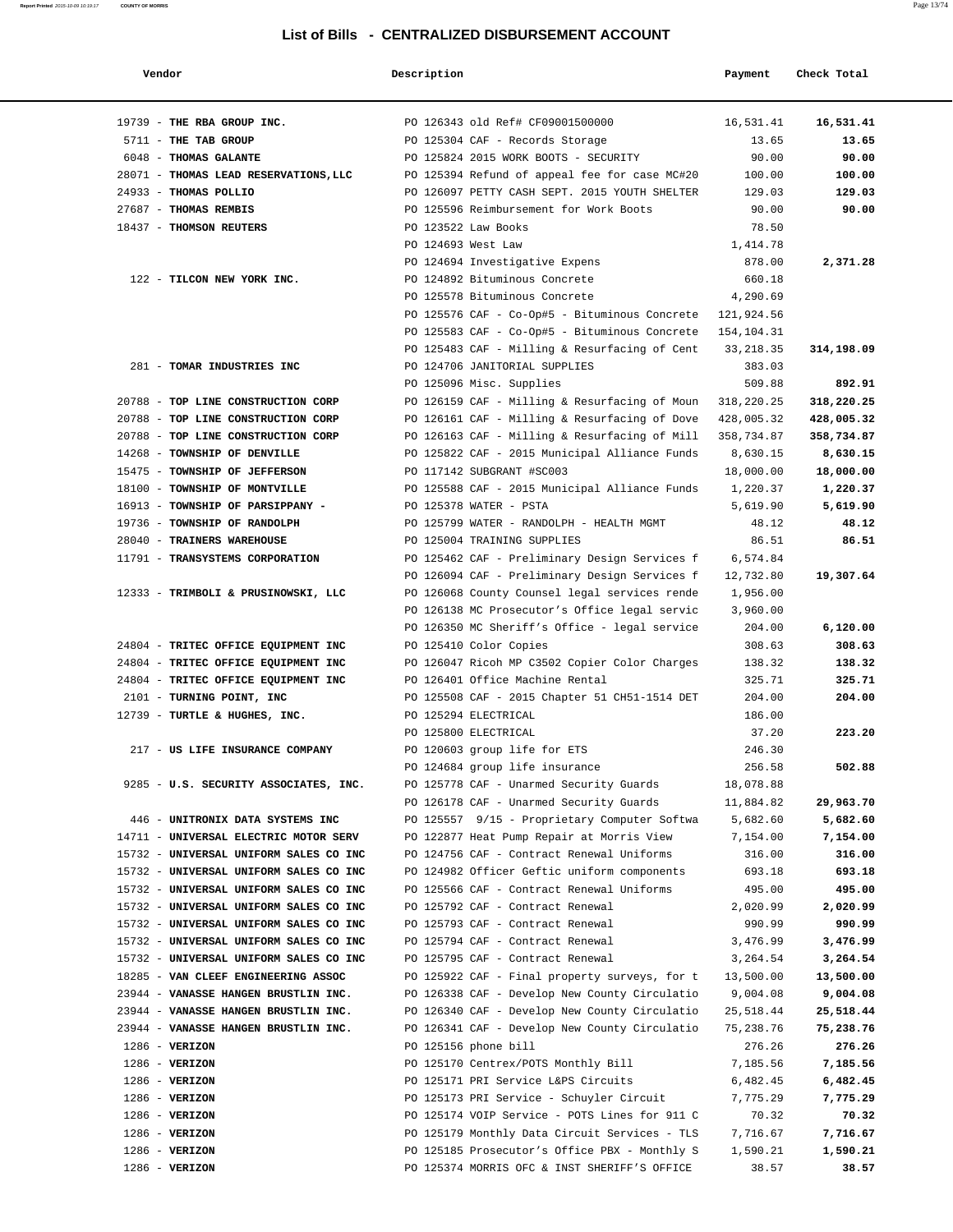| Vendor                                                        | Description        |                                                                              | Payment               | Check Total |
|---------------------------------------------------------------|--------------------|------------------------------------------------------------------------------|-----------------------|-------------|
| 19739 - THE RBA GROUP INC.                                    |                    | PO 126343 old Ref# CF09001500000                                             | 16,531.41             | 16,531.41   |
| 5711 - THE TAB GROUP                                          |                    | PO 125304 CAF - Records Storage                                              | 13.65                 | 13.65       |
| 6048 - THOMAS GALANTE                                         |                    | PO 125824 2015 WORK BOOTS - SECURITY                                         | 90.00                 | 90.00       |
| 28071 - THOMAS LEAD RESERVATIONS, LLC                         |                    | PO 125394 Refund of appeal fee for case MC#20                                | 100.00                | 100.00      |
| 24933 - THOMAS POLLIO                                         |                    | PO 126097 PETTY CASH SEPT. 2015 YOUTH SHELTER                                | 129.03                | 129.03      |
| 27687 - THOMAS REMBIS                                         |                    | PO 125596 Reimbursement for Work Boots                                       | 90.00                 | 90.00       |
| 18437 - THOMSON REUTERS                                       |                    | PO 123522 Law Books                                                          | 78.50                 |             |
|                                                               | PO 124693 West Law |                                                                              | 1,414.78              |             |
|                                                               |                    | PO 124694 Investigative Expens                                               | 878.00                | 2,371.28    |
| 122 - TILCON NEW YORK INC.                                    |                    | PO 124892 Bituminous Concrete                                                | 660.18                |             |
|                                                               |                    | PO 125578 Bituminous Concrete                                                | 4,290.69              |             |
|                                                               |                    | PO 125576 CAF - Co-Op#5 - Bituminous Concrete                                | 121,924.56            |             |
|                                                               |                    | PO 125583 CAF - Co-Op#5 - Bituminous Concrete                                | 154,104.31            |             |
|                                                               |                    | PO 125483 CAF - Milling & Resurfacing of Cent                                | 33, 218.35            | 314,198.09  |
| 281 - TOMAR INDUSTRIES INC                                    |                    | PO 124706 JANITORIAL SUPPLIES                                                | 383.03                |             |
|                                                               |                    | PO 125096 Misc. Supplies                                                     | 509.88                | 892.91      |
| 20788 - TOP LINE CONSTRUCTION CORP                            |                    | PO 126159 CAF - Milling & Resurfacing of Moun                                | 318,220.25            | 318,220.25  |
| 20788 - TOP LINE CONSTRUCTION CORP                            |                    | PO 126161 CAF - Milling & Resurfacing of Dove                                | 428,005.32            | 428,005.32  |
| 20788 - TOP LINE CONSTRUCTION CORP                            |                    | PO 126163 CAF - Milling & Resurfacing of Mill                                | 358,734.87            | 358,734.87  |
| 14268 - TOWNSHIP OF DENVILLE                                  |                    | PO 125822 CAF - 2015 Municipal Alliance Funds                                | 8,630.15              | 8,630.15    |
| 15475 - TOWNSHIP OF JEFFERSON                                 |                    | PO 117142 SUBGRANT #SC003                                                    | 18,000.00             | 18,000.00   |
| 18100 - TOWNSHIP OF MONTVILLE                                 |                    | PO 125588 CAF - 2015 Municipal Alliance Funds                                | 1,220.37              | 1,220.37    |
| 16913 - TOWNSHIP OF PARSIPPANY -                              |                    | PO 125378 WATER - PSTA                                                       | 5,619.90              | 5,619.90    |
| 19736 - TOWNSHIP OF RANDOLPH                                  |                    | PO 125799 WATER - RANDOLPH - HEALTH MGMT                                     | 48.12                 | 48.12       |
| 28040 - TRAINERS WAREHOUSE<br>11791 - TRANSYSTEMS CORPORATION |                    | PO 125004 TRAINING SUPPLIES<br>PO 125462 CAF - Preliminary Design Services f | 86.51                 | 86.51       |
|                                                               |                    | PO 126094 CAF - Preliminary Design Services f                                | 6,574.84<br>12,732.80 | 19,307.64   |
| 12333 - TRIMBOLI & PRUSINOWSKI, LLC                           |                    | PO 126068 County Counsel legal services rende                                | 1,956.00              |             |
|                                                               |                    | PO 126138 MC Prosecutor's Office legal servic                                | 3,960.00              |             |
|                                                               |                    | PO 126350 MC Sheriff's Office - legal service                                | 204.00                | 6,120.00    |
| 24804 - TRITEC OFFICE EQUIPMENT INC                           |                    | PO 125410 Color Copies                                                       | 308.63                | 308.63      |
| 24804 - TRITEC OFFICE EQUIPMENT INC                           |                    | PO 126047 Ricoh MP C3502 Copier Color Charges                                | 138.32                | 138.32      |
| 24804 - TRITEC OFFICE EQUIPMENT INC                           |                    | PO 126401 Office Machine Rental                                              | 325.71                | 325.71      |
| 2101 - TURNING POINT, INC                                     |                    | PO 125508 CAF - 2015 Chapter 51 CH51-1514 DET                                | 204.00                | 204.00      |
| 12739 - TURTLE & HUGHES, INC.                                 |                    | PO 125294 ELECTRICAL                                                         | 186.00                |             |
|                                                               |                    | PO 125800 ELECTRICAL                                                         | 37.20                 | 223.20      |
| 217 - US LIFE INSURANCE COMPANY                               |                    | PO 120603 group life for ETS                                                 | 246.30                |             |
|                                                               |                    | PO 124684 group life insurance                                               | 256.58                | 502.88      |
| 9285 - U.S. SECURITY ASSOCIATES, INC.                         |                    | PO 125778 CAF - Unarmed Security Guards                                      | 18,078.88             |             |
|                                                               |                    | PO 126178 CAF - Unarmed Security Guards                                      | 11,884.82             | 29,963.70   |
| 446 - UNITRONIX DATA SYSTEMS INC                              |                    | PO 125557 9/15 - Proprietary Computer Softwa                                 | 5,682.60              | 5,682.60    |
| 14711 - UNIVERSAL ELECTRIC MOTOR SERV                         |                    | PO 122877 Heat Pump Repair at Morris View                                    | 7,154.00              | 7,154.00    |
| 15732 - UNIVERSAL UNIFORM SALES CO INC                        |                    | PO 124756 CAF - Contract Renewal Uniforms                                    | 316.00                | 316.00      |
| 15732 - UNIVERSAL UNIFORM SALES CO INC                        |                    | PO 124982 Officer Geftic uniform components                                  | 693.18                | 693.18      |
| 15732 - UNIVERSAL UNIFORM SALES CO INC                        |                    | PO 125566 CAF - Contract Renewal Uniforms                                    | 495.00                | 495.00      |
| 15732 - UNIVERSAL UNIFORM SALES CO INC                        |                    | PO 125792 CAF - Contract Renewal                                             | 2,020.99              | 2,020.99    |
| 15732 - UNIVERSAL UNIFORM SALES CO INC                        |                    | PO 125793 CAF - Contract Renewal                                             | 990.99                | 990.99      |
| 15732 - UNIVERSAL UNIFORM SALES CO INC                        |                    | PO 125794 CAF - Contract Renewal                                             | 3,476.99              | 3,476.99    |
| 15732 - UNIVERSAL UNIFORM SALES CO INC                        |                    | PO 125795 CAF - Contract Renewal                                             | 3,264.54              | 3,264.54    |
| 18285 - VAN CLEEF ENGINEERING ASSOC                           |                    | PO 125922 CAF - Final property surveys, for t                                | 13,500.00             | 13,500.00   |
| 23944 - VANASSE HANGEN BRUSTLIN INC.                          |                    | PO 126338 CAF - Develop New County Circulatio                                | 9,004.08              | 9,004.08    |
| 23944 - VANASSE HANGEN BRUSTLIN INC.                          |                    | PO 126340 CAF - Develop New County Circulatio                                | 25,518.44             | 25,518.44   |
| 23944 - VANASSE HANGEN BRUSTLIN INC.                          |                    | PO 126341 CAF - Develop New County Circulatio                                | 75,238.76             | 75,238.76   |
| $1286 - VERIZON$                                              |                    | PO 125156 phone bill                                                         | 276.26                | 276.26      |
| $1286 - VERIZON$                                              |                    | PO 125170 Centrex/POTS Monthly Bill                                          | 7,185.56              | 7,185.56    |
| $1286$ - VERIZON                                              |                    | PO 125171 PRI Service L&PS Circuits                                          | 6,482.45              | 6,482.45    |
| $1286 - VERIZON$                                              |                    | PO 125173 PRI Service - Schuyler Circuit                                     | 7,775.29              | 7,775.29    |
| $1286$ - VERIZON                                              |                    | PO 125174 VOIP Service - POTS Lines for 911 C                                | 70.32                 | 70.32       |
| $1286 - VERIZON$                                              |                    | PO 125179 Monthly Data Circuit Services - TLS                                | 7,716.67              | 7,716.67    |
| $1286$ - VERIZON                                              |                    | PO 125185 Prosecutor's Office PBX - Monthly S                                | 1,590.21              | 1,590.21    |
| $1286$ - VERIZON                                              |                    | PO 125374 MORRIS OFC & INST SHERIFF'S OFFICE                                 | 38.57                 | 38.57       |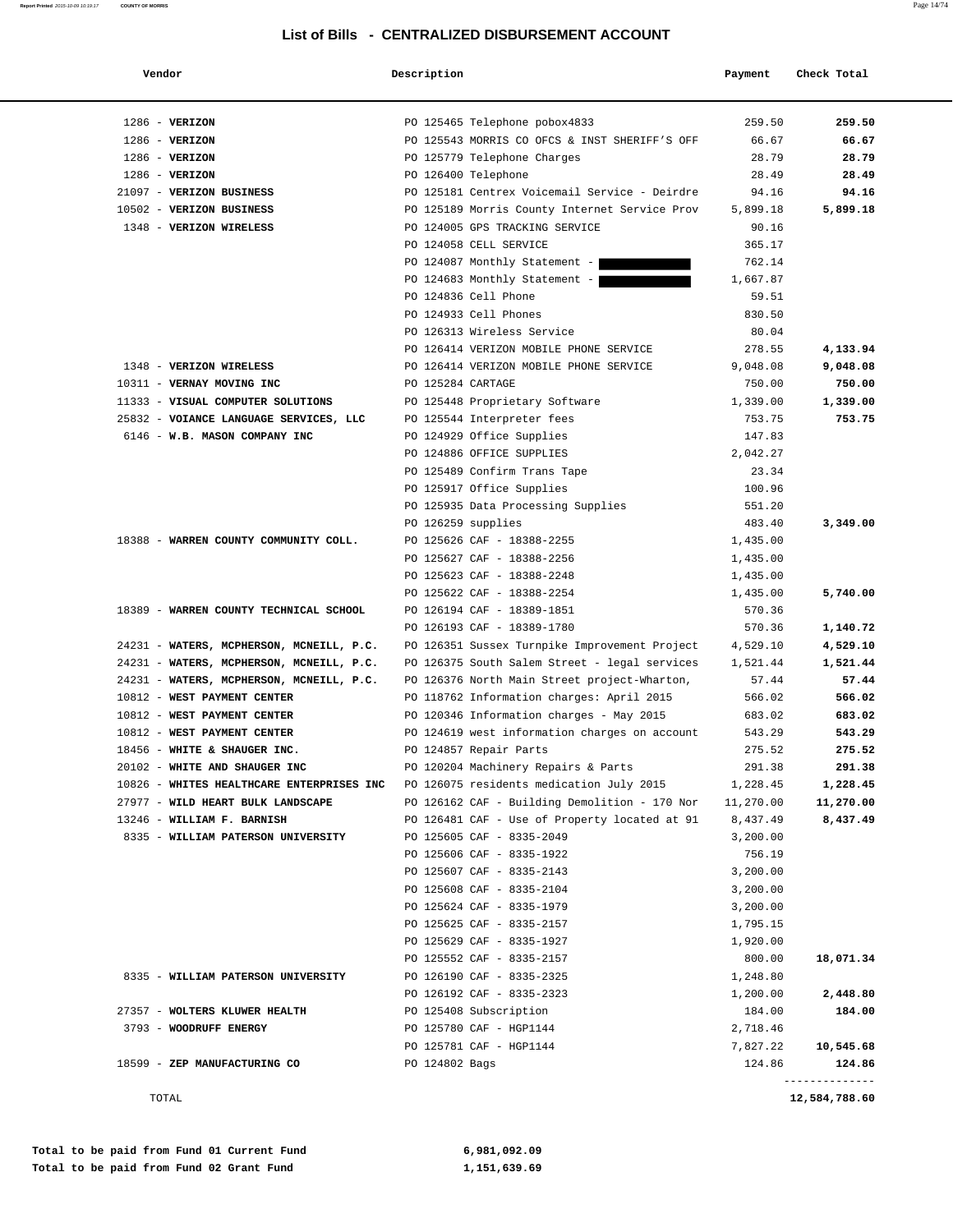| × |
|---|
|---|

| Vendor                                               | Description        |                                                                                 | Payment           | Check Total    |
|------------------------------------------------------|--------------------|---------------------------------------------------------------------------------|-------------------|----------------|
|                                                      |                    |                                                                                 |                   |                |
| $1286$ - VERIZON<br>$1286$ - VERIZON                 |                    | PO 125465 Telephone pobox4833                                                   | 259.50<br>66.67   | 259.50         |
| $1286 - VERIZON$                                     |                    | PO 125543 MORRIS CO OFCS & INST SHERIFF'S OFF<br>PO 125779 Telephone Charges    | 28.79             | 66.67<br>28.79 |
| $1286$ - VERIZON                                     |                    |                                                                                 | 28.49             |                |
|                                                      |                    | PO 126400 Telephone                                                             |                   | 28.49          |
| 21097 - VERIZON BUSINESS<br>10502 - VERIZON BUSINESS |                    | PO 125181 Centrex Voicemail Service - Deirdre                                   | 94.16             | 94.16          |
| 1348 - VERIZON WIRELESS                              |                    | PO 125189 Morris County Internet Service Prov<br>PO 124005 GPS TRACKING SERVICE | 5,899.18<br>90.16 | 5,899.18       |
|                                                      |                    |                                                                                 |                   |                |
|                                                      |                    | PO 124058 CELL SERVICE                                                          | 365.17<br>762.14  |                |
|                                                      |                    | PO 124087 Monthly Statement -<br>PO 124683 Monthly Statement -                  |                   |                |
|                                                      |                    | PO 124836 Cell Phone                                                            | 1,667.87          |                |
|                                                      |                    |                                                                                 | 59.51             |                |
|                                                      |                    | PO 124933 Cell Phones                                                           | 830.50            |                |
|                                                      |                    | PO 126313 Wireless Service                                                      | 80.04             |                |
|                                                      |                    | PO 126414 VERIZON MOBILE PHONE SERVICE                                          | 278.55            | 4,133.94       |
| 1348 - VERIZON WIRELESS                              |                    | PO 126414 VERIZON MOBILE PHONE SERVICE                                          | 9,048.08          | 9,048.08       |
| 10311 - VERNAY MOVING INC                            | PO 125284 CARTAGE  |                                                                                 | 750.00            | 750.00         |
| 11333 - VISUAL COMPUTER SOLUTIONS                    |                    | PO 125448 Proprietary Software                                                  | 1,339.00          | 1,339.00       |
| 25832 - VOIANCE LANGUAGE SERVICES, LLC               |                    | PO 125544 Interpreter fees                                                      | 753.75            | 753.75         |
| 6146 - W.B. MASON COMPANY INC                        |                    | PO 124929 Office Supplies                                                       | 147.83            |                |
|                                                      |                    | PO 124886 OFFICE SUPPLIES                                                       | 2,042.27          |                |
|                                                      |                    | PO 125489 Confirm Trans Tape                                                    | 23.34             |                |
|                                                      |                    | PO 125917 Office Supplies                                                       | 100.96            |                |
|                                                      |                    | PO 125935 Data Processing Supplies                                              | 551.20            |                |
|                                                      | PO 126259 supplies |                                                                                 | 483.40            | 3,349.00       |
| 18388 - WARREN COUNTY COMMUNITY COLL.                |                    | PO 125626 CAF - 18388-2255                                                      | 1,435.00          |                |
|                                                      |                    | PO 125627 CAF - 18388-2256                                                      | 1,435.00          |                |
|                                                      |                    | PO 125623 CAF - 18388-2248                                                      | 1,435.00          |                |
|                                                      |                    | PO 125622 CAF - 18388-2254                                                      | 1,435.00          | 5,740.00       |
| 18389 - WARREN COUNTY TECHNICAL SCHOOL               |                    | PO 126194 CAF - 18389-1851                                                      | 570.36            |                |
|                                                      |                    | PO 126193 CAF - 18389-1780                                                      | 570.36            | 1,140.72       |
| 24231 - WATERS, MCPHERSON, MCNEILL, P.C.             |                    | PO 126351 Sussex Turnpike Improvement Project                                   | 4,529.10          | 4,529.10       |
| 24231 - WATERS, MCPHERSON, MCNEILL, P.C.             |                    | PO 126375 South Salem Street - legal services                                   | 1,521.44          | 1,521.44       |
| 24231 - WATERS, MCPHERSON, MCNEILL, P.C.             |                    | PO 126376 North Main Street project-Wharton,                                    | 57.44             | 57.44          |
| 10812 - WEST PAYMENT CENTER                          |                    | PO 118762 Information charges: April 2015                                       | 566.02            | 566.02         |
| 10812 - WEST PAYMENT CENTER                          |                    | PO 120346 Information charges - May 2015                                        | 683.02            | 683.02         |
| 10812 - WEST PAYMENT CENTER                          |                    | PO 124619 west information charges on account                                   | 543.29            | 543.29         |
| 18456 - WHITE & SHAUGER INC.                         |                    | PO 124857 Repair Parts                                                          | 275.52            | 275.52         |
| 20102 - WHITE AND SHAUGER INC                        |                    | PO 120204 Machinery Repairs & Parts                                             | 291.38            | 291.38         |
| 10826 - WHITES HEALTHCARE ENTERPRISES INC            |                    | PO 126075 residents medication July 2015                                        | 1,228.45          | 1,228.45       |
| 27977 - WILD HEART BULK LANDSCAPE                    |                    | PO 126162 CAF - Building Demolition - 170 Nor                                   | 11,270.00         | 11,270.00      |
| 13246 - WILLIAM F. BARNISH                           |                    | PO 126481 CAF - Use of Property located at 91                                   | 8,437.49          | 8,437.49       |
| 8335 - WILLIAM PATERSON UNIVERSITY                   |                    | PO 125605 CAF - 8335-2049                                                       | 3,200.00          |                |
|                                                      |                    | PO 125606 CAF - 8335-1922                                                       | 756.19            |                |
|                                                      |                    | PO 125607 CAF - 8335-2143                                                       | 3,200.00          |                |
|                                                      |                    | PO 125608 CAF - 8335-2104                                                       | 3,200.00          |                |
|                                                      |                    | PO 125624 CAF - 8335-1979                                                       | 3,200.00          |                |
|                                                      |                    | PO 125625 CAF - 8335-2157                                                       | 1,795.15          |                |
|                                                      |                    | PO 125629 CAF - 8335-1927                                                       | 1,920.00          |                |
|                                                      |                    | PO 125552 CAF - 8335-2157                                                       | 800.00            | 18,071.34      |
| 8335 - WILLIAM PATERSON UNIVERSITY                   |                    | PO 126190 CAF - 8335-2325                                                       | 1,248.80          |                |
|                                                      |                    | PO 126192 CAF - 8335-2323                                                       | 1,200.00          | 2,448.80       |
| 27357 - WOLTERS KLUWER HEALTH                        |                    | PO 125408 Subscription                                                          | 184.00            | 184.00         |
| 3793 - WOODRUFF ENERGY                               |                    | PO 125780 CAF - HGP1144                                                         | 2,718.46          |                |
|                                                      |                    | PO 125781 CAF - HGP1144                                                         | 7,827.22          | 10,545.68      |
| 18599 - ZEP MANUFACTURING CO                         | PO 124802 Bags     |                                                                                 | 124.86            | 124.86         |
| TOTAL                                                |                    |                                                                                 |                   | 12,584,788.60  |

**Report Printed** 2015-10-09 10:19:17 **COUNTY OF MORRIS**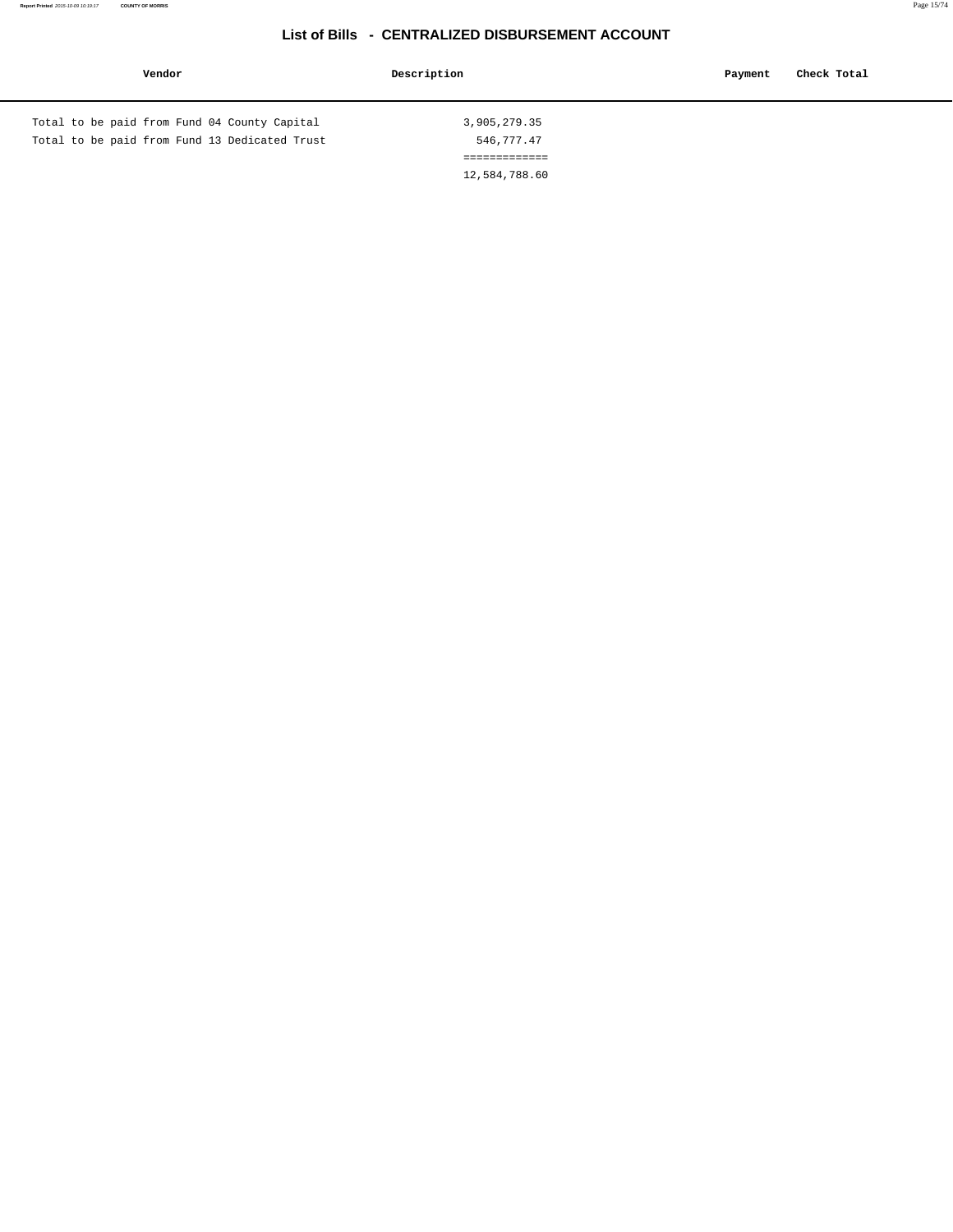| Vendor                                        | Description   | Check Total<br>Payment |
|-----------------------------------------------|---------------|------------------------|
| Total to be paid from Fund 04 County Capital  | 3,905,279.35  |                        |
| Total to be paid from Fund 13 Dedicated Trust | 546,777.47    |                        |
|                                               | ============= |                        |
|                                               | 12,584,788.60 |                        |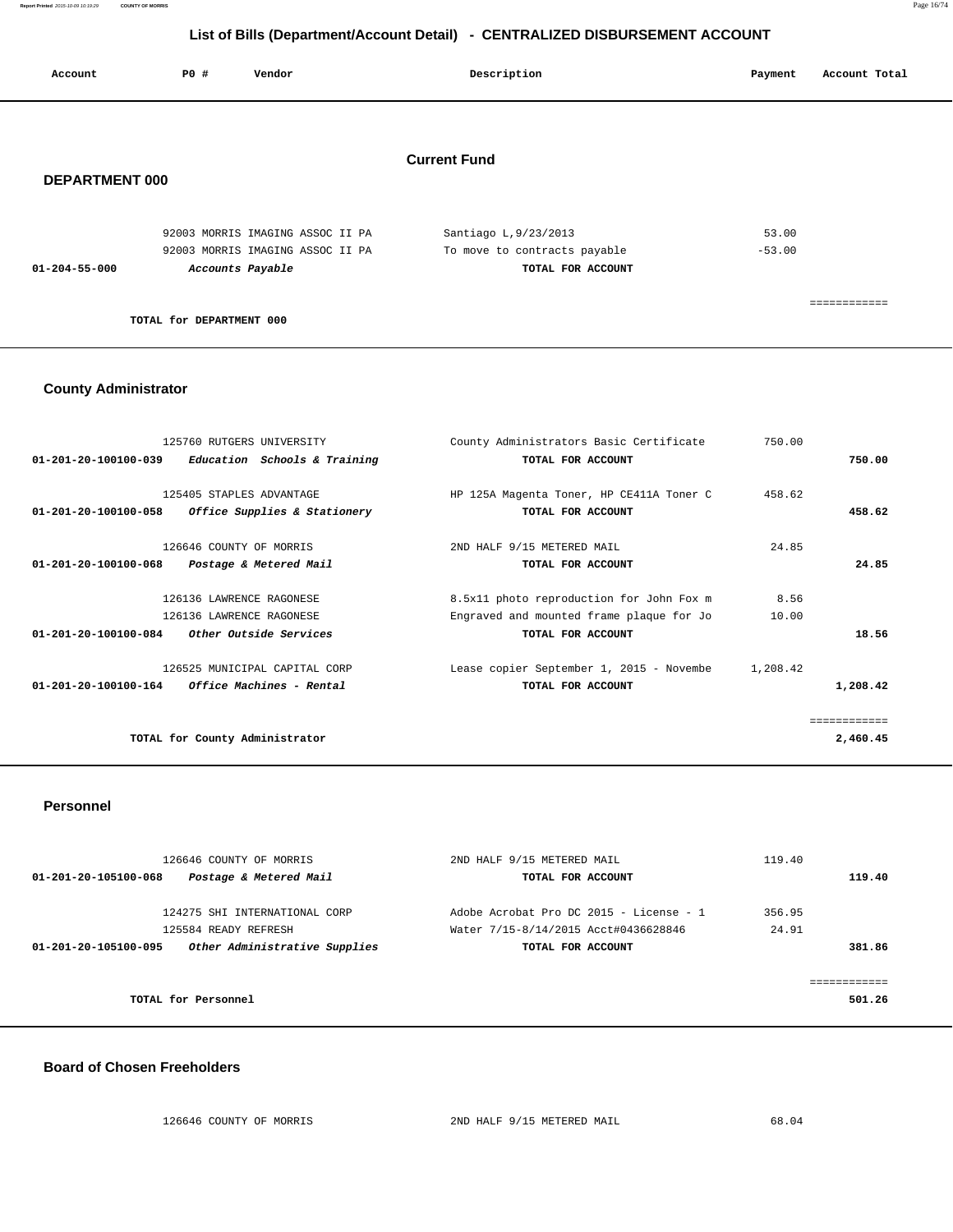**Report Printed** 2015-10-09 10:19:29 **COUNTY OF MORRIS** Page 16/74

## **List of Bills (Department/Account Detail) - CENTRALIZED DISBURSEMENT ACCOUNT**

|                       |      | $\sim$ $\sim$                    | $\overline{\phantom{a}}$ |                              |          |               |
|-----------------------|------|----------------------------------|--------------------------|------------------------------|----------|---------------|
| Account               | P0 # | Vendor                           |                          | Description                  | Payment  | Account Total |
| <b>DEPARTMENT 000</b> |      |                                  | <b>Current Fund</b>      |                              |          |               |
|                       |      | 92003 MORRIS IMAGING ASSOC II PA |                          | Santiago L, 9/23/2013        | 53.00    |               |
|                       |      | 92003 MORRIS IMAGING ASSOC II PA |                          | To move to contracts payable | $-53.00$ |               |

**TOTAL for DEPARTMENT 000** 

 **01-204-55-000 Accounts Payable TOTAL FOR ACCOUNT** 

### **County Administrator**

| 125760 RUTGERS UNIVERSITY                                         | County Administrators Basic Certificate  | 750.00   |              |
|-------------------------------------------------------------------|------------------------------------------|----------|--------------|
| $01 - 201 - 20 - 100100 - 039$<br>Education Schools & Training    | TOTAL FOR ACCOUNT                        |          | 750.00       |
|                                                                   |                                          |          |              |
| 125405 STAPLES ADVANTAGE                                          | HP 125A Magenta Toner, HP CE411A Toner C | 458.62   |              |
| Office Supplies & Stationery<br>$01 - 201 - 20 - 100100 - 058$    | TOTAL FOR ACCOUNT                        |          | 458.62       |
| 126646 COUNTY OF MORRIS                                           | 2ND HALF 9/15 METERED MAIL               | 24.85    |              |
| $01 - 201 - 20 - 100100 - 068$<br>Postage & Metered Mail          | TOTAL FOR ACCOUNT                        |          | 24.85        |
| 126136 LAWRENCE RAGONESE                                          | 8.5x11 photo reproduction for John Fox m | 8.56     |              |
|                                                                   |                                          |          |              |
| 126136 LAWRENCE RAGONESE                                          | Engraved and mounted frame plaque for Jo | 10.00    |              |
| 01-201-20-100100-084<br>Other Outside Services                    | TOTAL FOR ACCOUNT                        |          | 18.56        |
| 126525 MUNICIPAL CAPITAL CORP                                     | Lease copier September 1, 2015 - Novembe | 1,208.42 |              |
| <i>Office Machines - Rental</i><br>$01 - 201 - 20 - 100100 - 164$ | TOTAL FOR ACCOUNT                        |          | 1,208.42     |
|                                                                   |                                          |          | ============ |
| TOTAL for County Administrator                                    |                                          |          | 2,460.45     |
|                                                                   |                                          |          |              |

============

#### **Personnel**

| 126646 COUNTY OF MORRIS                               | 2ND HALF 9/15 METERED MAIL              | 119.40 |                         |
|-------------------------------------------------------|-----------------------------------------|--------|-------------------------|
| Postage & Metered Mail<br>01-201-20-105100-068        | TOTAL FOR ACCOUNT                       |        | 119.40                  |
| 124275 SHI INTERNATIONAL CORP                         | Adobe Acrobat Pro DC 2015 - License - 1 | 356.95 |                         |
| 125584 READY REFRESH                                  | Water 7/15-8/14/2015 Acct#0436628846    | 24.91  |                         |
| Other Administrative Supplies<br>01-201-20-105100-095 | TOTAL FOR ACCOUNT                       |        | 381.86                  |
|                                                       |                                         |        |                         |
|                                                       |                                         |        | . = = = = = = = = = = : |
| TOTAL for Personnel                                   |                                         |        | 501.26                  |

#### **Board of Chosen Freeholders**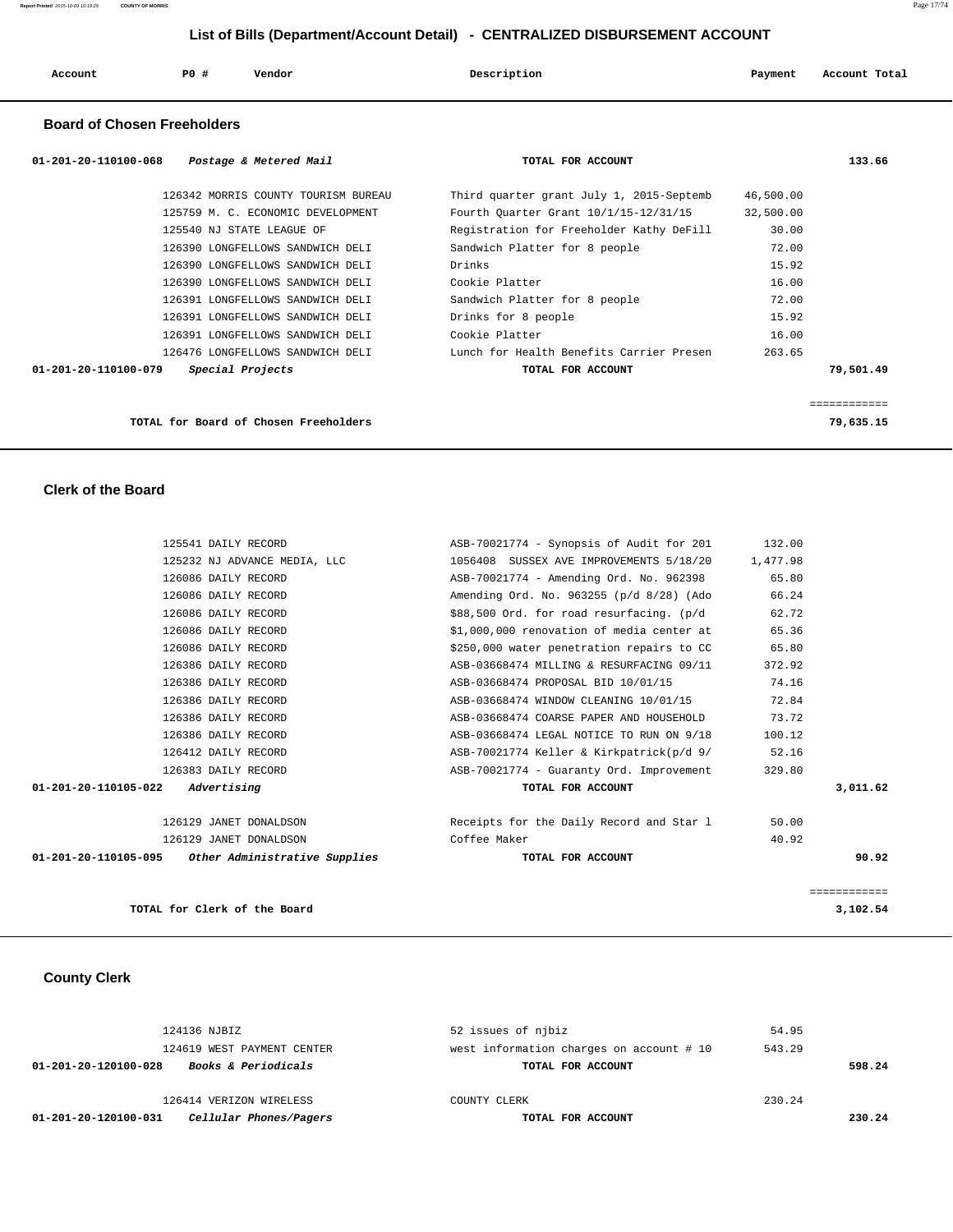| Account | P0 # | Vendor | Description | Payment | Account Total |
|---------|------|--------|-------------|---------|---------------|
|         |      |        |             |         |               |

## **Board of Chosen Freeholders**

| 01-201-20-110100-068<br>Postage & Metered Mail | TOTAL FOR ACCOUNT                        |           | 133.66    |
|------------------------------------------------|------------------------------------------|-----------|-----------|
| 126342 MORRIS COUNTY TOURISM BUREAU            | Third quarter grant July 1, 2015-Septemb | 46,500.00 |           |
| 125759 M. C. ECONOMIC DEVELOPMENT              | Fourth Ouarter Grant 10/1/15-12/31/15    | 32,500.00 |           |
| 125540 NJ STATE LEAGUE OF                      | Registration for Freeholder Kathy DeFill | 30.00     |           |
| 126390 LONGFELLOWS SANDWICH DELI               | Sandwich Platter for 8 people            | 72.00     |           |
| 126390 LONGFELLOWS SANDWICH DELI               | Drinks                                   | 15.92     |           |
| 126390 LONGFELLOWS SANDWICH DELI               | Cookie Platter                           | 16.00     |           |
| 126391 LONGFELLOWS SANDWICH DELI               | Sandwich Platter for 8 people            | 72.00     |           |
| 126391 LONGFELLOWS SANDWICH DELI               | Drinks for 8 people                      | 15.92     |           |
| 126391 LONGFELLOWS SANDWICH DELI               | Cookie Platter                           | 16.00     |           |
| 126476 LONGFELLOWS SANDWICH DELI               | Lunch for Health Benefits Carrier Presen | 263.65    |           |
| 01-201-20-110100-079<br>Special Projects       | TOTAL FOR ACCOUNT                        |           | 79,501.49 |
|                                                |                                          |           |           |
| TOTAL for Board of Chosen Freeholders          |                                          |           | 79,635.15 |

 **Clerk of the Board** 

| 125541 DAILY RECORD                                | ASB-70021774 - Synopsis of Audit for 201  | 132.00       |
|----------------------------------------------------|-------------------------------------------|--------------|
| 125232 NJ ADVANCE MEDIA, LLC                       | 1056408 SUSSEX AVE IMPROVEMENTS 5/18/20   | 1,477.98     |
| 126086 DAILY RECORD                                | ASB-70021774 - Amending Ord. No. 962398   | 65.80        |
| 126086 DAILY RECORD                                | Amending Ord. No. 963255 (p/d 8/28) (Ado  | 66.24        |
| 126086 DAILY RECORD                                | \$88,500 Ord. for road resurfacing. (p/d  | 62.72        |
| 126086 DAILY RECORD                                | \$1,000,000 renovation of media center at | 65.36        |
| 126086 DAILY RECORD                                | \$250,000 water penetration repairs to CC | 65.80        |
| 126386 DAILY RECORD                                | ASB-03668474 MILLING & RESURFACING 09/11  | 372.92       |
| 126386 DAILY RECORD                                | ASB-03668474 PROPOSAL BID 10/01/15        | 74.16        |
| 126386 DAILY RECORD                                | ASB-03668474 WINDOW CLEANING 10/01/15     | 72.84        |
| 126386 DAILY RECORD                                | ASB-03668474 COARSE PAPER AND HOUSEHOLD   | 73.72        |
| 126386 DAILY RECORD                                | ASB-03668474 LEGAL NOTICE TO RUN ON 9/18  | 100.12       |
| 126412 DAILY RECORD                                | ASB-70021774 Keller & Kirkpatrick(p/d 9/  | 52.16        |
| 126383 DAILY RECORD                                | ASB-70021774 - Guaranty Ord. Improvement  | 329.80       |
| Advertising<br>01-201-20-110105-022                | TOTAL FOR ACCOUNT                         | 3,011.62     |
| 126129 JANET DONALDSON                             | Receipts for the Daily Record and Star 1  | 50.00        |
| 126129 JANET DONALDSON                             | Coffee Maker                              | 40.92        |
| 01-201-20-110105-095 Other Administrative Supplies | TOTAL FOR ACCOUNT                         | 90.92        |
|                                                    |                                           | ============ |
| TOTAL for Clerk of the Board                       |                                           | 3,102.54     |

# **County Clerk**

| 124136 NJBIZ                                           | 52 issues of njbiz                       | 54.95  |        |
|--------------------------------------------------------|------------------------------------------|--------|--------|
| 124619 WEST PAYMENT CENTER                             | west information charges on account # 10 | 543.29 |        |
| <b>Books &amp; Periodicals</b><br>01-201-20-120100-028 | TOTAL FOR ACCOUNT                        |        | 598.24 |
|                                                        |                                          |        |        |
| 126414 VERIZON WIRELESS                                | COUNTY CLERK                             | 230.24 |        |
| Cellular Phones/Pagers<br>01-201-20-120100-031         | TOTAL FOR ACCOUNT                        |        | 230.24 |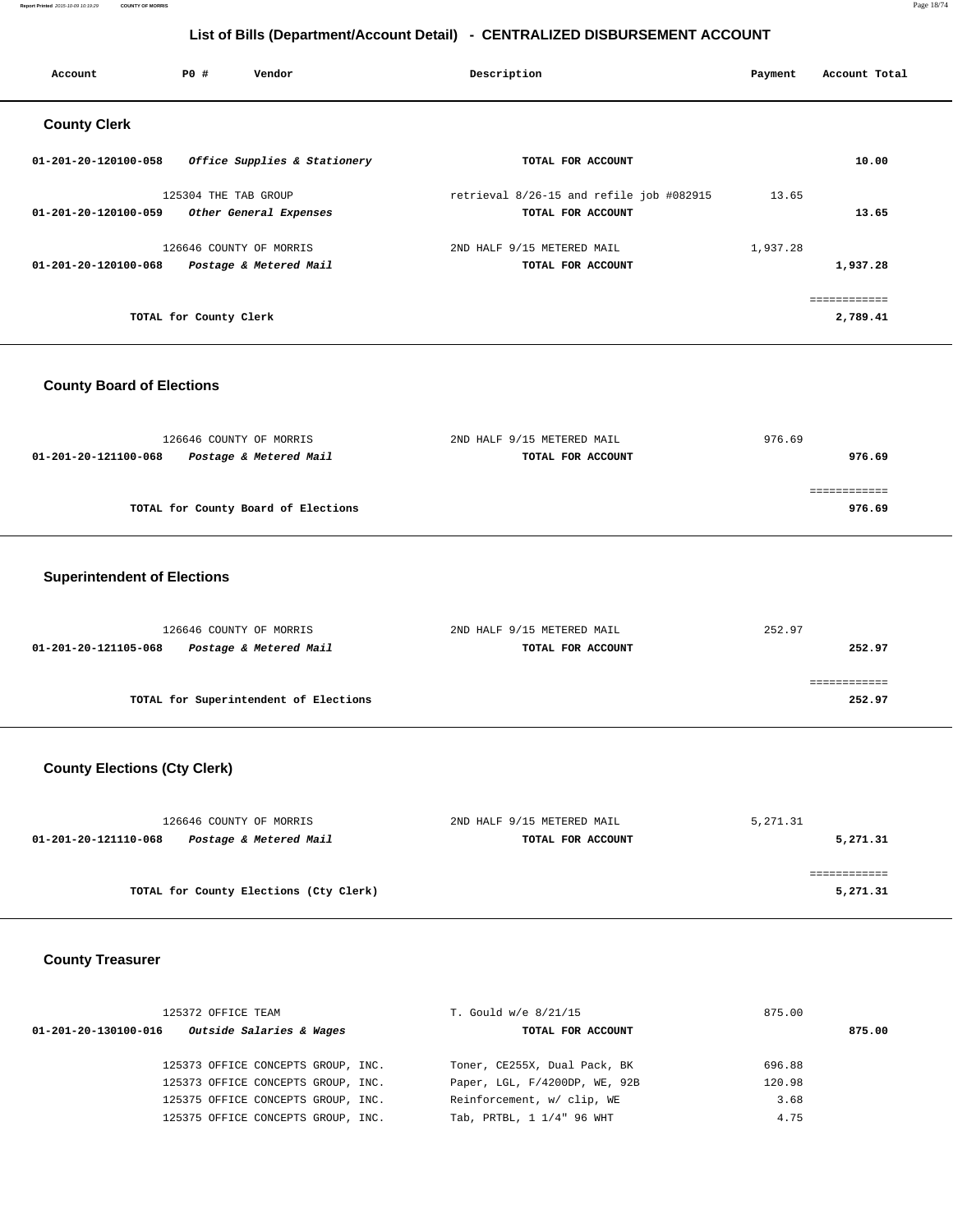**Report Printed** 2015-10-09 10:19:29 **COUNTY OF MORRIS** Page 18/74

## **List of Bills (Department/Account Detail) - CENTRALIZED DISBURSEMENT ACCOUNT**

| Account              | PO#                     | Vendor                       | Description                              | Payment  | Account Total |
|----------------------|-------------------------|------------------------------|------------------------------------------|----------|---------------|
| <b>County Clerk</b>  |                         |                              |                                          |          |               |
| 01-201-20-120100-058 |                         | Office Supplies & Stationery | TOTAL FOR ACCOUNT                        |          | 10.00         |
|                      | 125304 THE TAB GROUP    |                              | retrieval 8/26-15 and refile job #082915 | 13.65    |               |
| 01-201-20-120100-059 |                         | Other General Expenses       | TOTAL FOR ACCOUNT                        |          | 13.65         |
|                      | 126646 COUNTY OF MORRIS |                              | 2ND HALF 9/15 METERED MAIL               | 1,937.28 |               |
| 01-201-20-120100-068 |                         | Postage & Metered Mail       | TOTAL FOR ACCOUNT                        |          | 1,937.28      |
|                      |                         |                              |                                          |          | ============  |
|                      | TOTAL for County Clerk  |                              |                                          |          | 2,789.41      |

## **County Board of Elections**

| 126646 COUNTY OF MORRIS                        | 2ND HALF 9/15 METERED MAIL | 976.69 |
|------------------------------------------------|----------------------------|--------|
| Postage & Metered Mail<br>01-201-20-121100-068 | TOTAL FOR ACCOUNT          | 976.69 |
|                                                |                            |        |
|                                                |                            |        |
| TOTAL for County Board of Elections            |                            | 976.69 |
|                                                |                            |        |

## **Superintendent of Elections**

| 126646 COUNTY OF MORRIS                        | 2ND HALF 9/15 METERED MAIL | 252.97 |
|------------------------------------------------|----------------------------|--------|
| 01-201-20-121105-068<br>Postage & Metered Mail | TOTAL FOR ACCOUNT          | 252.97 |
|                                                |                            |        |
|                                                |                            |        |
| TOTAL for Superintendent of Elections          |                            | 252.97 |

# **County Elections (Cty Clerk)**

| 126646 COUNTY OF MORRIS                        | 2ND HALF 9/15 METERED MAIL | 5,271.31 |
|------------------------------------------------|----------------------------|----------|
| Postage & Metered Mail<br>01-201-20-121110-068 | TOTAL FOR ACCOUNT          | 5,271.31 |
|                                                |                            |          |
|                                                |                            |          |
| TOTAL for County Elections (Cty Clerk)         |                            | 5,271.31 |

## **County Treasurer**

|                      | 125372 OFFICE TEAM                 | T. Gould w/e 8/21/15          | 875.00 |
|----------------------|------------------------------------|-------------------------------|--------|
| 01-201-20-130100-016 | Outside Salaries & Wages           | TOTAL FOR ACCOUNT             | 875.00 |
|                      |                                    |                               |        |
|                      | 125373 OFFICE CONCEPTS GROUP, INC. | Toner, CE255X, Dual Pack, BK  | 696.88 |
|                      | 125373 OFFICE CONCEPTS GROUP, INC. | Paper, LGL, F/4200DP, WE, 92B | 120.98 |
|                      | 125375 OFFICE CONCEPTS GROUP, INC. | Reinforcement, w/ clip, WE    | 3.68   |
|                      | 125375 OFFICE CONCEPTS GROUP, INC. | Tab, PRTBL, 1 1/4" 96 WHT     | 4.75   |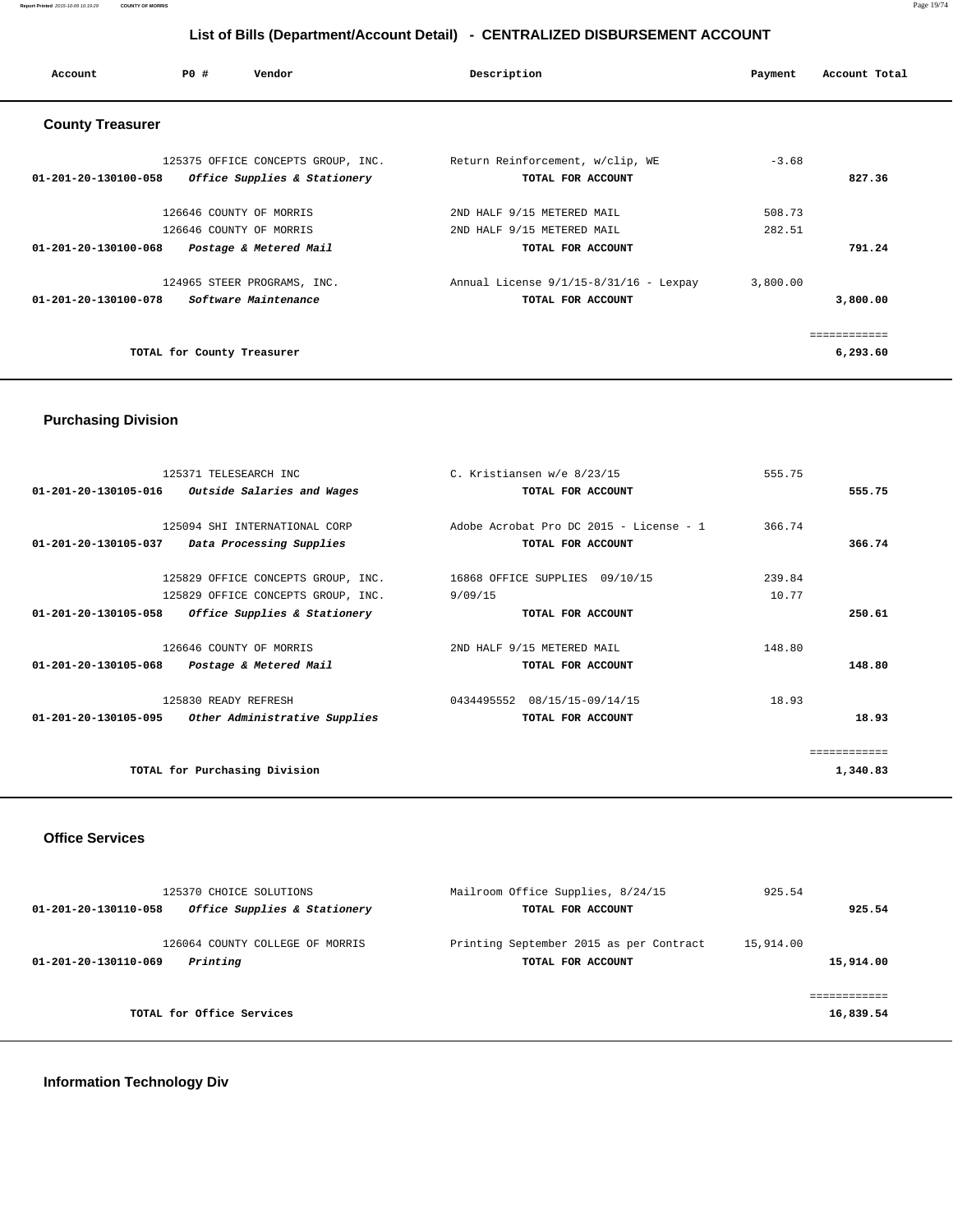| Account                        | PO#                        | Vendor                                                                       | Description                                                                   | Payment          | Account Total            |
|--------------------------------|----------------------------|------------------------------------------------------------------------------|-------------------------------------------------------------------------------|------------------|--------------------------|
| <b>County Treasurer</b>        |                            |                                                                              |                                                                               |                  |                          |
| 01-201-20-130100-058           |                            | 125375 OFFICE CONCEPTS GROUP, INC.<br>Office Supplies & Stationery           | Return Reinforcement, w/clip, WE<br>TOTAL FOR ACCOUNT                         | $-3.68$          | 827.36                   |
| $01 - 201 - 20 - 130100 - 068$ |                            | 126646 COUNTY OF MORRIS<br>126646 COUNTY OF MORRIS<br>Postage & Metered Mail | 2ND HALF 9/15 METERED MAIL<br>2ND HALF 9/15 METERED MAIL<br>TOTAL FOR ACCOUNT | 508.73<br>282.51 | 791.24                   |
| 01-201-20-130100-078           |                            | 124965 STEER PROGRAMS, INC.<br>Software Maintenance                          | Annual License $9/1/15-8/31/16$ - Lexpay<br>TOTAL FOR ACCOUNT                 | 3,800.00         | 3,800.00                 |
|                                | TOTAL for County Treasurer |                                                                              |                                                                               |                  | ============<br>6,293.60 |

## **Purchasing Division**

| 125371 TELESEARCH INC                              | C. Kristiansen w/e 8/23/15              | 555.75 |          |
|----------------------------------------------------|-----------------------------------------|--------|----------|
| $01-201-20-130105-016$ Outside Salaries and Wages  | TOTAL FOR ACCOUNT                       |        | 555.75   |
|                                                    |                                         |        |          |
| 125094 SHI INTERNATIONAL CORP                      | Adobe Acrobat Pro DC 2015 - License - 1 | 366.74 |          |
| 01-201-20-130105-037 Data Processing Supplies      | TOTAL FOR ACCOUNT                       |        | 366.74   |
| 125829 OFFICE CONCEPTS GROUP, INC.                 | 16868 OFFICE SUPPLIES 09/10/15          | 239.84 |          |
| 125829 OFFICE CONCEPTS GROUP, INC.                 | 9/09/15                                 | 10.77  |          |
| 01-201-20-130105-058 Office Supplies & Stationery  | TOTAL FOR ACCOUNT                       |        | 250.61   |
| 126646 COUNTY OF MORRIS                            | 2ND HALF 9/15 METERED MAIL              | 148.80 |          |
| 01-201-20-130105-068 Postage & Metered Mail        | TOTAL FOR ACCOUNT                       |        | 148.80   |
| 125830 READY REFRESH                               | 0434495552 08/15/15-09/14/15            | 18.93  |          |
| 01-201-20-130105-095 Other Administrative Supplies | TOTAL FOR ACCOUNT                       |        | 18.93    |
|                                                    |                                         |        |          |
| TOTAL for Purchasing Division                      |                                         |        | 1,340.83 |
|                                                    |                                         |        |          |

### **Office Services**

| 125370 CHOICE SOLUTIONS<br>Office Supplies & Stationery<br>01-201-20-130110-058 | Mailroom Office Supplies, 8/24/15<br>TOTAL FOR ACCOUNT       | 925.54<br>925.54        |
|---------------------------------------------------------------------------------|--------------------------------------------------------------|-------------------------|
| 126064 COUNTY COLLEGE OF MORRIS<br>Printing<br>01-201-20-130110-069             | Printing September 2015 as per Contract<br>TOTAL FOR ACCOUNT | 15,914.00<br>15,914.00  |
| TOTAL for Office Services                                                       |                                                              | ----------<br>16,839.54 |

# **Information Technology Div**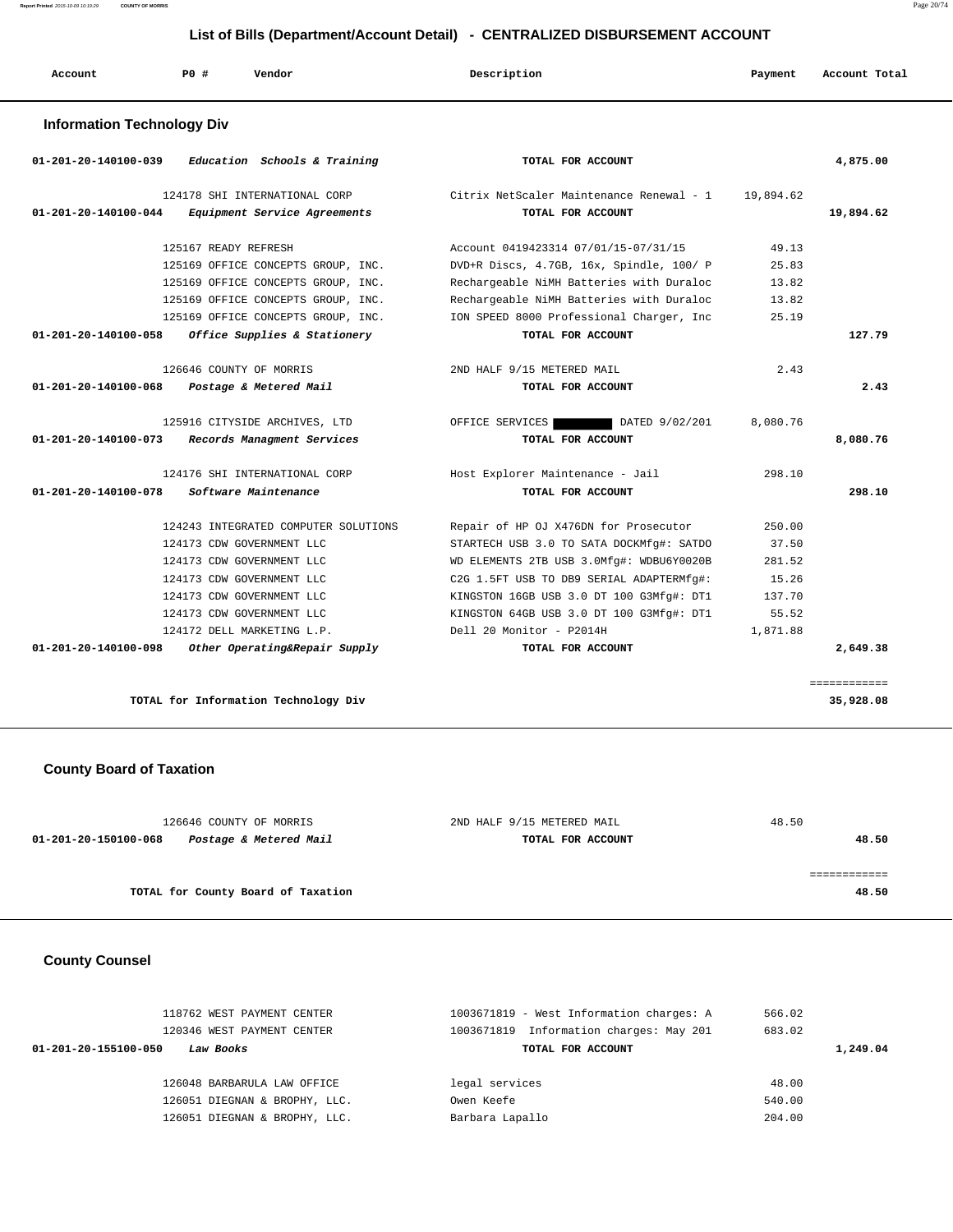|                                   |                         |                                                                                                                                                          | List of Bills (Department/Account Detail) - CENTRALIZED DISBURSEMENT ACCOUNT                                                                                                                                          |                                              |               |
|-----------------------------------|-------------------------|----------------------------------------------------------------------------------------------------------------------------------------------------------|-----------------------------------------------------------------------------------------------------------------------------------------------------------------------------------------------------------------------|----------------------------------------------|---------------|
| Account                           | PO#                     | Vendor                                                                                                                                                   | Description                                                                                                                                                                                                           | Payment                                      | Account Total |
| <b>Information Technology Div</b> |                         |                                                                                                                                                          |                                                                                                                                                                                                                       |                                              |               |
| 01-201-20-140100-039              |                         | Education Schools & Training                                                                                                                             | TOTAL FOR ACCOUNT                                                                                                                                                                                                     |                                              | 4,875.00      |
| $01 - 201 - 20 - 140100 - 044$    |                         | 124178 SHI INTERNATIONAL CORP<br>Equipment Service Agreements                                                                                            | Citrix NetScaler Maintenance Renewal - 1<br>TOTAL FOR ACCOUNT                                                                                                                                                         | 19,894.62                                    | 19,894.62     |
|                                   | 125167 READY REFRESH    | 125169 OFFICE CONCEPTS GROUP, INC.<br>125169 OFFICE CONCEPTS GROUP, INC.                                                                                 | Account 0419423314 07/01/15-07/31/15<br>DVD+R Discs, 4.7GB, 16x, Spindle, 100/ P<br>Rechargeable NiMH Batteries with Duraloc                                                                                          | 49.13<br>25.83<br>13.82                      |               |
| 01-201-20-140100-058              |                         | 125169 OFFICE CONCEPTS GROUP, INC.<br>125169 OFFICE CONCEPTS GROUP, INC.<br>Office Supplies & Stationery                                                 | Rechargeable NiMH Batteries with Duraloc<br>ION SPEED 8000 Professional Charger, Inc<br>TOTAL FOR ACCOUNT                                                                                                             | 13.82<br>25.19                               | 127.79        |
| 01-201-20-140100-068              | 126646 COUNTY OF MORRIS | Postage & Metered Mail                                                                                                                                   | 2ND HALF 9/15 METERED MAIL<br>TOTAL FOR ACCOUNT                                                                                                                                                                       | 2.43                                         | 2.43          |
| 01-201-20-140100-073              |                         | 125916 CITYSIDE ARCHIVES, LTD<br>Records Managment Services                                                                                              | OFFICE SERVICES<br>DATED 9/02/201<br>TOTAL FOR ACCOUNT                                                                                                                                                                | 8,080.76                                     | 8,080.76      |
| 01-201-20-140100-078              |                         | 124176 SHI INTERNATIONAL CORP<br>Software Maintenance                                                                                                    | Host Explorer Maintenance - Jail<br>TOTAL FOR ACCOUNT                                                                                                                                                                 | 298.10                                       | 298.10        |
|                                   |                         | 124243 INTEGRATED COMPUTER SOLUTIONS<br>124173 CDW GOVERNMENT LLC<br>124173 CDW GOVERNMENT LLC<br>124173 CDW GOVERNMENT LLC<br>124173 CDW GOVERNMENT LLC | Repair of HP OJ X476DN for Prosecutor<br>STARTECH USB 3.0 TO SATA DOCKMfg#: SATDO<br>WD ELEMENTS 2TB USB 3.0Mfg#: WDBU6Y0020B<br>C2G 1.5FT USB TO DB9 SERIAL ADAPTERMfg#:<br>KINGSTON 16GB USB 3.0 DT 100 G3Mfg#: DT1 | 250.00<br>37.50<br>281.52<br>15.26<br>137.70 |               |
|                                   |                         | 124173 CDW GOVERNMENT LLC                                                                                                                                | KINGSTON 64GB USB 3.0 DT 100 G3Mfq#: DT1                                                                                                                                                                              | 55.52                                        |               |

 **01-201-20-140100-098 Other Operating&Repair Supply TOTAL FOR ACCOUNT 2,649.38**

# **TOTAL for Information Technology Div 35,928.08**

## **County Board of Taxation**

| 126646 COUNTY OF MORRIS                        | 2ND HALF 9/15 METERED MAIL | 48.50 |
|------------------------------------------------|----------------------------|-------|
| Postage & Metered Mail<br>01-201-20-150100-068 | TOTAL FOR ACCOUNT          | 48.50 |
|                                                |                            |       |
|                                                |                            |       |
| TOTAL for County Board of Taxation             |                            | 48.50 |
|                                                |                            |       |

124172 DELL MARKETING L.P. Dell 20 Monitor - P2014H 1,871.88

## **County Counsel**

| 118762 WEST PAYMENT CENTER<br>120346 WEST PAYMENT CENTER | 1003671819 - West Information charges: A<br>Information charges: May 201<br>1003671819 | 566.02<br>683.02 |
|----------------------------------------------------------|----------------------------------------------------------------------------------------|------------------|
| 01-201-20-155100-050<br>Law Books                        | TOTAL FOR ACCOUNT                                                                      | 1,249.04         |
|                                                          |                                                                                        |                  |
| 126048 BARBARULA LAW OFFICE                              | legal services                                                                         | 48.00            |
| 126051 DIEGNAN & BROPHY, LLC.                            | Owen Keefe                                                                             | 540.00           |
| 126051 DIEGNAN & BROPHY, LLC.                            | Barbara Lapallo                                                                        | 204.00           |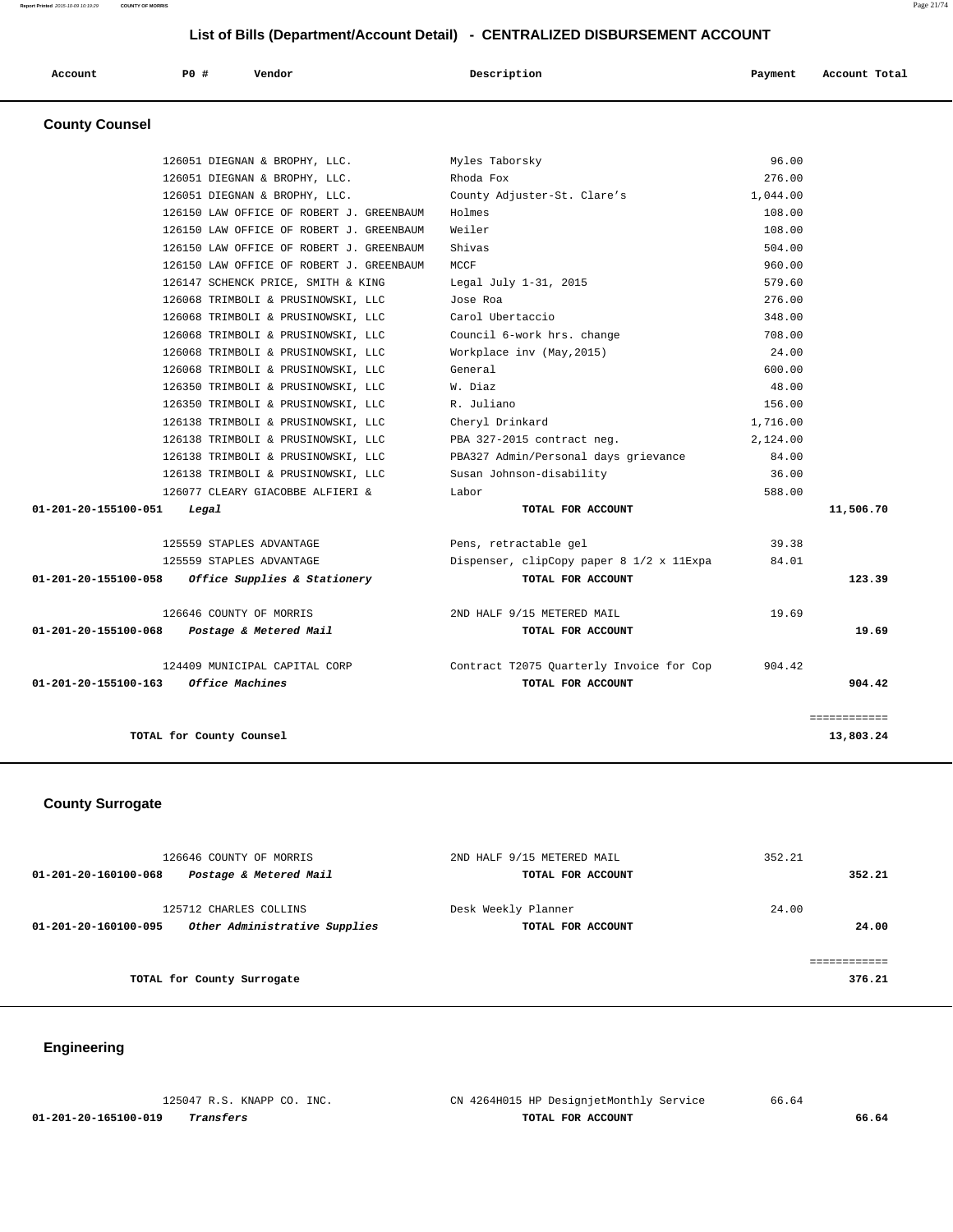| Account | PO# | Vendor | Description | Payment | Account Total |
|---------|-----|--------|-------------|---------|---------------|
|         |     |        |             |         |               |

# **County Counsel**

|                                | TOTAL for County Counsel                                       |                                                               |          | 13.803.24    |
|--------------------------------|----------------------------------------------------------------|---------------------------------------------------------------|----------|--------------|
|                                |                                                                |                                                               |          | ============ |
| $01 - 201 - 20 - 155100 - 163$ | 124409 MUNICIPAL CAPITAL CORP<br>Office Machines               | Contract T2075 Quarterly Invoice for Cop<br>TOTAL FOR ACCOUNT | 904.42   | 904.42       |
| 01-201-20-155100-068           | Postage & Metered Mail                                         | TOTAL FOR ACCOUNT                                             |          | 19.69        |
|                                | 126646 COUNTY OF MORRIS                                        | 2ND HALF 9/15 METERED MAIL                                    | 19.69    |              |
| 01-201-20-155100-058           | Office Supplies & Stationery                                   | TOTAL FOR ACCOUNT                                             |          | 123.39       |
|                                | 125559 STAPLES ADVANTAGE                                       | Dispenser, clipCopy paper 8 1/2 x 11Expa                      | 84.01    |              |
|                                | 125559 STAPLES ADVANTAGE                                       | Pens, retractable gel                                         | 39.38    |              |
| 01-201-20-155100-051           | Legal                                                          | TOTAL FOR ACCOUNT                                             |          | 11,506.70    |
|                                | 126077 CLEARY GIACOBBE ALFIERI &                               | Labor                                                         | 588.00   |              |
|                                | 126138 TRIMBOLI & PRUSINOWSKI, LLC                             | Susan Johnson-disability                                      | 36.00    |              |
|                                | 126138 TRIMBOLI & PRUSINOWSKI, LLC                             | PBA327 Admin/Personal days grievance                          | 84.00    |              |
|                                | 126138 TRIMBOLI & PRUSINOWSKI, LLC                             | PBA 327-2015 contract neg.                                    | 2,124.00 |              |
|                                | 126138 TRIMBOLI & PRUSINOWSKI, LLC                             | Cheryl Drinkard                                               | 1,716.00 |              |
|                                | 126350 TRIMBOLI & PRUSINOWSKI, LLC                             | R. Juliano                                                    | 156.00   |              |
|                                | 126350 TRIMBOLI & PRUSINOWSKI, LLC                             | W. Diaz                                                       | 48.00    |              |
|                                | 126068 TRIMBOLI & PRUSINOWSKI, LLC                             | General                                                       | 600.00   |              |
|                                | 126068 TRIMBOLI & PRUSINOWSKI, LLC                             | Workplace inv (May, 2015)                                     | 24.00    |              |
|                                | 126068 TRIMBOLI & PRUSINOWSKI, LLC                             | Council 6-work hrs. change                                    | 708.00   |              |
|                                | 126068 TRIMBOLI & PRUSINOWSKI, LLC                             | Carol Ubertaccio                                              | 348.00   |              |
|                                | 126068 TRIMBOLI & PRUSINOWSKI, LLC                             | Jose Roa                                                      | 276.00   |              |
|                                | 126147 SCHENCK PRICE, SMITH & KING                             | Legal July 1-31, 2015                                         | 579.60   |              |
|                                | 126150 LAW OFFICE OF ROBERT J. GREENBAUM                       | <b>MCCF</b>                                                   | 960.00   |              |
|                                | 126150 LAW OFFICE OF ROBERT J. GREENBAUM                       | Shivas                                                        | 504.00   |              |
|                                | 126150 LAW OFFICE OF ROBERT J. GREENBAUM                       | Weiler                                                        | 108.00   |              |
|                                | 126150 LAW OFFICE OF ROBERT J. GREENBAUM                       | Holmes                                                        | 108.00   |              |
|                                | 126051 DIEGNAN & BROPHY, LLC.<br>126051 DIEGNAN & BROPHY, LLC. | County Adjuster-St. Clare's                                   | 1,044.00 |              |
|                                | 126051 DIEGNAN & BROPHY, LLC.                                  | Rhoda Fox                                                     | 276.00   |              |

## **County Surrogate**

| 126646 COUNTY OF MORRIS                                                         | 2ND HALF 9/15 METERED MAIL               | 352.21         |
|---------------------------------------------------------------------------------|------------------------------------------|----------------|
| Postage & Metered Mail<br>01-201-20-160100-068                                  | TOTAL FOR ACCOUNT                        | 352.21         |
| 125712 CHARLES COLLINS<br>Other Administrative Supplies<br>01-201-20-160100-095 | Desk Weekly Planner<br>TOTAL FOR ACCOUNT | 24.00<br>24.00 |
|                                                                                 |                                          |                |
|                                                                                 |                                          |                |
| TOTAL for County Surrogate                                                      |                                          | 376.21         |

# **Engineering**

| 125047 R.S. KNAPP CO. INC.        | CN 4264H015 HP DesignjetMonthly Service | 66.64 |
|-----------------------------------|-----------------------------------------|-------|
| 01-201-20-165100-019<br>Transfers | TOTAL FOR ACCOUNT                       | 66.64 |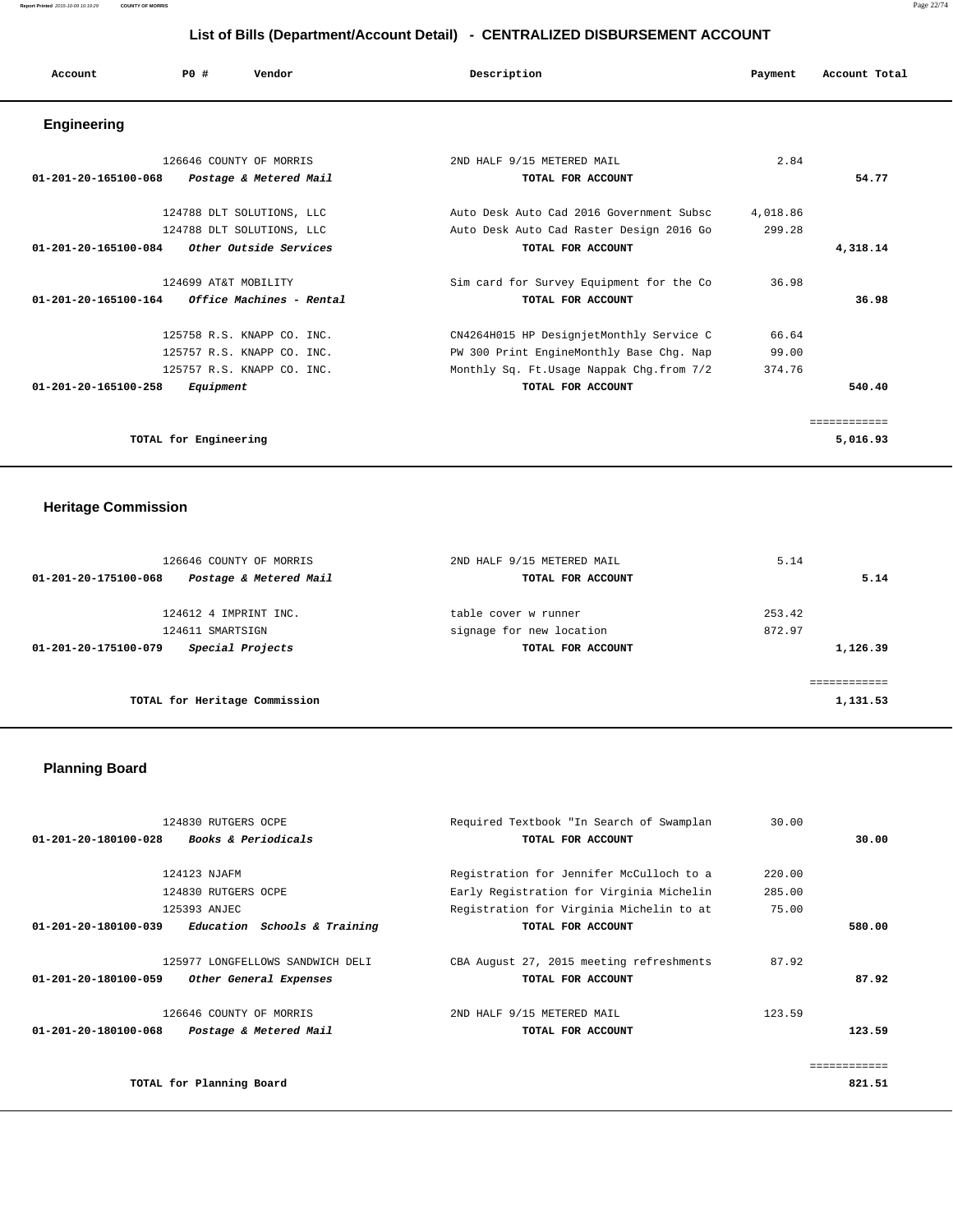| Account                                                 | PO#                  | Vendor                     | Description                              | Payment  | Account Total |
|---------------------------------------------------------|----------------------|----------------------------|------------------------------------------|----------|---------------|
| <b>Engineering</b>                                      |                      |                            |                                          |          |               |
|                                                         |                      | 126646 COUNTY OF MORRIS    | 2ND HALF 9/15 METERED MAIL               | 2.84     |               |
| 01-201-20-165100-068                                    |                      | Postage & Metered Mail     | TOTAL FOR ACCOUNT                        |          | 54.77         |
|                                                         |                      | 124788 DLT SOLUTIONS, LLC  | Auto Desk Auto Cad 2016 Government Subsc | 4,018.86 |               |
|                                                         |                      | 124788 DLT SOLUTIONS, LLC  | Auto Desk Auto Cad Raster Design 2016 Go | 299.28   |               |
| 01-201-20-165100-084                                    |                      | Other Outside Services     | TOTAL FOR ACCOUNT                        |          | 4,318.14      |
|                                                         | 124699 AT&T MOBILITY |                            | Sim card for Survey Equipment for the Co | 36.98    |               |
| $01 - 201 - 20 - 165100 - 164$ Office Machines - Rental |                      |                            | TOTAL FOR ACCOUNT                        |          | 36.98         |
|                                                         |                      | 125758 R.S. KNAPP CO. INC. | CN4264H015 HP DesignjetMonthly Service C | 66.64    |               |
|                                                         |                      | 125757 R.S. KNAPP CO. INC. | PW 300 Print EngineMonthly Base Chg. Nap | 99.00    |               |
|                                                         |                      | 125757 R.S. KNAPP CO. INC. | Monthly Sq. Ft.Usage Nappak Chg.from 7/2 | 374.76   |               |
| 01-201-20-165100-258                                    | Equipment            |                            | TOTAL FOR ACCOUNT                        |          | 540.40        |

**TOTAL for Engineering 5,016.93**

# **Heritage Commission**

| 126646 COUNTY OF MORRIS                        | 2ND HALF 9/15 METERED MAIL | 5.14     |
|------------------------------------------------|----------------------------|----------|
| Postage & Metered Mail<br>01-201-20-175100-068 | TOTAL FOR ACCOUNT          | 5.14     |
| 124612 4 IMPRINT INC.                          | table cover w runner       | 253.42   |
| 124611 SMARTSIGN                               | signage for new location   | 872.97   |
| Special Projects<br>01-201-20-175100-079       | TOTAL FOR ACCOUNT          | 1,126.39 |
|                                                |                            |          |
| TOTAL for Heritage Commission                  |                            | 1,131.53 |

# **Planning Board**

| 124830 RUTGERS OCPE                                            | Required Textbook "In Search of Swamplan | 30.00  |              |
|----------------------------------------------------------------|------------------------------------------|--------|--------------|
| <b>Books &amp; Periodicals</b><br>01-201-20-180100-028         | TOTAL FOR ACCOUNT                        |        | 30.00        |
|                                                                |                                          |        |              |
| 124123 NJAFM                                                   | Registration for Jennifer McCulloch to a | 220.00 |              |
| 124830 RUTGERS OCPE                                            | Early Registration for Virginia Michelin | 285.00 |              |
| 125393 ANJEC                                                   | Registration for Virginia Michelin to at | 75.00  |              |
| $01 - 201 - 20 - 180100 - 039$<br>Education Schools & Training | TOTAL FOR ACCOUNT                        |        | 580.00       |
| 125977 LONGFELLOWS SANDWICH DELI                               | CBA August 27, 2015 meeting refreshments | 87.92  |              |
| 01-201-20-180100-059<br>Other General Expenses                 | TOTAL FOR ACCOUNT                        |        | 87.92        |
| 126646 COUNTY OF MORRIS                                        | 2ND HALF 9/15 METERED MAIL               | 123.59 |              |
| $01 - 201 - 20 - 180100 - 068$<br>Postage & Metered Mail       | TOTAL FOR ACCOUNT                        |        | 123.59       |
|                                                                |                                          |        | ============ |
| TOTAL for Planning Board                                       |                                          |        | 821.51       |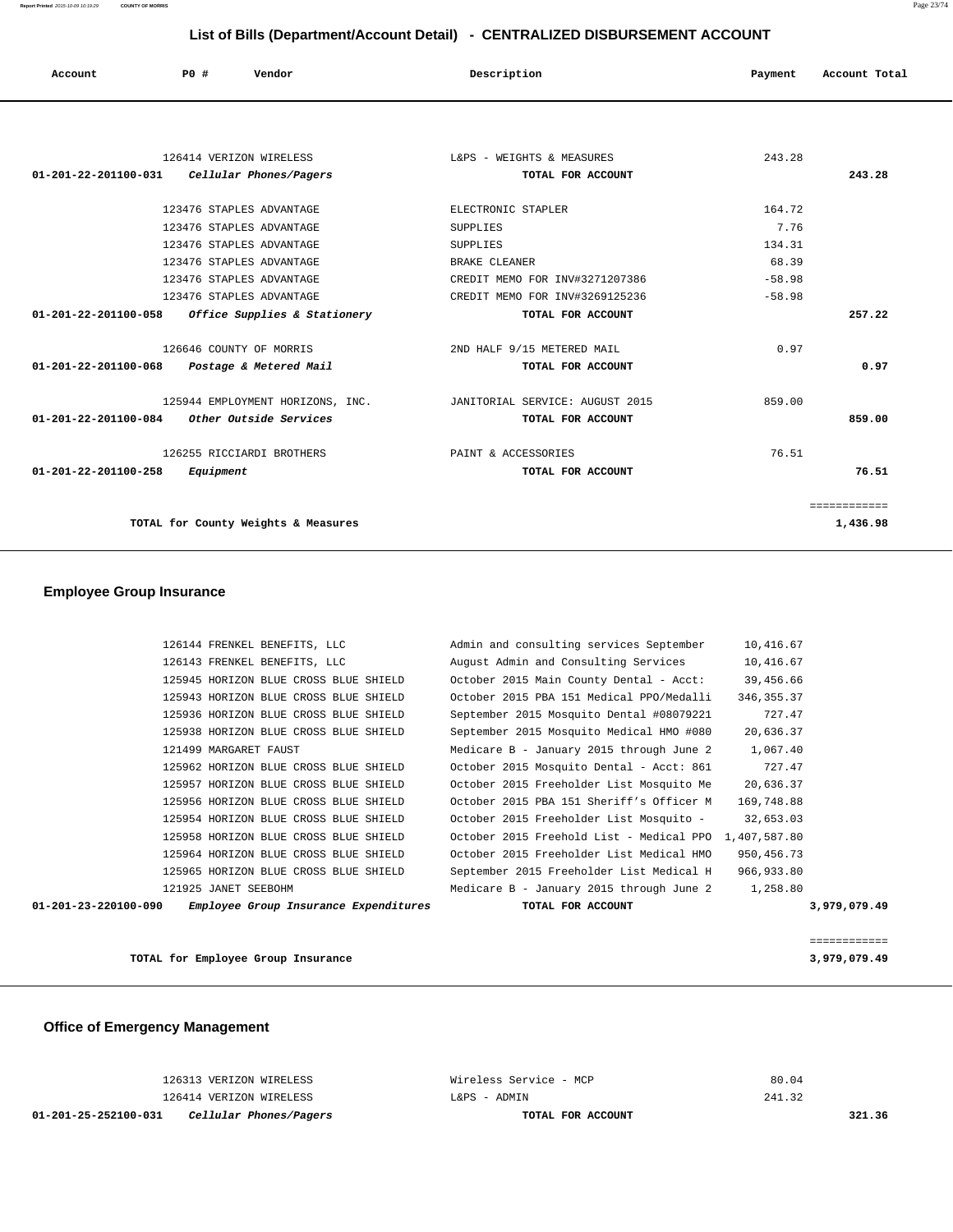| List of Bills (Department/Account Detail) - CENTRALIZED DISBURSEMENT ACCOUNT |           |                                  |                                 |          |               |
|------------------------------------------------------------------------------|-----------|----------------------------------|---------------------------------|----------|---------------|
| Account                                                                      | P0 #      | Vendor                           | Description                     | Payment  | Account Total |
|                                                                              |           |                                  |                                 |          |               |
|                                                                              |           | 126414 VERIZON WIRELESS          | L&PS - WEIGHTS & MEASURES       | 243.28   |               |
| $01 - 201 - 22 - 201100 - 031$                                               |           | Cellular Phones/Pagers           | TOTAL FOR ACCOUNT               |          | 243.28        |
|                                                                              |           | 123476 STAPLES ADVANTAGE         | ELECTRONIC STAPLER              | 164.72   |               |
|                                                                              |           | 123476 STAPLES ADVANTAGE         | <b>SUPPLIES</b>                 | 7.76     |               |
|                                                                              |           | 123476 STAPLES ADVANTAGE         | SUPPLIES                        | 134.31   |               |
|                                                                              |           | 123476 STAPLES ADVANTAGE         | BRAKE CLEANER                   | 68.39    |               |
|                                                                              |           | 123476 STAPLES ADVANTAGE         | CREDIT MEMO FOR INV#3271207386  | $-58.98$ |               |
|                                                                              |           | 123476 STAPLES ADVANTAGE         | CREDIT MEMO FOR INV#3269125236  | $-58.98$ |               |
| 01-201-22-201100-058                                                         |           | Office Supplies & Stationery     | TOTAL FOR ACCOUNT               |          | 257.22        |
|                                                                              |           | 126646 COUNTY OF MORRIS          | 2ND HALF 9/15 METERED MAIL      | 0.97     |               |
| 01-201-22-201100-068                                                         |           | Postage & Metered Mail           | TOTAL FOR ACCOUNT               |          | 0.97          |
|                                                                              |           | 125944 EMPLOYMENT HORIZONS, INC. | JANITORIAL SERVICE: AUGUST 2015 | 859.00   |               |
| $01 - 201 - 22 - 201100 - 084$                                               |           | Other Outside Services           | TOTAL FOR ACCOUNT               |          | 859.00        |
|                                                                              |           | 126255 RICCIARDI BROTHERS        | PAINT & ACCESSORIES             | 76.51    |               |
| 01-201-22-201100-258                                                         | Equipment |                                  | TOTAL FOR ACCOUNT               |          | 76.51         |
|                                                                              |           |                                  |                                 |          | ============  |

**TOTAL for County Weights & Measures 1,436.98**

# **Employee Group Insurance**

|                      | 126144 FRENKEL BENEFITS, LLC          | Admin and consulting services September  | 10,416.67    |              |
|----------------------|---------------------------------------|------------------------------------------|--------------|--------------|
|                      | 126143 FRENKEL BENEFITS, LLC          | August Admin and Consulting Services     | 10,416.67    |              |
|                      | 125945 HORIZON BLUE CROSS BLUE SHIELD | October 2015 Main County Dental - Acct:  | 39,456.66    |              |
|                      | 125943 HORIZON BLUE CROSS BLUE SHIELD | October 2015 PBA 151 Medical PPO/Medalli | 346, 355. 37 |              |
|                      | 125936 HORIZON BLUE CROSS BLUE SHIELD | September 2015 Mosquito Dental #08079221 | 727.47       |              |
|                      | 125938 HORIZON BLUE CROSS BLUE SHIELD | September 2015 Mosquito Medical HMO #080 | 20,636.37    |              |
|                      | 121499 MARGARET FAUST                 | Medicare B - January 2015 through June 2 | 1,067.40     |              |
|                      | 125962 HORIZON BLUE CROSS BLUE SHIELD | October 2015 Mosquito Dental - Acct: 861 | 727.47       |              |
|                      | 125957 HORIZON BLUE CROSS BLUE SHIELD | October 2015 Freeholder List Mosquito Me | 20,636.37    |              |
|                      | 125956 HORIZON BLUE CROSS BLUE SHIELD | October 2015 PBA 151 Sheriff's Officer M | 169,748.88   |              |
|                      | 125954 HORIZON BLUE CROSS BLUE SHIELD | October 2015 Freeholder List Mosquito -  | 32,653.03    |              |
|                      | 125958 HORIZON BLUE CROSS BLUE SHIELD | October 2015 Freehold List - Medical PPO | 1,407,587.80 |              |
|                      | 125964 HORIZON BLUE CROSS BLUE SHIELD | October 2015 Freeholder List Medical HMO | 950, 456. 73 |              |
|                      | 125965 HORIZON BLUE CROSS BLUE SHIELD | September 2015 Freeholder List Medical H | 966,933.80   |              |
|                      | 121925 JANET SEEBOHM                  | Medicare B - January 2015 through June 2 | 1,258.80     |              |
| 01-201-23-220100-090 | Employee Group Insurance Expenditures | TOTAL FOR ACCOUNT                        |              | 3,979,079.49 |
|                      |                                       |                                          |              |              |

**TOTAL for Employee Group Insurance 3,979,079.49**

 **Office of Emergency Management**

| 01-201-25-252100-031<br>Cellular Phones/Pagers | TOTAL FOR ACCOUNT      | 321.36 |
|------------------------------------------------|------------------------|--------|
| 126414 VERIZON WIRELESS                        | L&PS - ADMIN           | 241.32 |
| 126313 VERIZON WIRELESS                        | Wireless Service - MCP | 80.04  |

============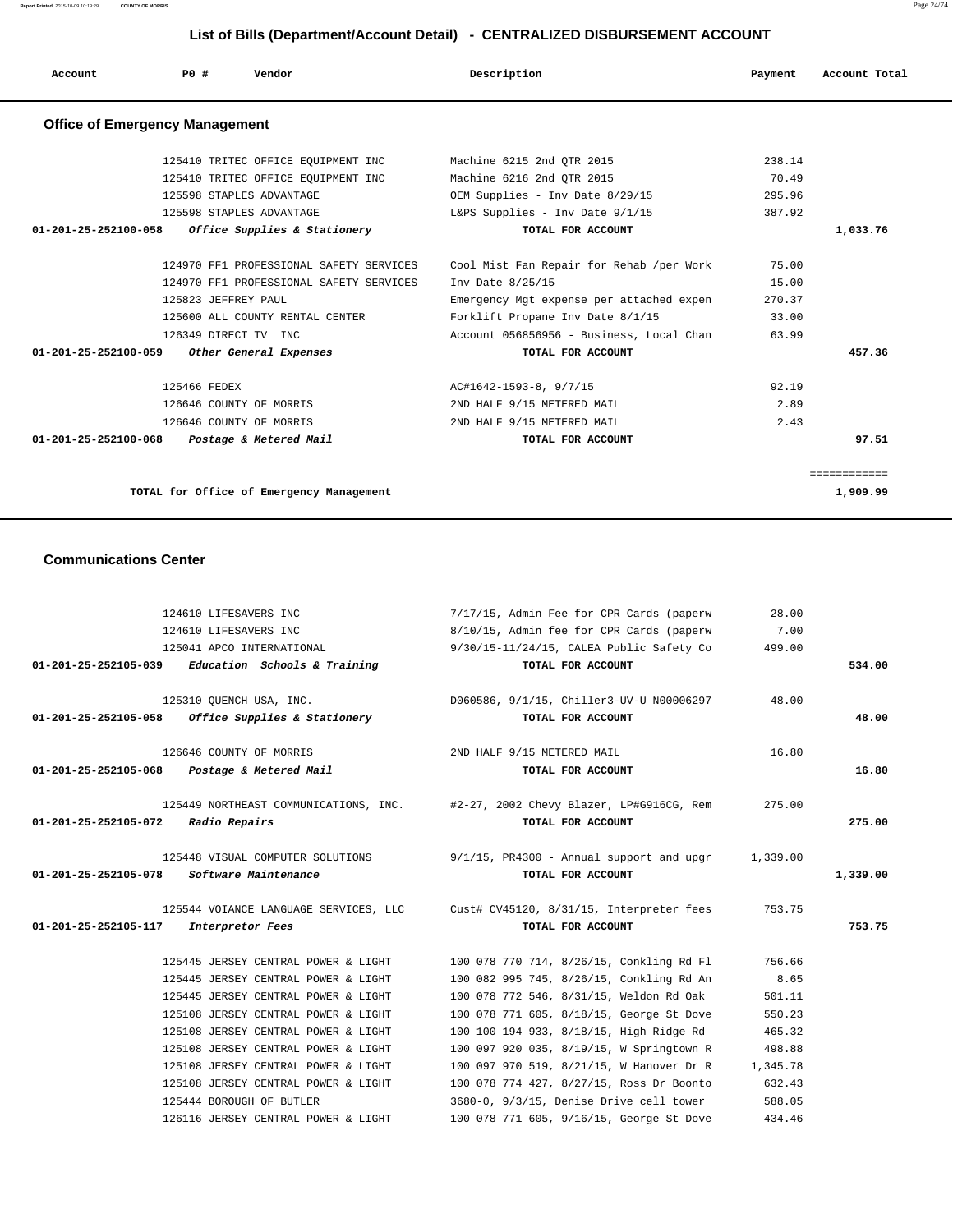| List of Bills (Department/Account Detail) - CENTRALIZED DISBURSEMENT ACCOUNT |                      |                                         |                                          |         |               |
|------------------------------------------------------------------------------|----------------------|-----------------------------------------|------------------------------------------|---------|---------------|
| Account                                                                      | PO#                  | Vendor                                  | Description                              | Payment | Account Total |
| <b>Office of Emergency Management</b>                                        |                      |                                         |                                          |         |               |
|                                                                              |                      | 125410 TRITEC OFFICE EQUIPMENT INC      | Machine 6215 2nd OTR 2015                | 238.14  |               |
|                                                                              |                      | 125410 TRITEC OFFICE EQUIPMENT INC      | Machine 6216 2nd OTR 2015                | 70.49   |               |
|                                                                              |                      | 125598 STAPLES ADVANTAGE                | OEM Supplies - Inv Date 8/29/15          | 295.96  |               |
|                                                                              |                      | 125598 STAPLES ADVANTAGE                | L&PS Supplies - Inv Date 9/1/15          | 387.92  |               |
| 01-201-25-252100-058                                                         |                      | Office Supplies & Stationery            | TOTAL FOR ACCOUNT                        |         | 1,033.76      |
|                                                                              |                      |                                         |                                          |         |               |
|                                                                              |                      | 124970 FF1 PROFESSIONAL SAFETY SERVICES | Cool Mist Fan Repair for Rehab /per Work | 75.00   |               |
|                                                                              |                      | 124970 FF1 PROFESSIONAL SAFETY SERVICES | Inv Date 8/25/15                         | 15.00   |               |
|                                                                              | 125823 JEFFREY PAUL  |                                         | Emergency Mgt expense per attached expen | 270.37  |               |
|                                                                              |                      | 125600 ALL COUNTY RENTAL CENTER         | Forklift Propane Inv Date 8/1/15         | 33.00   |               |
|                                                                              | 126349 DIRECT TV INC |                                         | Account 056856956 - Business, Local Chan | 63.99   |               |
| 01-201-25-252100-059                                                         |                      | Other General Expenses                  | TOTAL FOR ACCOUNT                        |         | 457.36        |
|                                                                              |                      |                                         |                                          |         |               |
|                                                                              | 125466 FEDEX         |                                         | AC#1642-1593-8, 9/7/15                   | 92.19   |               |
|                                                                              |                      | 126646 COUNTY OF MORRIS                 | 2ND HALF 9/15 METERED MAIL               | 2.89    |               |
|                                                                              |                      | 126646 COUNTY OF MORRIS                 | 2ND HALF 9/15 METERED MAIL               | 2.43    |               |
| $01 - 201 - 25 - 252100 - 068$                                               |                      | Postage & Metered Mail                  | TOTAL FOR ACCOUNT                        |         | 97.51         |

============

**TOTAL for Office of Emergency Management 1,909.99**

#### **Communications Center**

|                                    | 124610 LIFESAVERS INC                               | 7/17/15, Admin Fee for CPR Cards (paperw                                       | 28.00    |          |
|------------------------------------|-----------------------------------------------------|--------------------------------------------------------------------------------|----------|----------|
|                                    | 124610 LIFESAVERS INC                               | 8/10/15, Admin fee for CPR Cards (paperw                                       | 7.00     |          |
|                                    | 125041 APCO INTERNATIONAL                           | 9/30/15-11/24/15, CALEA Public Safety Co                                       | 499.00   |          |
|                                    | $01-201-25-252105-039$ Education Schools & Training | TOTAL FOR ACCOUNT                                                              |          | 534.00   |
|                                    | 125310 OUENCH USA, INC.                             | D060586, 9/1/15, Chiller3-UV-U N00006297                                       | 48.00    |          |
|                                    | $01-201-25-252105-058$ Office Supplies & Stationery | TOTAL FOR ACCOUNT                                                              |          | 48.00    |
|                                    | 126646 COUNTY OF MORRIS                             | 2ND HALF 9/15 METERED MAIL                                                     | 16.80    |          |
|                                    | 01-201-25-252105-068 Postage & Metered Mail         | TOTAL FOR ACCOUNT                                                              |          | 16.80    |
|                                    |                                                     | 125449 NORTHEAST COMMUNICATIONS, INC. #2-27, 2002 Chevy Blazer, LP#G916CG, Rem | 275.00   |          |
| 01-201-25-252105-072 Radio Repairs |                                                     | TOTAL FOR ACCOUNT                                                              |          | 275.00   |
|                                    |                                                     | 125448 VISUAL COMPUTER SOLUTIONS 9/1/15, PR4300 - Annual support and upgr      | 1,339.00 |          |
|                                    | 01-201-25-252105-078 Software Maintenance           | TOTAL FOR ACCOUNT                                                              |          | 1,339.00 |
|                                    |                                                     | 125544 VOIANCE LANGUAGE SERVICES, LLC Cust# CV45120, 8/31/15, Interpreter fees | 753.75   |          |
| 01-201-25-252105-117               | Interpretor Fees                                    | TOTAL FOR ACCOUNT                                                              |          | 753.75   |
|                                    | 125445 JERSEY CENTRAL POWER & LIGHT                 | 100 078 770 714, 8/26/15, Conkling Rd Fl                                       | 756.66   |          |
|                                    | 125445 JERSEY CENTRAL POWER & LIGHT                 | 100 082 995 745, 8/26/15, Conkling Rd An                                       | 8.65     |          |
|                                    | 125445 JERSEY CENTRAL POWER & LIGHT                 | 100 078 772 546, 8/31/15, Weldon Rd Oak                                        | 501.11   |          |
|                                    | 125108 JERSEY CENTRAL POWER & LIGHT                 | 100 078 771 605, 8/18/15, George St Dove                                       | 550.23   |          |
|                                    | 125108 JERSEY CENTRAL POWER & LIGHT                 | 100 100 194 933, 8/18/15, High Ridge Rd                                        | 465.32   |          |
|                                    |                                                     |                                                                                | 498.88   |          |
|                                    | 125108 JERSEY CENTRAL POWER & LIGHT                 | 100 097 920 035, 8/19/15, W Springtown R                                       |          |          |
|                                    | 125108 JERSEY CENTRAL POWER & LIGHT                 | 100 097 970 519, 8/21/15, W Hanover Dr R                                       | 1,345.78 |          |
|                                    | 125108 JERSEY CENTRAL POWER & LIGHT                 | 100 078 774 427, 8/27/15, Ross Dr Boonto                                       | 632.43   |          |
|                                    | 125444 BOROUGH OF BUTLER                            | 3680-0, 9/3/15, Denise Drive cell tower                                        | 588.05   |          |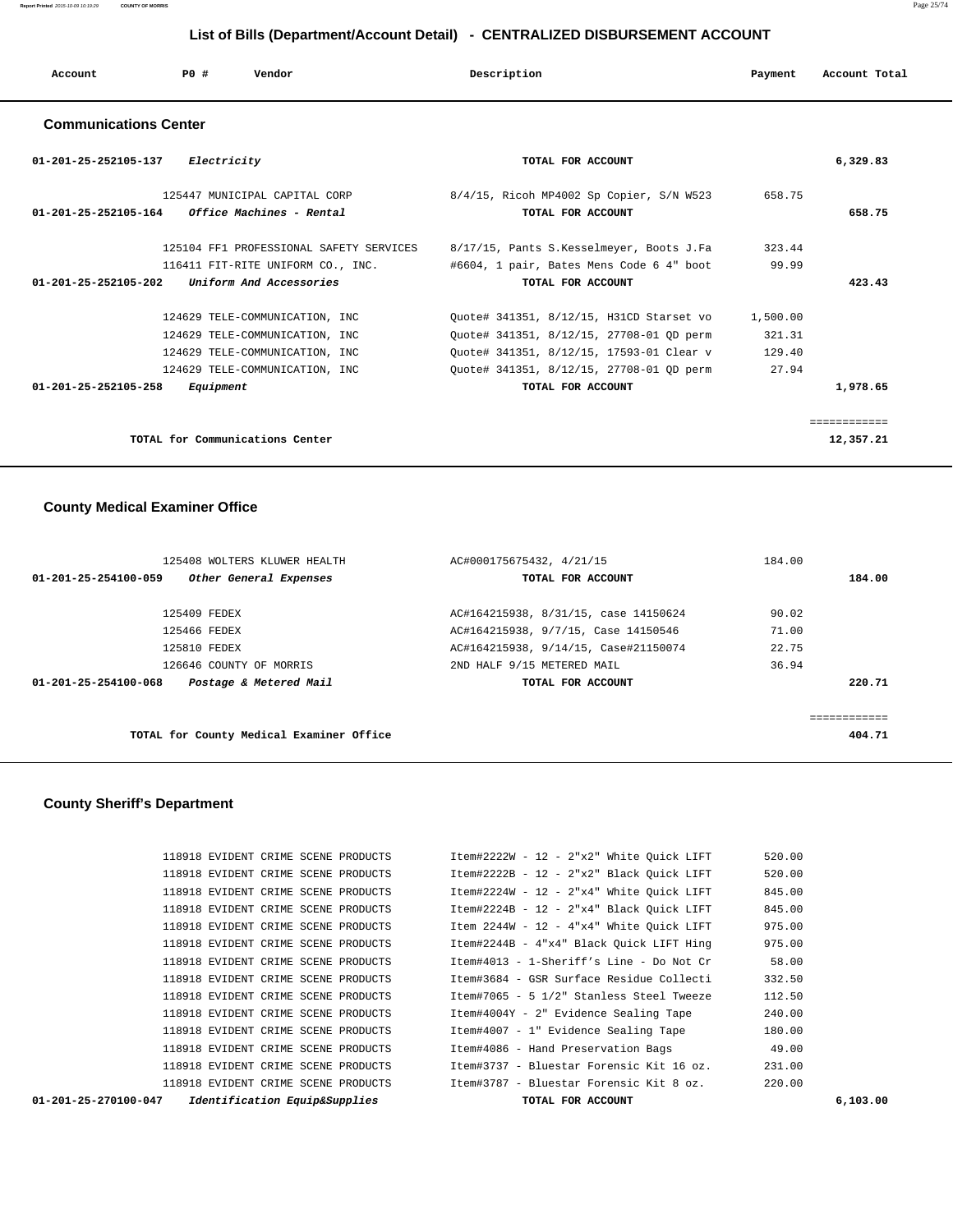| Account | P0 # | Vendor | Description | Payment | Account Total |
|---------|------|--------|-------------|---------|---------------|
| __      | __   |        |             |         |               |

## **Communications Center**

| 01-201-25-252105-137<br><i>Electricity</i>                | TOTAL FOR ACCOUNT                        | 6,329.83    |
|-----------------------------------------------------------|------------------------------------------|-------------|
| 125447 MUNICIPAL CAPITAL CORP                             | 8/4/15, Ricoh MP4002 Sp Copier, S/N W523 | 658.75      |
| <i>Office Machines - Rental</i><br>01-201-25-252105-164   | TOTAL FOR ACCOUNT                        | 658.75      |
| 125104 FF1 PROFESSIONAL SAFETY SERVICES                   | 8/17/15, Pants S.Kesselmeyer, Boots J.Fa | 323.44      |
| 116411 FIT-RITE UNIFORM CO., INC.                         | #6604, 1 pair, Bates Mens Code 6 4" boot | 99.99       |
| $01 - 201 - 25 - 252105 - 202$<br>Uniform And Accessories | TOTAL FOR ACCOUNT                        | 423.43      |
| 124629 TELE-COMMUNICATION, INC                            | Quote# 341351, 8/12/15, H31CD Starset vo | 1,500.00    |
| 124629 TELE-COMMUNICATION, INC                            | Quote# 341351, 8/12/15, 27708-01 QD perm | 321.31      |
| 124629 TELE-COMMUNICATION, INC                            | Ouote# 341351, 8/12/15, 17593-01 Clear v | 129.40      |
| 124629 TELE-COMMUNICATION, INC                            | Ouote# 341351, 8/12/15, 27708-01 OD perm | 27.94       |
| $01 - 201 - 25 - 252105 - 258$<br>Equipment               | TOTAL FOR ACCOUNT                        | 1,978.65    |
|                                                           |                                          | =========== |
| TOTAL for Communications Center                           |                                          | 12,357.21   |

## **County Medical Examiner Office**

|                                | 125408 WOLTERS KLUWER HEALTH             | AC#000175675432, 4/21/15             | 184.00 |              |
|--------------------------------|------------------------------------------|--------------------------------------|--------|--------------|
| $01 - 201 - 25 - 254100 - 059$ | Other General Expenses                   | TOTAL FOR ACCOUNT                    |        | 184.00       |
|                                | 125409 FEDEX                             | AC#164215938, 8/31/15, case 14150624 | 90.02  |              |
|                                | 125466 FEDEX                             | AC#164215938, 9/7/15, Case 14150546  | 71.00  |              |
|                                | 125810 FEDEX                             | AC#164215938, 9/14/15, Case#21150074 | 22.75  |              |
|                                | 126646 COUNTY OF MORRIS                  | 2ND HALF 9/15 METERED MAIL           | 36.94  |              |
| 01-201-25-254100-068           | Postage & Metered Mail                   | TOTAL FOR ACCOUNT                    |        | 220.71       |
|                                |                                          |                                      |        |              |
|                                |                                          |                                      |        | ------------ |
|                                | TOTAL for County Medical Examiner Office |                                      |        | 404.71       |

## **County Sheriff's Department**

| $01 - 201 - 25 - 270100 - 047$ | Identification Equip&Supplies |                                     | TOTAL FOR ACCOUNT                        | 6,103.00 |
|--------------------------------|-------------------------------|-------------------------------------|------------------------------------------|----------|
|                                |                               | 118918 EVIDENT CRIME SCENE PRODUCTS | Item#3787 - Bluestar Forensic Kit 8 oz.  | 220.00   |
|                                |                               | 118918 EVIDENT CRIME SCENE PRODUCTS | Item#3737 - Bluestar Forensic Kit 16 oz. | 231.00   |
|                                |                               | 118918 EVIDENT CRIME SCENE PRODUCTS | Item#4086 - Hand Preservation Bags       | 49.00    |
|                                |                               | 118918 EVIDENT CRIME SCENE PRODUCTS | Item#4007 - 1" Evidence Sealing Tape     | 180.00   |
|                                |                               | 118918 EVIDENT CRIME SCENE PRODUCTS | Item#4004Y - 2" Evidence Sealing Tape    | 240.00   |
|                                |                               | 118918 EVIDENT CRIME SCENE PRODUCTS | Item#7065 - 5 1/2" Stanless Steel Tweeze | 112.50   |
|                                |                               | 118918 EVIDENT CRIME SCENE PRODUCTS | Item#3684 - GSR Surface Residue Collecti | 332.50   |
|                                |                               | 118918 EVIDENT CRIME SCENE PRODUCTS | Item#4013 - 1-Sheriff's Line - Do Not Cr | 58.00    |
|                                |                               | 118918 EVIDENT CRIME SCENE PRODUCTS | Item#2244B - 4"x4" Black Ouick LIFT Hing | 975.00   |
|                                |                               | 118918 EVIDENT CRIME SCENE PRODUCTS | Item 2244W - 12 - 4"x4" White Ouick LIFT | 975.00   |
|                                |                               | 118918 EVIDENT CRIME SCENE PRODUCTS | Item#2224B - 12 - 2"x4" Black Ouick LIFT | 845.00   |
|                                |                               | 118918 EVIDENT CRIME SCENE PRODUCTS | Item#2224W - 12 - 2"x4" White Ouick LIFT | 845.00   |
|                                |                               | 118918 EVIDENT CRIME SCENE PRODUCTS | Item#2222B - 12 - 2"x2" Black Ouick LIFT | 520.00   |
|                                |                               | 118918 EVIDENT CRIME SCENE PRODUCTS | Item#2222W - 12 - 2"x2" White Ouick LIFT | 520.00   |
|                                |                               |                                     |                                          |          |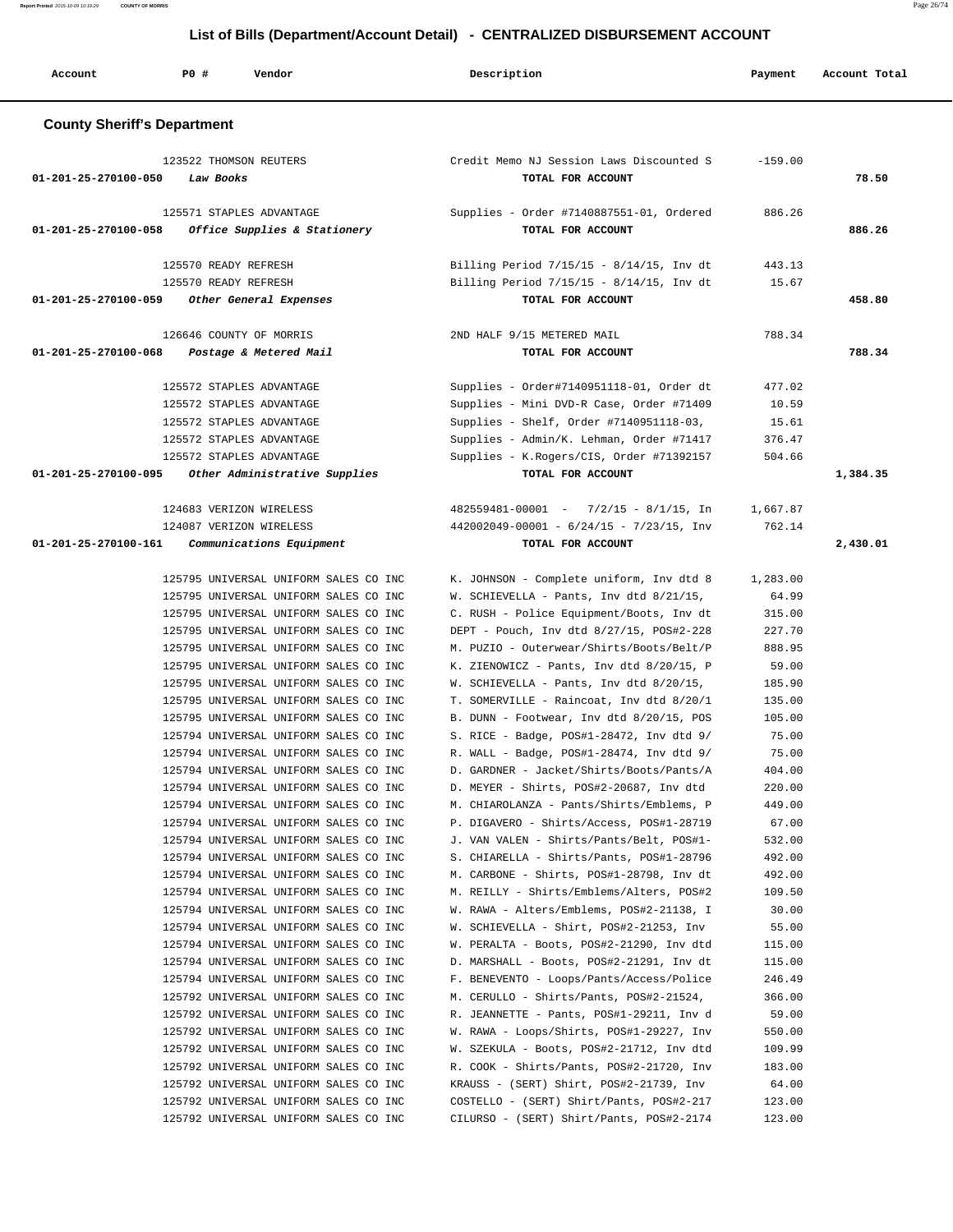**Report Printed** 2015-10-09 10:19:29 **COUNTY OF MORRIS** Page 26/74

# **List of Bills (Department/Account Detail) - CENTRALIZED DISBURSEMENT ACCOUNT**

| Account                            | P0 #      | Vendor                                                                                                                                                                                                                                                                                                                                                                                                                                                                                                                                                                                                                                                                                                                                                                                                                                                                                                                                                                                                                                                                                                                                                                                                                            | Description                                                                                                                                                                                                                                                                                                                                                                                                                                                                                                                                                                                                                                                                                                                                                                                                                                                                                                                                                                                                                                                                                                                                                                                                                                                                                                         | Payment                                                                                                                                                                                                                                                                                  | Account Total |
|------------------------------------|-----------|-----------------------------------------------------------------------------------------------------------------------------------------------------------------------------------------------------------------------------------------------------------------------------------------------------------------------------------------------------------------------------------------------------------------------------------------------------------------------------------------------------------------------------------------------------------------------------------------------------------------------------------------------------------------------------------------------------------------------------------------------------------------------------------------------------------------------------------------------------------------------------------------------------------------------------------------------------------------------------------------------------------------------------------------------------------------------------------------------------------------------------------------------------------------------------------------------------------------------------------|---------------------------------------------------------------------------------------------------------------------------------------------------------------------------------------------------------------------------------------------------------------------------------------------------------------------------------------------------------------------------------------------------------------------------------------------------------------------------------------------------------------------------------------------------------------------------------------------------------------------------------------------------------------------------------------------------------------------------------------------------------------------------------------------------------------------------------------------------------------------------------------------------------------------------------------------------------------------------------------------------------------------------------------------------------------------------------------------------------------------------------------------------------------------------------------------------------------------------------------------------------------------------------------------------------------------|------------------------------------------------------------------------------------------------------------------------------------------------------------------------------------------------------------------------------------------------------------------------------------------|---------------|
| <b>County Sheriff's Department</b> |           |                                                                                                                                                                                                                                                                                                                                                                                                                                                                                                                                                                                                                                                                                                                                                                                                                                                                                                                                                                                                                                                                                                                                                                                                                                   |                                                                                                                                                                                                                                                                                                                                                                                                                                                                                                                                                                                                                                                                                                                                                                                                                                                                                                                                                                                                                                                                                                                                                                                                                                                                                                                     |                                                                                                                                                                                                                                                                                          |               |
| 01-201-25-270100-050               | Law Books | 123522 THOMSON REUTERS                                                                                                                                                                                                                                                                                                                                                                                                                                                                                                                                                                                                                                                                                                                                                                                                                                                                                                                                                                                                                                                                                                                                                                                                            | Credit Memo NJ Session Laws Discounted S<br>TOTAL FOR ACCOUNT                                                                                                                                                                                                                                                                                                                                                                                                                                                                                                                                                                                                                                                                                                                                                                                                                                                                                                                                                                                                                                                                                                                                                                                                                                                       | $-159.00$                                                                                                                                                                                                                                                                                | 78.50         |
| 01-201-25-270100-058               |           | 125571 STAPLES ADVANTAGE<br>Office Supplies & Stationery                                                                                                                                                                                                                                                                                                                                                                                                                                                                                                                                                                                                                                                                                                                                                                                                                                                                                                                                                                                                                                                                                                                                                                          | Supplies - Order #7140887551-01, Ordered<br>TOTAL FOR ACCOUNT                                                                                                                                                                                                                                                                                                                                                                                                                                                                                                                                                                                                                                                                                                                                                                                                                                                                                                                                                                                                                                                                                                                                                                                                                                                       | 886.26                                                                                                                                                                                                                                                                                   | 886.26        |
| 01-201-25-270100-059               |           | 125570 READY REFRESH<br>125570 READY REFRESH<br>Other General Expenses                                                                                                                                                                                                                                                                                                                                                                                                                                                                                                                                                                                                                                                                                                                                                                                                                                                                                                                                                                                                                                                                                                                                                            | Billing Period $7/15/15 - 8/14/15$ , Inv dt<br>Billing Period $7/15/15 - 8/14/15$ , Inv dt<br>TOTAL FOR ACCOUNT                                                                                                                                                                                                                                                                                                                                                                                                                                                                                                                                                                                                                                                                                                                                                                                                                                                                                                                                                                                                                                                                                                                                                                                                     | 443.13<br>15.67                                                                                                                                                                                                                                                                          | 458.80        |
| 01-201-25-270100-068               |           | 126646 COUNTY OF MORRIS<br>Postage & Metered Mail                                                                                                                                                                                                                                                                                                                                                                                                                                                                                                                                                                                                                                                                                                                                                                                                                                                                                                                                                                                                                                                                                                                                                                                 | 2ND HALF 9/15 METERED MAIL<br>TOTAL FOR ACCOUNT                                                                                                                                                                                                                                                                                                                                                                                                                                                                                                                                                                                                                                                                                                                                                                                                                                                                                                                                                                                                                                                                                                                                                                                                                                                                     | 788.34                                                                                                                                                                                                                                                                                   | 788.34        |
|                                    |           | 125572 STAPLES ADVANTAGE<br>125572 STAPLES ADVANTAGE<br>125572 STAPLES ADVANTAGE<br>125572 STAPLES ADVANTAGE<br>125572 STAPLES ADVANTAGE                                                                                                                                                                                                                                                                                                                                                                                                                                                                                                                                                                                                                                                                                                                                                                                                                                                                                                                                                                                                                                                                                          | Supplies - Order#7140951118-01, Order dt<br>Supplies - Mini DVD-R Case, Order #71409<br>Supplies - Shelf, Order #7140951118-03,<br>Supplies - Admin/K. Lehman, Order #71417<br>Supplies - K.Rogers/CIS, Order #71392157                                                                                                                                                                                                                                                                                                                                                                                                                                                                                                                                                                                                                                                                                                                                                                                                                                                                                                                                                                                                                                                                                             | 477.02<br>10.59<br>15.61<br>376.47<br>504.66                                                                                                                                                                                                                                             |               |
| $01 - 201 - 25 - 270100 - 095$     |           | Other Administrative Supplies<br>124683 VERIZON WIRELESS<br>124087 VERIZON WIRELESS                                                                                                                                                                                                                                                                                                                                                                                                                                                                                                                                                                                                                                                                                                                                                                                                                                                                                                                                                                                                                                                                                                                                               | TOTAL FOR ACCOUNT<br>$482559481 - 00001$ - $7/2/15$ - $8/1/15$ , In<br>$442002049 - 00001 - 6/24/15 - 7/23/15$ , Inv                                                                                                                                                                                                                                                                                                                                                                                                                                                                                                                                                                                                                                                                                                                                                                                                                                                                                                                                                                                                                                                                                                                                                                                                | 1,667.87<br>762.14                                                                                                                                                                                                                                                                       | 1,384.35      |
|                                    |           | 125795 UNIVERSAL UNIFORM SALES CO INC<br>125795 UNIVERSAL UNIFORM SALES CO INC<br>125795 UNIVERSAL UNIFORM SALES CO INC<br>125795 UNIVERSAL UNIFORM SALES CO INC<br>125795 UNIVERSAL UNIFORM SALES CO INC<br>125795 UNIVERSAL UNIFORM SALES CO INC<br>125795 UNIVERSAL UNIFORM SALES CO INC<br>125795 UNIVERSAL UNIFORM SALES CO INC<br>125795 UNIVERSAL UNIFORM SALES CO INC<br>125794 UNIVERSAL UNIFORM SALES CO INC<br>125794 UNIVERSAL UNIFORM SALES CO INC<br>125794 UNIVERSAL UNIFORM SALES CO INC<br>125794 UNIVERSAL UNIFORM SALES CO INC<br>125794 UNIVERSAL UNIFORM SALES CO INC<br>125794 UNIVERSAL UNIFORM SALES CO INC<br>125794 UNIVERSAL UNIFORM SALES CO INC<br>125794 UNIVERSAL UNIFORM SALES CO INC<br>125794 UNIVERSAL UNIFORM SALES CO INC<br>125794 UNIVERSAL UNIFORM SALES CO INC<br>125794 UNIVERSAL UNIFORM SALES CO INC<br>125794 UNIVERSAL UNIFORM SALES CO INC<br>125794 UNIVERSAL UNIFORM SALES CO INC<br>125794 UNIVERSAL UNIFORM SALES CO INC<br>125794 UNIVERSAL UNIFORM SALES CO INC<br>125792 UNIVERSAL UNIFORM SALES CO INC<br>125792 UNIVERSAL UNIFORM SALES CO INC<br>125792 UNIVERSAL UNIFORM SALES CO INC<br>125792 UNIVERSAL UNIFORM SALES CO INC<br>125792 UNIVERSAL UNIFORM SALES CO INC | K. JOHNSON - Complete uniform, Inv dtd 8<br>W. SCHIEVELLA - Pants, Inv dtd 8/21/15,<br>C. RUSH - Police Equipment/Boots, Inv dt<br>DEPT - Pouch, Inv dtd 8/27/15, POS#2-228<br>M. PUZIO - Outerwear/Shirts/Boots/Belt/P<br>K. ZIENOWICZ - Pants, Inv dtd 8/20/15, P<br>W. SCHIEVELLA - Pants, Inv dtd 8/20/15,<br>T. SOMERVILLE - Raincoat, Inv dtd 8/20/1<br>B. DUNN - Footwear, Inv dtd 8/20/15, POS<br>S. RICE - Badge, POS#1-28472, Inv dtd 9/<br>R. WALL - Badge, POS#1-28474, Inv dtd 9/<br>D. GARDNER - Jacket/Shirts/Boots/Pants/A<br>D. MEYER - Shirts, POS#2-20687, Inv dtd<br>M. CHIAROLANZA - Pants/Shirts/Emblems, P<br>P. DIGAVERO - Shirts/Access, POS#1-28719<br>J. VAN VALEN - Shirts/Pants/Belt, POS#1-<br>S. CHIARELLA - Shirts/Pants, POS#1-28796<br>M. CARBONE - Shirts, POS#1-28798, Inv dt<br>M. REILLY - Shirts/Emblems/Alters, POS#2<br>W. RAWA - Alters/Emblems, POS#2-21138, I<br>W. SCHIEVELLA - Shirt, POS#2-21253, Inv<br>W. PERALTA - Boots, POS#2-21290, Inv dtd<br>D. MARSHALL - Boots, POS#2-21291, Inv dt<br>F. BENEVENTO - Loops/Pants/Access/Police<br>M. CERULLO - Shirts/Pants, POS#2-21524,<br>R. JEANNETTE - Pants, POS#1-29211, Inv d<br>W. RAWA - Loops/Shirts, POS#1-29227, Inv<br>W. SZEKULA - Boots, POS#2-21712, Inv dtd<br>R. COOK - Shirts/Pants, POS#2-21720, Inv | 1,283.00<br>64.99<br>315.00<br>227.70<br>888.95<br>59.00<br>185.90<br>135.00<br>105.00<br>75.00<br>75.00<br>404.00<br>220.00<br>449.00<br>67.00<br>532.00<br>492.00<br>492.00<br>109.50<br>30.00<br>55.00<br>115.00<br>115.00<br>246.49<br>366.00<br>59.00<br>550.00<br>109.99<br>183.00 |               |
|                                    |           | 125792 UNIVERSAL UNIFORM SALES CO INC<br>125792 UNIVERSAL UNIFORM SALES CO INC<br>125792 UNIVERSAL UNIFORM SALES CO INC                                                                                                                                                                                                                                                                                                                                                                                                                                                                                                                                                                                                                                                                                                                                                                                                                                                                                                                                                                                                                                                                                                           | KRAUSS - (SERT) Shirt, POS#2-21739, Inv<br>COSTELLO - (SERT) Shirt/Pants, POS#2-217<br>CILURSO - (SERT) Shirt/Pants, POS#2-2174                                                                                                                                                                                                                                                                                                                                                                                                                                                                                                                                                                                                                                                                                                                                                                                                                                                                                                                                                                                                                                                                                                                                                                                     | 64.00<br>123.00<br>123.00                                                                                                                                                                                                                                                                |               |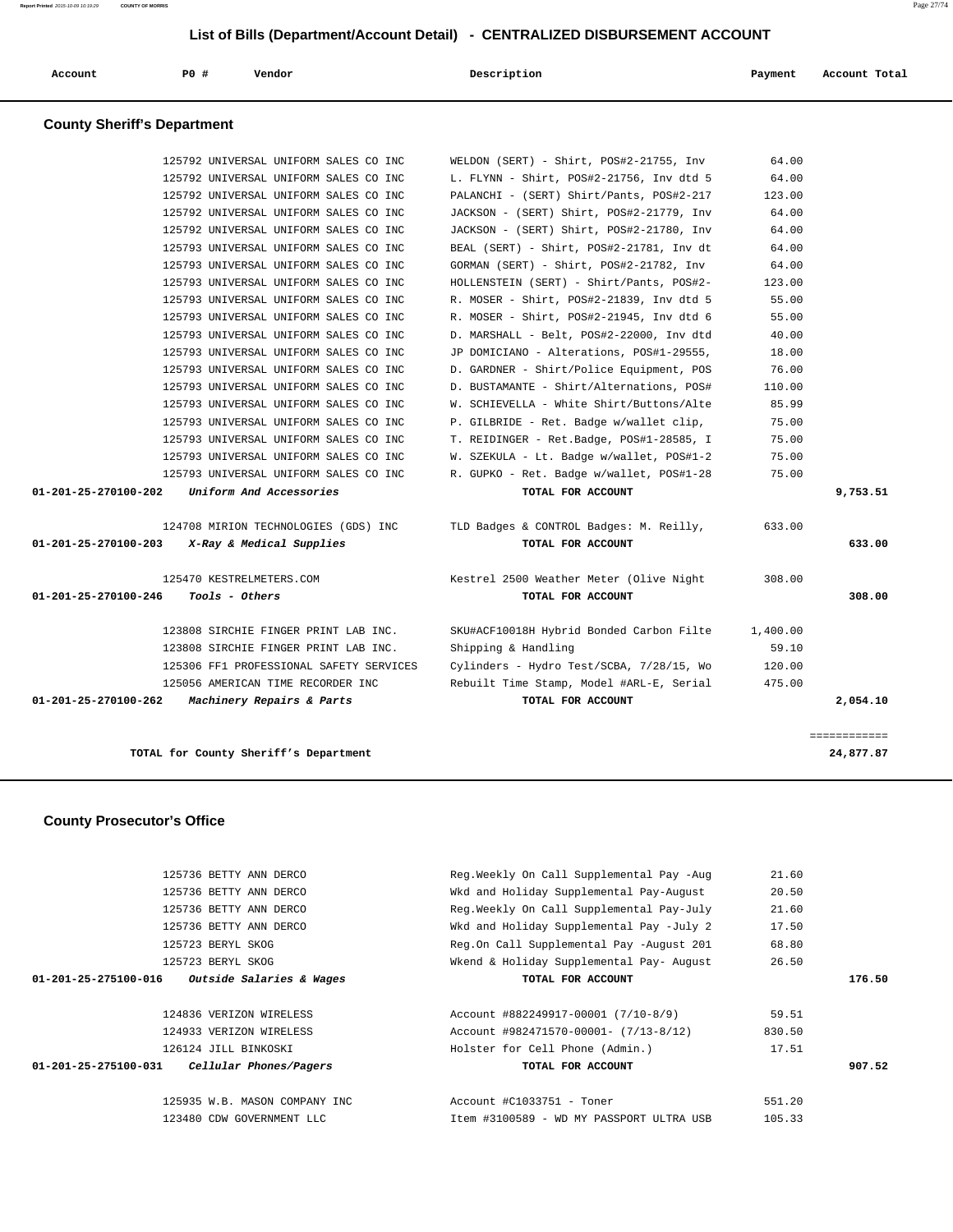| Account | P0 | Vendor | Description | Payment | Account Total |
|---------|----|--------|-------------|---------|---------------|
|---------|----|--------|-------------|---------|---------------|

# **County Sheriff's Department**

|                      | TOTAL for County Sheriff's Department                                          |                                                                                      |                 | 24,877.87    |
|----------------------|--------------------------------------------------------------------------------|--------------------------------------------------------------------------------------|-----------------|--------------|
|                      |                                                                                |                                                                                      |                 | ------------ |
| 01-201-25-270100-262 | 125056 AMERICAN TIME RECORDER INC<br>Machinery Repairs & Parts                 | Rebuilt Time Stamp, Model #ARL-E, Serial<br>TOTAL FOR ACCOUNT                        | 475.00          | 2,054.10     |
|                      | 125306 FF1 PROFESSIONAL SAFETY SERVICES                                        | Cylinders - Hydro Test/SCBA, 7/28/15, Wo                                             | 120.00          |              |
|                      | 123808 SIRCHIE FINGER PRINT LAB INC.                                           | Shipping & Handling                                                                  | 59.10           |              |
|                      | 123808 SIRCHIE FINGER PRINT LAB INC.                                           | SKU#ACF10018H Hybrid Bonded Carbon Filte                                             | 1,400.00        |              |
| 01-201-25-270100-246 | Tools - Others                                                                 | TOTAL FOR ACCOUNT                                                                    |                 | 308.00       |
|                      | 125470 KESTRELMETERS.COM                                                       | Kestrel 2500 Weather Meter (Olive Night                                              | 308.00          |              |
| 01-201-25-270100-203 | X-Ray & Medical Supplies                                                       | TOTAL FOR ACCOUNT                                                                    |                 | 633.00       |
|                      | 124708 MIRION TECHNOLOGIES (GDS) INC                                           | TLD Badges & CONTROL Badges: M. Reilly,                                              | 633.00          |              |
| 01-201-25-270100-202 | Uniform And Accessories                                                        | TOTAL FOR ACCOUNT                                                                    |                 | 9,753.51     |
|                      | 125793 UNIVERSAL UNIFORM SALES CO INC                                          | R. GUPKO - Ret. Badge w/wallet, POS#1-28                                             | 75.00           |              |
|                      | 125793 UNIVERSAL UNIFORM SALES CO INC                                          | W. SZEKULA - Lt. Badge w/wallet, POS#1-2                                             | 75.00           |              |
|                      | 125793 UNIVERSAL UNIFORM SALES CO INC                                          | T. REIDINGER - Ret.Badge, POS#1-28585, I                                             | 75.00           |              |
|                      | 125793 UNIVERSAL UNIFORM SALES CO INC                                          | P. GILBRIDE - Ret. Badge w/wallet clip,                                              | 75.00           |              |
|                      | 125793 UNIVERSAL UNIFORM SALES CO INC                                          | W. SCHIEVELLA - White Shirt/Buttons/Alte                                             | 85.99           |              |
|                      | 125793 UNIVERSAL UNIFORM SALES CO INC                                          | D. BUSTAMANTE - Shirt/Alternations, POS#                                             | 110.00          |              |
|                      | 125793 UNIVERSAL UNIFORM SALES CO INC                                          | D. GARDNER - Shirt/Police Equipment, POS                                             | 76.00           |              |
|                      | 125793 UNIVERSAL UNIFORM SALES CO INC                                          | JP DOMICIANO - Alterations, POS#1-29555,                                             | 18.00           |              |
|                      | 125793 UNIVERSAL UNIFORM SALES CO INC                                          | D. MARSHALL - Belt, POS#2-22000, Inv dtd                                             | 40.00           |              |
|                      | 125793 UNIVERSAL UNIFORM SALES CO INC                                          | R. MOSER - Shirt, POS#2-21945, Inv dtd 6                                             | 55.00           |              |
|                      | 125793 UNIVERSAL UNIFORM SALES CO INC<br>125793 UNIVERSAL UNIFORM SALES CO INC | HOLLENSTEIN (SERT) - Shirt/Pants, POS#2-<br>R. MOSER - Shirt, POS#2-21839, Inv dtd 5 | 123.00<br>55.00 |              |
|                      | 125793 UNIVERSAL UNIFORM SALES CO INC                                          | GORMAN (SERT) - Shirt, POS#2-21782, Inv                                              | 64.00           |              |
|                      | 125793 UNIVERSAL UNIFORM SALES CO INC                                          | BEAL (SERT) - Shirt, POS#2-21781, Inv dt                                             | 64.00           |              |
|                      | 125792 UNIVERSAL UNIFORM SALES CO INC                                          | JACKSON - (SERT) Shirt, POS#2-21780, Inv                                             | 64.00           |              |
|                      | 125792 UNIVERSAL UNIFORM SALES CO INC                                          | JACKSON - (SERT) Shirt, POS#2-21779, Inv                                             | 64.00           |              |
|                      | 125792 UNIVERSAL UNIFORM SALES CO INC                                          | PALANCHI - (SERT) Shirt/Pants, POS#2-217                                             | 123.00          |              |
|                      | 125792 UNIVERSAL UNIFORM SALES CO INC                                          | L. FLYNN - Shirt, POS#2-21756, Inv dtd 5                                             | 64.00           |              |
|                      |                                                                                |                                                                                      |                 |              |

## **County Prosecutor's Office**

| 125736 BETTY ANN DERCO                                      | Reg.Weekly On Call Supplemental Pay -Aug | 21.60  |        |
|-------------------------------------------------------------|------------------------------------------|--------|--------|
| 125736 BETTY ANN DERCO                                      | Wkd and Holiday Supplemental Pay-August  | 20.50  |        |
| 125736 BETTY ANN DERCO                                      | Reg.Weekly On Call Supplemental Pay-July | 21.60  |        |
| 125736 BETTY ANN DERCO                                      | Wkd and Holiday Supplemental Pay -July 2 | 17.50  |        |
| 125723 BERYL SKOG                                           | Reg.On Call Supplemental Pay -August 201 | 68.80  |        |
| 125723 BERYL SKOG                                           | Wkend & Holiday Supplemental Pay- August | 26.50  |        |
| <i>Outside Salaries &amp; Wages</i><br>01-201-25-275100-016 | TOTAL FOR ACCOUNT                        |        | 176.50 |
|                                                             |                                          |        |        |
| 124836 VERIZON WIRELESS                                     | Account #882249917-00001 (7/10-8/9)      | 59.51  |        |
| 124933 VERIZON WIRELESS                                     | Account #982471570-00001- (7/13-8/12)    | 830.50 |        |
| 126124 JILL BINKOSKI                                        | Holster for Cell Phone (Admin.)          | 17.51  |        |
| 01-201-25-275100-031<br>Cellular Phones/Pagers              | TOTAL FOR ACCOUNT                        |        | 907.52 |
|                                                             |                                          |        |        |
| 125935 W.B. MASON COMPANY INC                               | Account #C1033751 - Toner                | 551.20 |        |
| 123480 CDW GOVERNMENT LLC                                   | Item #3100589 - WD MY PASSPORT ULTRA USB | 105.33 |        |
|                                                             |                                          |        |        |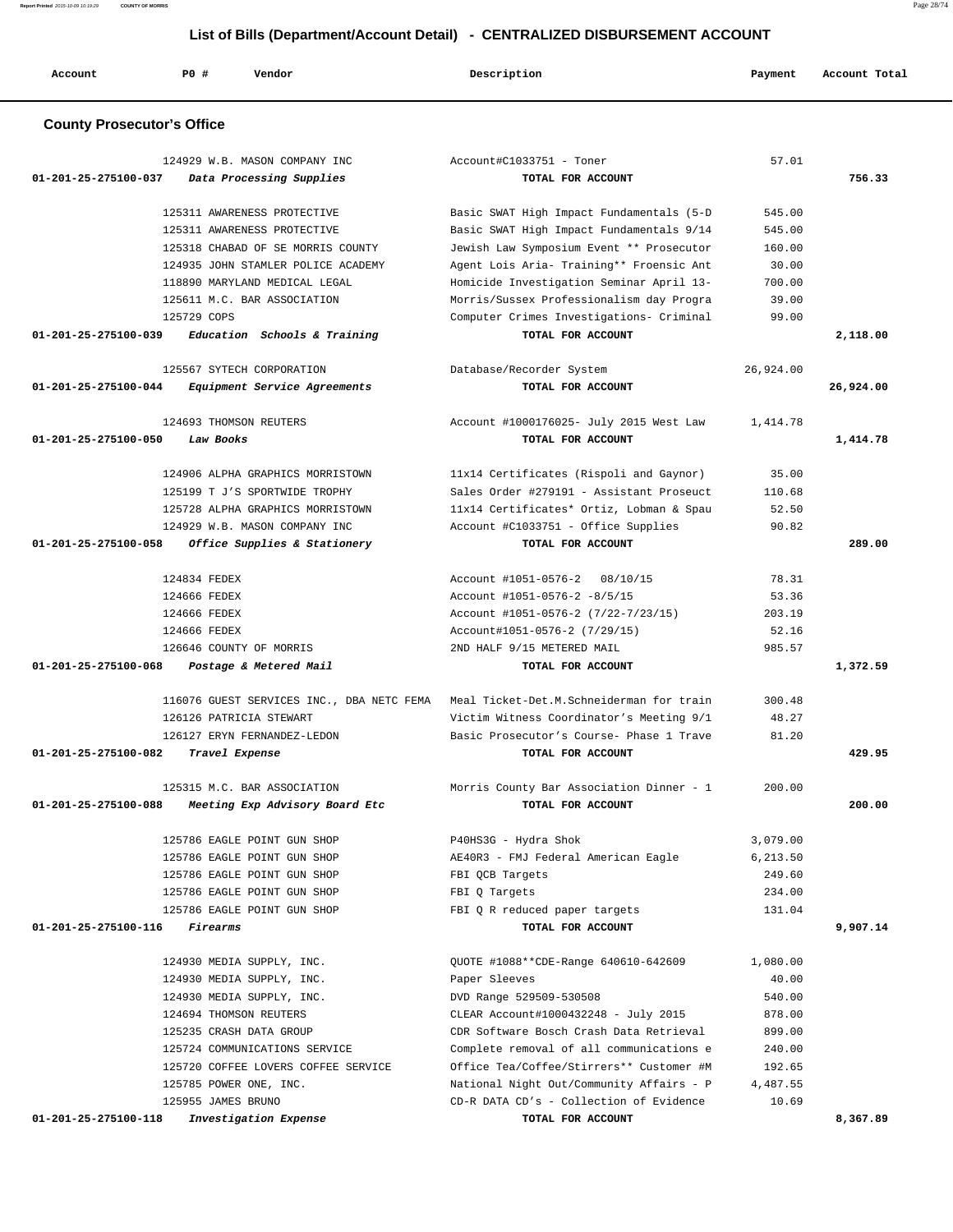| Account                           | <b>PO #</b><br>Vendor                                               | Description                                                                          | Payment              | Account Total |
|-----------------------------------|---------------------------------------------------------------------|--------------------------------------------------------------------------------------|----------------------|---------------|
| <b>County Prosecutor's Office</b> |                                                                     |                                                                                      |                      |               |
|                                   | 124929 W.B. MASON COMPANY INC                                       | Account#C1033751 - Toner                                                             | 57.01                |               |
| 01-201-25-275100-037              | Data Processing Supplies                                            | TOTAL FOR ACCOUNT                                                                    |                      | 756.33        |
|                                   |                                                                     |                                                                                      |                      |               |
|                                   | 125311 AWARENESS PROTECTIVE                                         | Basic SWAT High Impact Fundamentals (5-D                                             | 545.00               |               |
|                                   | 125311 AWARENESS PROTECTIVE                                         | Basic SWAT High Impact Fundamentals 9/14                                             | 545.00               |               |
|                                   | 125318 CHABAD OF SE MORRIS COUNTY                                   | Jewish Law Symposium Event ** Prosecutor                                             | 160.00<br>30.00      |               |
|                                   | 124935 JOHN STAMLER POLICE ACADEMY<br>118890 MARYLAND MEDICAL LEGAL | Agent Lois Aria- Training** Froensic Ant<br>Homicide Investigation Seminar April 13- | 700.00               |               |
|                                   | 125611 M.C. BAR ASSOCIATION                                         | Morris/Sussex Professionalism day Progra                                             | 39.00                |               |
|                                   | 125729 COPS                                                         | Computer Crimes Investigations- Criminal                                             | 99.00                |               |
| 01-201-25-275100-039              | Education Schools & Training                                        | TOTAL FOR ACCOUNT                                                                    |                      | 2,118.00      |
|                                   | 125567 SYTECH CORPORATION                                           | Database/Recorder System                                                             | 26,924.00            |               |
| 01-201-25-275100-044              | Equipment Service Agreements                                        | TOTAL FOR ACCOUNT                                                                    |                      | 26,924.00     |
|                                   | 124693 THOMSON REUTERS                                              | Account #1000176025- July 2015 West Law                                              | 1,414.78             |               |
| 01-201-25-275100-050              | Law Books                                                           | TOTAL FOR ACCOUNT                                                                    |                      | 1,414.78      |
|                                   |                                                                     |                                                                                      |                      |               |
|                                   | 124906 ALPHA GRAPHICS MORRISTOWN                                    | 11x14 Certificates (Rispoli and Gaynor)                                              | 35.00                |               |
|                                   | 125199 T J'S SPORTWIDE TROPHY                                       | Sales Order #279191 - Assistant Proseuct                                             | 110.68               |               |
|                                   | 125728 ALPHA GRAPHICS MORRISTOWN                                    | 11x14 Certificates* Ortiz, Lobman & Spau                                             | 52.50                |               |
|                                   | 124929 W.B. MASON COMPANY INC                                       | Account #C1033751 - Office Supplies                                                  | 90.82                |               |
| 01-201-25-275100-058              | Office Supplies & Stationery                                        | TOTAL FOR ACCOUNT                                                                    |                      | 289.00        |
|                                   | 124834 FEDEX                                                        | Account #1051-0576-2<br>08/10/15                                                     | 78.31                |               |
|                                   | 124666 FEDEX                                                        | Account #1051-0576-2 -8/5/15                                                         | 53.36                |               |
|                                   | 124666 FEDEX                                                        | Account #1051-0576-2 (7/22-7/23/15)                                                  | 203.19               |               |
|                                   | 124666 FEDEX                                                        | Account#1051-0576-2 (7/29/15)                                                        | 52.16                |               |
|                                   | 126646 COUNTY OF MORRIS                                             | 2ND HALF 9/15 METERED MAIL                                                           | 985.57               |               |
| 01-201-25-275100-068              | Postage & Metered Mail                                              | TOTAL FOR ACCOUNT                                                                    |                      | 1,372.59      |
|                                   | 116076 GUEST SERVICES INC., DBA NETC FEMA                           | Meal Ticket-Det.M.Schneiderman for train                                             | 300.48               |               |
|                                   | 126126 PATRICIA STEWART                                             | Victim Witness Coordinator's Meeting 9/1                                             | 48.27                |               |
|                                   | 126127 ERYN FERNANDEZ-LEDON                                         | Basic Prosecutor's Course- Phase 1 Trave                                             | 81.20                |               |
| 01-201-25-275100-082              | Travel Expense                                                      | TOTAL FOR ACCOUNT                                                                    |                      | 429.95        |
|                                   | 125315 M.C. BAR ASSOCIATION                                         | Morris County Bar Association Dinner - 1                                             | 200.00               |               |
| 01-201-25-275100-088              | Meeting Exp Advisory Board Etc                                      | TOTAL FOR ACCOUNT                                                                    |                      | 200.00        |
|                                   |                                                                     |                                                                                      |                      |               |
|                                   | 125786 EAGLE POINT GUN SHOP<br>125786 EAGLE POINT GUN SHOP          | P40HS3G - Hydra Shok<br>AE40R3 - FMJ Federal American Eagle                          | 3,079.00<br>6,213.50 |               |
|                                   | 125786 EAGLE POINT GUN SHOP                                         | FBI OCB Targets                                                                      | 249.60               |               |
|                                   | 125786 EAGLE POINT GUN SHOP                                         | FBI Q Targets                                                                        | 234.00               |               |
|                                   | 125786 EAGLE POINT GUN SHOP                                         | FBI Q R reduced paper targets                                                        | 131.04               |               |
| 01-201-25-275100-116              | <i>Firearms</i>                                                     | TOTAL FOR ACCOUNT                                                                    |                      | 9,907.14      |
|                                   |                                                                     |                                                                                      |                      |               |
|                                   | 124930 MEDIA SUPPLY, INC.                                           | QUOTE #1088**CDE-Range 640610-642609                                                 | 1,080.00<br>40.00    |               |
|                                   | 124930 MEDIA SUPPLY, INC.<br>124930 MEDIA SUPPLY, INC.              | Paper Sleeves<br>DVD Range 529509-530508                                             | 540.00               |               |
|                                   | 124694 THOMSON REUTERS                                              | CLEAR Account#1000432248 - July 2015                                                 | 878.00               |               |
|                                   | 125235 CRASH DATA GROUP                                             | CDR Software Bosch Crash Data Retrieval                                              | 899.00               |               |
|                                   | 125724 COMMUNICATIONS SERVICE                                       | Complete removal of all communications e                                             | 240.00               |               |
|                                   | 125720 COFFEE LOVERS COFFEE SERVICE                                 | Office Tea/Coffee/Stirrers** Customer #M                                             | 192.65               |               |
|                                   | 125785 POWER ONE, INC.                                              | National Night Out/Community Affairs - P                                             | 4,487.55             |               |
|                                   | 125955 JAMES BRUNO                                                  | CD-R DATA CD's - Collection of Evidence                                              | 10.69                |               |
| 01-201-25-275100-118              | Investigation Expense                                               | TOTAL FOR ACCOUNT                                                                    |                      | 8,367.89      |

**Report Printed** 2015-10-09 10:19:29 **COUNTY OF MORRIS** Page 28/74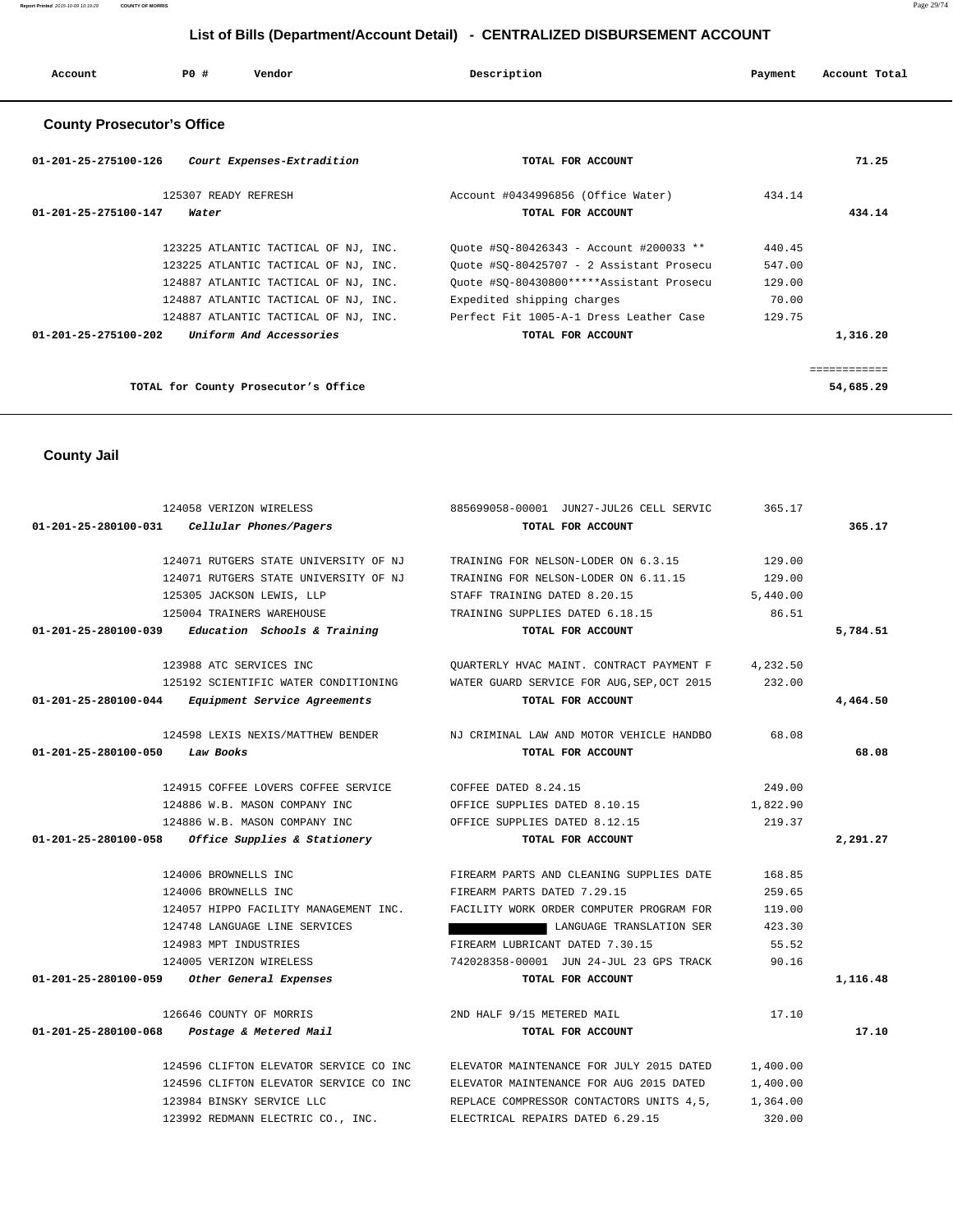| Account | <b>PO #</b> | Vendor | Description | Payment | Account Total |
|---------|-------------|--------|-------------|---------|---------------|
|         |             |        |             |         |               |

# **County Prosecutor's Office**

| 01-201-25-275100-126<br>Court Expenses-Extradition        | TOTAL FOR ACCOUNT                        | 71.25        |
|-----------------------------------------------------------|------------------------------------------|--------------|
| 125307 READY REFRESH                                      | Account #0434996856 (Office Water)       | 434.14       |
| 01-201-25-275100-147<br>Water                             | TOTAL FOR ACCOUNT                        | 434.14       |
| 123225 ATLANTIC TACTICAL OF NJ, INC.                      | Ouote #SO-80426343 - Account #200033 **  | 440.45       |
| 123225 ATLANTIC TACTICAL OF NJ, INC.                      | Ouote #SO-80425707 - 2 Assistant Prosecu | 547.00       |
| 124887 ATLANTIC TACTICAL OF NJ, INC.                      | Ouote #SO-80430800*****Assistant Prosecu | 129.00       |
| 124887 ATLANTIC TACTICAL OF NJ, INC.                      | Expedited shipping charges               | 70.00        |
| 124887 ATLANTIC TACTICAL OF NJ, INC.                      | Perfect Fit 1005-A-1 Dress Leather Case  | 129.75       |
| Uniform And Accessories<br>$01 - 201 - 25 - 275100 - 202$ | TOTAL FOR ACCOUNT                        | 1,316.20     |
|                                                           |                                          | ============ |
| TOTAL for County Prosecutor's Office                      |                                          | 54,685.29    |

 **County Jail** 

| $01-201-25-280100-031$ Cellular Phones/Pagers<br>TOTAL FOR ACCOUNT<br>365.17<br>129.00<br>124071 RUTGERS STATE UNIVERSITY OF NJ<br>TRAINING FOR NELSON-LODER ON 6.3.15<br>124071 RUTGERS STATE UNIVERSITY OF NJ<br>129.00<br>TRAINING FOR NELSON-LODER ON 6.11.15<br>125305 JACKSON LEWIS, LLP<br>STAFF TRAINING DATED 8.20.15<br>5,440.00<br>125004 TRAINERS WAREHOUSE<br>86.51<br>TRAINING SUPPLIES DATED 6.18.15<br>$01-201-25-280100-039$ Education Schools & Training<br>TOTAL FOR ACCOUNT<br>5,784.51<br>123988 ATC SERVICES INC<br>4,232.50<br>OUARTERLY HVAC MAINT. CONTRACT PAYMENT F<br>125192 SCIENTIFIC WATER CONDITIONING<br>WATER GUARD SERVICE FOR AUG, SEP, OCT 2015<br>232.00<br>01-201-25-280100-044 Equipment Service Agreements<br>4,464.50<br>TOTAL FOR ACCOUNT<br>124598 LEXIS NEXIS/MATTHEW BENDER NJ CRIMINAL LAW AND MOTOR VEHICLE HANDBO<br>68.08<br>68.08<br>01-201-25-280100-050 Law Books<br>TOTAL FOR ACCOUNT<br>249.00<br>124915 COFFEE LOVERS COFFEE SERVICE<br>COFFEE DATED 8.24.15<br>124886 W.B. MASON COMPANY INC<br>OFFICE SUPPLIES DATED 8.10.15<br>1,822.90<br>124886 W.B. MASON COMPANY INC<br>OFFICE SUPPLIES DATED 8.12.15<br>219.37<br>01-201-25-280100-058 Office Supplies & Stationery<br>2,291.27<br>TOTAL FOR ACCOUNT<br>124006 BROWNELLS INC<br>FIREARM PARTS AND CLEANING SUPPLIES DATE<br>168.85<br>259.65<br>124006 BROWNELLS INC<br>FIREARM PARTS DATED 7.29.15<br>124057 HIPPO FACILITY MANAGEMENT INC.<br>FACILITY WORK ORDER COMPUTER PROGRAM FOR<br>119.00<br>124748 LANGUAGE LINE SERVICES<br>LANGUAGE TRANSLATION SER<br>423.30<br>FIREARM LUBRICANT DATED 7.30.15<br>55.52<br>124983 MPT INDUSTRIES<br>124005 VERIZON WIRELESS<br>742028358-00001 JUN 24-JUL 23 GPS TRACK<br>90.16<br>01-201-25-280100-059 Other General Expenses<br>TOTAL FOR ACCOUNT<br>1,116.48<br>126646 COUNTY OF MORRIS<br>2ND HALF 9/15 METERED MAIL<br>17.10<br>01-201-25-280100-068 Postage & Metered Mail<br>17.10<br>TOTAL FOR ACCOUNT<br>124596 CLIFTON ELEVATOR SERVICE CO INC<br>1,400.00<br>ELEVATOR MAINTENANCE FOR JULY 2015 DATED<br>124596 CLIFTON ELEVATOR SERVICE CO INC<br>ELEVATOR MAINTENANCE FOR AUG 2015 DATED<br>1,400.00<br>123984 BINSKY SERVICE LLC<br>REPLACE COMPRESSOR CONTACTORS UNITS 4,5,<br>1,364.00 | 124058 VERIZON WIRELESS           | 885699058-00001 JUN27-JUL26 CELL SERVIC | 365.17 |  |
|----------------------------------------------------------------------------------------------------------------------------------------------------------------------------------------------------------------------------------------------------------------------------------------------------------------------------------------------------------------------------------------------------------------------------------------------------------------------------------------------------------------------------------------------------------------------------------------------------------------------------------------------------------------------------------------------------------------------------------------------------------------------------------------------------------------------------------------------------------------------------------------------------------------------------------------------------------------------------------------------------------------------------------------------------------------------------------------------------------------------------------------------------------------------------------------------------------------------------------------------------------------------------------------------------------------------------------------------------------------------------------------------------------------------------------------------------------------------------------------------------------------------------------------------------------------------------------------------------------------------------------------------------------------------------------------------------------------------------------------------------------------------------------------------------------------------------------------------------------------------------------------------------------------------------------------------------------------------------------------------------------------------------------------------------------------------------------------------------------------------------------------------------------------------------------------------------------------------------------------------------------------------|-----------------------------------|-----------------------------------------|--------|--|
|                                                                                                                                                                                                                                                                                                                                                                                                                                                                                                                                                                                                                                                                                                                                                                                                                                                                                                                                                                                                                                                                                                                                                                                                                                                                                                                                                                                                                                                                                                                                                                                                                                                                                                                                                                                                                                                                                                                                                                                                                                                                                                                                                                                                                                                                      |                                   |                                         |        |  |
|                                                                                                                                                                                                                                                                                                                                                                                                                                                                                                                                                                                                                                                                                                                                                                                                                                                                                                                                                                                                                                                                                                                                                                                                                                                                                                                                                                                                                                                                                                                                                                                                                                                                                                                                                                                                                                                                                                                                                                                                                                                                                                                                                                                                                                                                      |                                   |                                         |        |  |
|                                                                                                                                                                                                                                                                                                                                                                                                                                                                                                                                                                                                                                                                                                                                                                                                                                                                                                                                                                                                                                                                                                                                                                                                                                                                                                                                                                                                                                                                                                                                                                                                                                                                                                                                                                                                                                                                                                                                                                                                                                                                                                                                                                                                                                                                      |                                   |                                         |        |  |
|                                                                                                                                                                                                                                                                                                                                                                                                                                                                                                                                                                                                                                                                                                                                                                                                                                                                                                                                                                                                                                                                                                                                                                                                                                                                                                                                                                                                                                                                                                                                                                                                                                                                                                                                                                                                                                                                                                                                                                                                                                                                                                                                                                                                                                                                      |                                   |                                         |        |  |
|                                                                                                                                                                                                                                                                                                                                                                                                                                                                                                                                                                                                                                                                                                                                                                                                                                                                                                                                                                                                                                                                                                                                                                                                                                                                                                                                                                                                                                                                                                                                                                                                                                                                                                                                                                                                                                                                                                                                                                                                                                                                                                                                                                                                                                                                      |                                   |                                         |        |  |
|                                                                                                                                                                                                                                                                                                                                                                                                                                                                                                                                                                                                                                                                                                                                                                                                                                                                                                                                                                                                                                                                                                                                                                                                                                                                                                                                                                                                                                                                                                                                                                                                                                                                                                                                                                                                                                                                                                                                                                                                                                                                                                                                                                                                                                                                      |                                   |                                         |        |  |
|                                                                                                                                                                                                                                                                                                                                                                                                                                                                                                                                                                                                                                                                                                                                                                                                                                                                                                                                                                                                                                                                                                                                                                                                                                                                                                                                                                                                                                                                                                                                                                                                                                                                                                                                                                                                                                                                                                                                                                                                                                                                                                                                                                                                                                                                      |                                   |                                         |        |  |
|                                                                                                                                                                                                                                                                                                                                                                                                                                                                                                                                                                                                                                                                                                                                                                                                                                                                                                                                                                                                                                                                                                                                                                                                                                                                                                                                                                                                                                                                                                                                                                                                                                                                                                                                                                                                                                                                                                                                                                                                                                                                                                                                                                                                                                                                      |                                   |                                         |        |  |
|                                                                                                                                                                                                                                                                                                                                                                                                                                                                                                                                                                                                                                                                                                                                                                                                                                                                                                                                                                                                                                                                                                                                                                                                                                                                                                                                                                                                                                                                                                                                                                                                                                                                                                                                                                                                                                                                                                                                                                                                                                                                                                                                                                                                                                                                      |                                   |                                         |        |  |
|                                                                                                                                                                                                                                                                                                                                                                                                                                                                                                                                                                                                                                                                                                                                                                                                                                                                                                                                                                                                                                                                                                                                                                                                                                                                                                                                                                                                                                                                                                                                                                                                                                                                                                                                                                                                                                                                                                                                                                                                                                                                                                                                                                                                                                                                      |                                   |                                         |        |  |
|                                                                                                                                                                                                                                                                                                                                                                                                                                                                                                                                                                                                                                                                                                                                                                                                                                                                                                                                                                                                                                                                                                                                                                                                                                                                                                                                                                                                                                                                                                                                                                                                                                                                                                                                                                                                                                                                                                                                                                                                                                                                                                                                                                                                                                                                      |                                   |                                         |        |  |
|                                                                                                                                                                                                                                                                                                                                                                                                                                                                                                                                                                                                                                                                                                                                                                                                                                                                                                                                                                                                                                                                                                                                                                                                                                                                                                                                                                                                                                                                                                                                                                                                                                                                                                                                                                                                                                                                                                                                                                                                                                                                                                                                                                                                                                                                      |                                   |                                         |        |  |
|                                                                                                                                                                                                                                                                                                                                                                                                                                                                                                                                                                                                                                                                                                                                                                                                                                                                                                                                                                                                                                                                                                                                                                                                                                                                                                                                                                                                                                                                                                                                                                                                                                                                                                                                                                                                                                                                                                                                                                                                                                                                                                                                                                                                                                                                      |                                   |                                         |        |  |
|                                                                                                                                                                                                                                                                                                                                                                                                                                                                                                                                                                                                                                                                                                                                                                                                                                                                                                                                                                                                                                                                                                                                                                                                                                                                                                                                                                                                                                                                                                                                                                                                                                                                                                                                                                                                                                                                                                                                                                                                                                                                                                                                                                                                                                                                      |                                   |                                         |        |  |
|                                                                                                                                                                                                                                                                                                                                                                                                                                                                                                                                                                                                                                                                                                                                                                                                                                                                                                                                                                                                                                                                                                                                                                                                                                                                                                                                                                                                                                                                                                                                                                                                                                                                                                                                                                                                                                                                                                                                                                                                                                                                                                                                                                                                                                                                      |                                   |                                         |        |  |
|                                                                                                                                                                                                                                                                                                                                                                                                                                                                                                                                                                                                                                                                                                                                                                                                                                                                                                                                                                                                                                                                                                                                                                                                                                                                                                                                                                                                                                                                                                                                                                                                                                                                                                                                                                                                                                                                                                                                                                                                                                                                                                                                                                                                                                                                      |                                   |                                         |        |  |
|                                                                                                                                                                                                                                                                                                                                                                                                                                                                                                                                                                                                                                                                                                                                                                                                                                                                                                                                                                                                                                                                                                                                                                                                                                                                                                                                                                                                                                                                                                                                                                                                                                                                                                                                                                                                                                                                                                                                                                                                                                                                                                                                                                                                                                                                      |                                   |                                         |        |  |
|                                                                                                                                                                                                                                                                                                                                                                                                                                                                                                                                                                                                                                                                                                                                                                                                                                                                                                                                                                                                                                                                                                                                                                                                                                                                                                                                                                                                                                                                                                                                                                                                                                                                                                                                                                                                                                                                                                                                                                                                                                                                                                                                                                                                                                                                      |                                   |                                         |        |  |
|                                                                                                                                                                                                                                                                                                                                                                                                                                                                                                                                                                                                                                                                                                                                                                                                                                                                                                                                                                                                                                                                                                                                                                                                                                                                                                                                                                                                                                                                                                                                                                                                                                                                                                                                                                                                                                                                                                                                                                                                                                                                                                                                                                                                                                                                      |                                   |                                         |        |  |
|                                                                                                                                                                                                                                                                                                                                                                                                                                                                                                                                                                                                                                                                                                                                                                                                                                                                                                                                                                                                                                                                                                                                                                                                                                                                                                                                                                                                                                                                                                                                                                                                                                                                                                                                                                                                                                                                                                                                                                                                                                                                                                                                                                                                                                                                      |                                   |                                         |        |  |
|                                                                                                                                                                                                                                                                                                                                                                                                                                                                                                                                                                                                                                                                                                                                                                                                                                                                                                                                                                                                                                                                                                                                                                                                                                                                                                                                                                                                                                                                                                                                                                                                                                                                                                                                                                                                                                                                                                                                                                                                                                                                                                                                                                                                                                                                      |                                   |                                         |        |  |
|                                                                                                                                                                                                                                                                                                                                                                                                                                                                                                                                                                                                                                                                                                                                                                                                                                                                                                                                                                                                                                                                                                                                                                                                                                                                                                                                                                                                                                                                                                                                                                                                                                                                                                                                                                                                                                                                                                                                                                                                                                                                                                                                                                                                                                                                      |                                   |                                         |        |  |
|                                                                                                                                                                                                                                                                                                                                                                                                                                                                                                                                                                                                                                                                                                                                                                                                                                                                                                                                                                                                                                                                                                                                                                                                                                                                                                                                                                                                                                                                                                                                                                                                                                                                                                                                                                                                                                                                                                                                                                                                                                                                                                                                                                                                                                                                      |                                   |                                         |        |  |
|                                                                                                                                                                                                                                                                                                                                                                                                                                                                                                                                                                                                                                                                                                                                                                                                                                                                                                                                                                                                                                                                                                                                                                                                                                                                                                                                                                                                                                                                                                                                                                                                                                                                                                                                                                                                                                                                                                                                                                                                                                                                                                                                                                                                                                                                      |                                   |                                         |        |  |
|                                                                                                                                                                                                                                                                                                                                                                                                                                                                                                                                                                                                                                                                                                                                                                                                                                                                                                                                                                                                                                                                                                                                                                                                                                                                                                                                                                                                                                                                                                                                                                                                                                                                                                                                                                                                                                                                                                                                                                                                                                                                                                                                                                                                                                                                      |                                   |                                         |        |  |
|                                                                                                                                                                                                                                                                                                                                                                                                                                                                                                                                                                                                                                                                                                                                                                                                                                                                                                                                                                                                                                                                                                                                                                                                                                                                                                                                                                                                                                                                                                                                                                                                                                                                                                                                                                                                                                                                                                                                                                                                                                                                                                                                                                                                                                                                      |                                   |                                         |        |  |
|                                                                                                                                                                                                                                                                                                                                                                                                                                                                                                                                                                                                                                                                                                                                                                                                                                                                                                                                                                                                                                                                                                                                                                                                                                                                                                                                                                                                                                                                                                                                                                                                                                                                                                                                                                                                                                                                                                                                                                                                                                                                                                                                                                                                                                                                      |                                   |                                         |        |  |
|                                                                                                                                                                                                                                                                                                                                                                                                                                                                                                                                                                                                                                                                                                                                                                                                                                                                                                                                                                                                                                                                                                                                                                                                                                                                                                                                                                                                                                                                                                                                                                                                                                                                                                                                                                                                                                                                                                                                                                                                                                                                                                                                                                                                                                                                      |                                   |                                         |        |  |
|                                                                                                                                                                                                                                                                                                                                                                                                                                                                                                                                                                                                                                                                                                                                                                                                                                                                                                                                                                                                                                                                                                                                                                                                                                                                                                                                                                                                                                                                                                                                                                                                                                                                                                                                                                                                                                                                                                                                                                                                                                                                                                                                                                                                                                                                      |                                   |                                         |        |  |
|                                                                                                                                                                                                                                                                                                                                                                                                                                                                                                                                                                                                                                                                                                                                                                                                                                                                                                                                                                                                                                                                                                                                                                                                                                                                                                                                                                                                                                                                                                                                                                                                                                                                                                                                                                                                                                                                                                                                                                                                                                                                                                                                                                                                                                                                      | 123992 REDMANN ELECTRIC CO., INC. | ELECTRICAL REPAIRS DATED 6.29.15        | 320.00 |  |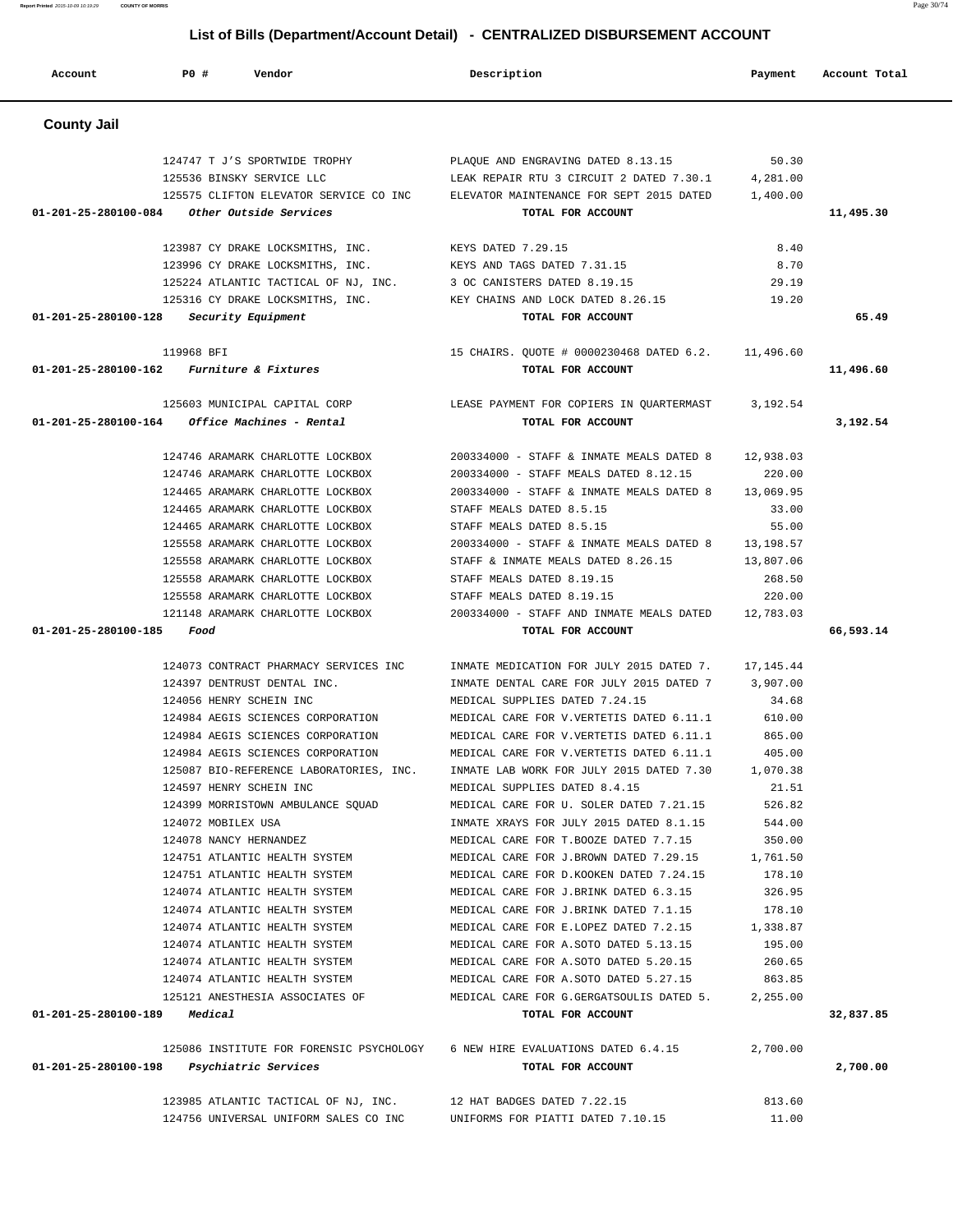| Account              | <b>PO #</b><br>Vendor                                                  | Description                                                                                                                    | Payment          | Account Total |
|----------------------|------------------------------------------------------------------------|--------------------------------------------------------------------------------------------------------------------------------|------------------|---------------|
| <b>County Jail</b>   |                                                                        |                                                                                                                                |                  |               |
|                      | 124747 T J'S SPORTWIDE TROPHY                                          | PLAQUE AND ENGRAVING DATED 8.13.15                                                                                             | 50.30            |               |
|                      | 125536 BINSKY SERVICE LLC                                              | LEAK REPAIR RTU 3 CIRCUIT 2 DATED 7.30.1                                                                                       | 4,281.00         |               |
|                      | 125575 CLIFTON ELEVATOR SERVICE CO INC                                 | ELEVATOR MAINTENANCE FOR SEPT 2015 DATED                                                                                       | 1,400.00         |               |
|                      | 01-201-25-280100-084 Other Outside Services                            | TOTAL FOR ACCOUNT                                                                                                              |                  | 11,495.30     |
|                      | 123987 CY DRAKE LOCKSMITHS, INC.                                       | KEYS DATED 7.29.15                                                                                                             | 8.40             |               |
|                      | 123996 CY DRAKE LOCKSMITHS, INC.                                       | KEYS AND TAGS DATED 7.31.15                                                                                                    | 8.70             |               |
|                      | 125224 ATLANTIC TACTICAL OF NJ, INC.                                   | 3 OC CANISTERS DATED 8.19.15                                                                                                   | 29.19            |               |
|                      | 125316 CY DRAKE LOCKSMITHS, INC.                                       | KEY CHAINS AND LOCK DATED 8.26.15                                                                                              | 19.20            |               |
| 01-201-25-280100-128 | Security Equipment                                                     | TOTAL FOR ACCOUNT                                                                                                              |                  | 65.49         |
|                      | 119968 BFI                                                             | 15 CHAIRS. QUOTE # 0000230468 DATED 6.2. 11,496.60                                                                             |                  |               |
| 01-201-25-280100-162 | Furniture & Fixtures                                                   | TOTAL FOR ACCOUNT                                                                                                              |                  | 11,496.60     |
|                      | 125603 MUNICIPAL CAPITAL CORP                                          | LEASE PAYMENT FOR COPIERS IN QUARTERMAST                                                                                       | 3,192.54         |               |
| 01-201-25-280100-164 | Office Machines - Rental                                               | TOTAL FOR ACCOUNT                                                                                                              |                  | 3,192.54      |
|                      | 124746 ARAMARK CHARLOTTE LOCKBOX                                       | 200334000 - STAFF & INMATE MEALS DATED 8                                                                                       | 12,938.03        |               |
|                      | 124746 ARAMARK CHARLOTTE LOCKBOX                                       | 200334000 - STAFF MEALS DATED 8.12.15                                                                                          | 220.00           |               |
|                      | 124465 ARAMARK CHARLOTTE LOCKBOX                                       | 200334000 - STAFF & INMATE MEALS DATED 8                                                                                       | 13,069.95        |               |
|                      | 124465 ARAMARK CHARLOTTE LOCKBOX                                       | STAFF MEALS DATED 8.5.15                                                                                                       | 33.00            |               |
|                      | 124465 ARAMARK CHARLOTTE LOCKBOX                                       | STAFF MEALS DATED 8.5.15                                                                                                       | 55.00            |               |
|                      | 125558 ARAMARK CHARLOTTE LOCKBOX                                       | 200334000 - STAFF & INMATE MEALS DATED 8 13,198.57                                                                             |                  |               |
|                      | 125558 ARAMARK CHARLOTTE LOCKBOX                                       | STAFF & INMATE MEALS DATED 8.26.15                                                                                             | 13,807.06        |               |
|                      | 125558 ARAMARK CHARLOTTE LOCKBOX                                       | STAFF MEALS DATED 8.19.15                                                                                                      | 268.50           |               |
|                      | 125558 ARAMARK CHARLOTTE LOCKBOX                                       | STAFF MEALS DATED 8.19.15                                                                                                      | 220.00           |               |
| 01-201-25-280100-185 | 121148 ARAMARK CHARLOTTE LOCKBOX<br>Food                               | 200334000 - STAFF AND INMATE MEALS DATED<br>TOTAL FOR ACCOUNT                                                                  | 12,783.03        | 66,593.14     |
|                      |                                                                        |                                                                                                                                |                  |               |
|                      | 124073 CONTRACT PHARMACY SERVICES INC                                  | INMATE MEDICATION FOR JULY 2015 DATED 7. 17,145.44                                                                             |                  |               |
|                      | 124397 DENTRUST DENTAL INC.                                            | INMATE DENTAL CARE FOR JULY 2015 DATED 7                                                                                       | 3,907.00         |               |
|                      | 124056 HENRY SCHEIN INC                                                | MEDICAL SUPPLIES DATED 7.24.15                                                                                                 | 34.68            |               |
|                      | 124984 AEGIS SCIENCES CORPORATION<br>124984 AEGIS SCIENCES CORPORATION | MEDICAL CARE FOR V. VERTETIS DATED 6.11.1                                                                                      | 610.00<br>865.00 |               |
|                      |                                                                        | MEDICAL CARE FOR V.VERTETIS DATED 6.11.1<br>124984 AEGIS SCIENCES CORPORATION MEDICAL CARE FOR V. VERTETIS DATED 6.11.1 405.00 |                  |               |
|                      |                                                                        | 125087 BIO-REFERENCE LABORATORIES, INC. INMATE LAB WORK FOR JULY 2015 DATED 7.30 1,070.38                                      |                  |               |
|                      | 124597 HENRY SCHEIN INC                                                | MEDICAL SUPPLIES DATED 8.4.15                                                                                                  | 21.51            |               |
|                      | 124399 MORRISTOWN AMBULANCE SQUAD                                      | MEDICAL CARE FOR U. SOLER DATED 7.21.15                                                                                        | 526.82           |               |
|                      | 124072 MOBILEX USA                                                     | INMATE XRAYS FOR JULY 2015 DATED 8.1.15                                                                                        | 544.00           |               |
|                      | 124078 NANCY HERNANDEZ                                                 | MEDICAL CARE FOR T.BOOZE DATED 7.7.15                                                                                          | 350.00           |               |
|                      |                                                                        | 1,761.50 1,761.50 MEDICAL CARE FOR J.BROWN DATED 7.29.15                                                                       |                  |               |
|                      | 124751 ATLANTIC HEALTH SYSTEM                                          | MEDICAL CARE FOR D.KOOKEN DATED 7.24.15                                                                                        | 178.10           |               |
|                      | 124074 ATLANTIC HEALTH SYSTEM                                          | MEDICAL CARE FOR J.BRINK DATED 6.3.15                                                                                          | 326.95           |               |
|                      |                                                                        | 124074 ATLANTIC HEALTH SYSTEM MEDICAL CARE FOR J.BRINK DATED 7.1.15                                                            | 178.10           |               |
|                      |                                                                        | 1,338.87 1,338 ATLANTIC HEALTH SYSTEM MEDICAL CARE FOR E.LOPEZ DATED 7.2.15                                                    |                  |               |
|                      | 124074 ATLANTIC HEALTH SYSTEM                                          | MEDICAL CARE FOR A.SOTO DATED 5.13.15                                                                                          | 195.00           |               |
|                      | 124074 ATLANTIC HEALTH SYSTEM                                          | MEDICAL CARE FOR A.SOTO DATED 5.20.15                                                                                          | 260.65           |               |
|                      | 124074 ATLANTIC HEALTH SYSTEM                                          | MEDICAL CARE FOR A. SOTO DATED 5.27.15                                                                                         | 863.85           |               |
|                      |                                                                        | 125121 ANESTHESIA ASSOCIATES OF MEDICAL CARE FOR G.GERGATSOULIS DATED 5. 2,255.00                                              |                  |               |
|                      | $01 - 201 - 25 - 280100 - 189$ Medical                                 | TOTAL FOR ACCOUNT                                                                                                              |                  | 32,837.85     |
|                      |                                                                        | 125086 INSTITUTE FOR FORENSIC PSYCHOLOGY 6 NEW HIRE EVALUATIONS DATED 6.4.15 2,700.00                                          |                  |               |
|                      | 01-201-25-280100-198 Psychiatric Services                              | TOTAL FOR ACCOUNT                                                                                                              |                  | 2,700.00      |
|                      | 123985 ATLANTIC TACTICAL OF NJ, INC.                                   | 12 HAT BADGES DATED 7.22.15                                                                                                    | 813.60           |               |
|                      | 124756 UNIVERSAL UNIFORM SALES CO INC                                  | UNIFORMS FOR PIATTI DATED 7.10.15                                                                                              | 11.00            |               |

**Report Printed** 2015-10-09 10:19:29 **COUNTY OF MORRIS** Page 30/74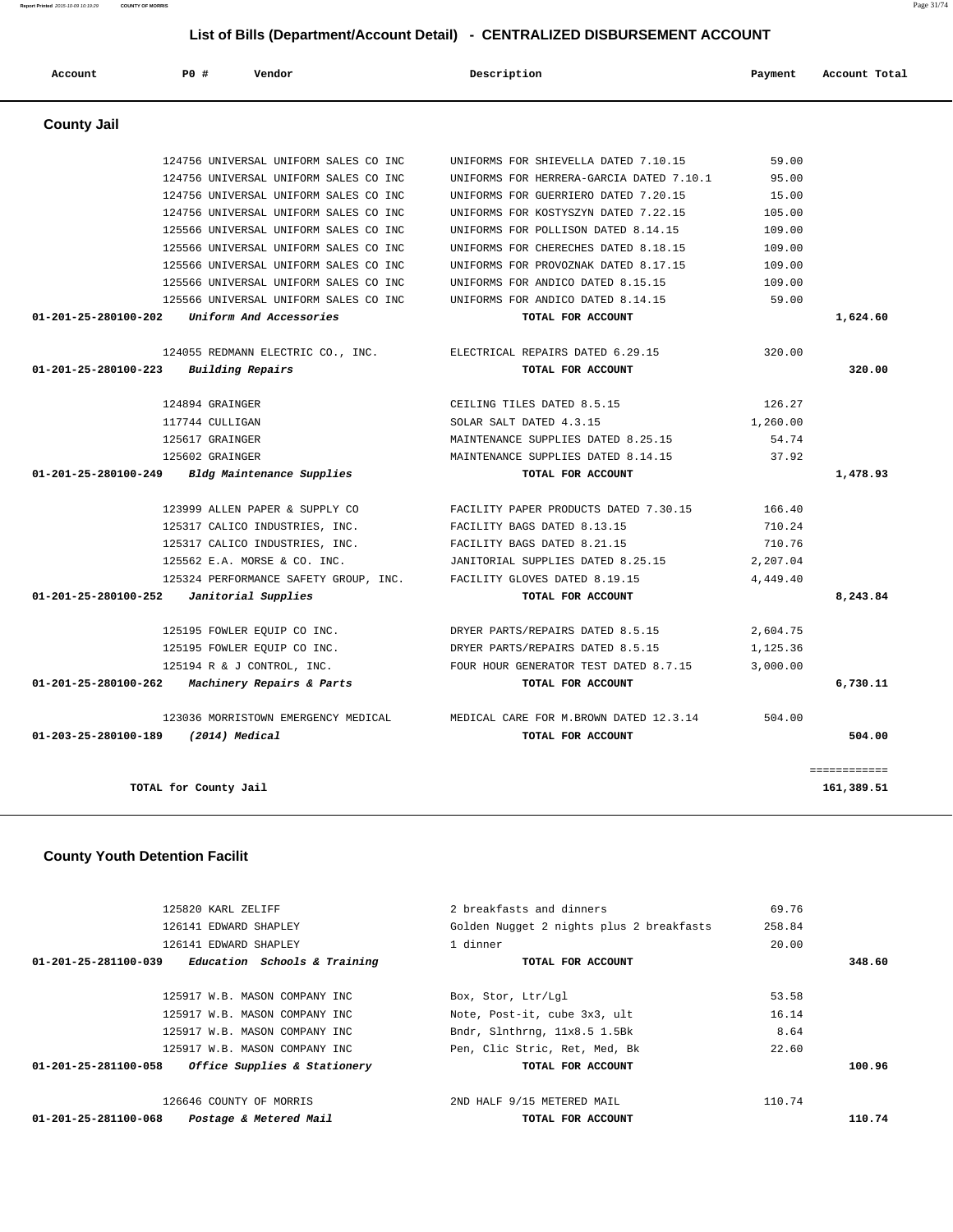**Report Printed** 2015-10-09 10:19:29 **COUNTY OF MORRIS** Page 31/74

# **List of Bills (Department/Account Detail) - CENTRALIZED DISBURSEMENT ACCOUNT**

| Account              | PO#<br>Vendor                         | Description                              | Payment  | Account Total |
|----------------------|---------------------------------------|------------------------------------------|----------|---------------|
| <b>County Jail</b>   |                                       |                                          |          |               |
|                      | 124756 UNIVERSAL UNIFORM SALES CO INC | UNIFORMS FOR SHIEVELLA DATED 7.10.15     | 59.00    |               |
|                      | 124756 UNIVERSAL UNIFORM SALES CO INC | UNIFORMS FOR HERRERA-GARCIA DATED 7.10.1 | 95.00    |               |
|                      | 124756 UNIVERSAL UNIFORM SALES CO INC | UNIFORMS FOR GUERRIERO DATED 7.20.15     | 15.00    |               |
|                      | 124756 UNIVERSAL UNIFORM SALES CO INC | UNIFORMS FOR KOSTYSZYN DATED 7.22.15     | 105.00   |               |
|                      | 125566 UNIVERSAL UNIFORM SALES CO INC | UNIFORMS FOR POLLISON DATED 8.14.15      | 109.00   |               |
|                      | 125566 UNIVERSAL UNIFORM SALES CO INC | UNIFORMS FOR CHERECHES DATED 8.18.15     | 109.00   |               |
|                      | 125566 UNIVERSAL UNIFORM SALES CO INC | UNIFORMS FOR PROVOZNAK DATED 8.17.15     | 109.00   |               |
|                      | 125566 UNIVERSAL UNIFORM SALES CO INC | UNIFORMS FOR ANDICO DATED 8.15.15        | 109.00   |               |
|                      | 125566 UNIVERSAL UNIFORM SALES CO INC | UNIFORMS FOR ANDICO DATED 8.14.15        | 59.00    |               |
| 01-201-25-280100-202 | Uniform And Accessories               | TOTAL FOR ACCOUNT                        |          | 1,624.60      |
|                      | 124055 REDMANN ELECTRIC CO., INC.     | ELECTRICAL REPAIRS DATED 6.29.15         | 320.00   |               |
| 01-201-25-280100-223 | Building Repairs                      | TOTAL FOR ACCOUNT                        |          | 320.00        |
|                      | 124894 GRAINGER                       | CEILING TILES DATED 8.5.15               | 126.27   |               |
|                      | 117744 CULLIGAN                       | SOLAR SALT DATED 4.3.15                  | 1,260.00 |               |
|                      | 125617 GRAINGER                       | MAINTENANCE SUPPLIES DATED 8.25.15       | 54.74    |               |
|                      | 125602 GRAINGER                       | MAINTENANCE SUPPLIES DATED 8.14.15       | 37.92    |               |
| 01-201-25-280100-249 | Bldg Maintenance Supplies             | TOTAL FOR ACCOUNT                        |          | 1,478.93      |
|                      | 123999 ALLEN PAPER & SUPPLY CO        | FACILITY PAPER PRODUCTS DATED 7.30.15    | 166.40   |               |
|                      | 125317 CALICO INDUSTRIES, INC.        | FACILITY BAGS DATED 8.13.15              | 710.24   |               |
|                      | 125317 CALICO INDUSTRIES, INC.        | FACILITY BAGS DATED 8.21.15              | 710.76   |               |
|                      | 125562 E.A. MORSE & CO. INC.          | JANITORIAL SUPPLIES DATED 8.25.15        | 2,207.04 |               |
|                      | 125324 PERFORMANCE SAFETY GROUP, INC. | FACILITY GLOVES DATED 8.19.15            | 4,449.40 |               |
| 01-201-25-280100-252 | Janitorial Supplies                   | TOTAL FOR ACCOUNT                        |          | 8,243.84      |
|                      | 125195 FOWLER EQUIP CO INC.           | DRYER PARTS/REPAIRS DATED 8.5.15         | 2,604.75 |               |
|                      | 125195 FOWLER EQUIP CO INC.           | DRYER PARTS/REPAIRS DATED 8.5.15         | 1,125.36 |               |
|                      | 125194 R & J CONTROL, INC.            | FOUR HOUR GENERATOR TEST DATED 8.7.15    | 3,000.00 |               |
| 01-201-25-280100-262 | Machinery Repairs & Parts             | TOTAL FOR ACCOUNT                        |          | 6,730.11      |
|                      | 123036 MORRISTOWN EMERGENCY MEDICAL   | MEDICAL CARE FOR M. BROWN DATED 12.3.14  | 504.00   |               |
| 01-203-25-280100-189 | (2014) Medical                        | TOTAL FOR ACCOUNT                        |          | 504.00        |
|                      |                                       |                                          |          | ============  |
|                      | TOTAL for County Jail                 |                                          |          | 161,389.51    |

## **County Youth Detention Facilit**

| 125820 KARL ZELIFF                                   | 2 breakfasts and dinners                 | 69.76  |        |
|------------------------------------------------------|------------------------------------------|--------|--------|
| 126141 EDWARD SHAPLEY                                | Golden Nugget 2 nights plus 2 breakfasts | 258.84 |        |
| 126141 EDWARD SHAPLEY                                | 1 dinner                                 | 20.00  |        |
| Education Schools & Training<br>01-201-25-281100-039 | TOTAL FOR ACCOUNT                        |        | 348.60 |
|                                                      |                                          |        |        |
| 125917 W.B. MASON COMPANY INC                        | Box, Stor, Ltr/Lql                       | 53.58  |        |
| 125917 W.B. MASON COMPANY INC                        | Note, Post-it, cube 3x3, ult             | 16.14  |        |
| 125917 W.B. MASON COMPANY INC                        | Bndr, Slnthrng, 11x8.5 1.5Bk             | 8.64   |        |
| 125917 W.B. MASON COMPANY INC                        | Pen, Clic Stric, Ret, Med, Bk            | 22.60  |        |
| 01-201-25-281100-058<br>Office Supplies & Stationery | TOTAL FOR ACCOUNT                        |        | 100.96 |
| 126646 COUNTY OF MORRIS                              | 2ND HALF 9/15 METERED MAIL               | 110.74 |        |
| Postage & Metered Mail<br>01-201-25-281100-068       | TOTAL FOR ACCOUNT                        |        | 110.74 |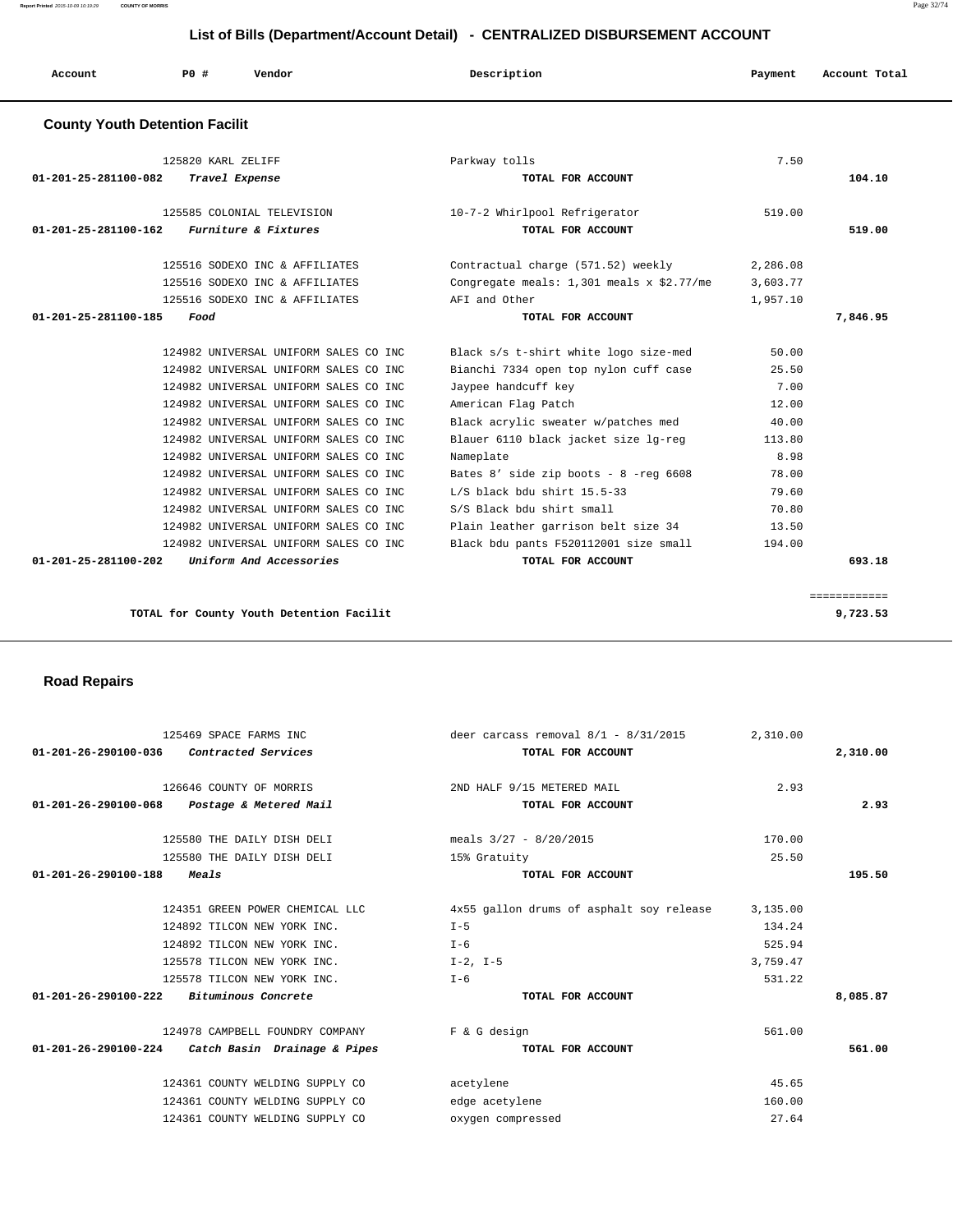**Report Printed** 2015-10-09 10:19:29 **COUNTY OF MORRIS** Page 32/74

## **List of Bills (Department/Account Detail) - CENTRALIZED DISBURSEMENT ACCOUNT**

| Account | P0 # | Vendor | Description | Payment | Account Total |
|---------|------|--------|-------------|---------|---------------|
|         |      |        |             |         |               |

## **County Youth Detention Facilit**

| 125820 KARL ZELIFF<br>01-201-25-281100-082<br>Travel Expense                                                                                                                                                                                                                                                                                                                                                                                                                                                                                                | Parkway tolls<br>TOTAL FOR ACCOUNT                                                                                                                                                                                                                                                                                                                                                                                                       | 7.50                                                                                                     | 104.10       |
|-------------------------------------------------------------------------------------------------------------------------------------------------------------------------------------------------------------------------------------------------------------------------------------------------------------------------------------------------------------------------------------------------------------------------------------------------------------------------------------------------------------------------------------------------------------|------------------------------------------------------------------------------------------------------------------------------------------------------------------------------------------------------------------------------------------------------------------------------------------------------------------------------------------------------------------------------------------------------------------------------------------|----------------------------------------------------------------------------------------------------------|--------------|
| 125585 COLONIAL TELEVISION<br>Furniture & Fixtures<br>01-201-25-281100-162                                                                                                                                                                                                                                                                                                                                                                                                                                                                                  | 10-7-2 Whirlpool Refrigerator<br>TOTAL FOR ACCOUNT                                                                                                                                                                                                                                                                                                                                                                                       | 519.00                                                                                                   | 519.00       |
| 125516 SODEXO INC & AFFILIATES<br>125516 SODEXO INC & AFFILIATES<br>125516 SODEXO INC & AFFILIATES                                                                                                                                                                                                                                                                                                                                                                                                                                                          | Contractual charge (571.52) weekly<br>Congregate meals: $1,301$ meals x \$2.77/me<br>AFI and Other                                                                                                                                                                                                                                                                                                                                       | 2,286.08<br>3,603.77<br>1,957.10                                                                         |              |
| 01-201-25-281100-185<br>Food                                                                                                                                                                                                                                                                                                                                                                                                                                                                                                                                | TOTAL FOR ACCOUNT                                                                                                                                                                                                                                                                                                                                                                                                                        |                                                                                                          | 7,846.95     |
| 124982 UNIVERSAL UNIFORM SALES CO INC<br>124982 UNIVERSAL UNIFORM SALES CO INC<br>124982 UNIVERSAL UNIFORM SALES CO INC<br>124982 UNIVERSAL UNIFORM SALES CO INC<br>124982 UNIVERSAL UNIFORM SALES CO INC<br>124982 UNIVERSAL UNIFORM SALES CO INC<br>124982 UNIVERSAL UNIFORM SALES CO INC<br>124982 UNIVERSAL UNIFORM SALES CO INC<br>124982 UNIVERSAL UNIFORM SALES CO INC<br>124982 UNIVERSAL UNIFORM SALES CO INC<br>124982 UNIVERSAL UNIFORM SALES CO INC<br>124982 UNIVERSAL UNIFORM SALES CO INC<br>Uniform And Accessories<br>01-201-25-281100-202 | Black s/s t-shirt white logo size-med<br>Bianchi 7334 open top nylon cuff case<br>Jaypee handcuff key<br>American Flag Patch<br>Black acrylic sweater w/patches med<br>Blauer 6110 black jacket size lg-reg<br>Nameplate<br>Bates $8'$ side zip boots - $8$ -reg 6608<br>$L/S$ black bdu shirt 15.5-33<br>S/S Black bdu shirt small<br>Plain leather garrison belt size 34<br>Black bdu pants F520112001 size small<br>TOTAL FOR ACCOUNT | 50.00<br>25.50<br>7.00<br>12.00<br>40.00<br>113.80<br>8.98<br>78.00<br>79.60<br>70.80<br>13.50<br>194.00 | 693.18       |
|                                                                                                                                                                                                                                                                                                                                                                                                                                                                                                                                                             |                                                                                                                                                                                                                                                                                                                                                                                                                                          |                                                                                                          |              |
|                                                                                                                                                                                                                                                                                                                                                                                                                                                                                                                                                             |                                                                                                                                                                                                                                                                                                                                                                                                                                          |                                                                                                          | ============ |

**TOTAL for County Youth Detention Facilit 9,723.53**

## **Road Repairs**

| 125469 SPACE FARMS INC                            | deer carcass removal 8/1 - 8/31/2015     | 2,310.00 |          |
|---------------------------------------------------|------------------------------------------|----------|----------|
| 01-201-26-290100-036 Contracted Services          | TOTAL FOR ACCOUNT                        |          | 2,310.00 |
| 126646 COUNTY OF MORRIS                           | 2ND HALF 9/15 METERED MAIL               | 2.93     |          |
| 01-201-26-290100-068 Postage & Metered Mail       | TOTAL FOR ACCOUNT                        |          | 2.93     |
| 125580 THE DAILY DISH DELI                        | meals $3/27 - 8/20/2015$                 | 170.00   |          |
| 125580 THE DAILY DISH DELI                        | 15% Gratuity                             | 25.50    |          |
| $01 - 201 - 26 - 290100 - 188$<br><i>Meals</i>    | TOTAL FOR ACCOUNT                        |          | 195.50   |
| 124351 GREEN POWER CHEMICAL LLC                   | 4x55 gallon drums of asphalt soy release | 3,135.00 |          |
| 124892 TILCON NEW YORK INC.                       | $I - 5$                                  | 134.24   |          |
| 124892 TILCON NEW YORK INC.                       | $I - 6$                                  | 525.94   |          |
| 125578 TILCON NEW YORK INC.                       | $I-2$ , $I-5$                            | 3,759.47 |          |
| 125578 TILCON NEW YORK INC.                       | $I - 6$                                  | 531.22   |          |
| $01-201-26-290100-222$ Bituminous Concrete        | TOTAL FOR ACCOUNT                        |          | 8,085.87 |
| 124978 CAMPBELL FOUNDRY COMPANY                   | F & G design                             | 561.00   |          |
| 01-201-26-290100-224 Catch Basin Drainage & Pipes | TOTAL FOR ACCOUNT                        |          | 561.00   |
| 124361 COUNTY WELDING SUPPLY CO                   | acetylene                                | 45.65    |          |
| 124361 COUNTY WELDING SUPPLY CO                   | edge acetylene                           | 160.00   |          |
| 124361 COUNTY WELDING SUPPLY CO                   | oxygen compressed                        | 27.64    |          |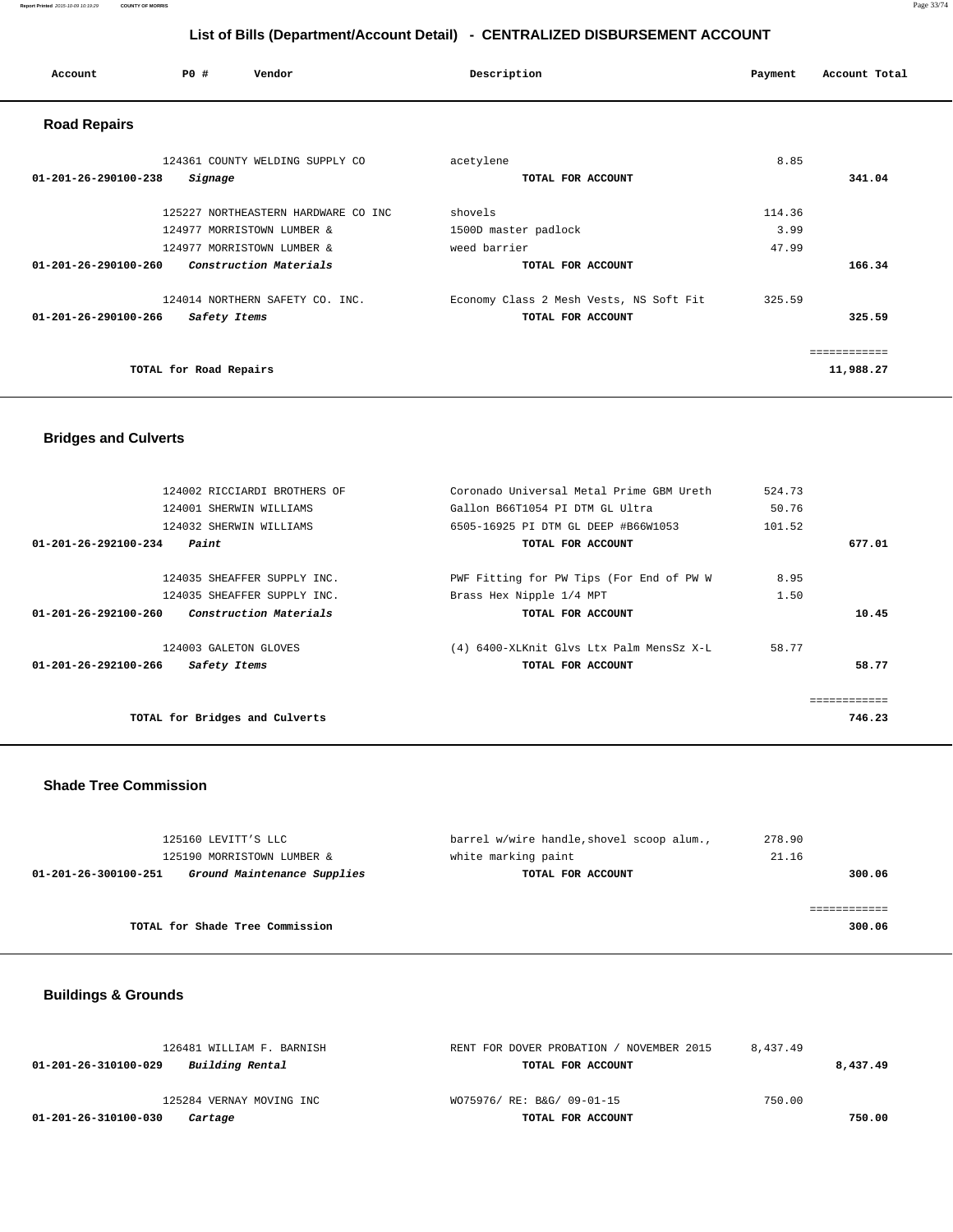#### **Report Printed** 2015-10-09 10:19:29 **COUNTY OF MORRIS** Page 33/74

## **List of Bills (Department/Account Detail) - CENTRALIZED DISBURSEMENT ACCOUNT**

| Account                        | PO#                    | Vendor                              | Description                             | Payment | Account Total |
|--------------------------------|------------------------|-------------------------------------|-----------------------------------------|---------|---------------|
| <b>Road Repairs</b>            |                        |                                     |                                         |         |               |
|                                |                        | 124361 COUNTY WELDING SUPPLY CO     | acetylene                               | 8.85    |               |
| $01 - 201 - 26 - 290100 - 238$ | Signage                |                                     | TOTAL FOR ACCOUNT                       |         | 341.04        |
|                                |                        | 125227 NORTHEASTERN HARDWARE CO INC | shovels                                 | 114.36  |               |
|                                |                        | 124977 MORRISTOWN LUMBER &          | 1500D master padlock                    | 3.99    |               |
|                                |                        | 124977 MORRISTOWN LUMBER &          | weed barrier                            | 47.99   |               |
| $01 - 201 - 26 - 290100 - 260$ |                        | Construction Materials              | TOTAL FOR ACCOUNT                       |         | 166.34        |
|                                |                        | 124014 NORTHERN SAFETY CO. INC.     | Economy Class 2 Mesh Vests, NS Soft Fit | 325.59  |               |
| $01 - 201 - 26 - 290100 - 266$ | Safety Items           |                                     | TOTAL FOR ACCOUNT                       |         | 325.59        |
|                                |                        |                                     |                                         |         | ------------  |
|                                | TOTAL for Road Repairs |                                     |                                         |         | 11,988.27     |

## **Bridges and Culverts**

| 124002 RICCIARDI BROTHERS OF                                    | Coronado Universal Metal Prime GBM Ureth | 524.73       |  |
|-----------------------------------------------------------------|------------------------------------------|--------------|--|
| 124001 SHERWIN WILLIAMS                                         | Gallon B66T1054 PI DTM GL Ultra          | 50.76        |  |
| 124032 SHERWIN WILLIAMS                                         | 6505-16925 PI DTM GL DEEP #B66W1053      | 101.52       |  |
| $01 - 201 - 26 - 292100 - 234$<br>Paint                         | TOTAL FOR ACCOUNT                        | 677.01       |  |
|                                                                 |                                          |              |  |
| 124035 SHEAFFER SUPPLY INC.                                     | PWF Fitting for PW Tips (For End of PW W | 8.95         |  |
| 124035 SHEAFFER SUPPLY INC.                                     | Brass Hex Nipple 1/4 MPT                 | 1.50         |  |
| <i>Construction Materials</i><br>$01 - 201 - 26 - 292100 - 260$ | TOTAL FOR ACCOUNT                        | 10.45        |  |
| 124003 GALETON GLOVES                                           | (4) 6400-XLKnit Glvs Ltx Palm MensSz X-L | 58.77        |  |
| $01 - 201 - 26 - 292100 - 266$<br>Safety Items                  | TOTAL FOR ACCOUNT                        | 58.77        |  |
|                                                                 |                                          | ============ |  |
| TOTAL for Bridges and Culverts                                  |                                          | 746.23       |  |
|                                                                 |                                          |              |  |

## **Shade Tree Commission**

| 125160 LEVITT'S LLC  |                                 | barrel w/wire handle, shovel scoop alum., | 278.90 |
|----------------------|---------------------------------|-------------------------------------------|--------|
|                      | 125190 MORRISTOWN LUMBER &      | white marking paint                       | 21.16  |
| 01-201-26-300100-251 | Ground Maintenance Supplies     | TOTAL FOR ACCOUNT                         | 300.06 |
|                      |                                 |                                           |        |
|                      |                                 |                                           |        |
|                      | TOTAL for Shade Tree Commission |                                           | 300.06 |
|                      |                                 |                                           |        |

# **Buildings & Grounds**

| 126481 WILLIAM F. BARNISH               | RENT FOR DOVER PROBATION /<br>WOVEMBER 2015 | 8.437.49 |          |
|-----------------------------------------|---------------------------------------------|----------|----------|
| Building Rental<br>01-201-26-310100-029 | TOTAL FOR ACCOUNT                           |          | 8,437.49 |
| 125284 VERNAY MOVING INC                | WO75976/ RE: B&G/ 09-01-15                  | 750.00   |          |
| 01-201-26-310100-030<br>Cartage         | TOTAL FOR ACCOUNT                           |          | 750.00   |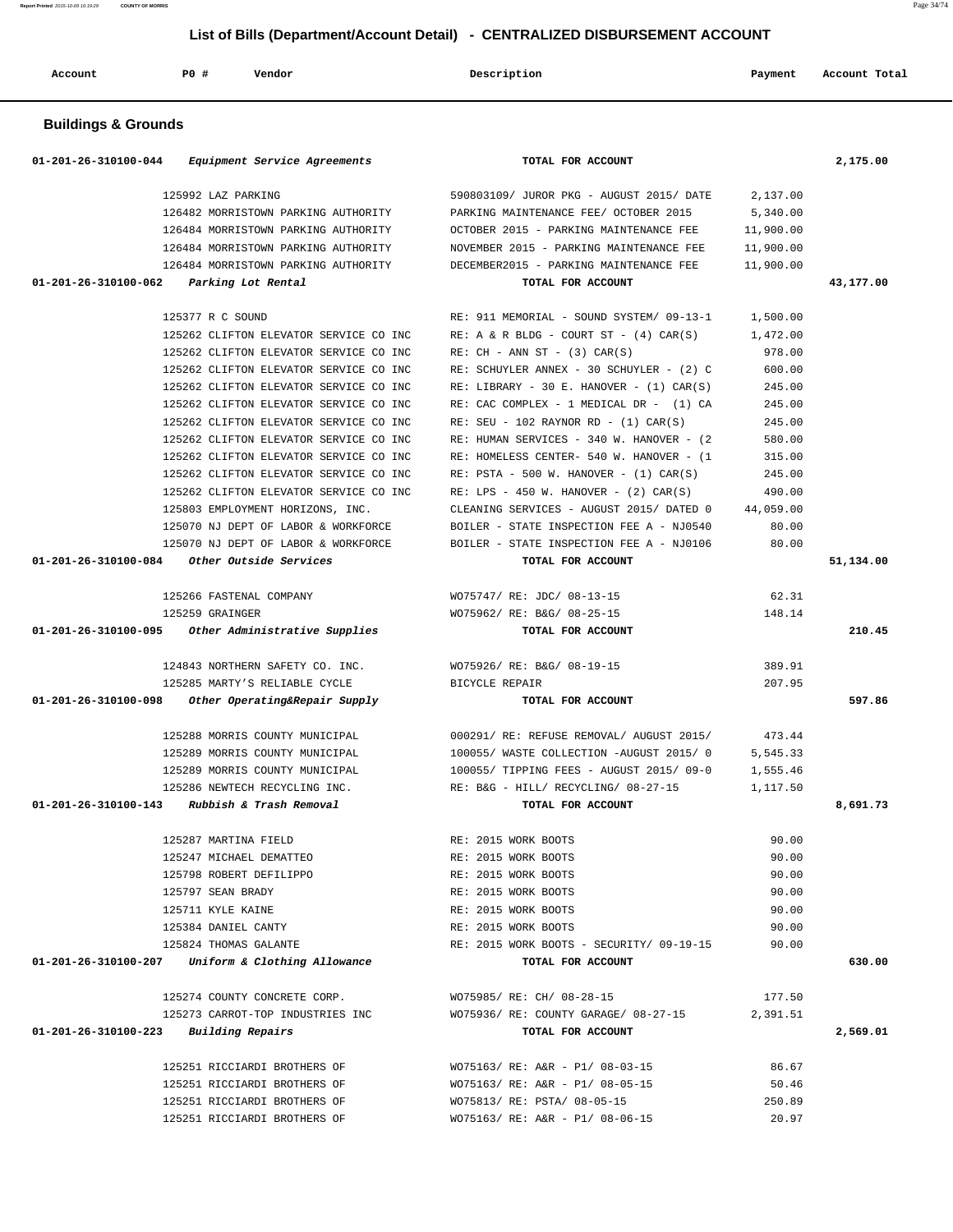| Account                        | P0 #<br>Vendor                                      | Description                                                                     | Payment   | Account Total |
|--------------------------------|-----------------------------------------------------|---------------------------------------------------------------------------------|-----------|---------------|
| <b>Buildings &amp; Grounds</b> |                                                     |                                                                                 |           |               |
|                                | 01-201-26-310100-044 Equipment Service Agreements   | TOTAL FOR ACCOUNT                                                               |           | 2,175.00      |
|                                | 125992 LAZ PARKING                                  | 590803109/ JUROR PKG - AUGUST 2015/ DATE                                        | 2,137.00  |               |
|                                | 126482 MORRISTOWN PARKING AUTHORITY                 | PARKING MAINTENANCE FEE/ OCTOBER 2015                                           | 5,340.00  |               |
|                                | 126484 MORRISTOWN PARKING AUTHORITY                 | OCTOBER 2015 - PARKING MAINTENANCE FEE                                          | 11,900.00 |               |
|                                | 126484 MORRISTOWN PARKING AUTHORITY                 | NOVEMBER 2015 - PARKING MAINTENANCE FEE                                         | 11,900.00 |               |
|                                | 126484 MORRISTOWN PARKING AUTHORITY                 | DECEMBER2015 - PARKING MAINTENANCE FEE                                          | 11,900.00 |               |
| 01-201-26-310100-062           | Parking Lot Rental                                  | TOTAL FOR ACCOUNT                                                               |           | 43,177.00     |
|                                | 125377 R C SOUND                                    | RE: 911 MEMORIAL - SOUND SYSTEM/ 09-13-1                                        | 1,500.00  |               |
|                                | 125262 CLIFTON ELEVATOR SERVICE CO INC              | $RE: A \& R BLDG - COURT ST - (4) CAR(S)$                                       | 1,472.00  |               |
|                                | 125262 CLIFTON ELEVATOR SERVICE CO INC              | $RE: CH - ANN ST - (3) CAR(S)$                                                  | 978.00    |               |
|                                | 125262 CLIFTON ELEVATOR SERVICE CO INC              | RE: SCHUYLER ANNEX - 30 SCHUYLER - (2) C                                        | 600.00    |               |
|                                | 125262 CLIFTON ELEVATOR SERVICE CO INC              | RE: LIBRARY - 30 E. HANOVER - $(1)$ CAR $(S)$                                   | 245.00    |               |
|                                | 125262 CLIFTON ELEVATOR SERVICE CO INC              | RE: CAC COMPLEX - 1 MEDICAL DR - (1) CA                                         | 245.00    |               |
|                                | 125262 CLIFTON ELEVATOR SERVICE CO INC              | RE: SEU - 102 RAYNOR RD - $(1)$ CAR $(S)$                                       | 245.00    |               |
|                                | 125262 CLIFTON ELEVATOR SERVICE CO INC              | RE: HUMAN SERVICES - 340 W. HANOVER - (2)                                       | 580.00    |               |
|                                | 125262 CLIFTON ELEVATOR SERVICE CO INC              | RE: HOMELESS CENTER- 540 W. HANOVER - (1                                        | 315.00    |               |
|                                | 125262 CLIFTON ELEVATOR SERVICE CO INC              | RE: PSTA - 500 W. HANOVER - $(1)$ CAR $(S)$                                     | 245.00    |               |
|                                | 125262 CLIFTON ELEVATOR SERVICE CO INC              | RE: LPS - 450 W. HANOVER - $(2)$ CAR $(S)$                                      | 490.00    |               |
|                                | 125803 EMPLOYMENT HORIZONS, INC.                    | CLEANING SERVICES - AUGUST 2015/ DATED 0                                        | 44,059.00 |               |
|                                | 125070 NJ DEPT OF LABOR & WORKFORCE                 | BOILER - STATE INSPECTION FEE A - NJ0540                                        | 80.00     |               |
|                                | 125070 NJ DEPT OF LABOR & WORKFORCE                 | BOILER - STATE INSPECTION FEE A - NJ0106                                        | 80.00     |               |
| 01-201-26-310100-084           | Other Outside Services                              | TOTAL FOR ACCOUNT                                                               |           | 51,134.00     |
|                                | 125266 FASTENAL COMPANY                             | WO75747/ RE: JDC/ 08-13-15                                                      | 62.31     |               |
|                                | 125259 GRAINGER                                     | WO75962/ RE: B&G/ 08-25-15                                                      | 148.14    |               |
| 01-201-26-310100-095           | Other Administrative Supplies                       | TOTAL FOR ACCOUNT                                                               |           | 210.45        |
|                                | 124843 NORTHERN SAFETY CO. INC.                     | WO75926/ RE: B&G/ 08-19-15                                                      | 389.91    |               |
|                                | 125285 MARTY'S RELIABLE CYCLE                       | <b>BICYCLE REPAIR</b>                                                           | 207.95    |               |
| 01-201-26-310100-098           | Other Operating&Repair Supply                       | TOTAL FOR ACCOUNT                                                               |           | 597.86        |
|                                | 125288 MORRIS COUNTY MUNICIPAL                      | 000291/ RE: REFUSE REMOVAL/ AUGUST 2015/                                        | 473.44    |               |
|                                | 125289 MORRIS COUNTY MUNICIPAL                      | 100055/ WASTE COLLECTION -AUGUST 2015/ 0                                        | 5,545.33  |               |
|                                |                                                     | 125289 MORRIS COUNTY MUNICIPAL 100055/ TIPPING FEES - AUGUST 2015/09-0 1,555.46 |           |               |
|                                |                                                     | 125286 NEWTECH RECYCLING INC. THE: B&G - HILL/ RECYCLING/ 08-27-15 1,117.50     |           |               |
|                                | $01-201-26-310100-143$ Rubbish & Trash Removal      | TOTAL FOR ACCOUNT                                                               |           | 8,691.73      |
|                                | 125287 MARTINA FIELD                                | RE: 2015 WORK BOOTS                                                             | 90.00     |               |
|                                | 125247 MICHAEL DEMATTEO                             | RE: 2015 WORK BOOTS                                                             | 90.00     |               |
|                                | 125798 ROBERT DEFILIPPO                             | RE: 2015 WORK BOOTS                                                             | 90.00     |               |
|                                | 125797 SEAN BRADY                                   | RE: 2015 WORK BOOTS                                                             | 90.00     |               |
|                                | 125711 KYLE KAINE                                   | RE: 2015 WORK BOOTS                                                             | 90.00     |               |
|                                | 125384 DANIEL CANTY                                 | RE: 2015 WORK BOOTS                                                             | 90.00     |               |
|                                | 125824 THOMAS GALANTE                               | RE: 2015 WORK BOOTS - SECURITY/ 09-19-15                                        | 90.00     |               |
|                                | $01-201-26-310100-207$ Uniform & Clothing Allowance | TOTAL FOR ACCOUNT                                                               |           | 630.00        |
|                                | 125274 COUNTY CONCRETE CORP.                        | WO75985/ RE: CH/ 08-28-15                                                       | 177.50    |               |
|                                |                                                     | 125273 CARROT-TOP INDUSTRIES INC WO75936/ RE: COUNTY GARAGE/ 08-27-15 2,391.51  |           |               |
|                                | $01 - 201 - 26 - 310100 - 223$ Building Repairs     | TOTAL FOR ACCOUNT                                                               |           | 2,569.01      |
|                                | 125251 RICCIARDI BROTHERS OF                        | WO75163/ RE: A&R - P1/ 08-03-15                                                 | 86.67     |               |
|                                | 125251 RICCIARDI BROTHERS OF                        | WO75163/ RE: A&R - P1/ 08-05-15                                                 | 50.46     |               |
|                                | 125251 RICCIARDI BROTHERS OF                        | WO75813/ RE: PSTA/ 08-05-15                                                     | 250.89    |               |
|                                | 125251 RICCIARDI BROTHERS OF                        | WO75163/ RE: A&R - P1/ 08-06-15                                                 | 20.97     |               |
|                                |                                                     |                                                                                 |           |               |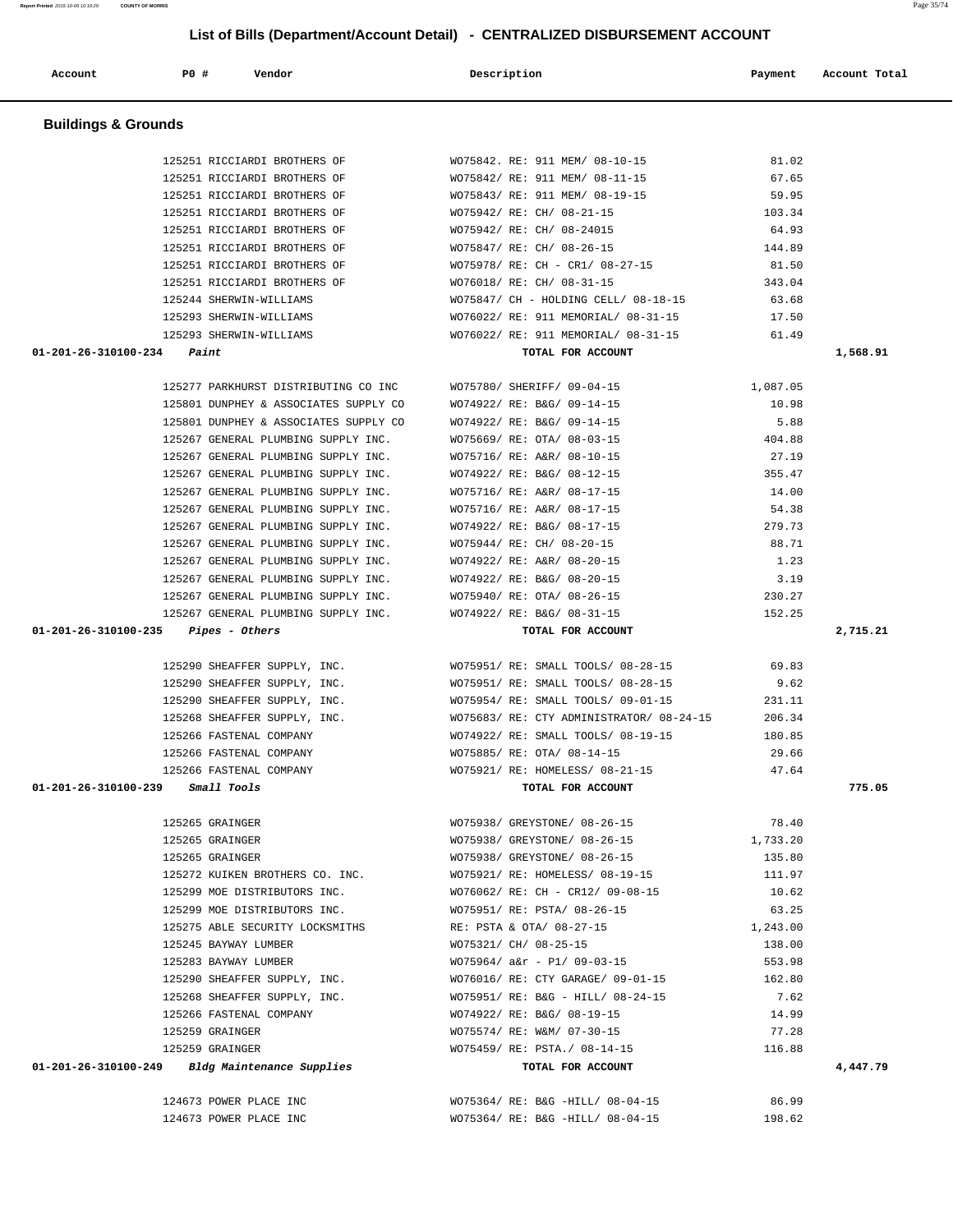| 125293 SHERWIN-WILLIAMS                                         | WO76022/ RE: 911 MEMORIAL/ 08-31-15      | 61.49    |          |
|-----------------------------------------------------------------|------------------------------------------|----------|----------|
| $01 - 201 - 26 - 310100 - 234$ Paint                            | TOTAL FOR ACCOUNT                        |          | 1,568.91 |
|                                                                 |                                          |          |          |
| 125277 PARKHURST DISTRIBUTING CO INC                            | WO75780/ SHERIFF/ 09-04-15               | 1,087.05 |          |
| 125801 DUNPHEY & ASSOCIATES SUPPLY CO                           | WO74922/ RE: B&G/ 09-14-15               | 10.98    |          |
| 125801 DUNPHEY & ASSOCIATES SUPPLY CO                           | WO74922/ RE: B&G/ 09-14-15               | 5.88     |          |
| 125267 GENERAL PLUMBING SUPPLY INC.                             | WO75669/ RE: OTA/ 08-03-15               | 404.88   |          |
| 125267 GENERAL PLUMBING SUPPLY INC.                             | WO75716/ RE: A&R/ 08-10-15               | 27.19    |          |
| 125267 GENERAL PLUMBING SUPPLY INC.                             | WO74922/ RE: B&G/ 08-12-15               | 355.47   |          |
| 125267 GENERAL PLUMBING SUPPLY INC.                             | WO75716/ RE: A&R/ 08-17-15               | 14.00    |          |
| 125267 GENERAL PLUMBING SUPPLY INC.                             | WO75716/ RE: A&R/ 08-17-15               | 54.38    |          |
| 125267 GENERAL PLUMBING SUPPLY INC.                             | WO74922/ RE: B&G/ 08-17-15               | 279.73   |          |
| 125267 GENERAL PLUMBING SUPPLY INC.                             | WO75944/ RE: CH/ 08-20-15                | 88.71    |          |
| 125267 GENERAL PLUMBING SUPPLY INC.                             | WO74922/ RE: A&R/ 08-20-15               | 1.23     |          |
| 125267 GENERAL PLUMBING SUPPLY INC.                             | WO74922/ RE: B&G/ 08-20-15               | 3.19     |          |
| 125267 GENERAL PLUMBING SUPPLY INC.                             | WO75940/ RE: OTA/ 08-26-15               | 230.27   |          |
| 125267 GENERAL PLUMBING SUPPLY INC.                             | WO74922/ RE: B&G/ 08-31-15               | 152.25   |          |
| $01 - 201 - 26 - 310100 - 235$ Pipes - Others                   | TOTAL FOR ACCOUNT                        |          | 2,715.21 |
|                                                                 |                                          |          |          |
| 125290 SHEAFFER SUPPLY, INC.                                    | WO75951/ RE: SMALL TOOLS/ 08-28-15       | 69.83    |          |
| 125290 SHEAFFER SUPPLY, INC. WO75951/ RE: SMALL TOOLS/ 08-28-15 |                                          | 9.62     |          |
| 125290 SHEAFFER SUPPLY, INC.                                    | WO75954/ RE: SMALL TOOLS/ 09-01-15       | 231.11   |          |
| 125268 SHEAFFER SUPPLY, INC.                                    | WO75683/ RE: CTY ADMINISTRATOR/ 08-24-15 | 206.34   |          |
| 125266 FASTENAL COMPANY                                         | WO74922/ RE: SMALL TOOLS/ 08-19-15       | 180.85   |          |
| 125266 FASTENAL COMPANY                                         | WO75885/ RE: OTA/ 08-14-15               | 29.66    |          |
| 125266 FASTENAL COMPANY                                         | WO75921/ RE: HOMELESS/ 08-21-15          | 47.64    |          |
| 01-201-26-310100-239 Small Tools                                | TOTAL FOR ACCOUNT                        |          | 775.05   |
|                                                                 |                                          |          |          |
| 125265 GRAINGER                                                 | WO75938/ GREYSTONE/ 08-26-15             | 78.40    |          |
| 125265 GRAINGER                                                 | WO75938/ GREYSTONE/ 08-26-15             | 1,733.20 |          |
| 125265 GRAINGER                                                 | WO75938/ GREYSTONE/ 08-26-15             | 135.80   |          |
| 125272 KUIKEN BROTHERS CO. INC.                                 | WO75921/ RE: HOMELESS/ 08-19-15          | 111.97   |          |
| 125299 MOE DISTRIBUTORS INC.                                    | WO76062/ RE: CH - CR12/ 09-08-15         | 10.62    |          |
| 125299 MOE DISTRIBUTORS INC.                                    | WO75951/ RE: PSTA/ 08-26-15              | 63.25    |          |
| 125275 ABLE SECURITY LOCKSMITHS                                 | RE: PSTA & OTA/ 08-27-15                 | 1,243.00 |          |
| 125245 BAYWAY LUMBER                                            | WO75321/ CH/ 08-25-15                    | 138.00   |          |
| 125283 BAYWAY LUMBER                                            | W075964/a&r - P1/09-03-15                | 553.98   |          |
| 125290 SHEAFFER SUPPLY, INC.                                    | WO76016/ RE: CTY GARAGE/ 09-01-15        | 162.80   |          |
| 125268 SHEAFFER SUPPLY, INC.                                    | WO75951/ RE: B&G - HILL/ 08-24-15        | 7.62     |          |
| 125266 FASTENAL COMPANY                                         | WO74922/ RE: B&G/ 08-19-15               | 14.99    |          |
| 125259 GRAINGER                                                 | WO75574/ RE: W&M/ 07-30-15               | 77.28    |          |
| 125259 GRAINGER                                                 | WO75459/ RE: PSTA./ 08-14-15             | 116.88   |          |
| 01-201-26-310100-249 Bldg Maintenance Supplies                  | TOTAL FOR ACCOUNT                        |          | 4,447.79 |
|                                                                 |                                          |          |          |
| 124673 POWER PLACE INC                                          | WO75364/ RE: B&G -HILL/ 08-04-15         | 86.99    |          |
| 124673 POWER PLACE INC                                          | WO75364/ RE: B&G -HILL/ 08-04-15         | 198.62   |          |

# **Buildings & Grounds**  125251 RICCIARDI BROTHERS OF WO75842. RE: 911 MEM/ 08-10-15 81.02 125251 RICCIARDI BROTHERS OF WO75842/ RE: 911 MEM/ 08-11-15 67.65

 125251 RICCIARDI BROTHERS OF WO75843/ RE: 911 MEM/ 08-19-15 59.95 125251 RICCIARDI BROTHERS OF WO75942/ RE: CH/ 08-21-15 103.34

 125251 RICCIARDI BROTHERS OF WO75942/ RE: CH/ 08-24015 64.93 125251 RICCIARDI BROTHERS OF WO75847/ RE: CH/ 08-26-15 144.89 125251 RICCIARDI BROTHERS OF WO75978/ RE: CH - CR1/ 08-27-15 81.50 125251 RICCIARDI BROTHERS OF WO76018/ RE: CH/ 08-31-15 343.04 125244 SHERWIN-WILLIAMS WO75847/ CH - HOLDING CELL/ 08-18-15 63.68 125293 SHERWIN-WILLIAMS WO76022/ RE: 911 MEMORIAL/ 08-31-15 17.50

 **Account P0 # Vendor Description Payment Account Total**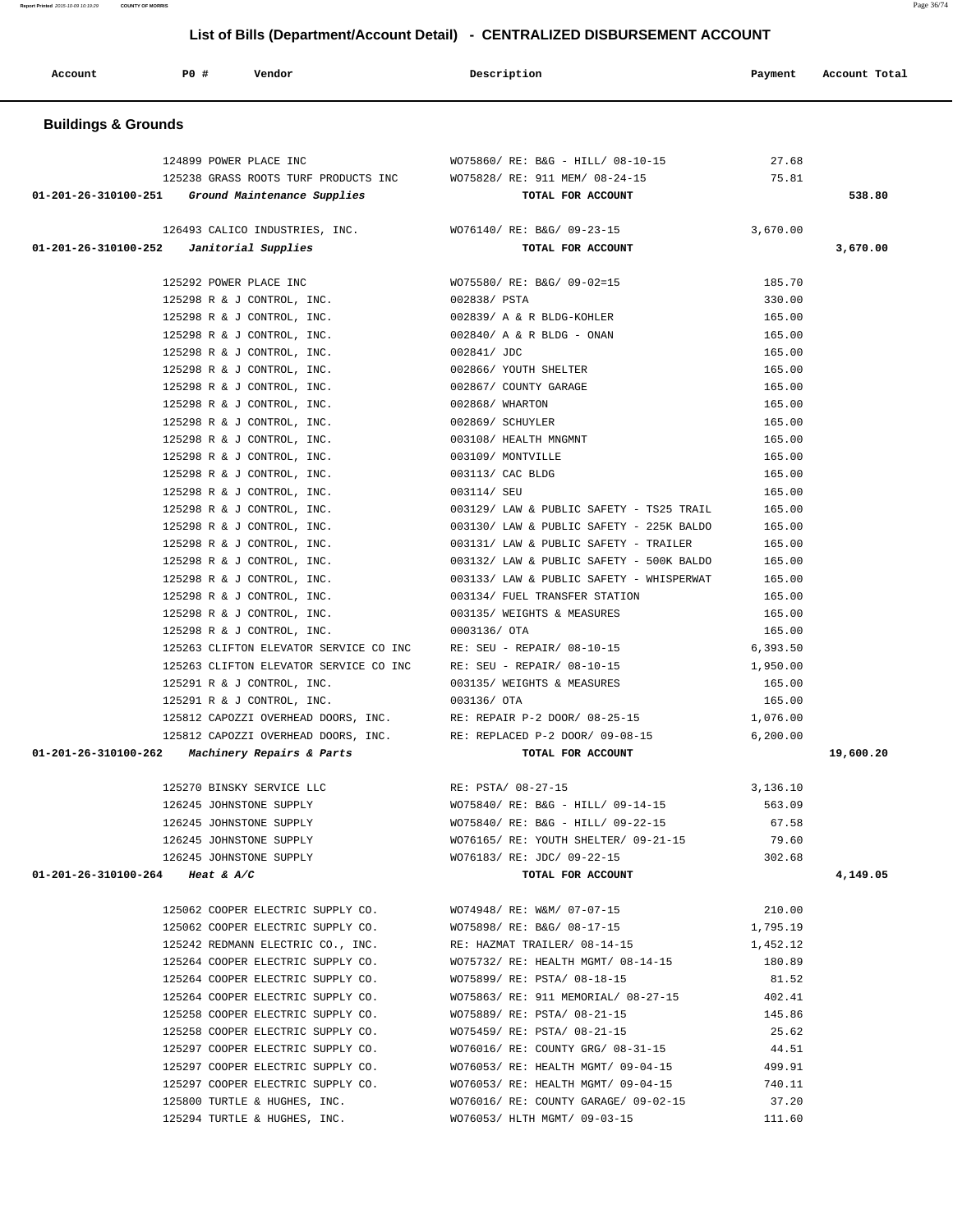| Account                         | <b>PO #</b>            | Vendor                                                       | Description                                                        | Payment          | Account Total |
|---------------------------------|------------------------|--------------------------------------------------------------|--------------------------------------------------------------------|------------------|---------------|
| <b>Buildings &amp; Grounds</b>  |                        |                                                              |                                                                    |                  |               |
|                                 | 124899 POWER PLACE INC |                                                              | WO75860/ RE: B&G - HILL/ 08-10-15                                  | 27.68            |               |
|                                 |                        | 125238 GRASS ROOTS TURF PRODUCTS INC                         | WO75828/ RE: 911 MEM/ 08-24-15                                     | 75.81            |               |
| 01-201-26-310100-251            |                        | Ground Maintenance Supplies                                  | TOTAL FOR ACCOUNT                                                  |                  | 538.80        |
|                                 |                        |                                                              |                                                                    |                  |               |
|                                 |                        | 126493 CALICO INDUSTRIES, INC.                               | WO76140/ RE: B&G/ 09-23-15                                         | 3,670.00         |               |
| 01-201-26-310100-252            |                        | Janitorial Supplies                                          | TOTAL FOR ACCOUNT                                                  |                  | 3,670.00      |
|                                 | 125292 POWER PLACE INC |                                                              | WO75580/ RE: B&G/ 09-02=15                                         | 185.70           |               |
|                                 |                        | 125298 R & J CONTROL, INC.                                   | 002838/ PSTA                                                       | 330.00           |               |
|                                 |                        | 125298 R & J CONTROL, INC.                                   | 002839/ A & R BLDG-KOHLER                                          | 165.00           |               |
|                                 |                        | 125298 R & J CONTROL, INC.                                   | $002840/$ A & R BLDG - ONAN                                        | 165.00           |               |
|                                 |                        | 125298 R & J CONTROL, INC.                                   | 002841/ JDC                                                        | 165.00           |               |
|                                 |                        | 125298 R & J CONTROL, INC.                                   | 002866/ YOUTH SHELTER                                              | 165.00           |               |
|                                 |                        | 125298 R & J CONTROL, INC.                                   | 002867/ COUNTY GARAGE                                              | 165.00           |               |
|                                 |                        | 125298 R & J CONTROL, INC.                                   | 002868/ WHARTON                                                    | 165.00           |               |
|                                 |                        | 125298 R & J CONTROL, INC.                                   | 002869/ SCHUYLER                                                   | 165.00           |               |
|                                 |                        | 125298 R & J CONTROL, INC.                                   | 003108/ HEALTH MNGMNT                                              | 165.00           |               |
|                                 |                        | 125298 R & J CONTROL, INC.                                   | 003109/ MONTVILLE                                                  | 165.00           |               |
|                                 |                        | 125298 R & J CONTROL, INC.                                   | 003113/ CAC BLDG                                                   | 165.00           |               |
|                                 |                        | 125298 R & J CONTROL, INC.                                   | 003114/ SEU                                                        | 165.00           |               |
|                                 |                        | 125298 R & J CONTROL, INC.                                   | 003129/ LAW & PUBLIC SAFETY - TS25 TRAIL                           | 165.00           |               |
|                                 |                        | 125298 R & J CONTROL, INC.                                   | 003130/ LAW & PUBLIC SAFETY - 225K BALDO                           | 165.00           |               |
|                                 |                        | 125298 R & J CONTROL, INC.                                   | 003131/ LAW & PUBLIC SAFETY - TRAILER                              | 165.00           |               |
|                                 |                        | 125298 R & J CONTROL, INC.                                   | 003132/ LAW & PUBLIC SAFETY - 500K BALDO                           | 165.00           |               |
|                                 |                        | 125298 R & J CONTROL, INC.                                   | 003133/ LAW & PUBLIC SAFETY - WHISPERWAT                           | 165.00           |               |
|                                 |                        | 125298 R & J CONTROL, INC.                                   | 003134/ FUEL TRANSFER STATION<br>003135/ WEIGHTS & MEASURES        | 165.00<br>165.00 |               |
|                                 |                        | 125298 R & J CONTROL, INC.<br>125298 R & J CONTROL, INC.     | 0003136/ OTA                                                       | 165.00           |               |
|                                 |                        | 125263 CLIFTON ELEVATOR SERVICE CO INC                       | RE: SEU - REPAIR/ 08-10-15                                         | 6,393.50         |               |
|                                 |                        | 125263 CLIFTON ELEVATOR SERVICE CO INC                       | RE: SEU - REPAIR/ 08-10-15                                         | 1,950.00         |               |
|                                 |                        | 125291 R & J CONTROL, INC.                                   | 003135/ WEIGHTS & MEASURES                                         | 165.00           |               |
|                                 |                        | 125291 R & J CONTROL, INC.                                   | 003136/ OTA                                                        | 165.00           |               |
|                                 |                        | 125812 CAPOZZI OVERHEAD DOORS, INC.                          | RE: REPAIR P-2 DOOR/ 08-25-15                                      | 1,076.00         |               |
|                                 |                        | 125812 CAPOZZI OVERHEAD DOORS, INC.                          | RE: REPLACED P-2 DOOR/ 09-08-15                                    | 6, 200.00        |               |
|                                 |                        | 01-201-26-310100-262 Machinery Repairs & Parts               | TOTAL FOR ACCOUNT                                                  |                  | 19,600.20     |
|                                 |                        | 125270 BINSKY SERVICE LLC                                    | RE: PSTA/ 08-27-15                                                 | 3,136.10         |               |
|                                 |                        | 126245 JOHNSTONE SUPPLY                                      | WO75840/ RE: B&G - HILL/ 09-14-15                                  | 563.09           |               |
|                                 |                        | 126245 JOHNSTONE SUPPLY                                      | WO75840/ RE: B&G - HILL/ 09-22-15                                  | 67.58            |               |
|                                 |                        | 126245 JOHNSTONE SUPPLY                                      | WO76165/ RE: YOUTH SHELTER/ 09-21-15                               | 79.60            |               |
|                                 |                        |                                                              | 126245 JOHNSTONE SUPPLY WO76183/RE: JDC/ 09-22-15                  | 302.68           |               |
| 01-201-26-310100-264 Heat & A/C |                        |                                                              | TOTAL FOR ACCOUNT                                                  |                  | 4,149.05      |
|                                 |                        | 125062 COOPER ELECTRIC SUPPLY CO.                            | WO74948/ RE: W&M/ 07-07-15                                         | 210.00           |               |
|                                 |                        | 125062 COOPER ELECTRIC SUPPLY CO.                            | WO75898/ RE: B&G/ 08-17-15                                         | 1,795.19         |               |
|                                 |                        | 125242 REDMANN ELECTRIC CO., INC.                            | RE: HAZMAT TRAILER/ 08-14-15                                       | 1,452.12         |               |
|                                 |                        | 125264 COOPER ELECTRIC SUPPLY CO.                            | WO75732/ RE: HEALTH MGMT/ 08-14-15                                 | 180.89           |               |
|                                 |                        | 125264 COOPER ELECTRIC SUPPLY CO.                            | WO75899/ RE: PSTA/ 08-18-15                                        | 81.52            |               |
|                                 |                        | 125264 COOPER ELECTRIC SUPPLY CO.                            | WO75863/ RE: 911 MEMORIAL/ 08-27-15 402.41                         |                  |               |
|                                 |                        | 125258 COOPER ELECTRIC SUPPLY CO.                            | WO75889/ RE: PSTA/ 08-21-15                                        | 145.86           |               |
|                                 |                        | 125258 COOPER ELECTRIC SUPPLY CO.                            | WO75459/ RE: PSTA/ 08-21-15                                        | 25.62            |               |
|                                 |                        | 125297 COOPER ELECTRIC SUPPLY CO.                            | WO76016/ RE: COUNTY GRG/ 08-31-15                                  | 44.51            |               |
|                                 |                        | 125297 COOPER ELECTRIC SUPPLY CO.                            | WO76053/ RE: HEALTH MGMT/ 09-04-15                                 | 499.91           |               |
|                                 |                        | 125297 COOPER ELECTRIC SUPPLY CO.                            | WO76053/ RE: HEALTH MGMT/ 09-04-15                                 | 740.11           |               |
|                                 |                        | 125800 TURTLE & HUGHES, INC.<br>125294 TURTLE & HUGHES, INC. | WO76016/RE: COUNTY GARAGE/09-02-15<br>WO76053/ HLTH MGMT/ 09-03-15 | 37.20<br>111.60  |               |
|                                 |                        |                                                              |                                                                    |                  |               |

**Report Printed** 2015-10-09 10:19:29 **COUNTY OF MORRIS** Page 36/74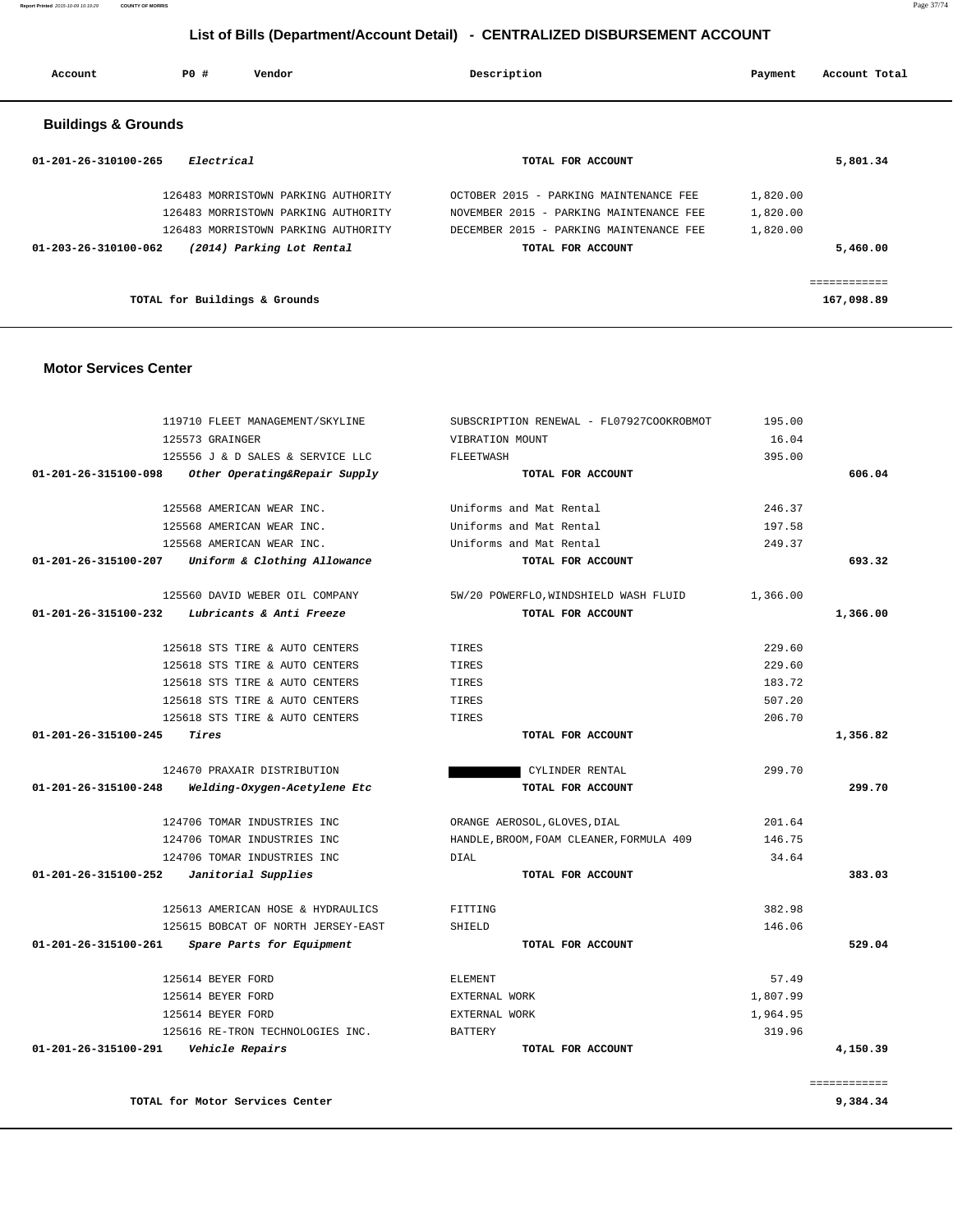| 01-201-26-315100-098                    | Other Operating&Repair Supply                     | TOTAL FOR ACCOUNT                        |          | 606.04       |
|-----------------------------------------|---------------------------------------------------|------------------------------------------|----------|--------------|
|                                         | 125568 AMERICAN WEAR INC.                         | Uniforms and Mat Rental                  | 246.37   |              |
|                                         | 125568 AMERICAN WEAR INC.                         | Uniforms and Mat Rental                  | 197.58   |              |
|                                         | 125568 AMERICAN WEAR INC.                         | Uniforms and Mat Rental                  | 249.37   |              |
|                                         | 01-201-26-315100-207 Uniform & Clothing Allowance | TOTAL FOR ACCOUNT                        |          | 693.32       |
|                                         | 125560 DAVID WEBER OIL COMPANY                    | 5W/20 POWERFLO, WINDSHIELD WASH FLUID    | 1,366.00 |              |
|                                         | $01-201-26-315100-232$ Lubricants & Anti Freeze   | TOTAL FOR ACCOUNT                        |          | 1,366.00     |
|                                         | 125618 STS TIRE & AUTO CENTERS                    | TIRES                                    | 229.60   |              |
|                                         | 125618 STS TIRE & AUTO CENTERS                    | TIRES                                    | 229.60   |              |
|                                         | 125618 STS TIRE & AUTO CENTERS                    | TIRES                                    | 183.72   |              |
|                                         | 125618 STS TIRE & AUTO CENTERS                    | TIRES                                    | 507.20   |              |
|                                         | 125618 STS TIRE & AUTO CENTERS                    | TIRES                                    | 206.70   |              |
| 01-201-26-315100-245                    | Tires                                             | TOTAL FOR ACCOUNT                        |          | 1,356.82     |
|                                         | 124670 PRAXAIR DISTRIBUTION                       | CYLINDER RENTAL                          | 299.70   |              |
| 01-201-26-315100-248                    | Welding-Oxygen-Acetylene Etc                      | TOTAL FOR ACCOUNT                        |          | 299.70       |
|                                         | 124706 TOMAR INDUSTRIES INC                       | ORANGE AEROSOL, GLOVES, DIAL             | 201.64   |              |
|                                         | 124706 TOMAR INDUSTRIES INC                       | HANDLE, BROOM, FOAM CLEANER, FORMULA 409 | 146.75   |              |
|                                         | 124706 TOMAR INDUSTRIES INC                       | <b>DIAL</b>                              | 34.64    |              |
|                                         | $01-201-26-315100-252$ Janitorial Supplies        | TOTAL FOR ACCOUNT                        |          | 383.03       |
|                                         | 125613 AMERICAN HOSE & HYDRAULICS                 | FITTING                                  | 382.98   |              |
|                                         | 125615 BOBCAT OF NORTH JERSEY-EAST                | SHIELD                                   | 146.06   |              |
|                                         | 01-201-26-315100-261 Spare Parts for Equipment    | TOTAL FOR ACCOUNT                        |          | 529.04       |
|                                         | 125614 BEYER FORD                                 | <b>ELEMENT</b>                           | 57.49    |              |
|                                         | 125614 BEYER FORD                                 | EXTERNAL WORK                            | 1,807.99 |              |
|                                         | 125614 BEYER FORD                                 | EXTERNAL WORK                            | 1,964.95 |              |
|                                         | 125616 RE-TRON TECHNOLOGIES INC.                  | <b>BATTERY</b>                           | 319.96   |              |
| 01-201-26-315100-291    Vehicle Repairs |                                                   | TOTAL FOR ACCOUNT                        |          | 4,150.39     |
|                                         |                                                   |                                          |          | ============ |
|                                         | TOTAL for Motor Services Center                   |                                          |          | 9,384.34     |

#### **Motor Services Center**

| Account                        | <b>PO #</b> | Vendor                              | Description |                                         | Payment  | Account Total |  |
|--------------------------------|-------------|-------------------------------------|-------------|-----------------------------------------|----------|---------------|--|
| <b>Buildings &amp; Grounds</b> |             |                                     |             |                                         |          |               |  |
| $01 - 201 - 26 - 310100 - 265$ | Electrical  |                                     |             | TOTAL FOR ACCOUNT                       |          | 5,801.34      |  |
|                                |             | 126483 MORRISTOWN PARKING AUTHORITY |             | OCTOBER 2015 - PARKING MAINTENANCE FEE  | 1,820.00 |               |  |
|                                |             | 126483 MORRISTOWN PARKING AUTHORITY |             | NOVEMBER 2015 - PARKING MAINTENANCE FEE | 1,820.00 |               |  |
|                                |             | 126483 MORRISTOWN PARKING AUTHORITY |             | DECEMBER 2015 - PARKING MAINTENANCE FEE | 1,820.00 |               |  |
| $01 - 203 - 26 - 310100 - 062$ |             | (2014) Parking Lot Rental           |             | TOTAL FOR ACCOUNT                       |          | 5,460.00      |  |
|                                |             |                                     |             |                                         |          | .             |  |
|                                |             | TOTAL for Buildings & Grounds       |             |                                         |          | 167,098.89    |  |

 119710 FLEET MANAGEMENT/SKYLINE SUBSCRIPTION RENEWAL - FL07927COOKROBMOT 195.00 125573 GRAINGER VIBRATION MOUNT 16.04 125556 J & D SALES & SERVICE LLC FLEETWASH 395.00

# **List of Bills (Department/Account Detail) - CENTRALIZED DISBURSEMENT ACCOUNT**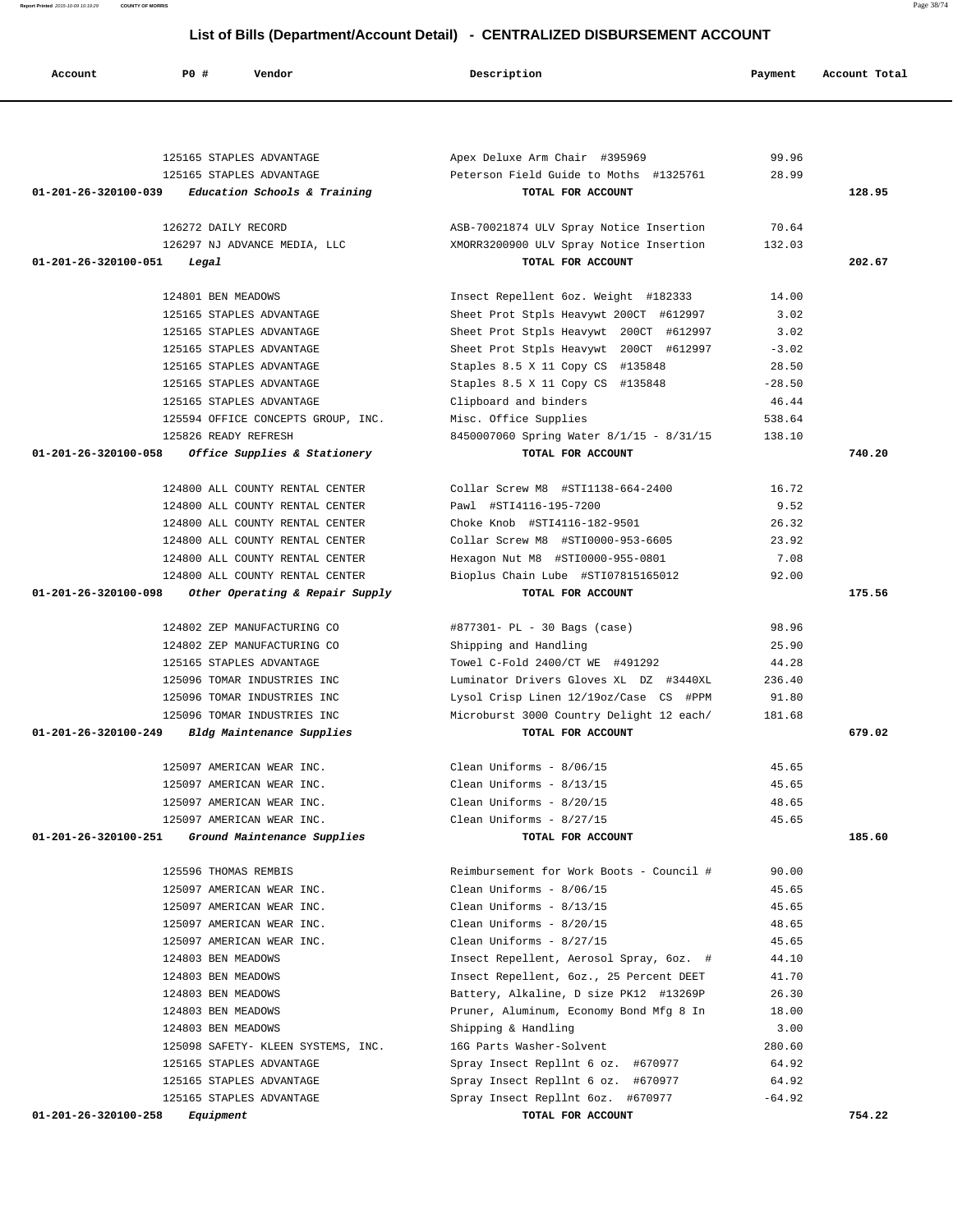| Account                                  | PO#<br>Vendor                      | Description                              | Payment  | Account Total |
|------------------------------------------|------------------------------------|------------------------------------------|----------|---------------|
|                                          |                                    |                                          |          |               |
|                                          |                                    |                                          |          |               |
|                                          | 125165 STAPLES ADVANTAGE           | Apex Deluxe Arm Chair #395969            | 99.96    |               |
|                                          | 125165 STAPLES ADVANTAGE           | Peterson Field Guide to Moths #1325761   | 28.99    |               |
| 01-201-26-320100-039                     | Education Schools & Training       | TOTAL FOR ACCOUNT                        |          | 128.95        |
|                                          | 126272 DAILY RECORD                | ASB-70021874 ULV Spray Notice Insertion  | 70.64    |               |
|                                          | 126297 NJ ADVANCE MEDIA, LLC       | XMORR3200900 ULV Spray Notice Insertion  | 132.03   |               |
| 01-201-26-320100-051                     | Legal                              | TOTAL FOR ACCOUNT                        |          | 202.67        |
|                                          | 124801 BEN MEADOWS                 | Insect Repellent 6oz. Weight #182333     | 14.00    |               |
|                                          | 125165 STAPLES ADVANTAGE           | Sheet Prot Stpls Heavywt 200CT #612997   | 3.02     |               |
|                                          | 125165 STAPLES ADVANTAGE           | Sheet Prot Stpls Heavywt 200CT #612997   | 3.02     |               |
|                                          | 125165 STAPLES ADVANTAGE           | Sheet Prot Stpls Heavywt 200CT #612997   | $-3.02$  |               |
|                                          | 125165 STAPLES ADVANTAGE           | Staples 8.5 X 11 Copy CS #135848         | 28.50    |               |
|                                          | 125165 STAPLES ADVANTAGE           |                                          | $-28.50$ |               |
|                                          | 125165 STAPLES ADVANTAGE           | Staples 8.5 X 11 Copy CS #135848         | 46.44    |               |
|                                          |                                    | Clipboard and binders                    |          |               |
|                                          | 125594 OFFICE CONCEPTS GROUP, INC. | Misc. Office Supplies                    | 538.64   |               |
|                                          | 125826 READY REFRESH               | 8450007060 Spring Water 8/1/15 - 8/31/15 | 138.10   |               |
| 01-201-26-320100-058                     | Office Supplies & Stationery       | TOTAL FOR ACCOUNT                        |          | 740.20        |
|                                          | 124800 ALL COUNTY RENTAL CENTER    | Collar Screw M8 #STI1138-664-2400        | 16.72    |               |
|                                          | 124800 ALL COUNTY RENTAL CENTER    | Pawl #STI4116-195-7200                   | 9.52     |               |
|                                          | 124800 ALL COUNTY RENTAL CENTER    | Choke Knob #STI4116-182-9501             | 26.32    |               |
|                                          | 124800 ALL COUNTY RENTAL CENTER    | Collar Screw M8 #STI0000-953-6605        | 23.92    |               |
|                                          | 124800 ALL COUNTY RENTAL CENTER    | Hexagon Nut M8 #STI0000-955-0801         | 7.08     |               |
|                                          | 124800 ALL COUNTY RENTAL CENTER    | Bioplus Chain Lube #STI07815165012       | 92.00    |               |
| 01-201-26-320100-098                     | Other Operating & Repair Supply    | TOTAL FOR ACCOUNT                        |          | 175.56        |
|                                          | 124802 ZEP MANUFACTURING CO        | #877301- PL - 30 Bags (case)             | 98.96    |               |
|                                          | 124802 ZEP MANUFACTURING CO        | Shipping and Handling                    | 25.90    |               |
|                                          | 125165 STAPLES ADVANTAGE           | Towel C-Fold 2400/CT WE #491292          | 44.28    |               |
|                                          | 125096 TOMAR INDUSTRIES INC        | Luminator Drivers Gloves XL DZ #3440XL   | 236.40   |               |
|                                          | 125096 TOMAR INDUSTRIES INC        | Lysol Crisp Linen 12/19oz/Case CS #PPM   | 91.80    |               |
|                                          | 125096 TOMAR INDUSTRIES INC        | Microburst 3000 Country Delight 12 each/ | 181.68   |               |
|                                          |                                    | TOTAL FOR ACCOUNT                        |          |               |
| 01-201-26-320100-249                     | Bldg Maintenance Supplies          |                                          |          | 679.02        |
|                                          | 125097 AMERICAN WEAR INC.          | Clean Uniforms - 8/06/15                 | 45.65    |               |
|                                          | 125097 AMERICAN WEAR INC.          | Clean Uniforms - $8/13/15$               | 45.65    |               |
|                                          | 125097 AMERICAN WEAR INC.          | Clean Uniforms - 8/20/15                 | 48.65    |               |
|                                          | 125097 AMERICAN WEAR INC.          | Clean Uniforms - $8/27/15$               | 45.65    |               |
| 01-201-26-320100-251                     | Ground Maintenance Supplies        | TOTAL FOR ACCOUNT                        |          | 185.60        |
|                                          | 125596 THOMAS REMBIS               | Reimbursement for Work Boots - Council # | 90.00    |               |
|                                          | 125097 AMERICAN WEAR INC.          | Clean Uniforms - 8/06/15                 | 45.65    |               |
|                                          | 125097 AMERICAN WEAR INC.          | Clean Uniforms - $8/13/15$               | 45.65    |               |
|                                          | 125097 AMERICAN WEAR INC.          | Clean Uniforms - $8/20/15$               | 48.65    |               |
|                                          | 125097 AMERICAN WEAR INC.          | Clean Uniforms - 8/27/15                 | 45.65    |               |
|                                          | 124803 BEN MEADOWS                 | Insect Repellent, Aerosol Spray, 6oz. #  | 44.10    |               |
|                                          | 124803 BEN MEADOWS                 | Insect Repellent, 6oz., 25 Percent DEET  | 41.70    |               |
|                                          | 124803 BEN MEADOWS                 | Battery, Alkaline, D size PK12 #13269P   | 26.30    |               |
|                                          | 124803 BEN MEADOWS                 | Pruner, Aluminum, Economy Bond Mfg 8 In  | 18.00    |               |
|                                          | 124803 BEN MEADOWS                 | Shipping & Handling                      | 3.00     |               |
|                                          | 125098 SAFETY- KLEEN SYSTEMS, INC. | 16G Parts Washer-Solvent                 | 280.60   |               |
|                                          | 125165 STAPLES ADVANTAGE           |                                          | 64.92    |               |
|                                          |                                    | Spray Insect Repllnt 6 oz. #670977       |          |               |
|                                          | 125165 STAPLES ADVANTAGE           | Spray Insect Repllnt 6 oz. #670977       | 64.92    |               |
|                                          | 125165 STAPLES ADVANTAGE           | Spray Insect Repllnt 6oz. #670977        | $-64.92$ |               |
| $01 - 201 - 26 - 320100 - 258$ Equipment |                                    | TOTAL FOR ACCOUNT                        |          | 754.22        |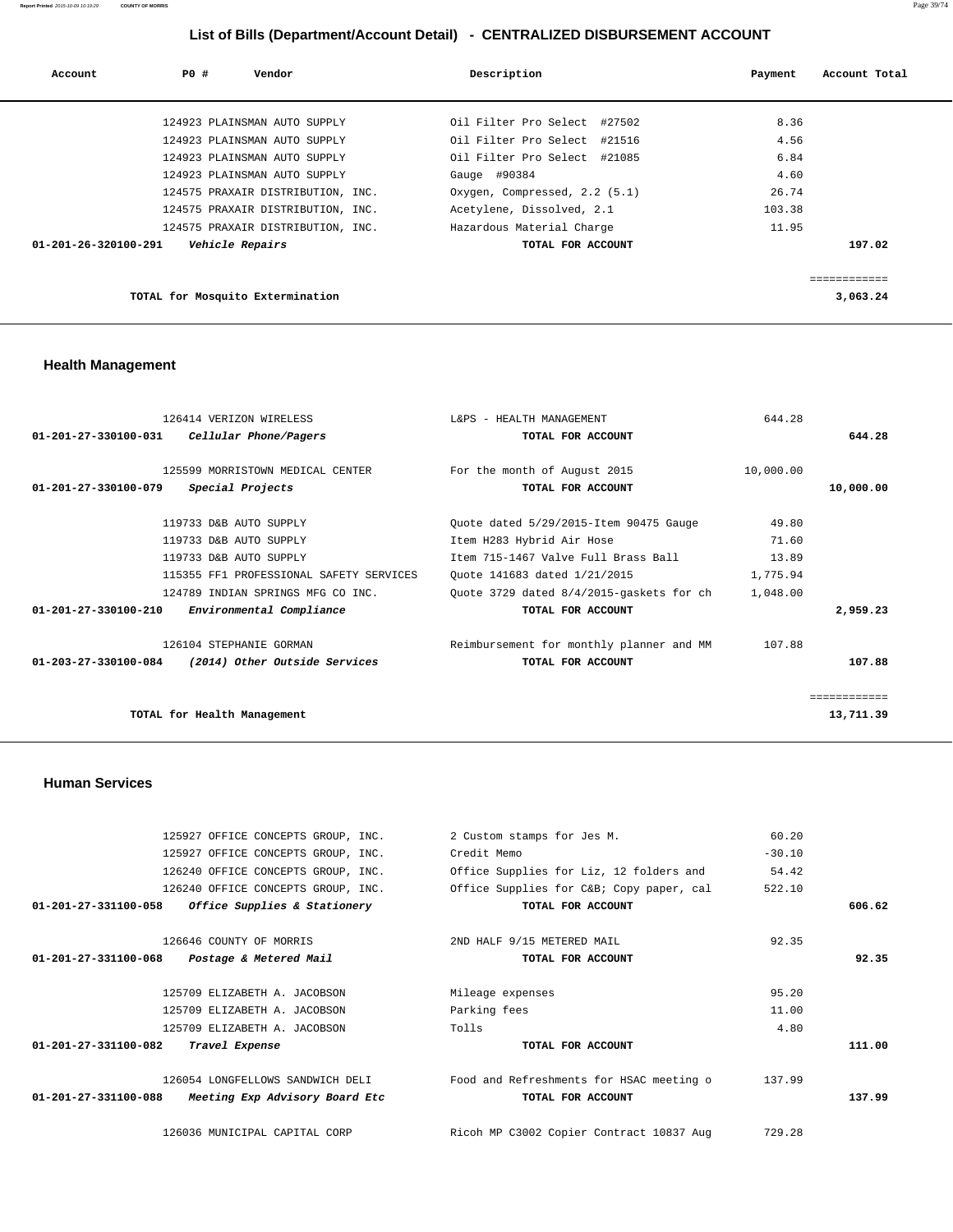| Account                        | PO # | Vendor                            | Description                   | Payment | Account Total           |
|--------------------------------|------|-----------------------------------|-------------------------------|---------|-------------------------|
|                                |      |                                   |                               |         |                         |
|                                |      | 124923 PLAINSMAN AUTO SUPPLY      | Oil Filter Pro Select #27502  | 8.36    |                         |
|                                |      | 124923 PLAINSMAN AUTO SUPPLY      | Oil Filter Pro Select #21516  | 4.56    |                         |
|                                |      | 124923 PLAINSMAN AUTO SUPPLY      | Oil Filter Pro Select #21085  | 6.84    |                         |
|                                |      | 124923 PLAINSMAN AUTO SUPPLY      | Gauge #90384                  | 4.60    |                         |
|                                |      | 124575 PRAXAIR DISTRIBUTION, INC. | Oxygen, Compressed, 2.2 (5.1) | 26.74   |                         |
|                                |      | 124575 PRAXAIR DISTRIBUTION, INC. | Acetylene, Dissolved, 2.1     | 103.38  |                         |
|                                |      | 124575 PRAXAIR DISTRIBUTION, INC. | Hazardous Material Charge     | 11.95   |                         |
| $01 - 201 - 26 - 320100 - 291$ |      | Vehicle Repairs                   | TOTAL FOR ACCOUNT             |         | 197.02                  |
|                                |      |                                   |                               |         | . _ _ _ _ _ _ _ _ _ _ _ |
|                                |      | TOTAL for Mosquito Extermination  |                               |         | 3,063.24                |

## **Health Management**

| 126414 VERIZON WIRELESS                                    | L&PS - HEALTH MANAGEMENT                 | 644.28    |              |
|------------------------------------------------------------|------------------------------------------|-----------|--------------|
| $01 - 201 - 27 - 330100 - 031$<br>Cellular Phone/Pagers    | TOTAL FOR ACCOUNT                        |           | 644.28       |
| 125599 MORRISTOWN MEDICAL CENTER                           | For the month of August 2015             | 10,000.00 |              |
| $01 - 201 - 27 - 330100 - 079$<br>Special Projects         | TOTAL FOR ACCOUNT                        |           | 10,000.00    |
| 119733 D&B AUTO SUPPLY                                     | Quote dated 5/29/2015-Item 90475 Gauge   | 49.80     |              |
| 119733 D&B AUTO SUPPLY                                     | Item H283 Hybrid Air Hose                | 71.60     |              |
| 119733 D&B AUTO SUPPLY                                     | Item 715-1467 Valve Full Brass Ball      | 13.89     |              |
| 115355 FF1 PROFESSIONAL SAFETY SERVICES                    | Ouote 141683 dated 1/21/2015             | 1,775.94  |              |
| 124789 INDIAN SPRINGS MFG CO INC.                          | Quote 3729 dated 8/4/2015-gaskets for ch | 1,048.00  |              |
| $01 - 201 - 27 - 330100 - 210$<br>Environmental Compliance | TOTAL FOR ACCOUNT                        |           | 2,959.23     |
| 126104 STEPHANIE GORMAN                                    | Reimbursement for monthly planner and MM | 107.88    |              |
| (2014) Other Outside Services<br>01-203-27-330100-084      | TOTAL FOR ACCOUNT                        |           | 107.88       |
|                                                            |                                          |           | ============ |
| TOTAL for Health Management                                |                                          |           | 13,711.39    |
|                                                            |                                          |           |              |

#### **Human Services**

|        | 60.20    | 2 Custom stamps for Jes M.               | 125927 OFFICE CONCEPTS GROUP, INC.                               |
|--------|----------|------------------------------------------|------------------------------------------------------------------|
|        | $-30.10$ | Credit Memo                              | 125927 OFFICE CONCEPTS GROUP, INC.                               |
|        | 54.42    | Office Supplies for Liz, 12 folders and  | 126240 OFFICE CONCEPTS GROUP, INC.                               |
|        | 522.10   | Office Supplies for C&B Copy paper, cal  | 126240 OFFICE CONCEPTS GROUP, INC.                               |
| 606.62 |          | TOTAL FOR ACCOUNT                        | 01-201-27-331100-058<br>Office Supplies & Stationery             |
|        | 92.35    | 2ND HALF 9/15 METERED MAIL               | 126646 COUNTY OF MORRIS                                          |
| 92.35  |          | TOTAL FOR ACCOUNT                        | 01-201-27-331100-068<br>Postage & Metered Mail                   |
|        | 95.20    | Mileage expenses                         | 125709 ELIZABETH A. JACOBSON                                     |
|        | 11.00    | Parking fees                             | 125709 ELIZABETH A. JACOBSON                                     |
|        | 4.80     | Tolls                                    | 125709 ELIZABETH A. JACOBSON                                     |
| 111.00 |          | TOTAL FOR ACCOUNT                        | 01-201-27-331100-082<br>Travel Expense                           |
|        | 137.99   | Food and Refreshments for HSAC meeting o | 126054 LONGFELLOWS SANDWICH DELI                                 |
| 137.99 |          | TOTAL FOR ACCOUNT                        | $01 - 201 - 27 - 331100 - 088$<br>Meeting Exp Advisory Board Etc |
|        | 729.28   | Ricoh MP C3002 Copier Contract 10837 Aug | 126036 MUNICIPAL CAPITAL CORP                                    |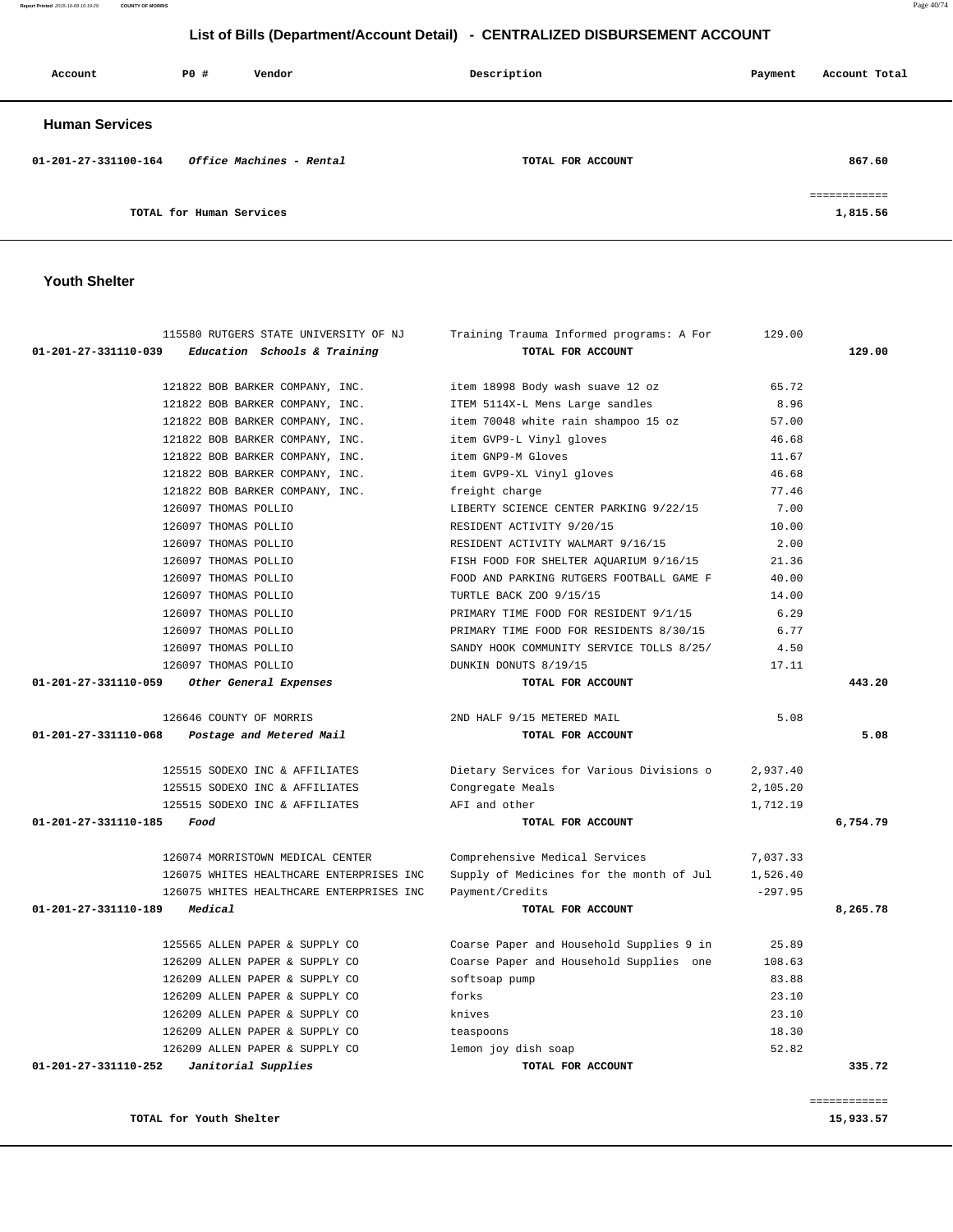|                                |                                                                    |                                                                        |                | ============ |
|--------------------------------|--------------------------------------------------------------------|------------------------------------------------------------------------|----------------|--------------|
|                                |                                                                    |                                                                        |                |              |
| 01-201-27-331110-252           | Janitorial Supplies                                                | TOTAL FOR ACCOUNT                                                      |                | 335.72       |
|                                | 126209 ALLEN PAPER & SUPPLY CO                                     | teaspoons<br>lemon joy dish soap                                       | 52.82          |              |
|                                | 126209 ALLEN PAPER & SUPPLY CO<br>126209 ALLEN PAPER & SUPPLY CO   | knives                                                                 | 23.10<br>18.30 |              |
|                                | 126209 ALLEN PAPER & SUPPLY CO                                     | forks                                                                  | 23.10          |              |
|                                | 126209 ALLEN PAPER & SUPPLY CO                                     | softsoap pump                                                          | 83.88          |              |
|                                | 126209 ALLEN PAPER & SUPPLY CO                                     | Coarse Paper and Household Supplies one                                | 108.63         |              |
|                                | 125565 ALLEN PAPER & SUPPLY CO                                     | Coarse Paper and Household Supplies 9 in                               | 25.89          |              |
| 01-201-27-331110-189           | Medical                                                            | TOTAL FOR ACCOUNT                                                      |                | 8,265.78     |
|                                | 126075 WHITES HEALTHCARE ENTERPRISES INC                           | Payment/Credits                                                        | $-297.95$      |              |
|                                | 126075 WHITES HEALTHCARE ENTERPRISES INC                           | Supply of Medicines for the month of Jul                               | 1,526.40       |              |
|                                | 126074 MORRISTOWN MEDICAL CENTER                                   | Comprehensive Medical Services                                         | 7,037.33       |              |
| $01 - 201 - 27 - 331110 - 185$ | Food                                                               | TOTAL FOR ACCOUNT                                                      |                | 6,754.79     |
|                                | 125515 SODEXO INC & AFFILIATES                                     | AFI and other                                                          | 1,712.19       |              |
|                                | 125515 SODEXO INC & AFFILIATES                                     | Congregate Meals                                                       | 2,105.20       |              |
|                                | 125515 SODEXO INC & AFFILIATES                                     | Dietary Services for Various Divisions o                               | 2,937.40       |              |
| 01-201-27-331110-068           | Postage and Metered Mail                                           | TOTAL FOR ACCOUNT                                                      |                | 5.08         |
|                                | 126646 COUNTY OF MORRIS                                            | 2ND HALF 9/15 METERED MAIL                                             | 5.08           |              |
| 01-201-27-331110-059           | Other General Expenses                                             | TOTAL FOR ACCOUNT                                                      |                | 443.20       |
|                                | 126097 THOMAS POLLIO                                               | DUNKIN DONUTS 8/19/15                                                  | 17.11          |              |
|                                | 126097 THOMAS POLLIO                                               | SANDY HOOK COMMUNITY SERVICE TOLLS 8/25/                               | 4.50           |              |
|                                | 126097 THOMAS POLLIO                                               | PRIMARY TIME FOOD FOR RESIDENTS 8/30/15                                | 6.77           |              |
|                                | 126097 THOMAS POLLIO                                               | PRIMARY TIME FOOD FOR RESIDENT 9/1/15                                  | 6.29           |              |
|                                | 126097 THOMAS POLLIO                                               | TURTLE BACK ZOO 9/15/15                                                | 14.00          |              |
|                                | 126097 THOMAS POLLIO                                               | FOOD AND PARKING RUTGERS FOOTBALL GAME F                               | 40.00          |              |
|                                | 126097 THOMAS POLLIO                                               | FISH FOOD FOR SHELTER AQUARIUM 9/16/15                                 | 21.36          |              |
|                                | 126097 THOMAS POLLIO                                               | RESIDENT ACTIVITY WALMART 9/16/15                                      | 2.00           |              |
|                                | 126097 THOMAS POLLIO                                               | RESIDENT ACTIVITY 9/20/15                                              | 10.00          |              |
|                                | 126097 THOMAS POLLIO                                               | LIBERTY SCIENCE CENTER PARKING 9/22/15                                 | 7.00           |              |
|                                | 121822 BOB BARKER COMPANY, INC.                                    | freight charge                                                         | 77.46          |              |
|                                | 121822 BOB BARKER COMPANY, INC.                                    | item GVP9-XL Vinyl gloves                                              | 46.68          |              |
|                                | 121822 BOB BARKER COMPANY, INC.                                    | item GNP9-M Gloves                                                     | 11.67          |              |
|                                | 121822 BOB BARKER COMPANY, INC.                                    | item GVP9-L Vinyl gloves                                               | 46.68          |              |
|                                | 121822 BOB BARKER COMPANY, INC.<br>121822 BOB BARKER COMPANY, INC. | ITEM 5114X-L Mens Large sandles<br>item 70048 white rain shampoo 15 oz | 57.00          |              |
|                                | 121822 BOB BARKER COMPANY, INC.                                    | item 18998 Body wash suave 12 oz                                       | 65.72<br>8.96  |              |

| Account               | PO#                      | Vendor                   | Description       | Payment | Account Total            |
|-----------------------|--------------------------|--------------------------|-------------------|---------|--------------------------|
| <b>Human Services</b> |                          |                          |                   |         |                          |
| 01-201-27-331100-164  |                          | Office Machines - Rental | TOTAL FOR ACCOUNT |         | 867.60                   |
|                       | TOTAL for Human Services |                          |                   |         | ============<br>1,815.56 |

 115580 RUTGERS STATE UNIVERSITY OF NJ Training Trauma Informed programs: A For 129.00  **01-201-27-331110-039 Education Schools & Training TOTAL FOR ACCOUNT 129.00**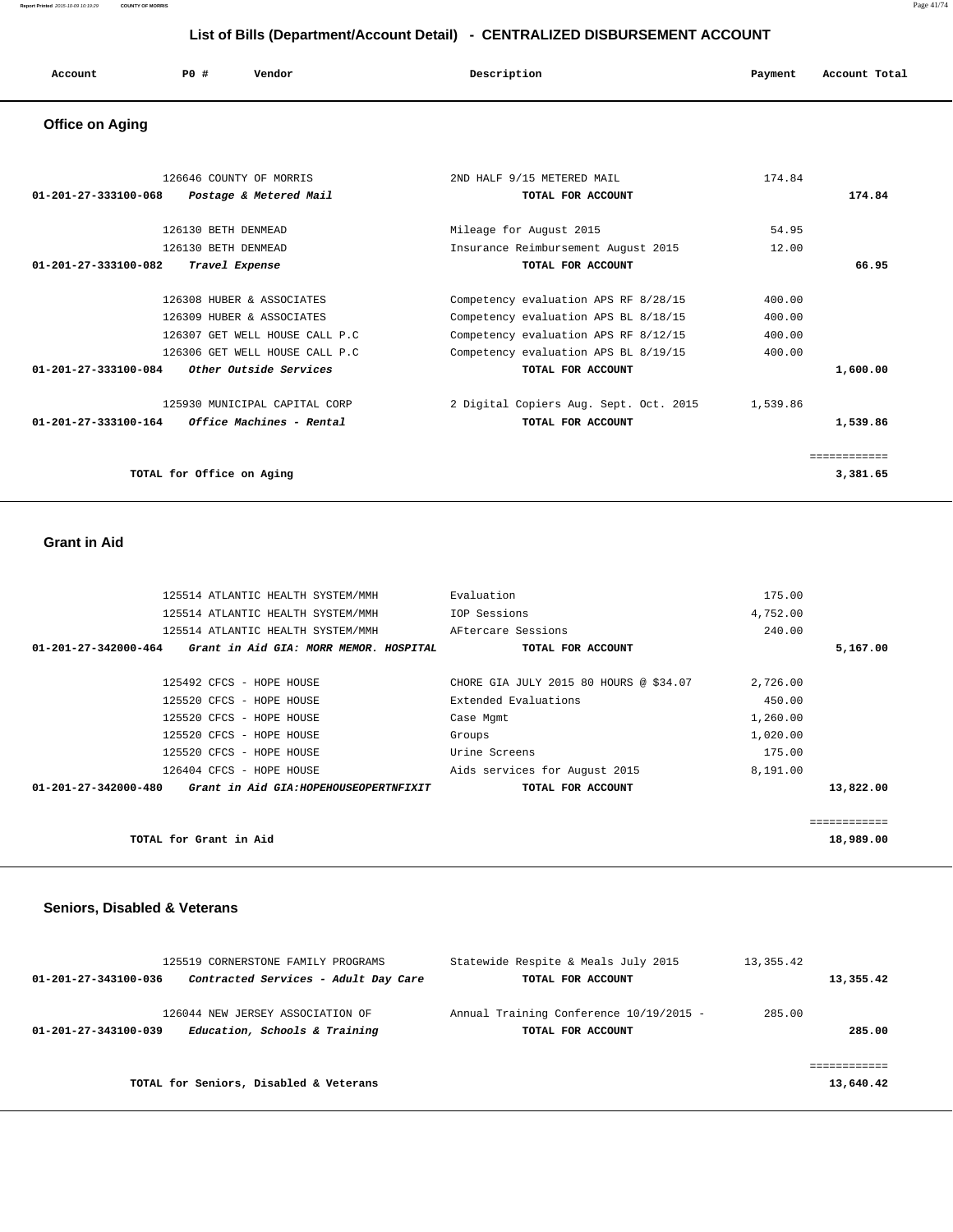**Report Printed** 2015-10-09 10:19:29 **COUNTY OF MORRIS** Page 41/74

## **List of Bills (Department/Account Detail) - CENTRALIZED DISBURSEMENT ACCOUNT**

| Account<br>. | $PO+$ | Vendor | Description | Payment | Account Total |
|--------------|-------|--------|-------------|---------|---------------|
|              |       |        |             |         |               |

## **Office on Aging**

| 126646 COUNTY OF MORRIS                                           | 2ND HALF 9/15 METERED MAIL             | 174.84   |  |
|-------------------------------------------------------------------|----------------------------------------|----------|--|
| 01-201-27-333100-068<br>Postage & Metered Mail                    | TOTAL FOR ACCOUNT                      | 174.84   |  |
|                                                                   |                                        |          |  |
| 126130 BETH DENMEAD                                               | Mileage for August 2015                | 54.95    |  |
| 126130 BETH DENMEAD                                               | Insurance Reimbursement August 2015    | 12.00    |  |
| Travel Expense<br>01-201-27-333100-082                            | TOTAL FOR ACCOUNT                      | 66.95    |  |
| 126308 HUBER & ASSOCIATES                                         | Competency evaluation APS RF 8/28/15   | 400.00   |  |
| 126309 HUBER & ASSOCIATES                                         | Competency evaluation APS BL 8/18/15   | 400.00   |  |
| 126307 GET WELL HOUSE CALL P.C                                    | Competency evaluation APS RF 8/12/15   | 400.00   |  |
| 126306 GET WELL HOUSE CALL P.C                                    | Competency evaluation APS BL 8/19/15   | 400.00   |  |
| 01-201-27-333100-084<br><i>Other Outside Services</i>             | TOTAL FOR ACCOUNT                      | 1,600.00 |  |
| 125930 MUNICIPAL CAPITAL CORP                                     | 2 Digital Copiers Aug. Sept. Oct. 2015 | 1,539.86 |  |
| $01 - 201 - 27 - 333100 - 164$<br><i>Office Machines - Rental</i> | TOTAL FOR ACCOUNT                      | 1,539.86 |  |
|                                                                   |                                        |          |  |
| TOTAL for Office on Aging                                         |                                        | 3,381.65 |  |

#### **Grant in Aid**

| 125514 ATLANTIC HEALTH SYSTEM/MMH                             | Evaluation                             | 175.00   |             |
|---------------------------------------------------------------|----------------------------------------|----------|-------------|
| 125514 ATLANTIC HEALTH SYSTEM/MMH                             | IOP Sessions                           | 4,752.00 |             |
| 125514 ATLANTIC HEALTH SYSTEM/MMH                             | AFtercare Sessions                     | 240.00   |             |
| 01-201-27-342000-464 Grant in Aid GIA: MORR MEMOR. HOSPITAL   | TOTAL FOR ACCOUNT                      |          | 5,167.00    |
|                                                               |                                        |          |             |
| 125492 CFCS - HOPE HOUSE                                      | CHORE GIA JULY 2015 80 HOURS @ \$34.07 | 2,726.00 |             |
| 125520 CFCS - HOPE HOUSE                                      | Extended Evaluations                   | 450.00   |             |
| 125520 CFCS - HOPE HOUSE                                      | Case Mgmt                              | 1,260.00 |             |
| 125520 CFCS - HOPE HOUSE                                      | Groups                                 | 1,020.00 |             |
| 125520 CFCS - HOPE HOUSE                                      | Urine Screens                          | 175.00   |             |
| 126404 CFCS - HOPE HOUSE                                      | Aids services for August 2015          | 8,191.00 |             |
| 01-201-27-342000-480<br>Grant in Aid GIA:HOPEHOUSEOPERTNFIXIT | TOTAL FOR ACCOUNT                      |          | 13,822.00   |
|                                                               |                                        |          |             |
|                                                               |                                        |          | =========== |
| TOTAL for Grant in Aid                                        |                                        |          | 18,989.00   |

### **Seniors, Disabled & Veterans**

| 125519 CORNERSTONE FAMILY PROGRAMS                                                        | Statewide Respite & Meals July 2015                          | 13, 355. 42      |
|-------------------------------------------------------------------------------------------|--------------------------------------------------------------|------------------|
| Contracted Services - Adult Day Care<br>01-201-27-343100-036                              | TOTAL FOR ACCOUNT                                            | 13,355.42        |
| 126044 NEW JERSEY ASSOCIATION OF<br>Education, Schools & Training<br>01-201-27-343100-039 | Annual Training Conference 10/19/2015 -<br>TOTAL FOR ACCOUNT | 285.00<br>285.00 |
| TOTAL for Seniors, Disabled & Veterans                                                    |                                                              | 13,640.42        |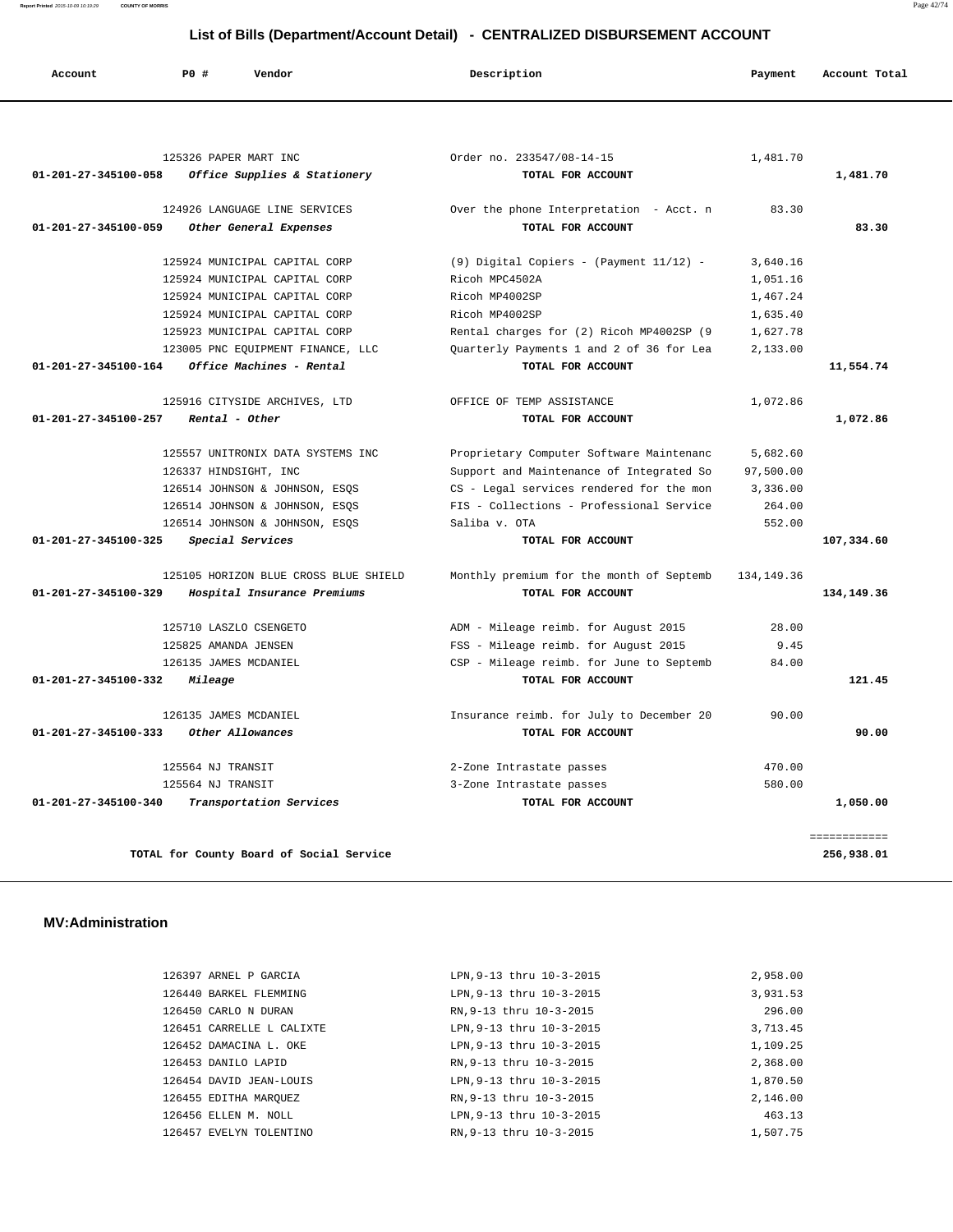| Account                        | P0#                  | Vendor                                | Description                              | Payment      | Account Total |
|--------------------------------|----------------------|---------------------------------------|------------------------------------------|--------------|---------------|
|                                |                      |                                       |                                          |              |               |
|                                |                      | 125326 PAPER MART INC                 | Order no. 233547/08-14-15                | 1,481.70     |               |
| 01-201-27-345100-058           |                      | Office Supplies & Stationery          | TOTAL FOR ACCOUNT                        |              | 1,481.70      |
|                                |                      | 124926 LANGUAGE LINE SERVICES         | Over the phone Interpretation - Acct. n  | 83.30        |               |
| $01 - 201 - 27 - 345100 - 059$ |                      | Other General Expenses                | TOTAL FOR ACCOUNT                        |              | 83.30         |
|                                |                      | 125924 MUNICIPAL CAPITAL CORP         | (9) Digital Copiers - (Payment 11/12) -  | 3,640.16     |               |
|                                |                      | 125924 MUNICIPAL CAPITAL CORP         | Ricoh MPC4502A                           | 1,051.16     |               |
|                                |                      | 125924 MUNICIPAL CAPITAL CORP         | Ricoh MP4002SP                           | 1,467.24     |               |
|                                |                      | 125924 MUNICIPAL CAPITAL CORP         | Ricoh MP4002SP                           | 1,635.40     |               |
|                                |                      | 125923 MUNICIPAL CAPITAL CORP         | Rental charges for (2) Ricoh MP4002SP (9 | 1,627.78     |               |
|                                |                      | 123005 PNC EQUIPMENT FINANCE, LLC     | Quarterly Payments 1 and 2 of 36 for Lea | 2.133.00     |               |
| 01-201-27-345100-164           |                      | Office Machines - Rental              | TOTAL FOR ACCOUNT                        |              | 11,554.74     |
|                                |                      | 125916 CITYSIDE ARCHIVES, LTD         | OFFICE OF TEMP ASSISTANCE                | 1,072.86     |               |
| 01-201-27-345100-257           |                      | Rental - Other                        | TOTAL FOR ACCOUNT                        |              | 1,072.86      |
|                                |                      | 125557 UNITRONIX DATA SYSTEMS INC     | Proprietary Computer Software Maintenanc | 5,682.60     |               |
|                                |                      | 126337 HINDSIGHT, INC                 | Support and Maintenance of Integrated So | 97,500.00    |               |
|                                |                      | 126514 JOHNSON & JOHNSON, ESQS        | CS - Legal services rendered for the mon | 3,336.00     |               |
|                                |                      | 126514 JOHNSON & JOHNSON, ESQS        | FIS - Collections - Professional Service | 264.00       |               |
|                                |                      | 126514 JOHNSON & JOHNSON, ESQS        | Saliba v. OTA                            | 552.00       |               |
| $01 - 201 - 27 - 345100 - 325$ |                      | Special Services                      | TOTAL FOR ACCOUNT                        |              | 107,334.60    |
|                                |                      | 125105 HORIZON BLUE CROSS BLUE SHIELD | Monthly premium for the month of Septemb | 134, 149. 36 |               |
| 01-201-27-345100-329           |                      | Hospital Insurance Premiums           | TOTAL FOR ACCOUNT                        |              | 134,149.36    |
|                                |                      | 125710 LASZLO CSENGETO                | ADM - Mileage reimb. for August 2015     | 28.00        |               |
|                                | 125825 AMANDA JENSEN |                                       | FSS - Mileage reimb. for August 2015     | 9.45         |               |
|                                |                      | 126135 JAMES MCDANIEL                 | CSP - Mileage reimb. for June to Septemb | 84.00        |               |
| 01-201-27-345100-332           | Mileage              |                                       | TOTAL FOR ACCOUNT                        |              | 121.45        |
|                                |                      | 126135 JAMES MCDANIEL                 | Insurance reimb. for July to December 20 | 90.00        |               |
| $01 - 201 - 27 - 345100 - 333$ |                      | Other Allowances                      | TOTAL FOR ACCOUNT                        |              | 90.00         |
|                                | 125564 NJ TRANSIT    |                                       | 2-Zone Intrastate passes                 | 470.00       |               |
|                                | 125564 NJ TRANSIT    |                                       | 3-Zone Intrastate passes                 | 580.00       |               |
| $01 - 201 - 27 - 345100 - 340$ |                      | Transportation Services               | TOTAL FOR ACCOUNT                        |              | 1,050.00      |

 ============ **TOTAL for County Board of Social Service 256,938.01**

 **MV:Administration** 

| 126397 ARNEL P GARCIA     | LPN.9-13 thru 10-3-2015  | 2,958.00 |
|---------------------------|--------------------------|----------|
| 126440 BARKEL FLEMMING    | LPN, 9-13 thru 10-3-2015 | 3,931.53 |
| 126450 CARLO N DURAN      | RN.9-13 thru 10-3-2015   | 296.00   |
| 126451 CARRELLE L CALIXTE | LPN, 9-13 thru 10-3-2015 | 3,713.45 |
| 126452 DAMACINA L. OKE    | LPN, 9-13 thru 10-3-2015 | 1,109.25 |
| 126453 DANILO LAPID       | RN.9-13 thru 10-3-2015   | 2,368.00 |
| 126454 DAVID JEAN-LOUIS   | LPN, 9-13 thru 10-3-2015 | 1,870.50 |
| 126455 EDITHA MAROUEZ     | RN.9-13 thru 10-3-2015   | 2,146.00 |
| 126456 ELLEN M. NOLL      | LPN.9-13 thru 10-3-2015  | 463.13   |
| 126457 EVELYN TOLENTINO   | RN.9-13 thru 10-3-2015   | 1,507.75 |

**Report Printed** 2015-10-09 10:19:29 **COUNTY OF MORRIS** Page 42/74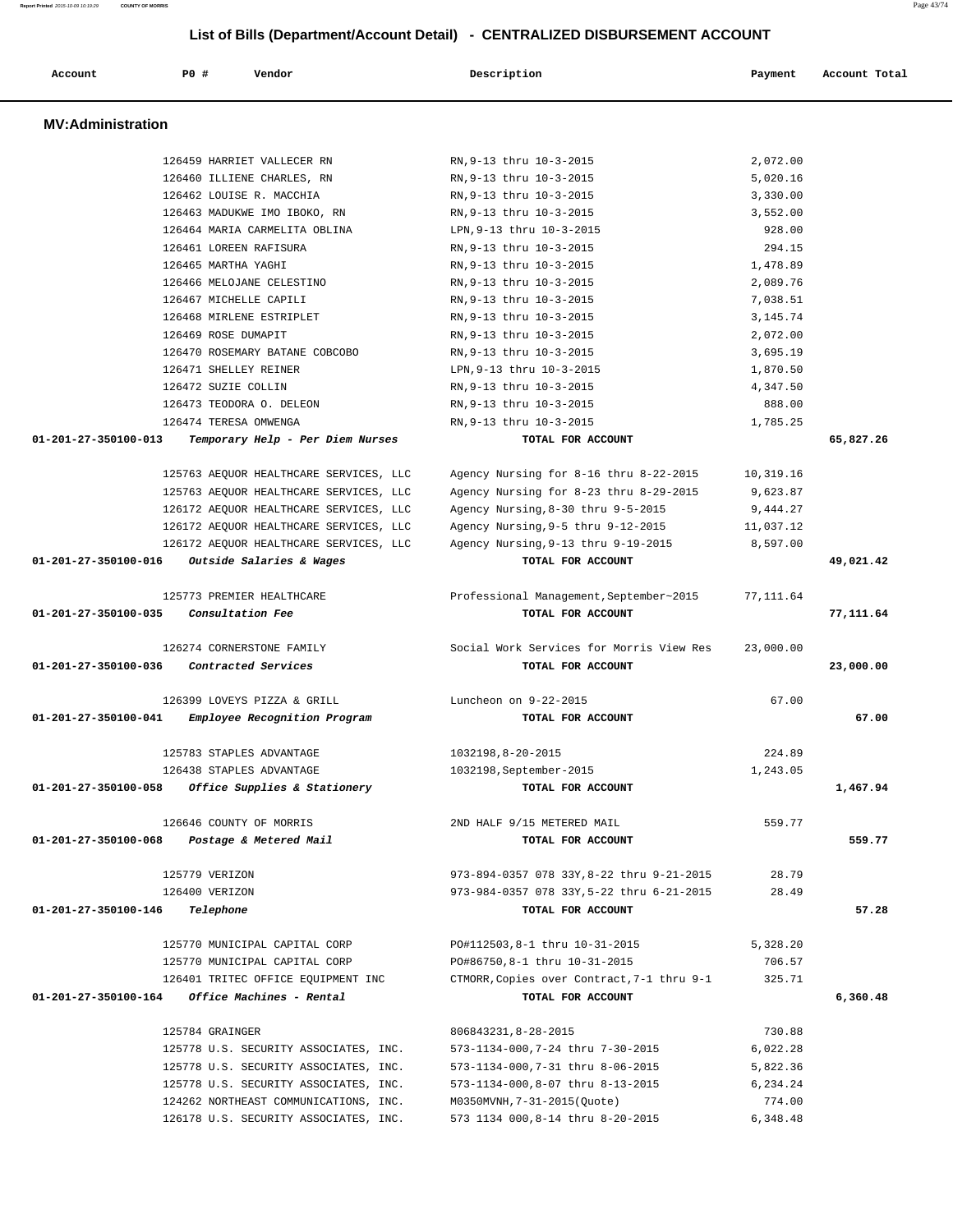| Account                  | PO#                         | Vendor                                 | Description                                                    | Payment    | Account Total |
|--------------------------|-----------------------------|----------------------------------------|----------------------------------------------------------------|------------|---------------|
| <b>MV:Administration</b> |                             |                                        |                                                                |            |               |
|                          |                             | 126459 HARRIET VALLECER RN             | RN, 9-13 thru 10-3-2015                                        | 2,072.00   |               |
|                          |                             | 126460 ILLIENE CHARLES, RN             | RN, 9-13 thru 10-3-2015                                        | 5,020.16   |               |
|                          | 126462 LOUISE R. MACCHIA    |                                        | RN, 9-13 thru 10-3-2015                                        | 3,330.00   |               |
|                          |                             | 126463 MADUKWE IMO IBOKO, RN           | RN, 9-13 thru 10-3-2015                                        | 3,552.00   |               |
|                          |                             | 126464 MARIA CARMELITA OBLINA          | LPN, 9-13 thru 10-3-2015                                       | 928.00     |               |
|                          | 126461 LOREEN RAFISURA      |                                        | RN, 9-13 thru 10-3-2015                                        | 294.15     |               |
|                          | 126465 MARTHA YAGHI         |                                        | RN, 9-13 thru 10-3-2015                                        | 1,478.89   |               |
|                          |                             | 126466 MELOJANE CELESTINO              | RN, 9-13 thru 10-3-2015                                        | 2,089.76   |               |
|                          | 126467 MICHELLE CAPILI      |                                        | RN, 9-13 thru 10-3-2015                                        | 7,038.51   |               |
|                          | 126468 MIRLENE ESTRIPLET    |                                        | RN, 9-13 thru 10-3-2015                                        | 3, 145. 74 |               |
|                          | 126469 ROSE DUMAPIT         |                                        | RN, 9-13 thru 10-3-2015                                        | 2,072.00   |               |
|                          |                             | 126470 ROSEMARY BATANE COBCOBO         | RN, 9-13 thru 10-3-2015                                        | 3,695.19   |               |
|                          | 126471 SHELLEY REINER       |                                        | LPN, 9-13 thru 10-3-2015                                       | 1,870.50   |               |
|                          | 126472 SUZIE COLLIN         |                                        | RN, 9-13 thru 10-3-2015                                        | 4,347.50   |               |
|                          | 126473 TEODORA O. DELEON    |                                        | RN, 9-13 thru 10-3-2015                                        | 888.00     |               |
| 01-201-27-350100-013     | 126474 TERESA OMWENGA       |                                        | RN, 9-13 thru 10-3-2015<br>TOTAL FOR ACCOUNT                   | 1,785.25   |               |
|                          |                             | Temporary Help - Per Diem Nurses       |                                                                |            | 65,827.26     |
|                          |                             | 125763 AEQUOR HEALTHCARE SERVICES, LLC | Agency Nursing for 8-16 thru 8-22-2015                         | 10,319.16  |               |
|                          |                             | 125763 AEQUOR HEALTHCARE SERVICES, LLC | Agency Nursing for 8-23 thru 8-29-2015                         | 9,623.87   |               |
|                          |                             | 126172 AEQUOR HEALTHCARE SERVICES, LLC | Agency Nursing, 8-30 thru 9-5-2015                             | 9,444.27   |               |
|                          |                             | 126172 AEQUOR HEALTHCARE SERVICES, LLC | Agency Nursing, 9-5 thru 9-12-2015                             | 11,037.12  |               |
|                          |                             | 126172 AEQUOR HEALTHCARE SERVICES, LLC | Agency Nursing, 9-13 thru 9-19-2015                            | 8,597.00   |               |
| 01-201-27-350100-016     |                             | Outside Salaries & Wages               | TOTAL FOR ACCOUNT                                              |            | 49,021.42     |
|                          |                             |                                        |                                                                |            |               |
|                          |                             | 125773 PREMIER HEALTHCARE              | Professional Management, September~2015                        | 77,111.64  |               |
| 01-201-27-350100-035     | Consultation Fee            |                                        | TOTAL FOR ACCOUNT                                              |            | 77,111.64     |
|                          |                             |                                        |                                                                |            |               |
|                          |                             | 126274 CORNERSTONE FAMILY              | Social Work Services for Morris View Res                       | 23,000.00  |               |
| 01-201-27-350100-036     |                             | Contracted Services                    | TOTAL FOR ACCOUNT                                              |            | 23,000.00     |
|                          |                             |                                        |                                                                |            |               |
|                          |                             | 126399 LOVEYS PIZZA & GRILL            | Luncheon on 9-22-2015                                          | 67.00      |               |
| 01-201-27-350100-041     |                             | Employee Recognition Program           | TOTAL FOR ACCOUNT                                              |            | 67.00         |
|                          |                             |                                        |                                                                |            |               |
|                          | 125783 STAPLES ADVANTAGE    |                                        | 1032198,8-20-2015                                              | 224.89     |               |
|                          | 126438 STAPLES ADVANTAGE    |                                        | 1032198, September-2015                                        | 1,243.05   |               |
| 01-201-27-350100-058     |                             | Office Supplies & Stationery           | TOTAL FOR ACCOUNT                                              |            | 1,467.94      |
|                          |                             |                                        |                                                                |            |               |
|                          | 126646 COUNTY OF MORRIS     |                                        | 2ND HALF 9/15 METERED MAIL                                     | 559.77     |               |
| 01-201-27-350100-068     |                             | Postage & Metered Mail                 | TOTAL FOR ACCOUNT                                              |            | 559.77        |
|                          |                             |                                        |                                                                |            |               |
|                          | 125779 VERIZON              |                                        | 973-894-0357 078 33Y, 8-22 thru 9-21-2015                      | 28.79      |               |
| 01-201-27-350100-146     | 126400 VERIZON<br>Telephone |                                        | 973-984-0357 078 33Y, 5-22 thru 6-21-2015<br>TOTAL FOR ACCOUNT | 28.49      | 57.28         |
|                          |                             |                                        |                                                                |            |               |
|                          |                             | 125770 MUNICIPAL CAPITAL CORP          | PO#112503,8-1 thru 10-31-2015                                  | 5,328.20   |               |
|                          |                             | 125770 MUNICIPAL CAPITAL CORP          | PO#86750,8-1 thru 10-31-2015                                   | 706.57     |               |
|                          |                             | 126401 TRITEC OFFICE EQUIPMENT INC     | CTMORR, Copies over Contract, 7-1 thru 9-1                     | 325.71     |               |
| 01-201-27-350100-164     |                             | Office Machines - Rental               | TOTAL FOR ACCOUNT                                              |            | 6,360.48      |
|                          |                             |                                        |                                                                |            |               |
|                          | 125784 GRAINGER             |                                        | 806843231, 8-28-2015                                           | 730.88     |               |
|                          |                             | 125778 U.S. SECURITY ASSOCIATES, INC.  | 573-1134-000,7-24 thru 7-30-2015                               | 6,022.28   |               |
|                          |                             | 125778 U.S. SECURITY ASSOCIATES, INC.  | 573-1134-000,7-31 thru 8-06-2015                               | 5,822.36   |               |
|                          |                             | 125778 U.S. SECURITY ASSOCIATES, INC.  | 573-1134-000,8-07 thru 8-13-2015                               | 6,234.24   |               |
|                          |                             | 124262 NORTHEAST COMMUNICATIONS, INC.  | M0350MVNH, 7-31-2015(Quote)                                    | 774.00     |               |
|                          |                             | 126178 U.S. SECURITY ASSOCIATES, INC.  | 573 1134 000,8-14 thru 8-20-2015                               | 6,348.48   |               |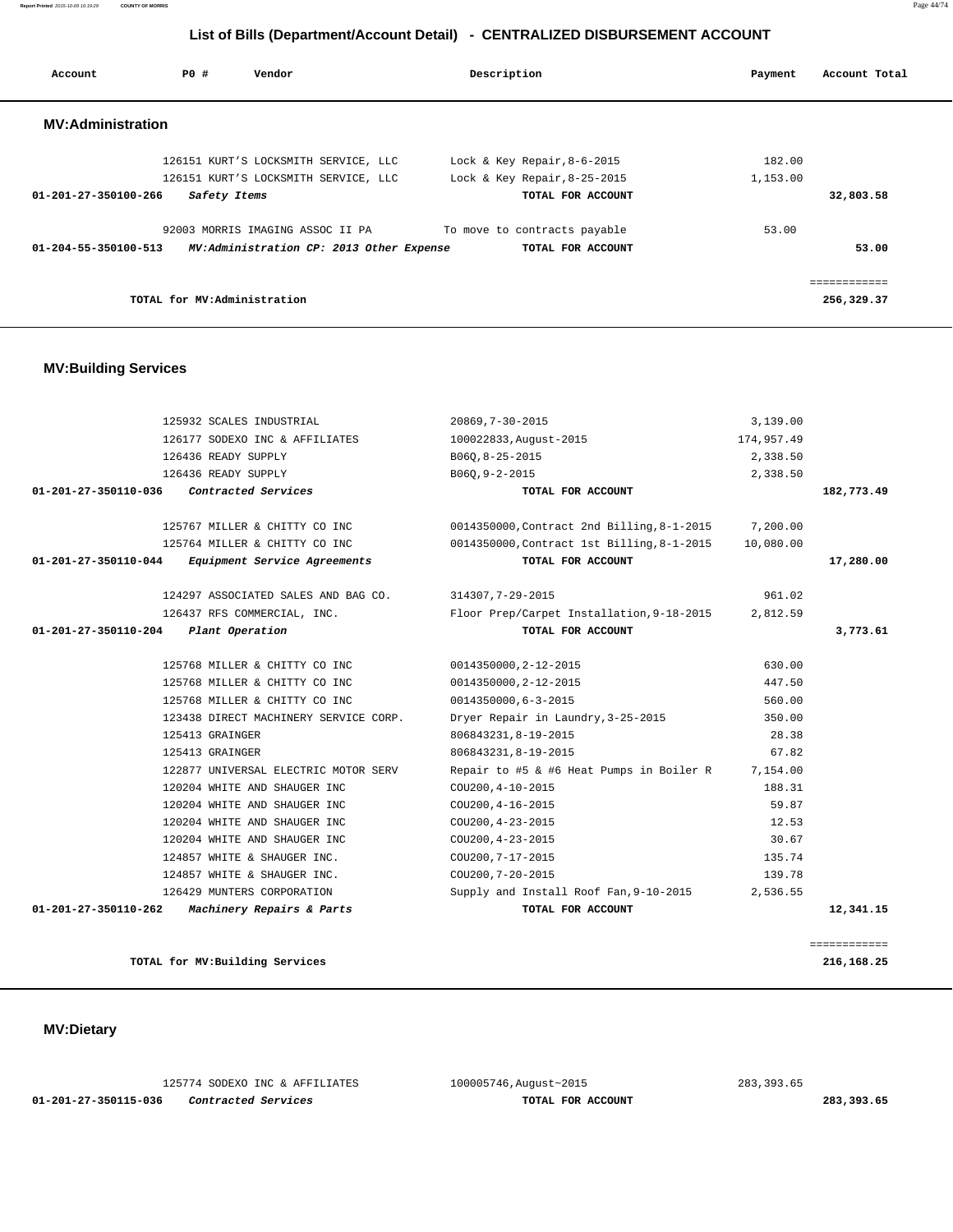125774 SODEXO INC & AFFILIATES 100005746,August~2015 283,393.65  **01-201-27-350115-036 Contracted Services TOTAL FOR ACCOUNT 283,393.65**

 **MV:Dietary** 

|                      | 125932 SCALES INDUSTRIAL              | 20869, 7-30-2015                           | 3,139.00   |              |
|----------------------|---------------------------------------|--------------------------------------------|------------|--------------|
|                      | 126177 SODEXO INC & AFFILIATES        | 100022833, August-2015                     | 174,957.49 |              |
|                      | 126436 READY SUPPLY                   | B060, 8-25-2015                            | 2,338.50   |              |
|                      | 126436 READY SUPPLY                   | B06Q, 9-2-2015                             | 2,338.50   |              |
| 01-201-27-350110-036 | Contracted Services                   | TOTAL FOR ACCOUNT                          |            | 182,773.49   |
|                      | 125767 MILLER & CHITTY CO INC         | 0014350000, Contract 2nd Billing, 8-1-2015 | 7,200.00   |              |
|                      | 125764 MILLER & CHITTY CO INC         | 0014350000, Contract 1st Billing, 8-1-2015 | 10,080.00  |              |
| 01-201-27-350110-044 | Equipment Service Agreements          | TOTAL FOR ACCOUNT                          |            | 17,280.00    |
|                      | 124297 ASSOCIATED SALES AND BAG CO.   | 314307, 7-29-2015                          | 961.02     |              |
|                      | 126437 RFS COMMERCIAL, INC.           | Floor Prep/Carpet Installation, 9-18-2015  | 2,812.59   |              |
| 01-201-27-350110-204 | Plant Operation                       | TOTAL FOR ACCOUNT                          |            | 3,773.61     |
|                      | 125768 MILLER & CHITTY CO INC         | 0014350000, 2-12-2015                      | 630.00     |              |
|                      | 125768 MILLER & CHITTY CO INC         | 0014350000, 2-12-2015                      | 447.50     |              |
|                      | 125768 MILLER & CHITTY CO INC         | 0014350000,6-3-2015                        | 560.00     |              |
|                      | 123438 DIRECT MACHINERY SERVICE CORP. | Dryer Repair in Laundry, 3-25-2015         | 350.00     |              |
|                      | 125413 GRAINGER                       | 806843231, 8-19-2015                       | 28.38      |              |
|                      | 125413 GRAINGER                       | 806843231, 8-19-2015                       | 67.82      |              |
|                      | 122877 UNIVERSAL ELECTRIC MOTOR SERV  | Repair to #5 & #6 Heat Pumps in Boiler R   | 7,154.00   |              |
|                      | 120204 WHITE AND SHAUGER INC          | COU200, 4-10-2015                          | 188.31     |              |
|                      | 120204 WHITE AND SHAUGER INC          | COU200, 4-16-2015                          | 59.87      |              |
|                      | 120204 WHITE AND SHAUGER INC          | COU200, 4-23-2015                          | 12.53      |              |
|                      | 120204 WHITE AND SHAUGER INC          | COU200, 4-23-2015                          | 30.67      |              |
|                      | 124857 WHITE & SHAUGER INC.           | COU200, 7-17-2015                          | 135.74     |              |
|                      | 124857 WHITE & SHAUGER INC.           | COU200, 7-20-2015                          | 139.78     |              |
|                      | 126429 MUNTERS CORPORATION            | Supply and Install Roof Fan, 9-10-2015     | 2,536.55   |              |
| 01-201-27-350110-262 | Machinery Repairs & Parts             | TOTAL FOR ACCOUNT                          |            | 12,341.15    |
|                      |                                       |                                            |            |              |
|                      |                                       |                                            |            | ============ |

## **MV:Building Services**

| Account                  | <b>PO #</b>                 | Vendor                                    | Description                    | Payment  | Account Total |
|--------------------------|-----------------------------|-------------------------------------------|--------------------------------|----------|---------------|
| <b>MV:Administration</b> |                             |                                           |                                |          |               |
|                          |                             | 126151 KURT'S LOCKSMITH SERVICE, LLC      | Lock & Key Repair, $8-6-2015$  | 182.00   |               |
|                          |                             | 126151 KURT'S LOCKSMITH SERVICE, LLC      | Lock & Key Repair, $8-25-2015$ | 1,153.00 |               |
| 01-201-27-350100-266     | Safety Items                |                                           | TOTAL FOR ACCOUNT              |          | 32,803.58     |
|                          |                             | 92003 MORRIS IMAGING ASSOC II PA          | To move to contracts payable   | 53.00    |               |
| 01-204-55-350100-513     |                             | MV: Administration CP: 2013 Other Expense | TOTAL FOR ACCOUNT              |          | 53.00         |
|                          |                             |                                           |                                |          | -----------   |
|                          | TOTAL for MV:Administration |                                           |                                |          | 256,329.37    |

**TOTAL for MV:Building Services 216,168.25**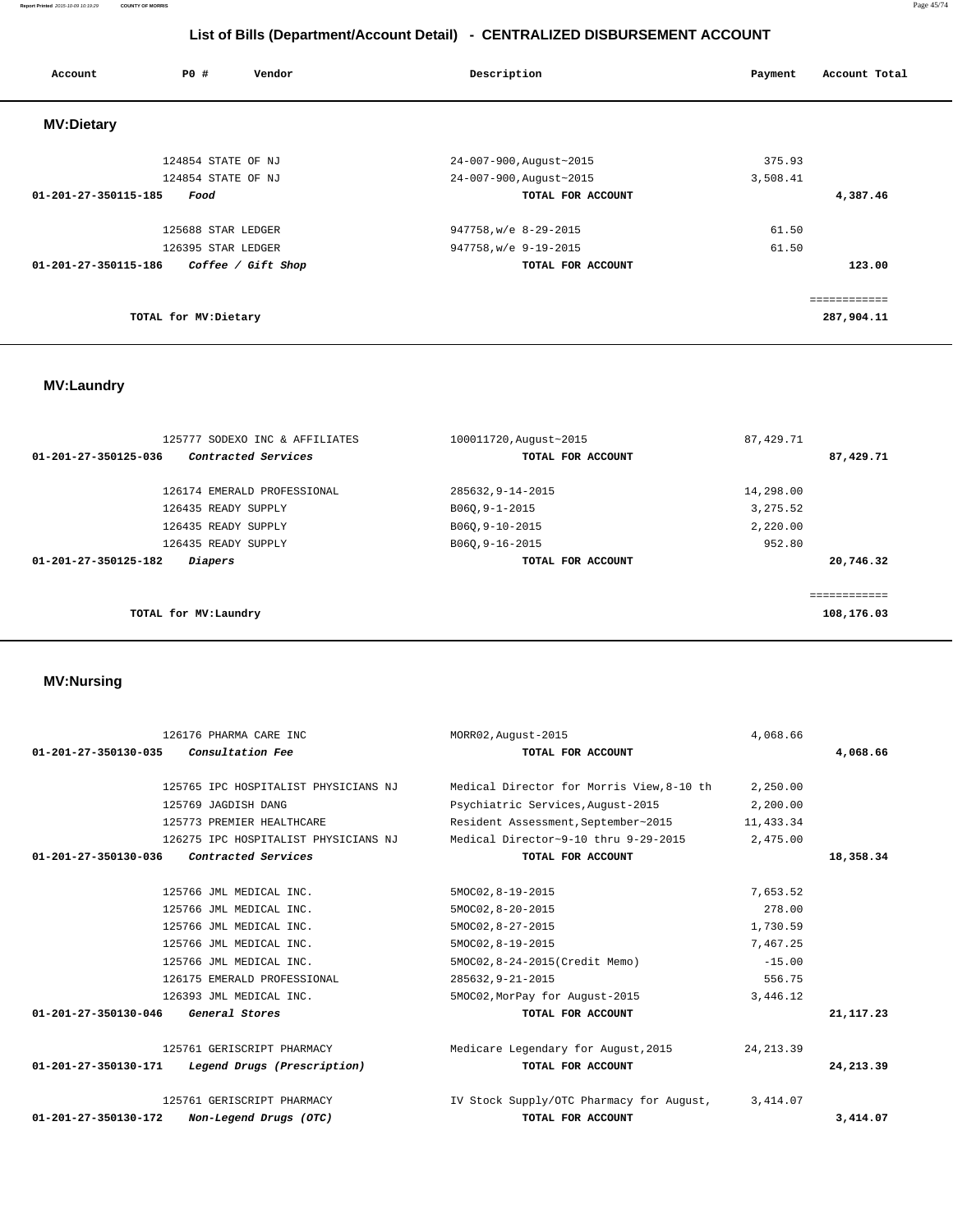| Account              | PO#                  | Vendor             | Description             | Account Total<br>Payment |
|----------------------|----------------------|--------------------|-------------------------|--------------------------|
| <b>MV:Dietary</b>    |                      |                    |                         |                          |
|                      | 124854 STATE OF NJ   |                    | 24-007-900, August~2015 | 375.93                   |
|                      | 124854 STATE OF NJ   |                    | 24-007-900, August~2015 | 3,508.41                 |
| 01-201-27-350115-185 | Food                 |                    | TOTAL FOR ACCOUNT       | 4,387.46                 |
|                      | 125688 STAR LEDGER   |                    | 947758, w/e 8-29-2015   | 61.50                    |
|                      | 126395 STAR LEDGER   |                    | 947758, w/e 9-19-2015   | 61.50                    |
| 01-201-27-350115-186 |                      | Coffee / Gift Shop | TOTAL FOR ACCOUNT       | 123.00                   |
|                      |                      |                    |                         | eessessesses             |
|                      | TOTAL for MV:Dietary |                    |                         | 287,904.11               |

## **MV:Laundry**

| 125777 SODEXO INC & AFFILIATES              | 100011720, August~2015 | 87, 429. 71             |
|---------------------------------------------|------------------------|-------------------------|
| Contracted Services<br>01-201-27-350125-036 | TOTAL FOR ACCOUNT      | 87,429.71               |
| 126174 EMERALD PROFESSIONAL                 | 285632, 9-14-2015      | 14,298.00               |
| 126435 READY SUPPLY                         | B060, 9-1-2015         | 3, 275.52               |
| 126435 READY SUPPLY                         | B060, 9-10-2015        | 2,220.00                |
| 126435 READY SUPPLY                         | B060, 9-16-2015        | 952.80                  |
| 01-201-27-350125-182<br><i>Diapers</i>      | TOTAL FOR ACCOUNT      | 20,746.32               |
|                                             |                        |                         |
|                                             |                        | , = = = = = = = = = = = |
| TOTAL for MV:Laundry                        |                        | 108,176.03              |

## **MV:Nursing**

|                                | 126176 PHARMA CARE INC               | MORR02, August-2015                       | 4,068.66   |             |
|--------------------------------|--------------------------------------|-------------------------------------------|------------|-------------|
| $01 - 201 - 27 - 350130 - 035$ | Consultation Fee                     | TOTAL FOR ACCOUNT                         |            | 4,068.66    |
|                                | 125765 IPC HOSPITALIST PHYSICIANS NJ | Medical Director for Morris View, 8-10 th | 2,250.00   |             |
|                                | 125769 JAGDISH DANG                  | Psychiatric Services, August-2015         | 2,200.00   |             |
|                                | 125773 PREMIER HEALTHCARE            | Resident Assessment, September~2015       | 11,433.34  |             |
|                                | 126275 IPC HOSPITALIST PHYSICIANS NJ | Medical Director~9-10 thru 9-29-2015      | 2,475.00   |             |
| 01-201-27-350130-036           | Contracted Services                  | TOTAL FOR ACCOUNT                         |            | 18,358.34   |
|                                | 125766 JML MEDICAL INC.              | 5MOC02, 8-19-2015                         | 7,653.52   |             |
|                                | 125766 JML MEDICAL INC.              | 5MOC02, 8-20-2015                         | 278.00     |             |
|                                | 125766 JML MEDICAL INC.              | 5MOC02, 8-27-2015                         | 1,730.59   |             |
|                                | 125766 JML MEDICAL INC.              | 5MOC02, 8-19-2015                         | 7,467.25   |             |
|                                | 125766 JML MEDICAL INC.              | 5MOC02,8-24-2015(Credit Memo)             | $-15.00$   |             |
|                                | 126175 EMERALD PROFESSIONAL          | 285632, 9-21-2015                         | 556.75     |             |
|                                | 126393 JML MEDICAL INC.              | 5MOC02, MorPay for August-2015            | 3,446.12   |             |
| 01-201-27-350130-046           | General Stores                       | TOTAL FOR ACCOUNT                         |            | 21, 117, 23 |
|                                | 125761 GERISCRIPT PHARMACY           | Medicare Legendary for August, 2015       | 24, 213.39 |             |
| 01-201-27-350130-171           | Legend Drugs (Prescription)          | TOTAL FOR ACCOUNT                         |            | 24,213.39   |
|                                | 125761 GERISCRIPT PHARMACY           | IV Stock Supply/OTC Pharmacy for August,  | 3,414.07   |             |
| 01-201-27-350130-172           | Non-Legend Drugs (OTC)               | TOTAL FOR ACCOUNT                         |            | 3,414.07    |

**Report Printed** 2015-10-09 10:19:29 **COUNTY OF MORRIS** Page 45/74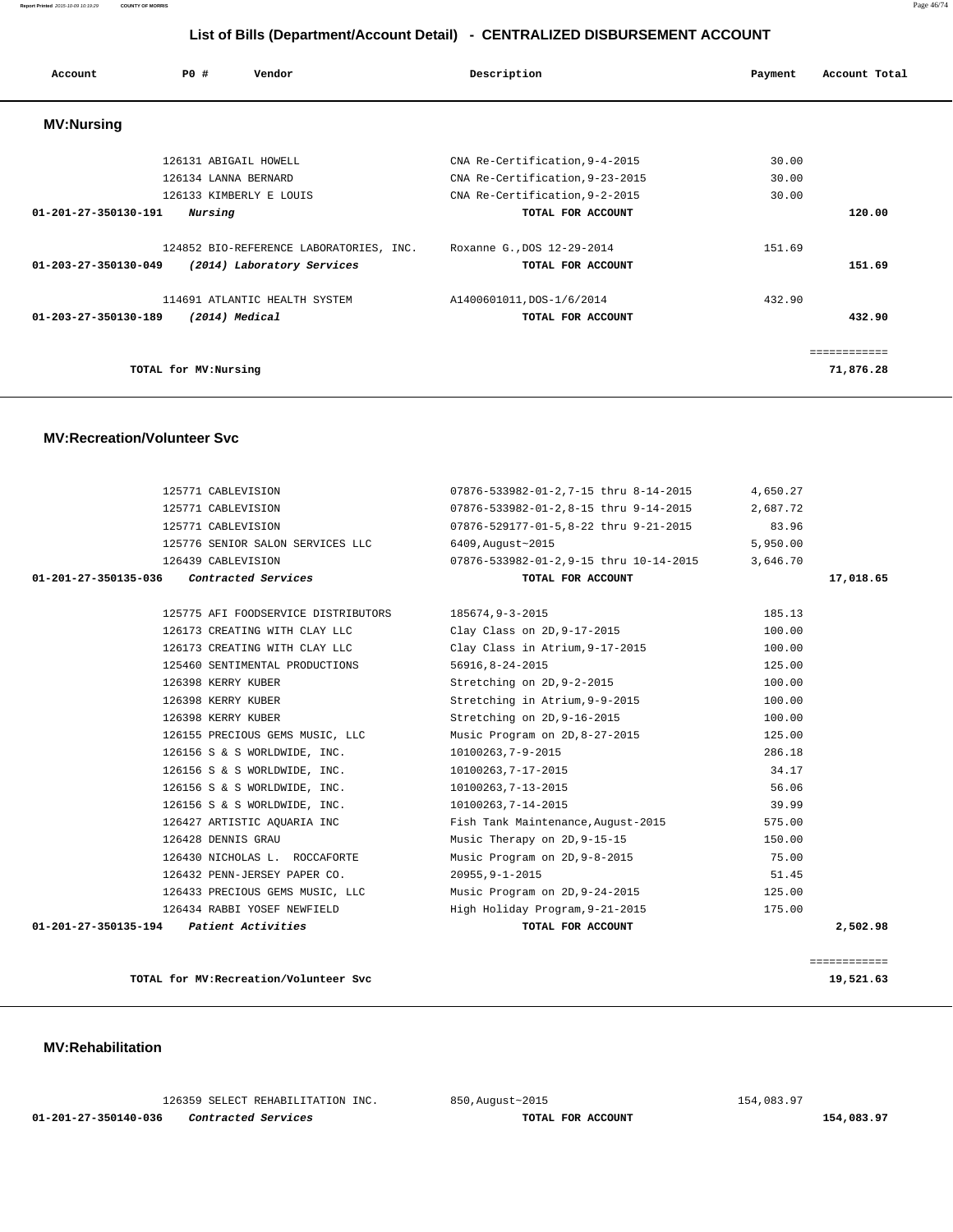**Report Printed** 2015-10-09 10:19:29 **COUNTY OF MORRIS** Page 46/74

## **List of Bills (Department/Account Detail) - CENTRALIZED DISBURSEMENT ACCOUNT**

| Account                        | PO#                   | Vendor                                  | Description                     | Payment | Account Total |
|--------------------------------|-----------------------|-----------------------------------------|---------------------------------|---------|---------------|
| <b>MV:Nursing</b>              |                       |                                         |                                 |         |               |
|                                | 126131 ABIGAIL HOWELL |                                         | CNA Re-Certification, 9-4-2015  | 30.00   |               |
|                                | 126134 LANNA BERNARD  |                                         | CNA Re-Certification, 9-23-2015 | 30.00   |               |
|                                |                       | 126133 KIMBERLY E LOUIS                 | CNA Re-Certification, 9-2-2015  | 30.00   |               |
| $01 - 201 - 27 - 350130 - 191$ | Nursing               |                                         | TOTAL FOR ACCOUNT               |         | 120.00        |
|                                |                       | 124852 BIO-REFERENCE LABORATORIES, INC. | Roxanne G., DOS 12-29-2014      | 151.69  |               |
| 01-203-27-350130-049           |                       | (2014) Laboratory Services              | TOTAL FOR ACCOUNT               |         | 151.69        |
|                                |                       | 114691 ATLANTIC HEALTH SYSTEM           | A1400601011, DOS-1/6/2014       | 432.90  |               |
| 01-203-27-350130-189           |                       | (2014) Medical                          | TOTAL FOR ACCOUNT               |         | 432.90        |
|                                |                       |                                         |                                 |         | ============  |
|                                | TOTAL for MV:Nursing  |                                         |                                 |         | 71,876.28     |

#### **MV:Recreation/Volunteer Svc**

| 125771 CABLEVISION                          | 07876-533982-01-2,7-15 thru 8-14-2015  | 4,650.27 |              |
|---------------------------------------------|----------------------------------------|----------|--------------|
| 125771 CABLEVISION                          | 07876-533982-01-2,8-15 thru 9-14-2015  | 2,687.72 |              |
| 125771 CABLEVISION                          | 07876-529177-01-5,8-22 thru 9-21-2015  | 83.96    |              |
| 125776 SENIOR SALON SERVICES LLC            | 6409, August~2015                      | 5,950.00 |              |
| 126439 CABLEVISION                          | 07876-533982-01-2,9-15 thru 10-14-2015 | 3,646.70 |              |
| Contracted Services<br>01-201-27-350135-036 | TOTAL FOR ACCOUNT                      |          | 17,018.65    |
|                                             |                                        |          |              |
| 125775 AFI FOODSERVICE DISTRIBUTORS         | 185674,9-3-2015                        | 185.13   |              |
| 126173 CREATING WITH CLAY LLC               | Clay Class on 2D, 9-17-2015            | 100.00   |              |
| 126173 CREATING WITH CLAY LLC               | Clay Class in Atrium, 9-17-2015        | 100.00   |              |
| 125460 SENTIMENTAL PRODUCTIONS              | 56916,8-24-2015                        | 125.00   |              |
| 126398 KERRY KUBER                          | Stretching on 2D, 9-2-2015             | 100.00   |              |
| 126398 KERRY KUBER                          | Stretching in Atrium, 9-9-2015         | 100.00   |              |
| 126398 KERRY KUBER                          | Stretching on 2D, 9-16-2015            | 100.00   |              |
| 126155 PRECIOUS GEMS MUSIC, LLC             | Music Program on 2D, 8-27-2015         | 125.00   |              |
| 126156 S & S WORLDWIDE, INC.                | 10100263,7-9-2015                      | 286.18   |              |
| 126156 S & S WORLDWIDE, INC.                | 10100263,7-17-2015                     | 34.17    |              |
| 126156 S & S WORLDWIDE, INC.                | 10100263,7-13-2015                     | 56.06    |              |
| 126156 S & S WORLDWIDE, INC.                | 10100263, 7-14-2015                    | 39.99    |              |
| 126427 ARTISTIC AQUARIA INC                 | Fish Tank Maintenance, August-2015     | 575.00   |              |
| 126428 DENNIS GRAU                          | Music Therapy on 2D, 9-15-15           | 150.00   |              |
| 126430 NICHOLAS L. ROCCAFORTE               | Music Program on 2D, 9-8-2015          | 75.00    |              |
| 126432 PENN-JERSEY PAPER CO.                | $20955, 9 - 1 - 2015$                  | 51.45    |              |
| 126433 PRECIOUS GEMS MUSIC, LLC             | Music Program on 2D, 9-24-2015         | 125.00   |              |
| 126434 RABBI YOSEF NEWFIELD                 | High Holiday Program, 9-21-2015        | 175.00   |              |
| $01-201-27-350135-194$ Patient Activities   | TOTAL FOR ACCOUNT                      |          | 2,502.98     |
|                                             |                                        |          |              |
|                                             |                                        |          | ============ |

**TOTAL for MV:Recreation/Volunteer Svc 19,521.63**

 **MV:Rehabilitation** 

 126359 SELECT REHABILITATION INC. 850,August~2015 154,083.97  **01-201-27-350140-036 Contracted Services TOTAL FOR ACCOUNT 154,083.97**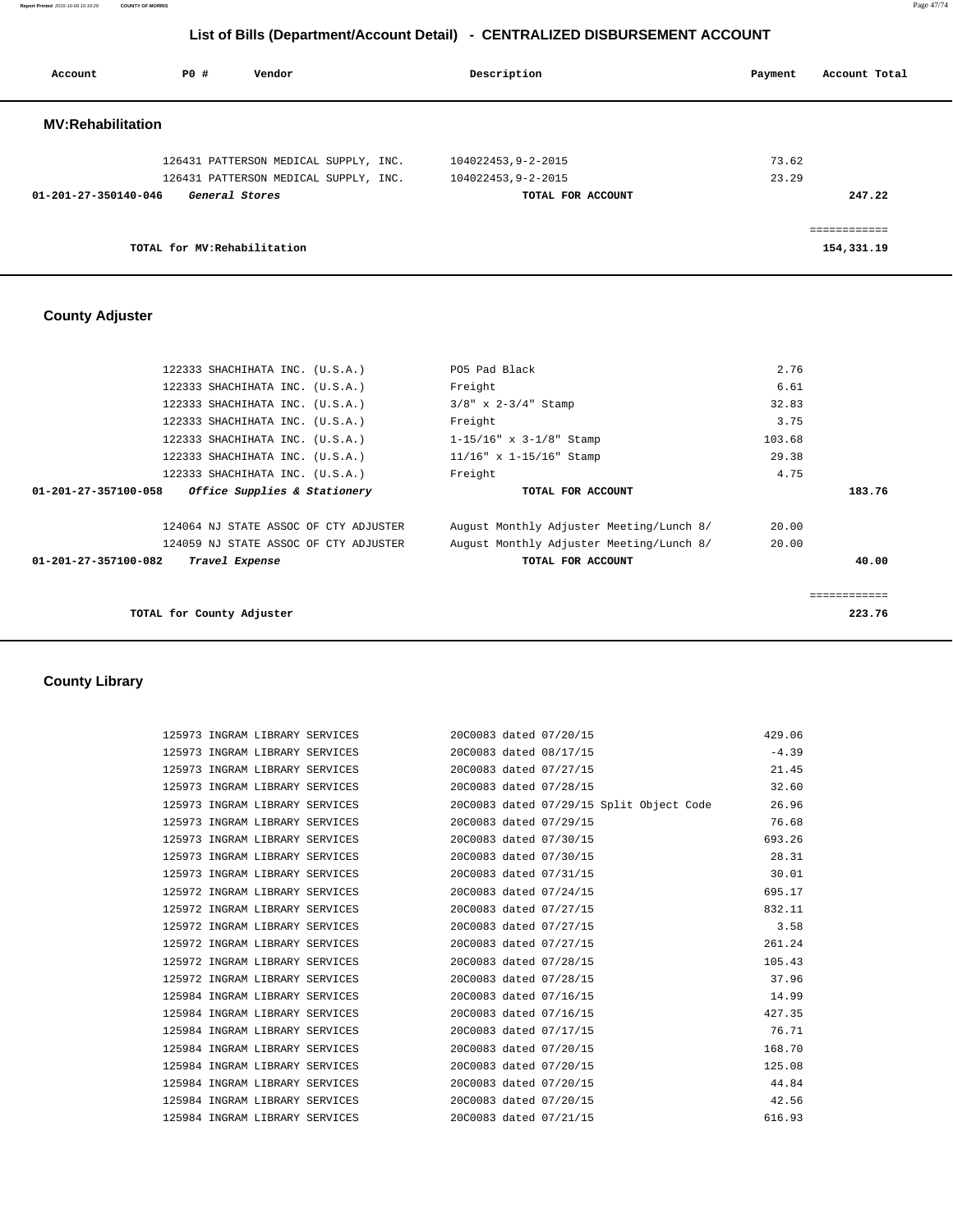**Report Printed** 2015-10-09 10:19:29 **COUNTY OF MORRIS** Page 47/74

## **List of Bills (Department/Account Detail) - CENTRALIZED DISBURSEMENT ACCOUNT**

| Account                  | PO#                          | Vendor                                | Description                             | Account Total<br>Payment              |
|--------------------------|------------------------------|---------------------------------------|-----------------------------------------|---------------------------------------|
| <b>MV:Rehabilitation</b> |                              |                                       |                                         |                                       |
|                          |                              | 126431 PATTERSON MEDICAL SUPPLY, INC. | 104022453,9-2-2015                      | 73.62                                 |
| 01-201-27-350140-046     | General Stores               | 126431 PATTERSON MEDICAL SUPPLY, INC. | 104022453,9-2-2015<br>TOTAL FOR ACCOUNT | 23.29<br>247.22                       |
|                          | TOTAL for MV: Rehabilitation |                                       |                                         | , = = = = = = = = = = =<br>154,331.19 |

## **County Adjuster**

|                      | 122333 SHACHIHATA INC. (U.S.A.)       | PO5 Pad Black                            | 2.76   |              |
|----------------------|---------------------------------------|------------------------------------------|--------|--------------|
|                      | 122333 SHACHIHATA INC. (U.S.A.)       | Freight                                  | 6.61   |              |
|                      | 122333 SHACHIHATA INC. (U.S.A.)       | $3/8$ " x $2-3/4$ " Stamp                | 32.83  |              |
|                      | 122333 SHACHIHATA INC. (U.S.A.)       | Freight                                  | 3.75   |              |
|                      | 122333 SHACHIHATA INC. (U.S.A.)       | $1-15/16$ " x $3-1/8$ " Stamp            | 103.68 |              |
|                      | 122333 SHACHIHATA INC. (U.S.A.)       | $11/16$ " x 1-15/16" Stamp               | 29.38  |              |
|                      | 122333 SHACHIHATA INC. (U.S.A.)       | Freight                                  | 4.75   |              |
| 01-201-27-357100-058 | Office Supplies & Stationery          | TOTAL FOR ACCOUNT                        |        | 183.76       |
|                      |                                       |                                          |        |              |
|                      | 124064 NJ STATE ASSOC OF CTY ADJUSTER | August Monthly Adjuster Meeting/Lunch 8/ | 20.00  |              |
|                      | 124059 NJ STATE ASSOC OF CTY ADJUSTER | August Monthly Adjuster Meeting/Lunch 8/ | 20.00  |              |
| 01-201-27-357100-082 | Travel Expense                        | TOTAL FOR ACCOUNT                        |        | 40.00        |
|                      |                                       |                                          |        |              |
|                      |                                       |                                          |        | ============ |
|                      | TOTAL for County Adjuster             |                                          |        | 223.76       |

## **County Library**

|  | 125973 INGRAM LIBRARY SERVICES 20C0083 dated 07/20/15                   |  |  | 429.06  |
|--|-------------------------------------------------------------------------|--|--|---------|
|  | 125973 INGRAM LIBRARY SERVICES 2000083 dated 08/17/15                   |  |  | $-4.39$ |
|  | 125973 INGRAM LIBRARY SERVICES 20C0083 dated 07/27/15                   |  |  | 21.45   |
|  | 125973 INGRAM LIBRARY SERVICES 20C0083 dated 07/28/15                   |  |  | 32.60   |
|  | 125973 INGRAM LIBRARY SERVICES 20C0083 dated 07/29/15 Split Object Code |  |  | 26.96   |
|  | 125973 INGRAM LIBRARY SERVICES 2000083 dated 07/29/15                   |  |  | 76.68   |
|  | 125973 INGRAM LIBRARY SERVICES 20C0083 dated 07/30/15                   |  |  | 693.26  |
|  | 125973 INGRAM LIBRARY SERVICES 20C0083 dated 07/30/15                   |  |  | 28.31   |
|  | 125973 INGRAM LIBRARY SERVICES 2000083 dated 07/31/15                   |  |  | 30.01   |
|  | 125972 INGRAM LIBRARY SERVICES 20C0083 dated 07/24/15                   |  |  | 695.17  |
|  | 125972 INGRAM LIBRARY SERVICES 20C0083 dated 07/27/15                   |  |  | 832.11  |
|  | 125972 INGRAM LIBRARY SERVICES 20C0083 dated 07/27/15                   |  |  | 3.58    |
|  | 125972 INGRAM LIBRARY SERVICES 20C0083 dated 07/27/15                   |  |  | 261.24  |
|  | 125972 INGRAM LIBRARY SERVICES 20C0083 dated 07/28/15                   |  |  | 105.43  |
|  | 125972 INGRAM LIBRARY SERVICES 20C0083 dated 07/28/15                   |  |  | 37.96   |
|  | 125984 INGRAM LIBRARY SERVICES 20C0083 dated 07/16/15                   |  |  | 14.99   |
|  | 125984 INGRAM LIBRARY SERVICES 20C0083 dated 07/16/15                   |  |  | 427.35  |
|  | 125984 INGRAM LIBRARY SERVICES 20C0083 dated 07/17/15                   |  |  | 76.71   |
|  | 125984 INGRAM LIBRARY SERVICES 20C0083 dated 07/20/15                   |  |  | 168.70  |
|  | 125984 INGRAM LIBRARY SERVICES 20C0083 dated 07/20/15                   |  |  | 125.08  |
|  | 125984 INGRAM LIBRARY SERVICES 20C0083 dated 07/20/15                   |  |  | 44.84   |
|  | 125984 INGRAM LIBRARY SERVICES 20C0083 dated 07/20/15                   |  |  | 42.56   |
|  | 125984 INGRAM LIBRARY SERVICES 20C0083 dated 07/21/15                   |  |  | 616.93  |
|  |                                                                         |  |  |         |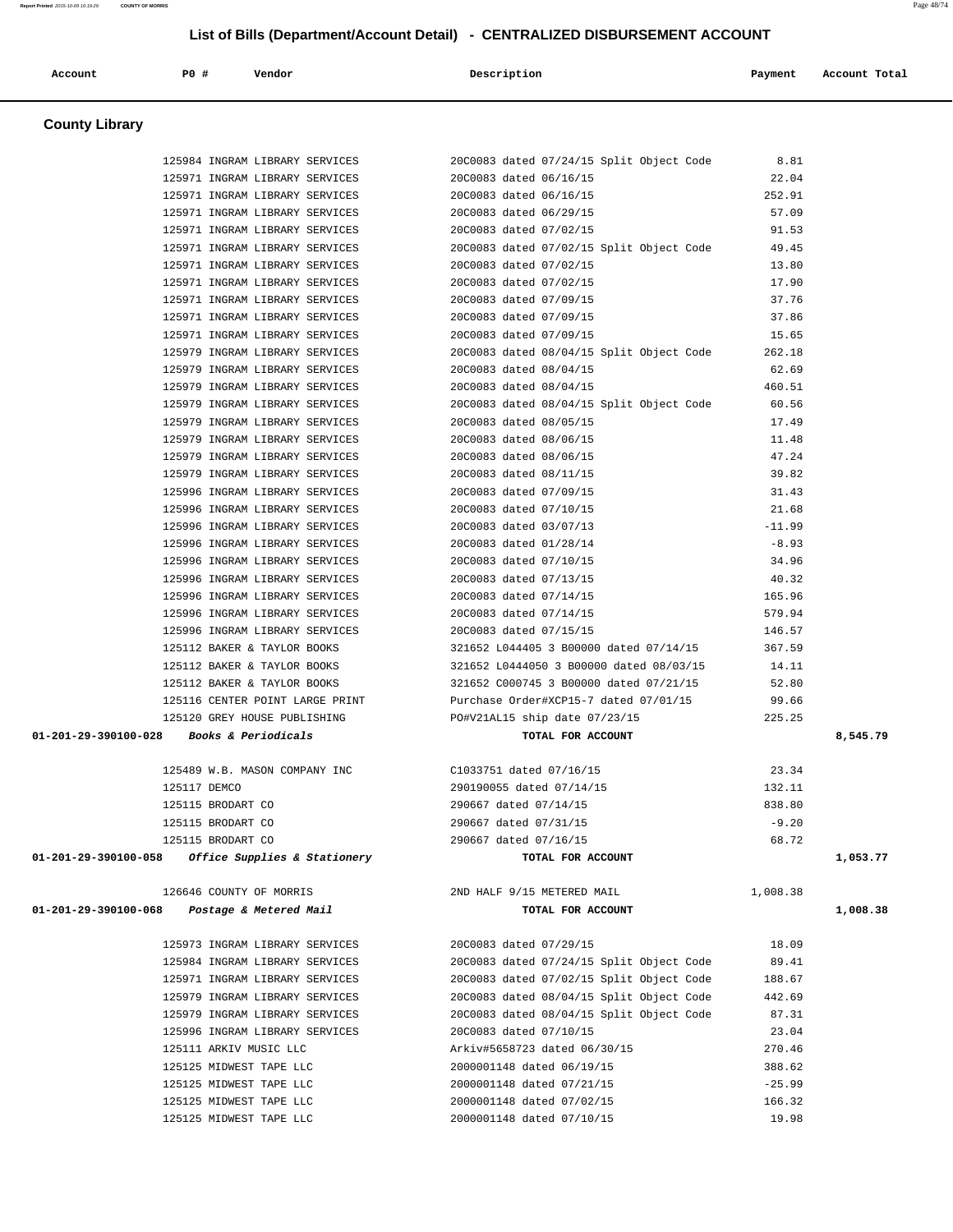## **County Library**  125984 INGRAM LIBRARY SERVICES 20C0083 dated 07/24/15 Split Object Code 8.81 125971 INGRAM LIBRARY SERVICES 20C0083 dated 06/16/15 22.04 125971 INGRAM LIBRARY SERVICES 20C0083 dated 06/16/15 252.91 125971 INGRAM LIBRARY SERVICES 20C0083 dated 06/29/15 57.09 125971 INGRAM LIBRARY SERVICES 20C0083 dated 07/02/15 91.53 125971 INGRAM LIBRARY SERVICES 20C0083 dated 07/02/15 Split Object Code 49.45 125971 INGRAM LIBRARY SERVICES 20C0083 dated 07/02/15 13.80 125971 INGRAM LIBRARY SERVICES 20C0083 dated 07/02/15 17.90 125971 INGRAM LIBRARY SERVICES 20C0083 dated 07/09/15 37.76 125971 INGRAM LIBRARY SERVICES 20C0083 dated 07/09/15 37.86 125971 INGRAM LIBRARY SERVICES 20C0083 dated 07/09/15 15.65 125979 INGRAM LIBRARY SERVICES 20C0083 dated 08/04/15 Split Object Code 262.18 125979 INGRAM LIBRARY SERVICES 20C0083 dated 08/04/15 62.69 125979 INGRAM LIBRARY SERVICES 20C0083 dated 08/04/15 460.51 125979 INGRAM LIBRARY SERVICES 20C0083 dated 08/04/15 Split Object Code 60.56 125979 INGRAM LIBRARY SERVICES 20C0083 dated 08/05/15 17.49 125979 INGRAM LIBRARY SERVICES 20C0083 dated 08/06/15 11.48 125979 INGRAM LIBRARY SERVICES 20C0083 dated 08/06/15 47.24 125979 INGRAM LIBRARY SERVICES 20C0083 dated 08/11/15 39.82<br>125996 INGRAM LIBRARY SERVICES 20C0083 dated 07/09/15 31.43<br>125996 INGRAM LIBRARY SERVICES 20C0083 dated 07/10/15 21.68 125996 INGRAM LIBRARY SERVICES 20C0083 dated 07/09/15 31.43 125996 INGRAM LIBRARY SERVICES 20C0083 dated 07/10/15 21.68 125996 INGRAM LIBRARY SERVICES 20C0083 dated 03/07/13 -11.99 125996 INGRAM LIBRARY SERVICES 20C0083 dated 01/28/14 -8.93 125996 INGRAM LIBRARY SERVICES 20C0083 dated 07/10/15 34.96 125996 INGRAM LIBRARY SERVICES 20C0083 dated 07/13/15 40.32 125996 INGRAM LIBRARY SERVICES 20C0083 dated 07/14/15 165.96 125996 INGRAM LIBRARY SERVICES 20C0083 dated 07/14/15 579.94 125996 INGRAM LIBRARY SERVICES 20C0083 dated 07/15/15 146.57 125112 BAKER & TAYLOR BOOKS 321652 L044405 3 B00000 dated 07/14/15 367.59 125112 BAKER & TAYLOR BOOKS 321652 L0444050 3 B00000 dated 08/03/15 14.11 125112 BAKER & TAYLOR BOOKS 321652 C000745 3 B00000 dated 07/21/15 52.80 125116 CENTER POINT LARGE PRINT Purchase Order#XCP15-7 dated 07/01/15 99.66 125120 GREY HOUSE PUBLISHING PO#V21AL15 ship date 07/23/15 225.25  **01-201-29-390100-028 Books & Periodicals TOTAL FOR ACCOUNT 8,545.79** 125489 W.B. MASON COMPANY INC C1033751 dated 07/16/15 23.34 125117 DEMCO 290190055 dated 07/14/15 132.11 125115 BRODART CO 290667 dated 07/14/15 838.80 125115 BRODART CO 290667 dated 07/31/15 -9.20 125115 BRODART CO 290667 dated 07/16/15 68.72  **01-201-29-390100-058 Office Supplies & Stationery TOTAL FOR ACCOUNT 1,053.77** 126646 COUNTY OF MORRIS 2ND HALF 9/15 METERED MAIL 1,008.38  **01-201-29-390100-068 Postage & Metered Mail TOTAL FOR ACCOUNT 1,008.38** 125973 INGRAM LIBRARY SERVICES 20C0083 dated 07/29/15 18.09 125984 INGRAM LIBRARY SERVICES 20C0083 dated 07/24/15 Split Object Code 89.41 125971 INGRAM LIBRARY SERVICES 20C0083 dated 07/02/15 Split Object Code 188.67 125979 INGRAM LIBRARY SERVICES 20C0083 dated 08/04/15 Split Object Code 442.69 125979 INGRAM LIBRARY SERVICES 20C0083 dated 08/04/15 Split Object Code 87.31 125996 INGRAM LIBRARY SERVICES 20C0083 dated 07/10/15 23.04 125111 ARKIV MUSIC LLC Arkiv#5658723 dated 06/30/15 270.46 125125 MIDWEST TAPE LLC 2000001148 dated 06/19/15 388.62 125125 MIDWEST TAPE LLC 2000001148 dated 07/21/15 -25.99 125125 MIDWEST TAPE LLC 2000001148 dated 07/02/15 166.32 125125 MIDWEST TAPE LLC 2000001148 dated 07/10/15 19.98

 **Account P0 # Vendor Description Payment Account Total**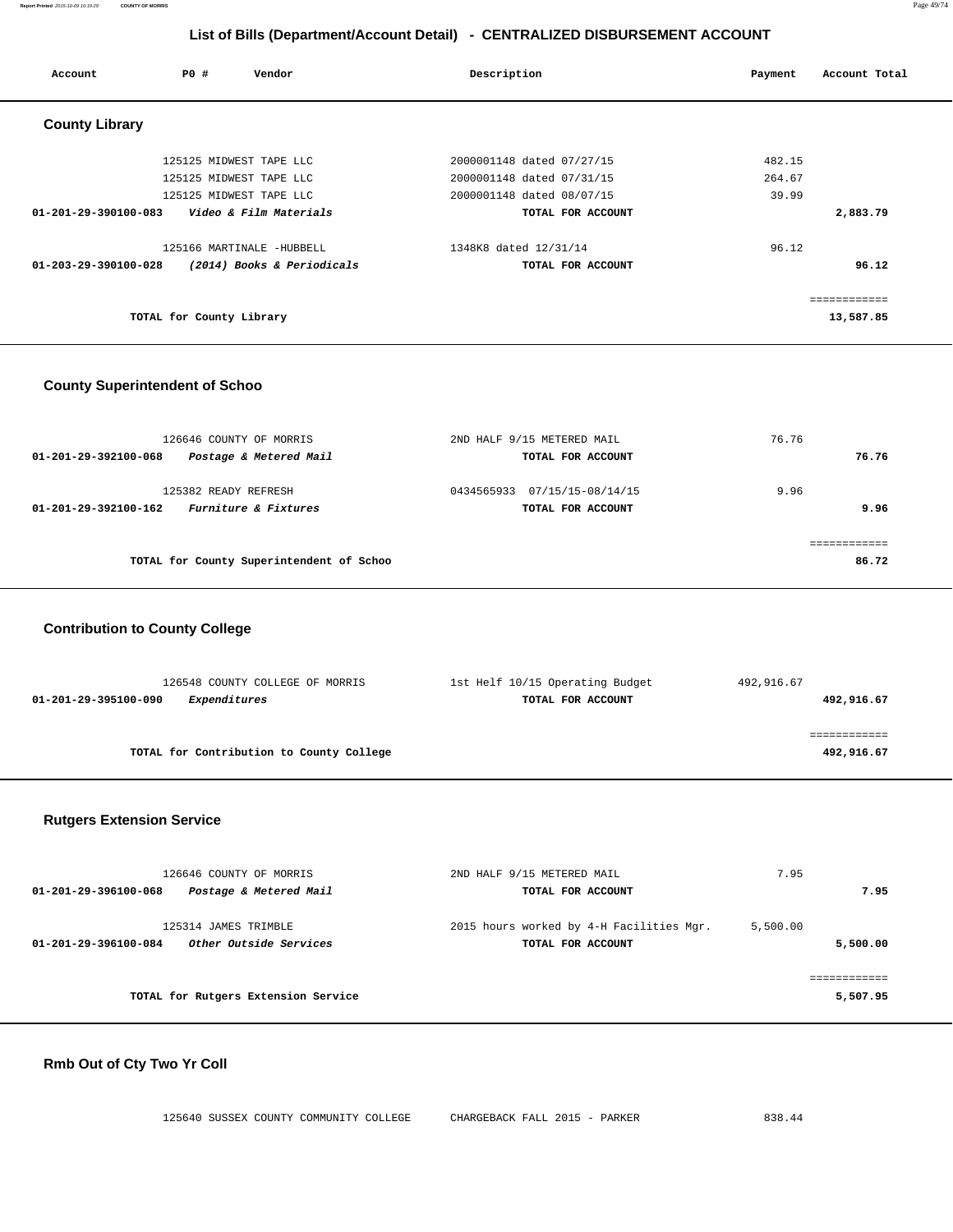**Report Printed** 2015-10-09 10:19:29 **COUNTY OF MORRIS** Page 49/74

## **List of Bills (Department/Account Detail) - CENTRALIZED DISBURSEMENT ACCOUNT**

| Account                        | PO#                      | Vendor                     | Description               | Payment | Account Total |
|--------------------------------|--------------------------|----------------------------|---------------------------|---------|---------------|
| <b>County Library</b>          |                          |                            |                           |         |               |
|                                |                          | 125125 MIDWEST TAPE LLC    | 2000001148 dated 07/27/15 | 482.15  |               |
|                                |                          | 125125 MIDWEST TAPE LLC    | 2000001148 dated 07/31/15 | 264.67  |               |
|                                |                          | 125125 MIDWEST TAPE LLC    | 2000001148 dated 08/07/15 | 39.99   |               |
| $01 - 201 - 29 - 390100 - 083$ |                          | Video & Film Materials     | TOTAL FOR ACCOUNT         |         | 2,883.79      |
|                                |                          | 125166 MARTINALE -HUBBELL  | 1348K8 dated 12/31/14     | 96.12   |               |
| $01 - 203 - 29 - 390100 - 028$ |                          | (2014) Books & Periodicals | TOTAL FOR ACCOUNT         |         | 96.12         |
|                                |                          |                            |                           |         | ============  |
|                                | TOTAL for County Library |                            |                           |         | 13,587.85     |

#### **County Superintendent of Schoo**

| 126646 COUNTY OF MORRIS<br>Postage & Metered Mail<br>01-201-29-392100-068       | 2ND HALF 9/15 METERED MAIL<br>TOTAL FOR ACCOUNT   | 76.76<br>76.76 |
|---------------------------------------------------------------------------------|---------------------------------------------------|----------------|
| 125382 READY REFRESH<br><i>Furniture &amp; Fixtures</i><br>01-201-29-392100-162 | 0434565933 07/15/15-08/14/15<br>TOTAL FOR ACCOUNT | 9.96<br>9.96   |
| TOTAL for County Superintendent of Schoo                                        |                                                   | 86.72          |

### **Contribution to County College**

| 126548 COUNTY COLLEGE OF MORRIS          | 1st Helf 10/15 Operating Budget | 492,916.67 |
|------------------------------------------|---------------------------------|------------|
| 01-201-29-395100-090<br>Expenditures     | TOTAL FOR ACCOUNT               | 492,916.67 |
|                                          |                                 |            |
|                                          |                                 |            |
| TOTAL for Contribution to County College |                                 | 492,916.67 |

### **Rutgers Extension Service**

| 126646 COUNTY OF MORRIS                        | 2ND HALF 9/15 METERED MAIL               | 7.95     |          |
|------------------------------------------------|------------------------------------------|----------|----------|
| Postage & Metered Mail<br>01-201-29-396100-068 | TOTAL FOR ACCOUNT                        |          | 7.95     |
| 125314 JAMES TRIMBLE                           | 2015 hours worked by 4-H Facilities Mgr. | 5,500.00 |          |
| Other Outside Services<br>01-201-29-396100-084 | TOTAL FOR ACCOUNT                        |          | 5,500.00 |
|                                                |                                          |          |          |
| TOTAL for Rutgers Extension Service            |                                          |          | 5,507.95 |

### **Rmb Out of Cty Two Yr Coll**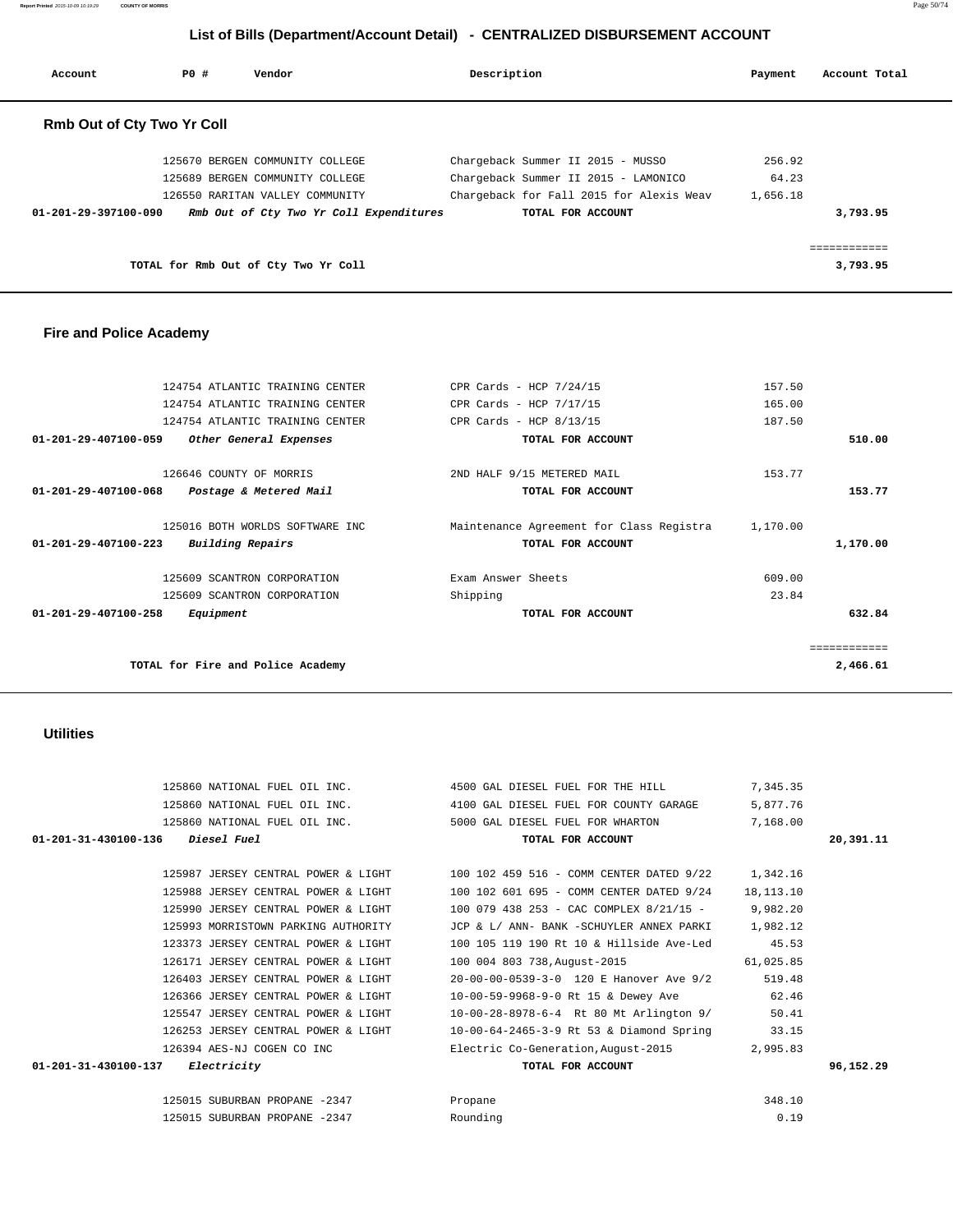123373 JERSEY CENTRAL POWER & LIGHT 100 105 119 190 Rt 10 & Hillside Ave-Led 45.53 126171 JERSEY CENTRAL POWER & LIGHT 100 004 803 738,August-2015 61,025.85 126403 JERSEY CENTRAL POWER & LIGHT 20-00-00-0539-3-0 120 E Hanover Ave 9/2 519.48 126366 JERSEY CENTRAL POWER & LIGHT 10-00-59-9968-9-0 Rt 15 & Dewey Ave 62.46 125547 JERSEY CENTRAL POWER & LIGHT 10-00-28-8978-6-4 Rt 80 Mt Arlington 9/ 50.41 126253 JERSEY CENTRAL POWER & LIGHT 10-00-64-2465-3-9 Rt 53 & Diamond Spring 33.15 126394 AES-NJ COGEN CO INC Electric Co-Generation,August-2015 2,995.83  **01-201-31-430100-137 Electricity TOTAL FOR ACCOUNT 96,152.29** 125015 SUBURBAN PROPANE -2347 Propane 348.10 125015 SUBURBAN PROPANE -2347 Rounding 0.19

|                               | TOTAL FOR ACCOUNT                      | 20,391.11 |
|-------------------------------|----------------------------------------|-----------|
| 125860 NATIONAL FUEL OIL INC. | 5000 GAL DIESEL FUEL FOR WHARTON       | 7,168.00  |
| 125860 NATIONAL FUEL OIL INC. | 4100 GAL DIESEL FUEL FOR COUNTY GARAGE | 5,877.76  |
| 125860 NATIONAL FUEL OIL INC. | 4500 GAL DIESEL FUEL FOR THE HILL      | 7,345.35  |

 125987 JERSEY CENTRAL POWER & LIGHT 100 102 459 516 - COMM CENTER DATED 9/22 1,342.16 125988 JERSEY CENTRAL POWER & LIGHT 100 102 601 695 - COMM CENTER DATED 9/24 18,113.10 125990 JERSEY CENTRAL POWER & LIGHT 100 079 438 253 - CAC COMPLEX 8/21/15 - 9,982.20 125993 MORRISTOWN PARKING AUTHORITY JCP & L/ ANN- BANK -SCHUYLER ANNEX PARKI 1,982.12

#### **Utilities**

|              | 157.50   | CPR Cards - HCP $7/24/15$                | 124754 ATLANTIC TRAINING CENTER   |                                |
|--------------|----------|------------------------------------------|-----------------------------------|--------------------------------|
|              | 165.00   | CPR Cards - HCP $7/17/15$                | 124754 ATLANTIC TRAINING CENTER   |                                |
|              | 187.50   | CPR Cards - HCP $8/13/15$                | 124754 ATLANTIC TRAINING CENTER   |                                |
| 510.00       |          | TOTAL FOR ACCOUNT                        | Other General Expenses            | $01 - 201 - 29 - 407100 - 059$ |
|              | 153.77   | 2ND HALF 9/15 METERED MAIL               | 126646 COUNTY OF MORRIS           |                                |
| 153.77       |          | TOTAL FOR ACCOUNT                        | Postage & Metered Mail            | $01 - 201 - 29 - 407100 - 068$ |
|              | 1,170.00 | Maintenance Agreement for Class Registra | 125016 BOTH WORLDS SOFTWARE INC   |                                |
| 1,170.00     |          | TOTAL FOR ACCOUNT                        | Building Repairs                  | $01 - 201 - 29 - 407100 - 223$ |
|              | 609.00   | Exam Answer Sheets                       | 125609 SCANTRON CORPORATION       |                                |
|              | 23.84    | Shipping                                 | 125609 SCANTRON CORPORATION       |                                |
| 632.84       |          | TOTAL FOR ACCOUNT                        | Equipment                         | $01 - 201 - 29 - 407100 - 258$ |
| ------------ |          |                                          |                                   |                                |
| 2,466.61     |          |                                          | TOTAL for Fire and Police Academy |                                |

#### **Fire and Police Academy**

| <b>Rmb Out of Cty Two Yr Coll</b> |                                         |                                          |          |          |
|-----------------------------------|-----------------------------------------|------------------------------------------|----------|----------|
|                                   | 125670 BERGEN COMMUNITY COLLEGE         | Chargeback Summer II 2015 - MUSSO        | 256.92   |          |
|                                   | 125689 BERGEN COMMUNITY COLLEGE         | Chargeback Summer II 2015 - LAMONICO     | 64.23    |          |
|                                   | 126550 RARITAN VALLEY COMMUNITY         | Chargeback for Fall 2015 for Alexis Weav | 1,656.18 |          |
| 01-201-29-397100-090              | Rmb Out of Cty Two Yr Coll Expenditures | TOTAL FOR ACCOUNT                        |          | 3,793.95 |
|                                   |                                         |                                          |          |          |
|                                   |                                         |                                          |          |          |
|                                   | TOTAL for Rmb Out of Cty Two Yr Coll    |                                          |          | 3,793.95 |

 **Account P0 # Vendor Description Payment Account Total**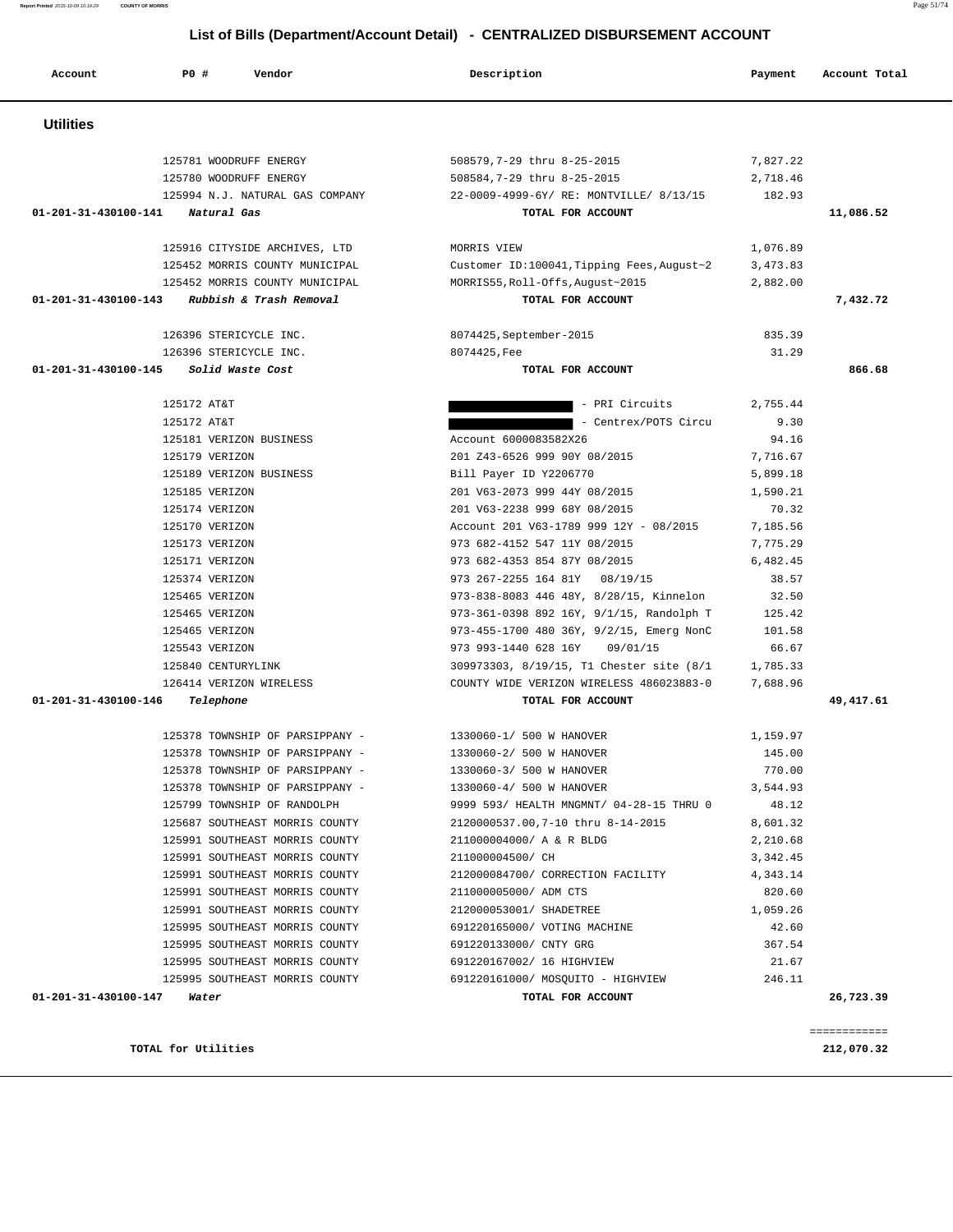**Account P0 # Vendor Description Payment Account Total Utilities**  125781 WOODRUFF ENERGY 508579,7-29 thru 8-25-2015 7,827.22 125780 WOODRUFF ENERGY 508584,7-29 thru 8-25-2015 2,718.46 125994 N.J. NATURAL GAS COMPANY 22-0009-4999-6Y/ RE: MONTVILLE/ 8/13/15 182.93  **01-201-31-430100-141 Natural Gas TOTAL FOR ACCOUNT 11,086.52** 125916 CITYSIDE ARCHIVES, LTD MORRIS VIEW 1,076.89 125452 MORRIS COUNTY MUNICIPAL Customer ID:100041,Tipping Fees,August~2 3,473.83 125452 MORRIS COUNTY MUNICIPAL MORRIS55,Roll-Offs,August~2015 2,882.00  **01-201-31-430100-143 Rubbish & Trash Removal TOTAL FOR ACCOUNT 7,432.72** 126396 STERICYCLE INC. 8074425,September-2015 835.39 126396 STERICYCLE INC. 8074425,Fee 31.29  **01-201-31-430100-145 Solid Waste Cost TOTAL FOR ACCOUNT 866.68** 125172 AT&T 2,755.44 125172 AT&T 9.30 Property and the contract of the centrex/POTS Circu 9.30 125181 VERIZON BUSINESS Account 6000083582X26 94.16 125179 VERIZON 201 Z43-6526 999 90Y 08/2015 7,716.67 125189 VERIZON BUSINESS Bill Payer ID Y2206770 5,899.18 125185 VERIZON 201 V63-2073 999 44Y 08/2015 1,590.21 125174 VERIZON 201 V63-2238 999 68Y 08/2015 70.32 125170 VERIZON Account 201 V63-1789 999 12Y - 08/2015 7,185.56 125173 VERIZON 973 682-4152 547 11Y 08/2015 7,775.29 125171 VERIZON 973 682-4353 854 87Y 08/2015 6,482.45 125374 VERIZON 973 267-2255 164 81Y 08/19/15 38.57 125465 VERIZON 973-838-8083 446 48Y, 8/28/15, Kinnelon 32.50 125465 VERIZON 973-361-0398 892 16Y, 9/1/15, Randolph T 125.42 125465 VERIZON 973-455-1700 480 36Y, 9/2/15, Emerg NonC 101.58 125543 VERIZON 973 993-1440 628 16Y 09/01/15 66.67 125840 CENTURYLINK 309973303, 8/19/15, T1 Chester site (8/1 1,785.33 126414 VERIZON WIRELESS COUNTY WIDE VERIZON WIRELESS 486023883-0 7,688.96  **01-201-31-430100-146 Telephone TOTAL FOR ACCOUNT 49,417.61** 125378 TOWNSHIP OF PARSIPPANY - 1330060-1/ 500 W HANOVER 1,159.97 125378 TOWNSHIP OF PARSIPPANY - 1330060-2/ 500 W HANOVER 145.00 125378 TOWNSHIP OF PARSIPPANY - 1330060-3/ 500 W HANOVER 770.00 125378 TOWNSHIP OF PARSIPPANY - 1330060-4/ 500 W HANOVER 3,544.93 125799 TOWNSHIP OF RANDOLPH 9999 593/ HEALTH MNGMNT/ 04-28-15 THRU 0 48.12 125687 SOUTHEAST MORRIS COUNTY 2120000537.00,7-10 thru 8-14-2015 8,601.32 125991 SOUTHEAST MORRIS COUNTY 211000004000/ A & R BLDG 2,210.68 125991 SOUTHEAST MORRIS COUNTY 211000004500/ CH 3,342.45 125991 SOUTHEAST MORRIS COUNTY 212000084700/ CORRECTION FACILITY 4,343.14 125991 SOUTHEAST MORRIS COUNTY 211000005000/ ADM CTS 820.60 125991 SOUTHEAST MORRIS COUNTY 212000053001/ SHADETREE 1,059.26 125995 SOUTHEAST MORRIS COUNTY 691220165000/ VOTING MACHINE 42.60 125995 SOUTHEAST MORRIS COUNTY 691220133000/ CNTY GRG 367.54 125995 SOUTHEAST MORRIS COUNTY 691220167002/ 16 HIGHVIEW 21.67 125995 SOUTHEAST MORRIS COUNTY 691220161000/ MOSQUITO - HIGHVIEW 246.11  **01-201-31-430100-147 Water TOTAL FOR ACCOUNT 26,723.39** ============ **TOTAL for Utilities 212,070.32**

### **List of Bills (Department/Account Detail) - CENTRALIZED DISBURSEMENT ACCOUNT**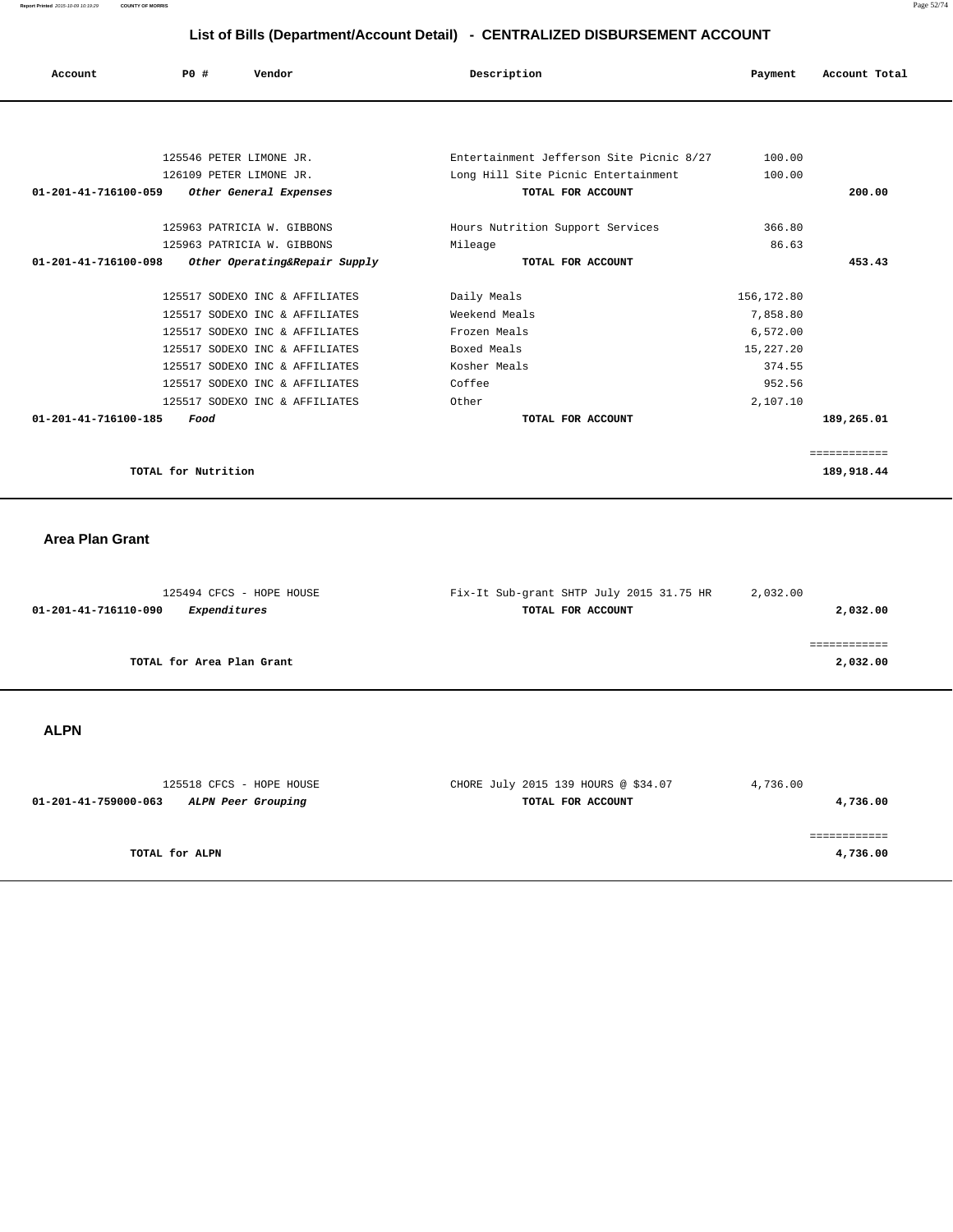**Report Printed** 2015-10-09 10:19:29 **COUNTY OF MORRIS** Page 52/74

## **List of Bills (Department/Account Detail) - CENTRALIZED DISBURSEMENT ACCOUNT**

| Account                        | <b>PO #</b><br>Vendor          | Description                              | Payment     | Account Total              |
|--------------------------------|--------------------------------|------------------------------------------|-------------|----------------------------|
|                                |                                |                                          |             |                            |
|                                | 125546 PETER LIMONE JR.        | Entertainment Jefferson Site Picnic 8/27 | 100.00      |                            |
|                                | 126109 PETER LIMONE JR.        | Long Hill Site Picnic Entertainment      | 100.00      |                            |
| $01 - 201 - 41 - 716100 - 059$ | Other General Expenses         | TOTAL FOR ACCOUNT                        |             | 200.00                     |
|                                |                                |                                          |             |                            |
|                                | 125963 PATRICIA W. GIBBONS     | Hours Nutrition Support Services         | 366.80      |                            |
|                                | 125963 PATRICIA W. GIBBONS     | Mileage                                  | 86.63       |                            |
| $01 - 201 - 41 - 716100 - 098$ | Other Operating&Repair Supply  | TOTAL FOR ACCOUNT                        |             | 453.43                     |
|                                | 125517 SODEXO INC & AFFILIATES | Daily Meals                              | 156, 172.80 |                            |
|                                | 125517 SODEXO INC & AFFILIATES | Weekend Meals                            | 7,858.80    |                            |
|                                | 125517 SODEXO INC & AFFILIATES | Frozen Meals                             | 6,572.00    |                            |
|                                | 125517 SODEXO INC & AFFILIATES | Boxed Meals                              | 15, 227. 20 |                            |
|                                | 125517 SODEXO INC & AFFILIATES | Kosher Meals                             | 374.55      |                            |
|                                | 125517 SODEXO INC & AFFILIATES | Coffee                                   | 952.56      |                            |
|                                | 125517 SODEXO INC & AFFILIATES | Other                                    | 2,107.10    |                            |
| 01-201-41-716100-185           | Food                           | TOTAL FOR ACCOUNT                        |             | 189,265.01                 |
|                                |                                |                                          |             |                            |
|                                | TOTAL for Nutrition            |                                          |             | ============<br>189,918.44 |

### **Area Plan Grant**

| 125494 CFCS - HOPE HOUSE             | Fix-It Sub-grant SHTP July 2015 31.75 HR | 2,032.00 |
|--------------------------------------|------------------------------------------|----------|
| Expenditures<br>01-201-41-716110-090 | TOTAL FOR ACCOUNT                        | 2,032.00 |
|                                      |                                          |          |
|                                      |                                          |          |
| TOTAL for Area Plan Grant            |                                          | 2,032.00 |
|                                      |                                          |          |

## **ALPN**

| 125518 CFCS - HOPE HOUSE                   | CHORE July 2015 139 HOURS @ \$34.07 | 4,736.00   |
|--------------------------------------------|-------------------------------------|------------|
| 01-201-41-759000-063<br>ALPN Peer Grouping | TOTAL FOR ACCOUNT                   | 4,736.00   |
|                                            |                                     |            |
|                                            |                                     | ---------- |
| TOTAL for ALPN                             |                                     | 4,736.00   |
|                                            |                                     |            |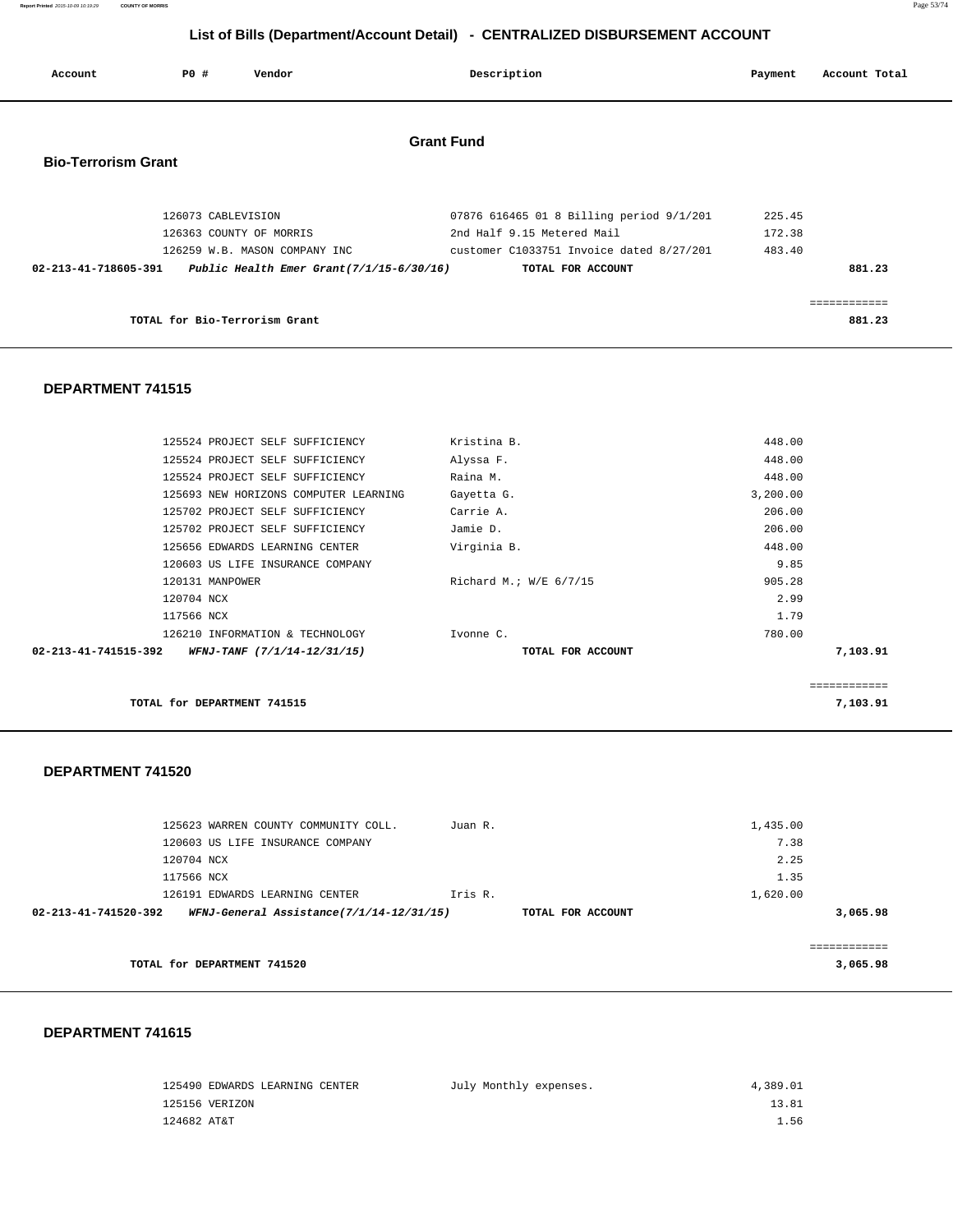**Report Printed** 2015-10-09 10:19:29 **COUNTY OF MORRIS** Page 53/74

## **List of Bills (Department/Account Detail) - CENTRALIZED DISBURSEMENT ACCOUNT**

| Account                    | PO#                | Vendor                                                                                                  | Description                                                                                                                             | Payment                    | Account Total          |
|----------------------------|--------------------|---------------------------------------------------------------------------------------------------------|-----------------------------------------------------------------------------------------------------------------------------------------|----------------------------|------------------------|
| <b>Bio-Terrorism Grant</b> |                    |                                                                                                         | <b>Grant Fund</b>                                                                                                                       |                            |                        |
| 02-213-41-718605-391       | 126073 CABLEVISION | 126363 COUNTY OF MORRIS<br>126259 W.B. MASON COMPANY INC<br>Public Health Emer Grant $(7/1/15-6/30/16)$ | 07876 616465 01 8 Billing period 9/1/201<br>2nd Half 9.15 Metered Mail<br>customer C1033751 Invoice dated 8/27/201<br>TOTAL FOR ACCOUNT | 225.45<br>172.38<br>483.40 | 881.23                 |
|                            |                    | TOTAL for Bio-Terrorism Grant                                                                           |                                                                                                                                         |                            | ============<br>881.23 |

#### **DEPARTMENT 741515**

| 02-213-41-741515-392 | WFNJ-TANF (7/1/14-12/31/15)           | TOTAL FOR ACCOUNT      |          | 7,103.91 |
|----------------------|---------------------------------------|------------------------|----------|----------|
|                      | 126210 INFORMATION & TECHNOLOGY       | Ivonne C.              | 780.00   |          |
| 117566 NCX           |                                       |                        | 1.79     |          |
| 120704 NCX           |                                       |                        | 2.99     |          |
|                      | 120131 MANPOWER                       | Richard M.; W/E 6/7/15 | 905.28   |          |
|                      | 120603 US LIFE INSURANCE COMPANY      |                        | 9.85     |          |
|                      | 125656 EDWARDS LEARNING CENTER        | Virginia B.            | 448.00   |          |
|                      | 125702 PROJECT SELF SUFFICIENCY       | Jamie D.               | 206.00   |          |
|                      | 125702 PROJECT SELF SUFFICIENCY       | Carrie A.              | 206.00   |          |
|                      | 125693 NEW HORIZONS COMPUTER LEARNING | Gayetta G.             | 3,200.00 |          |
|                      | 125524 PROJECT SELF SUFFICIENCY       | Raina M.               | 448.00   |          |
|                      | 125524 PROJECT SELF SUFFICIENCY       | Alyssa F.              | 448.00   |          |
|                      | 125524 PROJECT SELF SUFFICIENCY       | Kristina B.            | 448.00   |          |
|                      |                                       |                        |          |          |

============

**TOTAL for DEPARTMENT 741515** 7,103.91

#### **DEPARTMENT 741520**

|                      | 125623 WARREN COUNTY COMMUNITY COLL.     | Juan R.           | 1,435.00 |          |
|----------------------|------------------------------------------|-------------------|----------|----------|
|                      | 120603 US LIFE INSURANCE COMPANY         |                   | 7.38     |          |
| 120704 NCX           |                                          |                   | 2.25     |          |
| 117566 NCX           |                                          |                   | 1.35     |          |
|                      | 126191 EDWARDS LEARNING CENTER           | Iris R.           | 1,620.00 |          |
| 02-213-41-741520-392 | WFNJ-General Assistance(7/1/14-12/31/15) | TOTAL FOR ACCOUNT |          | 3,065.98 |
|                      |                                          |                   |          |          |
|                      |                                          |                   |          |          |
|                      | TOTAL for DEPARTMENT 741520              |                   |          | 3,065.98 |

|                | 125490 EDWARDS LEARNING CENTER | July Monthly expenses. | 4,389.01 |
|----------------|--------------------------------|------------------------|----------|
| 125156 VERIZON |                                |                        | 13.81    |
| 124682 AT&T    |                                |                        | 1.56     |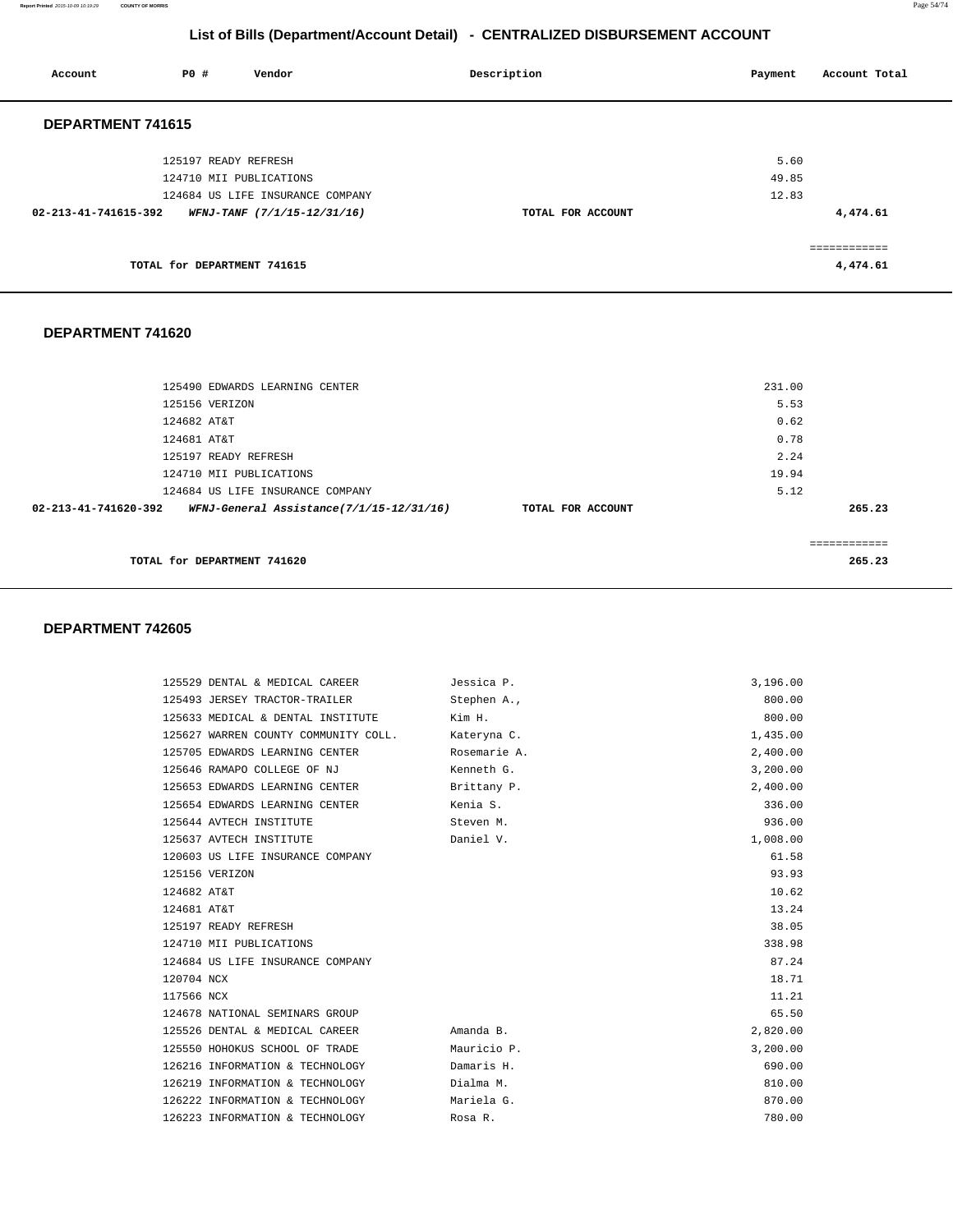**Report Printed** 2015-10-09 10:19:29 **COUNTY OF MORRIS** Page 54/74

#### **List of Bills (Department/Account Detail) - CENTRALIZED DISBURSEMENT ACCOUNT**

| Account              | P0 #<br>Vendor                   | Description       | Account Total<br>Payment |
|----------------------|----------------------------------|-------------------|--------------------------|
| DEPARTMENT 741615    |                                  |                   |                          |
|                      | 125197 READY REFRESH             |                   | 5.60                     |
|                      | 124710 MII PUBLICATIONS          |                   | 49.85                    |
|                      | 124684 US LIFE INSURANCE COMPANY |                   | 12.83                    |
| 02-213-41-741615-392 | WFNJ-TANF (7/1/15-12/31/16)      | TOTAL FOR ACCOUNT | 4,474.61                 |
|                      |                                  |                   | ============             |
|                      | TOTAL for DEPARTMENT 741615      |                   | 4,474.61                 |
|                      |                                  |                   |                          |
| DEPARTMENT 741620    |                                  |                   |                          |

## 125490 EDWARDS LEARNING CENTER 231.00 125156 VERIZON 5.53 124682 AT&T 0.62 124681 AT&T 0.78 125197 READY REFRESH 2.24 124710 MII PUBLICATIONS 19.94 124684 US LIFE INSURANCE COMPANY 6.12  **02-213-41-741620-392 WFNJ-General Assistance(7/1/15-12/31/16) TOTAL FOR ACCOUNT 265.23** ============ **TOTAL for DEPARTMENT 741620 265.23**

| 125529 DENTAL & MEDICAL CAREER       | Jessica P.   | 3,196.00 |
|--------------------------------------|--------------|----------|
| 125493 JERSEY TRACTOR-TRAILER        | Stephen A.,  | 800.00   |
| 125633 MEDICAL & DENTAL INSTITUTE    | Kim H.       | 800.00   |
| 125627 WARREN COUNTY COMMUNITY COLL. | Kateryna C.  | 1,435.00 |
| 125705 EDWARDS LEARNING CENTER       | Rosemarie A. | 2,400.00 |
| 125646 RAMAPO COLLEGE OF NJ          | Kenneth G.   | 3,200.00 |
| 125653 EDWARDS LEARNING CENTER       | Brittany P.  | 2,400.00 |
| 125654 EDWARDS LEARNING CENTER       | Kenia S.     | 336.00   |
| 125644 AVTECH INSTITUTE              | Steven M.    | 936.00   |
| 125637 AVTECH INSTITUTE              | Daniel V.    | 1,008.00 |
| 120603 US LIFE INSURANCE COMPANY     |              | 61.58    |
| 125156 VERIZON                       |              | 93.93    |
| 124682 AT&T                          |              | 10.62    |
| 124681 AT&T                          |              | 13.24    |
| 125197 READY REFRESH                 |              | 38.05    |
| 124710 MII PUBLICATIONS              |              | 338.98   |
| 124684 US LIFE INSURANCE COMPANY     |              | 87.24    |
| 120704 NCX                           |              | 18.71    |
| 117566 NCX                           |              | 11.21    |
| 124678 NATIONAL SEMINARS GROUP       |              | 65.50    |
| 125526 DENTAL & MEDICAL CAREER       | Amanda B.    | 2,820.00 |
| 125550 HOHOKUS SCHOOL OF TRADE       | Mauricio P.  | 3,200.00 |
| 126216 INFORMATION & TECHNOLOGY      | Damaris H.   | 690.00   |
| 126219 INFORMATION & TECHNOLOGY      | Dialma M.    | 810.00   |
| 126222 INFORMATION & TECHNOLOGY      | Mariela G.   | 870.00   |
| 126223 INFORMATION & TECHNOLOGY      | Rosa R.      | 780.00   |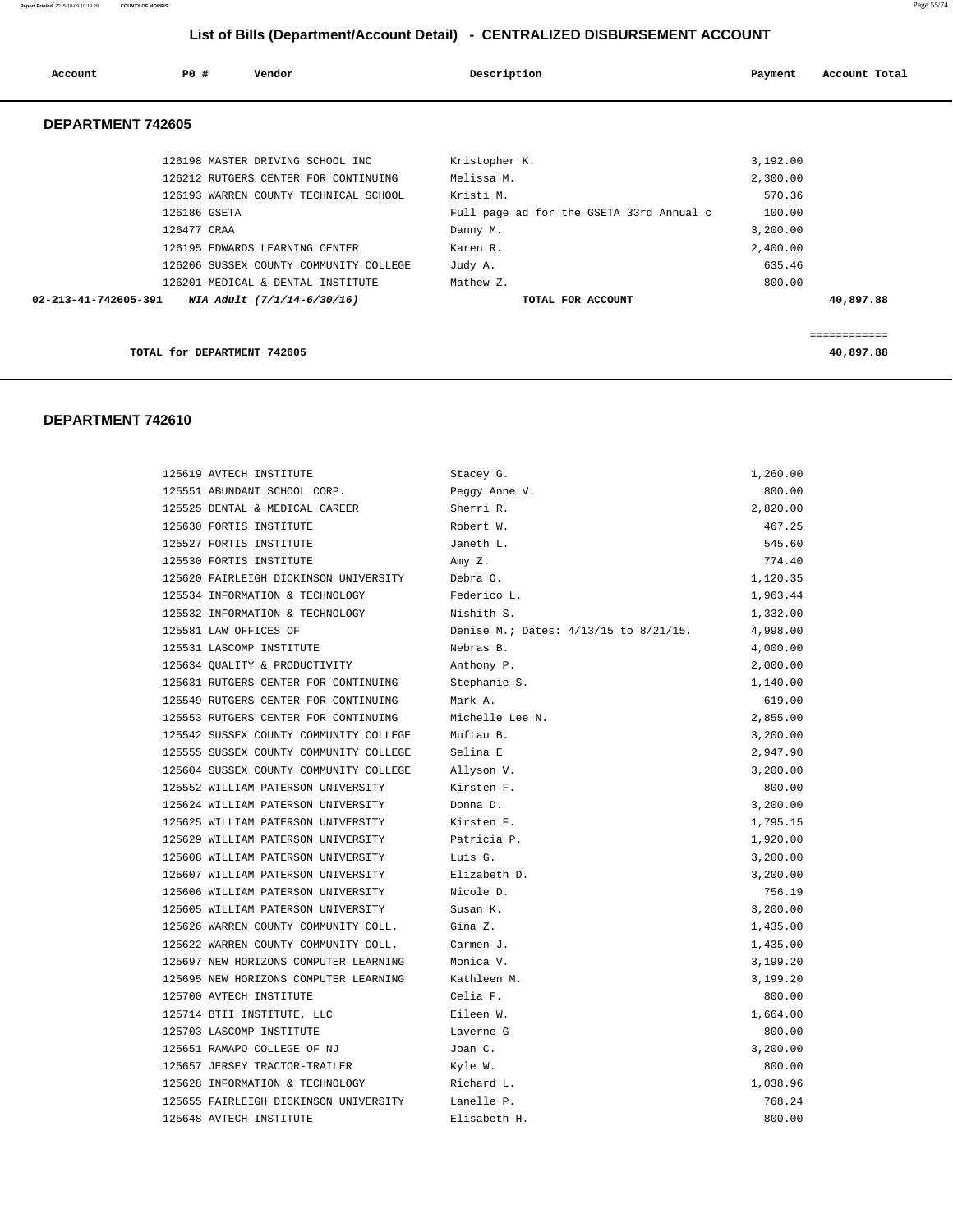#### **Report Printed** 2015-10-09 10:19:29 **COUNTY OF MORRIS** Page 55/74

## **List of Bills (Department/Account Detail) - CENTRALIZED DISBURSEMENT ACCOUNT**

| Account              | PO#          | Vendor                                                                      | Description                                           | Payment              | Account Total |
|----------------------|--------------|-----------------------------------------------------------------------------|-------------------------------------------------------|----------------------|---------------|
| DEPARTMENT 742605    |              |                                                                             |                                                       |                      |               |
|                      |              | 126198 MASTER DRIVING SCHOOL INC<br>126212 RUTGERS CENTER FOR CONTINUING    | Kristopher K.<br>Melissa M.                           | 3,192.00<br>2,300.00 |               |
|                      | 126186 GSETA | 126193 WARREN COUNTY TECHNICAL SCHOOL                                       | Kristi M.<br>Full page ad for the GSETA 33rd Annual c | 570.36<br>100.00     |               |
|                      | 126477 CRAA  | 126195 EDWARDS LEARNING CENTER                                              | Danny M.<br>Karen R.                                  | 3,200.00<br>2,400.00 |               |
|                      |              | 126206 SUSSEX COUNTY COMMUNITY COLLEGE<br>126201 MEDICAL & DENTAL INSTITUTE | Judy A.<br>Mathew Z.                                  | 635.46<br>800.00     |               |
| 02-213-41-742605-391 |              | WIA Adult (7/1/14-6/30/16)                                                  | TOTAL FOR ACCOUNT                                     |                      | 40,897.88     |
|                      |              | TOTAL for DEPARTMENT 742605                                                 |                                                       |                      | 40,897.88     |

| 125619 AVTECH INSTITUTE                           | Stacey G.                             | 1,260.00 |
|---------------------------------------------------|---------------------------------------|----------|
| 125551 ABUNDANT SCHOOL CORP.                      | Peggy Anne V.                         | 800.00   |
| 125525 DENTAL & MEDICAL CAREER                    | Sherri R.                             | 2,820.00 |
| 125630 FORTIS INSTITUTE                           | Robert W.                             | 467.25   |
| 125527 FORTIS INSTITUTE                           | Janeth L.                             | 545.60   |
| 125530 FORTIS INSTITUTE                           | Amy Z.                                | 774.40   |
| 125620 FAIRLEIGH DICKINSON UNIVERSITY             | Debra O.                              | 1,120.35 |
| 125534 INFORMATION & TECHNOLOGY                   | Federico L.                           | 1,963.44 |
| 125532 INFORMATION & TECHNOLOGY                   | Nishith S.                            | 1,332.00 |
| 125581 LAW OFFICES OF                             | Denise M.; Dates: 4/13/15 to 8/21/15. | 4,998.00 |
| 125531 LASCOMP INSTITUTE                          | Nebras B.                             | 4,000.00 |
| 125634 QUALITY & PRODUCTIVITY                     | Anthony P.                            | 2,000.00 |
| 125631 RUTGERS CENTER FOR CONTINUING              | Stephanie S.                          | 1,140.00 |
| 125549 RUTGERS CENTER FOR CONTINUING              | Mark A.                               | 619.00   |
| 125553 RUTGERS CENTER FOR CONTINUING              | Michelle Lee N.                       | 2,855.00 |
| 125542 SUSSEX COUNTY COMMUNITY COLLEGE            | Muftau B.                             | 3,200.00 |
| 125555 SUSSEX COUNTY COMMUNITY COLLEGE            | Selina E                              | 2,947.90 |
| 125604 SUSSEX COUNTY COMMUNITY COLLEGE            | Allyson V.                            | 3,200.00 |
| 125552 WILLIAM PATERSON UNIVERSITY                | Kirsten F.                            | 800.00   |
| 125624 WILLIAM PATERSON UNIVERSITY                | Donna D.                              | 3,200.00 |
| 125625 WILLIAM PATERSON UNIVERSITY Kirsten F.     |                                       | 1,795.15 |
| 125629 WILLIAM PATERSON UNIVERSITY Patricia P.    |                                       | 1,920.00 |
| 125608 WILLIAM PATERSON UNIVERSITY                | Luis G.                               | 3,200.00 |
| 125607 WILLIAM PATERSON UNIVERSITY Blizabeth D.   |                                       | 3,200.00 |
| 125606 WILLIAM PATERSON UNIVERSITY Nicole D.      |                                       | 756.19   |
| 125605 WILLIAM PATERSON UNIVERSITY Susan K.       |                                       | 3,200.00 |
| 125626 WARREN COUNTY COMMUNITY COLL. Gina Z.      |                                       | 1,435.00 |
| 125622 WARREN COUNTY COMMUNITY COLL. Carmen J.    |                                       | 1,435.00 |
| 125697 NEW HORIZONS COMPUTER LEARNING Monica V.   |                                       | 3,199.20 |
| 125695 NEW HORIZONS COMPUTER LEARNING Kathleen M. |                                       | 3,199.20 |
| 125700 AVTECH INSTITUTE                           | Celia F.                              | 800.00   |
| 125714 BTII INSTITUTE, LLC                        | Eileen W.                             | 1,664.00 |
| 125703 LASCOMP INSTITUTE                          | Laverne G                             | 800.00   |
| 125651 RAMAPO COLLEGE OF NJ                       | Joan C.                               | 3,200.00 |
| 125657 JERSEY TRACTOR-TRAILER                     | Kyle W.                               | 800.00   |
| 125628 INFORMATION & TECHNOLOGY Richard L.        |                                       | 1,038.96 |
| 125655 FAIRLEIGH DICKINSON UNIVERSITY Lanelle P.  |                                       | 768.24   |
| 125648 AVTECH INSTITUTE                           | Elisabeth H.                          | 800.00   |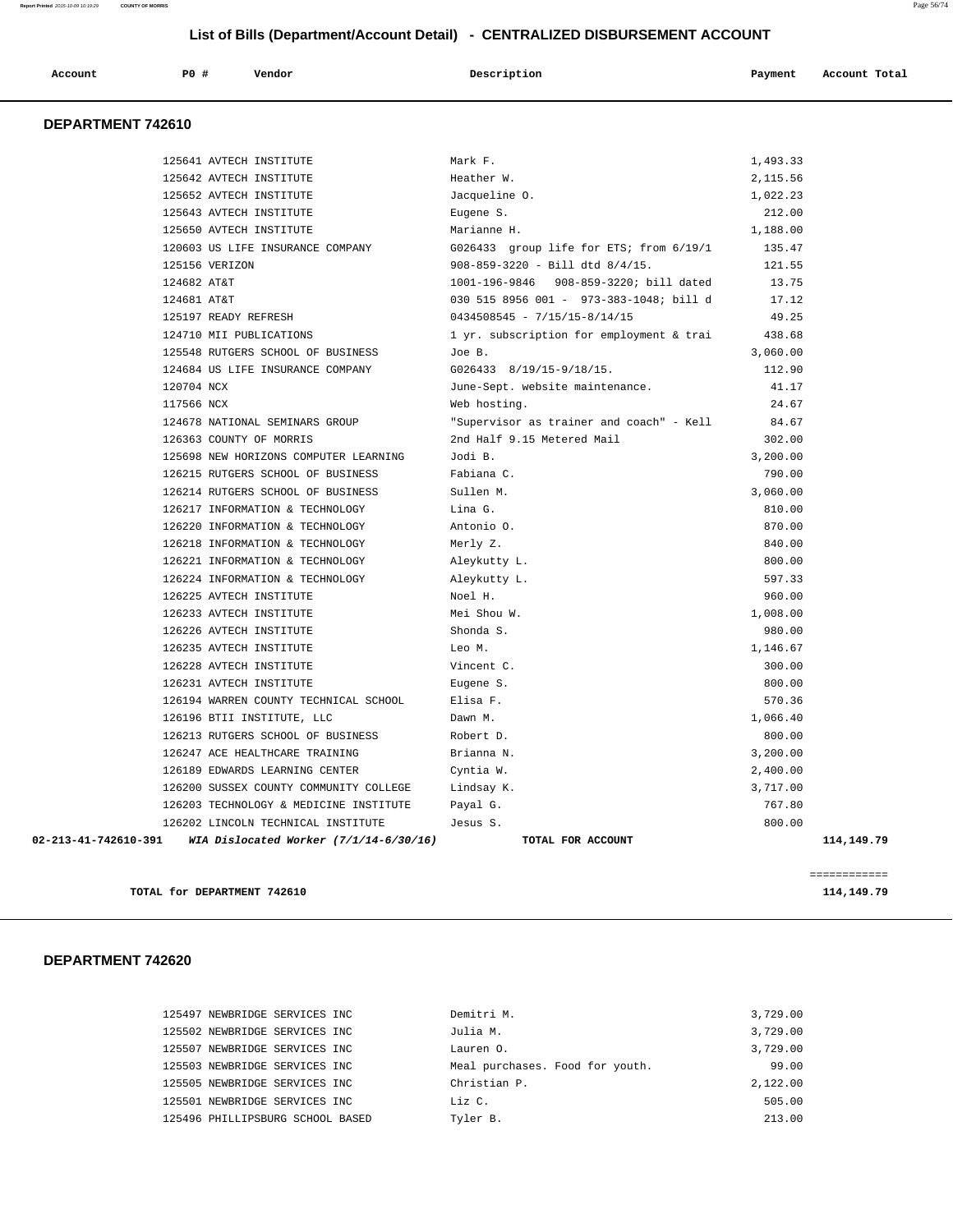| Account | P <sub>0</sub> | Vendor<br>. | Description | Payment | Account Total |
|---------|----------------|-------------|-------------|---------|---------------|
|         |                |             |             |         |               |

#### **DEPARTMENT 742610**

| 02-213-41-742610-391 | WIA Dislocated Worker $(7/1/14-6/30/16)$                              | TOTAL FOR ACCOUNT                        |                      | 114,149.79 |
|----------------------|-----------------------------------------------------------------------|------------------------------------------|----------------------|------------|
|                      | 126202 LINCOLN TECHNICAL INSTITUTE                                    | Jesus S.                                 | 800.00               |            |
|                      | 126203 TECHNOLOGY & MEDICINE INSTITUTE                                | Payal G.                                 | 767.80               |            |
|                      | 126200 SUSSEX COUNTY COMMUNITY COLLEGE                                | Lindsay K.                               | 3,717.00             |            |
|                      | 126189 EDWARDS LEARNING CENTER                                        | Cyntia W.                                | 3,200.00<br>2,400.00 |            |
|                      | 126213 RUTGERS SCHOOL OF BUSINESS<br>126247 ACE HEALTHCARE TRAINING   | Robert D.<br>Brianna N.                  | 800.00               |            |
|                      | 126196 BTII INSTITUTE, LLC                                            | Dawn M.                                  | 1,066.40             |            |
|                      | 126194 WARREN COUNTY TECHNICAL SCHOOL                                 | Elisa F.                                 | 570.36               |            |
|                      | 126231 AVTECH INSTITUTE                                               | Eugene S.                                | 800.00               |            |
|                      | 126228 AVTECH INSTITUTE                                               | Vincent C.                               | 300.00               |            |
|                      | 126235 AVTECH INSTITUTE                                               | Leo M.                                   | 1,146.67             |            |
|                      | 126226 AVTECH INSTITUTE                                               | Shonda S.                                | 980.00               |            |
|                      |                                                                       |                                          | 1,008.00             |            |
|                      | 126233 AVTECH INSTITUTE                                               | Mei Shou W.                              |                      |            |
|                      | 126224 INFORMATION & TECHNOLOGY<br>126225 AVTECH INSTITUTE            | Aleykutty L.<br>Noel H.                  | 597.33<br>960.00     |            |
|                      | 126221 INFORMATION & TECHNOLOGY                                       | Aleykutty L.                             | 800.00               |            |
|                      | 126218 INFORMATION & TECHNOLOGY                                       | Merly Z.                                 | 840.00               |            |
|                      |                                                                       |                                          | 870.00               |            |
|                      | 126217 INFORMATION & TECHNOLOGY<br>126220 INFORMATION & TECHNOLOGY    | Lina G.<br>Antonio O.                    | 810.00               |            |
|                      | 126214 RUTGERS SCHOOL OF BUSINESS                                     | Sullen M.                                | 3,060.00             |            |
|                      | 126215 RUTGERS SCHOOL OF BUSINESS                                     | Fabiana C.                               | 790.00               |            |
|                      | 125698 NEW HORIZONS COMPUTER LEARNING                                 | Jodi B.                                  | 3,200.00             |            |
|                      | 126363 COUNTY OF MORRIS                                               | 2nd Half 9.15 Metered Mail               | 302.00               |            |
|                      | 124678 NATIONAL SEMINARS GROUP                                        | "Supervisor as trainer and coach" - Kell | 84.67                |            |
| 117566 NCX           |                                                                       | Web hosting.                             |                      |            |
|                      |                                                                       | June-Sept. website maintenance.          | 24.67                |            |
| 120704 NCX           |                                                                       |                                          | 41.17                |            |
|                      | 125548 RUTGERS SCHOOL OF BUSINESS<br>124684 US LIFE INSURANCE COMPANY | Joe B.<br>$G026433$ $8/19/15-9/18/15$ .  | 3,060.00<br>112.90   |            |
|                      | 124710 MII PUBLICATIONS                                               | 1 yr. subscription for employment & trai | 438.68               |            |
|                      | 125197 READY REFRESH                                                  | $0434508545 - 7/15/15 - 8/14/15$         | 49.25                |            |
| 124681 AT&T          |                                                                       | 030 515 8956 001 - 973-383-1048; bill d  | 17.12                |            |
| 124682 AT&T          |                                                                       | 1001-196-9846 908-859-3220; bill dated   | 13.75                |            |
|                      | 125156 VERIZON                                                        | $908 - 859 - 3220$ - Bill dtd $8/4/15$ . | 121.55               |            |
|                      | 120603 US LIFE INSURANCE COMPANY                                      | G026433 group life for ETS; from 6/19/1  | 135.47               |            |
|                      | 125650 AVTECH INSTITUTE                                               | Marianne H.                              | 1,188.00             |            |
|                      | 125643 AVTECH INSTITUTE                                               | Eugene S.                                | 212.00               |            |
|                      | 125652 AVTECH INSTITUTE                                               | Jacqueline O.                            | 1,022.23             |            |
|                      | 125642 AVTECH INSTITUTE                                               | Heather W.                               | 2,115.56             |            |
|                      | 125641 AVTECH INSTITUTE                                               | Mark F.                                  | 1,493.33             |            |
|                      |                                                                       |                                          |                      |            |

**TOTAL for DEPARTMENT 742610 114,149.79 114,149.79** 

| 125497 NEWBRIDGE SERVICES INC    | Demitri M.                      | 3,729.00 |
|----------------------------------|---------------------------------|----------|
| 125502 NEWBRIDGE SERVICES INC    | Julia M.                        | 3,729.00 |
| 125507 NEWBRIDGE SERVICES INC    | Lauren O.                       | 3,729.00 |
| 125503 NEWBRIDGE SERVICES INC    | Meal purchases. Food for youth. | 99.00    |
| 125505 NEWBRIDGE SERVICES INC    | Christian P.                    | 2,122.00 |
| 125501 NEWBRIDGE SERVICES INC    | Liz C.                          | 505.00   |
| 125496 PHILLIPSBURG SCHOOL BASED | Tyler B.                        | 213.00   |
|                                  |                                 |          |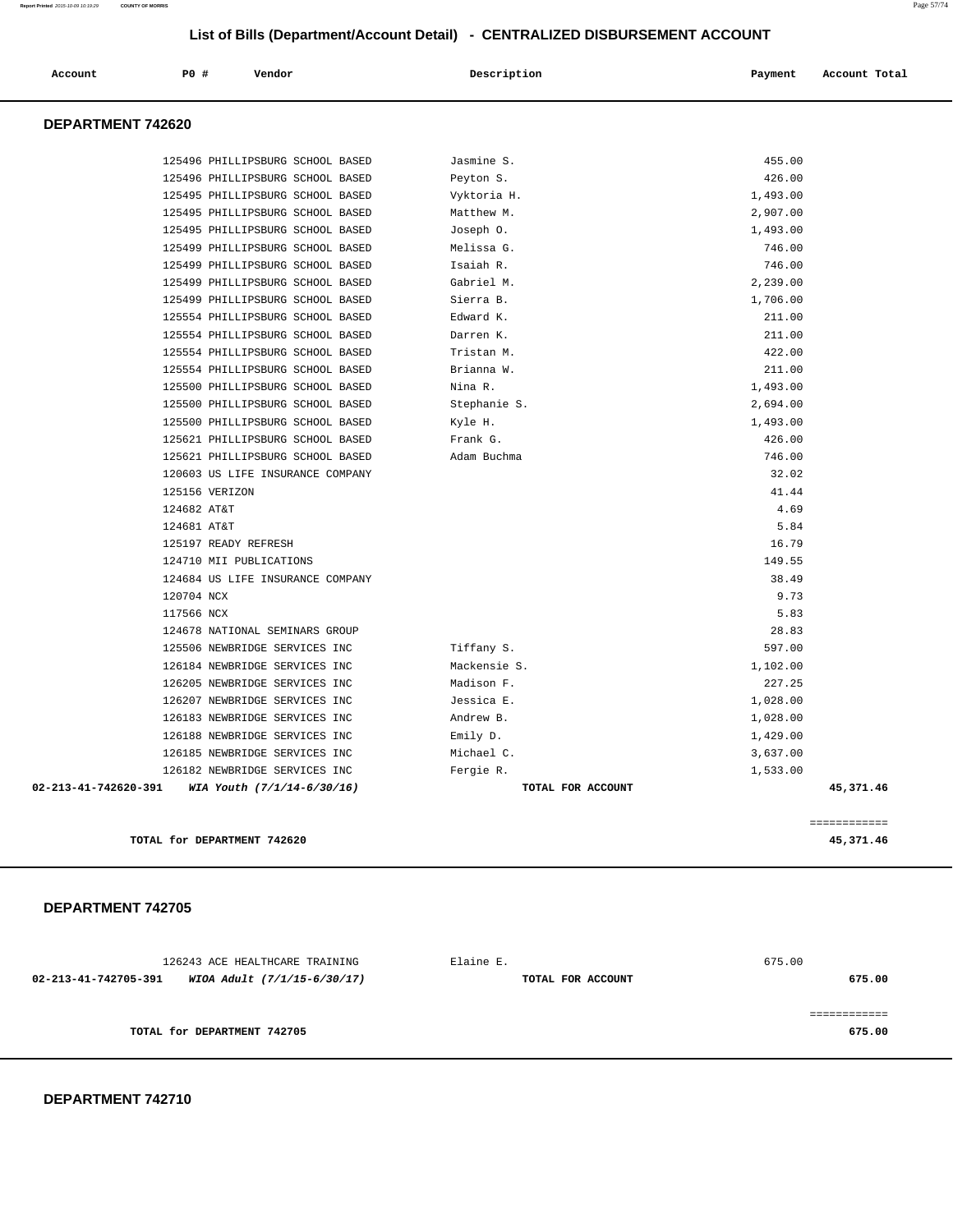| 126243 ACE HEALTHCARE TRAINING<br>02-213-41-742705-391<br>WIOA Adult (7/1/15-6/30/17) | Elaine E.<br>TOTAL FOR ACCOUNT | 675.00<br>675.00 |
|---------------------------------------------------------------------------------------|--------------------------------|------------------|
| TOTAL for DEPARTMENT 742705                                                           |                                | 675.00           |

#### **DEPARTMENT 742705**

 **DEPARTMENT 742620** 

| TOTAL for DEPARTMENT 742620                                          |                     |                    | 45,371.46    |
|----------------------------------------------------------------------|---------------------|--------------------|--------------|
|                                                                      |                     |                    | ============ |
| 02-213-41-742620-391<br>WIA Youth (7/1/14-6/30/16)                   | TOTAL FOR ACCOUNT   |                    | 45,371.46    |
| 126182 NEWBRIDGE SERVICES INC                                        | Fergie R.           | 1,533.00           |              |
| 126185 NEWBRIDGE SERVICES INC                                        | Michael C.          | 3,637.00           |              |
| 126188 NEWBRIDGE SERVICES INC                                        | Emily D.            | 1,429.00           |              |
| 126183 NEWBRIDGE SERVICES INC                                        | Andrew B.           | 1,028.00           |              |
| 126207 NEWBRIDGE SERVICES INC                                        | Jessica E.          | 1,028.00           |              |
| 126205 NEWBRIDGE SERVICES INC                                        | Madison F.          | 227.25             |              |
| 126184 NEWBRIDGE SERVICES INC                                        | Mackensie S.        | 1,102.00           |              |
| 125506 NEWBRIDGE SERVICES INC                                        | Tiffany S.          | 597.00             |              |
| 124678 NATIONAL SEMINARS GROUP                                       |                     | 28.83              |              |
| 117566 NCX                                                           |                     | 5.83               |              |
| 120704 NCX                                                           |                     | 9.73               |              |
| 124684 US LIFE INSURANCE COMPANY                                     |                     | 38.49              |              |
| 124710 MII PUBLICATIONS                                              |                     | 149.55             |              |
| 125197 READY REFRESH                                                 |                     | 16.79              |              |
| 124681 AT&T                                                          |                     | 5.84               |              |
| 124682 AT&T                                                          |                     | 4.69               |              |
| 125156 VERIZON                                                       |                     | 41.44              |              |
| 120603 US LIFE INSURANCE COMPANY                                     |                     | 32.02              |              |
| 125621 PHILLIPSBURG SCHOOL BASED<br>125621 PHILLIPSBURG SCHOOL BASED | Adam Buchma         | 746.00             |              |
| 125500 PHILLIPSBURG SCHOOL BASED                                     | Kyle H.<br>Frank G. | 1,493.00<br>426.00 |              |
| 125500 PHILLIPSBURG SCHOOL BASED                                     | Stephanie S.        | 2,694.00           |              |
| 125500 PHILLIPSBURG SCHOOL BASED                                     | Nina R.             | 1,493.00           |              |
| 125554 PHILLIPSBURG SCHOOL BASED                                     | Brianna W.          | 211.00             |              |
| 125554 PHILLIPSBURG SCHOOL BASED                                     | Tristan M.          | 422.00             |              |
| 125554 PHILLIPSBURG SCHOOL BASED                                     | Darren K.           | 211.00             |              |
| 125554 PHILLIPSBURG SCHOOL BASED                                     | Edward K.           | 211.00             |              |
| 125499 PHILLIPSBURG SCHOOL BASED                                     | Sierra B.           | 1,706.00           |              |
| 125499 PHILLIPSBURG SCHOOL BASED                                     | Gabriel M.          | 2,239.00           |              |
| 125499 PHILLIPSBURG SCHOOL BASED                                     | Isaiah R.           | 746.00             |              |
| 125499 PHILLIPSBURG SCHOOL BASED                                     | Melissa G.          | 746.00             |              |
| 125495 PHILLIPSBURG SCHOOL BASED                                     | Joseph O.           | 1,493.00           |              |
| 125495 PHILLIPSBURG SCHOOL BASED                                     | Matthew M.          | 2,907.00           |              |
| 125495 PHILLIPSBURG SCHOOL BASED                                     | Vyktoria H.         | 1,493.00           |              |
| 125496 PHILLIPSBURG SCHOOL BASED                                     | Peyton S.           | 426.00             |              |
| 125496 PHILLIPSBURG SCHOOL BASED                                     | Jasmine S.          | 455.00             |              |
|                                                                      |                     |                    |              |

Account **PO #** Vendor **Description Payment Account Total**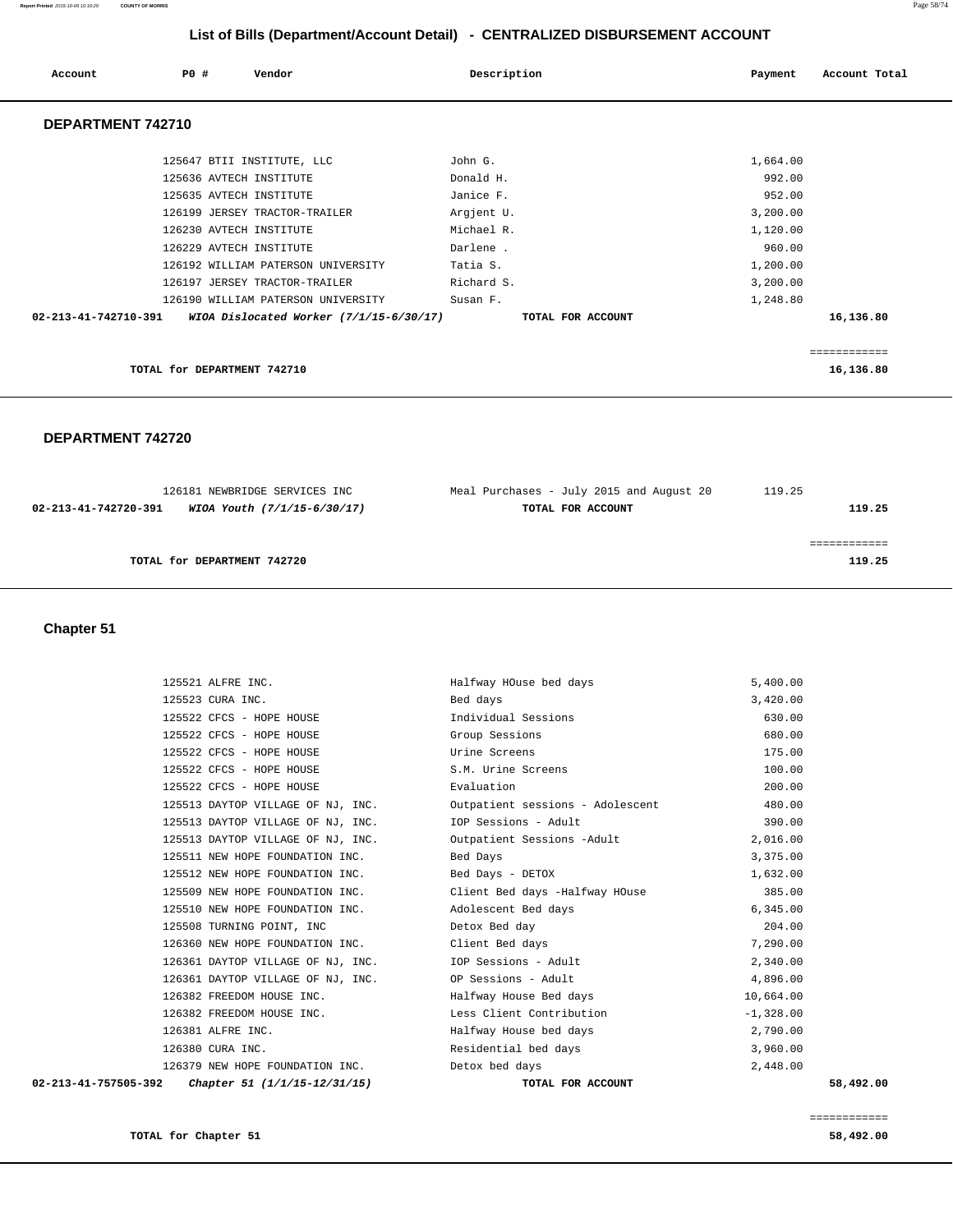| Account              | PO# | Vendor                                  | Description       | Payment  | Account Total |
|----------------------|-----|-----------------------------------------|-------------------|----------|---------------|
| DEPARTMENT 742710    |     |                                         |                   |          |               |
|                      |     | 125647 BTII INSTITUTE, LLC              | John G.           | 1,664.00 |               |
|                      |     | 125636 AVTECH INSTITUTE                 | Donald H.         | 992.00   |               |
|                      |     | 125635 AVTECH INSTITUTE                 | Janice F.         | 952.00   |               |
|                      |     | 126199 JERSEY TRACTOR-TRAILER           | Argjent U.        | 3,200.00 |               |
|                      |     | 126230 AVTECH INSTITUTE                 | Michael R.        | 1,120.00 |               |
|                      |     | 126229 AVTECH INSTITUTE                 | Darlene.          | 960.00   |               |
|                      |     | 126192 WILLIAM PATERSON UNIVERSITY      | Tatia S.          | 1,200.00 |               |
|                      |     | 126197 JERSEY TRACTOR-TRAILER           | Richard S.        | 3,200.00 |               |
|                      |     | 126190 WILLIAM PATERSON UNIVERSITY      | Susan F.          | 1,248.80 |               |
| 02-213-41-742710-391 |     | WIOA Dislocated Worker (7/1/15-6/30/17) | TOTAL FOR ACCOUNT |          | 16,136.80     |
|                      |     |                                         |                   |          | ============  |
|                      |     | TOTAL for DEPARTMENT 742710             |                   |          | 16,136.80     |

#### **DEPARTMENT 742720**

| 126181 NEWBRIDGE SERVICES INC                       | Meal Purchases - July 2015 and August 20 | 119.25 |
|-----------------------------------------------------|------------------------------------------|--------|
| WIOA Youth (7/1/15-6/30/17)<br>02-213-41-742720-391 | TOTAL FOR ACCOUNT                        | 119.25 |
|                                                     |                                          |        |
|                                                     |                                          |        |
| TOTAL for DEPARTMENT 742720                         |                                          | 119.25 |
|                                                     |                                          |        |

## **Chapter 51**

|                      | 125521 ALFRE INC.                                      | Halfway HOuse bed days                                                | 5,400.00    |           |
|----------------------|--------------------------------------------------------|-----------------------------------------------------------------------|-------------|-----------|
| 125523 CURA INC.     |                                                        | Bed days                                                              | 3,420.00    |           |
|                      | 125522 CFCS - HOPE HOUSE                               | Individual Sessions                                                   | 630.00      |           |
|                      | 125522 CFCS - HOPE HOUSE                               | Group Sessions                                                        | 680.00      |           |
|                      | 125522 CFCS - HOPE HOUSE                               | Urine Screens                                                         | 175.00      |           |
|                      | 125522 CFCS - HOPE HOUSE                               | S.M. Urine Screens                                                    | 100.00      |           |
|                      | 125522 CFCS - HOPE HOUSE                               | Evaluation                                                            | 200.00      |           |
|                      |                                                        | 125513 DAYTOP VILLAGE OF NJ, INC.    Qutpatient sessions - Adolescent | 480.00      |           |
|                      | 125513 DAYTOP VILLAGE OF NJ, INC.                      | IOP Sessions - Adult                                                  | 390.00      |           |
|                      | 125513 DAYTOP VILLAGE OF NJ, INC.                      | Outpatient Sessions -Adult                                            | 2,016.00    |           |
|                      | 125511 NEW HOPE FOUNDATION INC.                        | Bed Days                                                              | 3,375.00    |           |
|                      | 125512 NEW HOPE FOUNDATION INC.                        | Bed Days - DETOX                                                      | 1,632.00    |           |
|                      |                                                        | 125509 NEW HOPE FOUNDATION INC. Client Bed days -Halfway HOuse        | 385.00      |           |
|                      | 125510 NEW HOPE FOUNDATION INC.                        | Adolescent Bed days                                                   | 6,345.00    |           |
|                      | 125508 TURNING POINT, INC                              | Detox Bed day                                                         | 204.00      |           |
|                      | 126360 NEW HOPE FOUNDATION INC. Client Bed days        |                                                                       | 7,290.00    |           |
|                      | 126361 DAYTOP VILLAGE OF NJ, INC. IOP Sessions - Adult |                                                                       | 2,340.00    |           |
|                      | 126361 DAYTOP VILLAGE OF NJ, INC.                      | OP Sessions - Adult                                                   | 4,896.00    |           |
|                      | 126382 FREEDOM HOUSE INC.                              | Halfway House Bed days                                                | 10,664.00   |           |
|                      | 126382 FREEDOM HOUSE INC.                              | Less Client Contribution                                              | $-1,328.00$ |           |
| 126381 ALFRE INC.    |                                                        | Halfway House bed days                                                | 2,790.00    |           |
| 126380 CURA INC.     |                                                        | Residential bed days                                                  | 3,960.00    |           |
|                      | 126379 NEW HOPE FOUNDATION INC.                        | Detox bed days                                                        | 2,448.00    |           |
| 02-213-41-757505-392 | Chapter 51 (1/1/15-12/31/15)                           | TOTAL FOR ACCOUNT                                                     |             | 58,492.00 |

============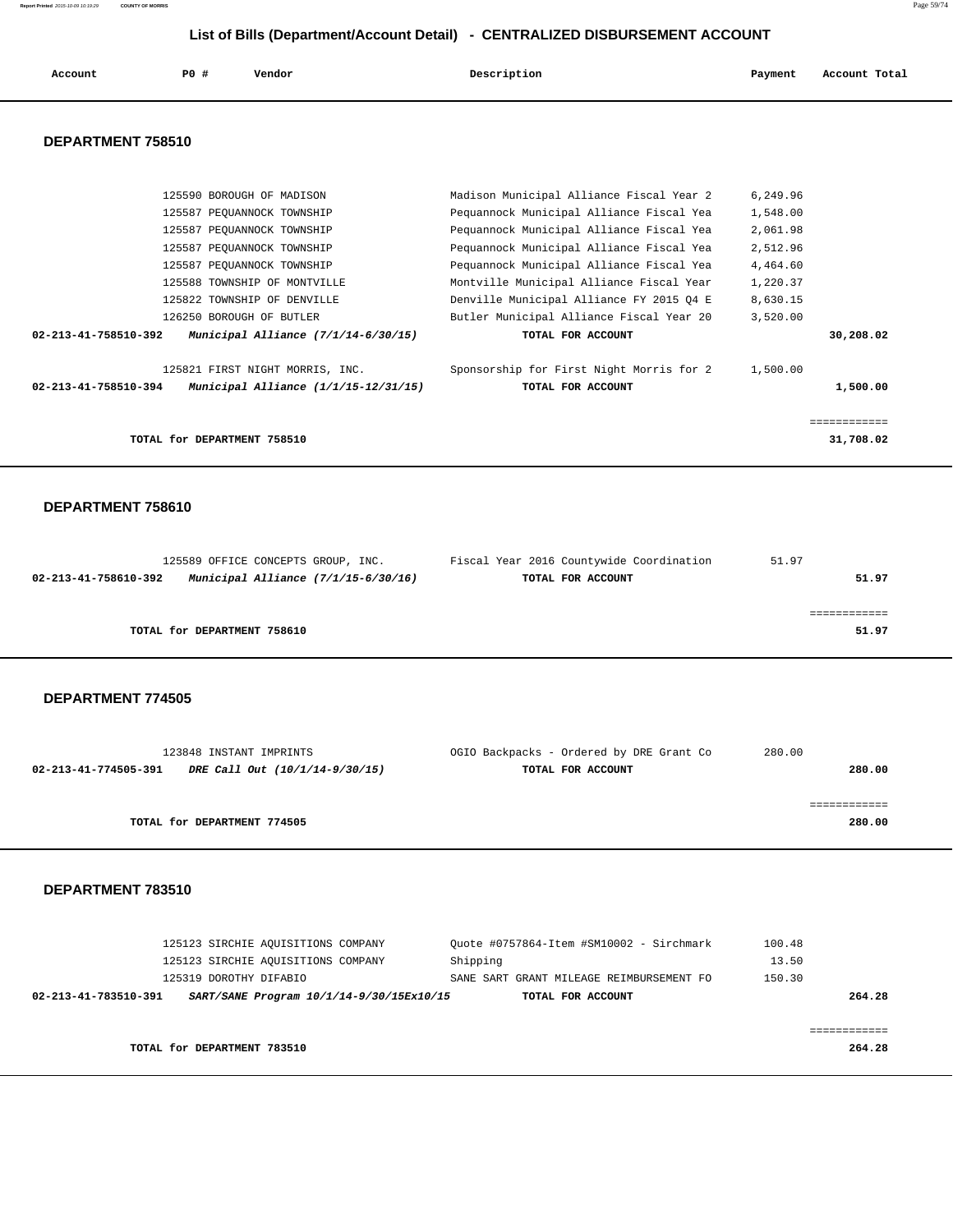| Account | <b>PO #</b> | Vendor | Description | Payment | Account Total |
|---------|-------------|--------|-------------|---------|---------------|
|         |             |        |             |         |               |

#### **DEPARTMENT 758510**

| 125590 BOROUGH OF MADISON                                      | Madison Municipal Alliance Fiscal Year 2 | 6,249.96 |           |
|----------------------------------------------------------------|------------------------------------------|----------|-----------|
|                                                                |                                          |          |           |
| 125587 PEOUANNOCK TOWNSHIP                                     | Pequannock Municipal Alliance Fiscal Yea | 1,548.00 |           |
| 125587 PEOUANNOCK TOWNSHIP                                     | Pequannock Municipal Alliance Fiscal Yea | 2,061.98 |           |
| 125587 PEOUANNOCK TOWNSHIP                                     | Pequannock Municipal Alliance Fiscal Yea | 2,512.96 |           |
| 125587 PEOUANNOCK TOWNSHIP                                     | Pequannock Municipal Alliance Fiscal Yea | 4,464.60 |           |
| 125588 TOWNSHIP OF MONTVILLE                                   | Montville Municipal Alliance Fiscal Year | 1,220.37 |           |
| 125822 TOWNSHIP OF DENVILLE                                    | Denville Municipal Alliance FY 2015 04 E | 8,630.15 |           |
| 126250 BOROUGH OF BUTLER                                       | Butler Municipal Alliance Fiscal Year 20 | 3,520.00 |           |
| Municipal Alliance $(7/1/14-6/30/15)$<br>02-213-41-758510-392  | TOTAL FOR ACCOUNT                        |          | 30,208.02 |
| 125821 FIRST NIGHT MORRIS, INC.                                | Sponsorship for First Night Morris for 2 | 1,500.00 |           |
| 02-213-41-758510-394<br>Municipal Alliance $(1/1/15-12/31/15)$ | TOTAL FOR ACCOUNT                        |          | 1,500.00  |
|                                                                |                                          |          |           |
|                                                                |                                          |          |           |
| TOTAL for DEPARTMENT 758510                                    |                                          |          | 31,708.02 |
|                                                                |                                          |          |           |

#### **DEPARTMENT 758610**

| 125589 OFFICE CONCEPTS GROUP, INC.                            | Fiscal Year 2016 Countywide Coordination | 51.97 |
|---------------------------------------------------------------|------------------------------------------|-------|
| Municipal Alliance $(7/1/15-6/30/16)$<br>02-213-41-758610-392 | TOTAL FOR ACCOUNT                        | 51.97 |
|                                                               |                                          |       |
|                                                               |                                          |       |
| TOTAL for DEPARTMENT 758610                                   |                                          | 51.97 |

#### **DEPARTMENT 774505**

| 123848 INSTANT IMPRINTS                                | OGIO Backpacks - Ordered by DRE Grant Co | 280.00 |
|--------------------------------------------------------|------------------------------------------|--------|
| DRE Call Out (10/1/14-9/30/15)<br>02-213-41-774505-391 | TOTAL FOR ACCOUNT                        | 280.00 |
|                                                        |                                          |        |
|                                                        |                                          |        |
| TOTAL for DEPARTMENT 774505                            |                                          | 280.00 |
|                                                        |                                          |        |

| 02-213-41-783510-391 |                                    | SART/SANE Program 10/1/14-9/30/15Ex10/15 |          | TOTAL FOR ACCOUNT                        |        | 264.28 |
|----------------------|------------------------------------|------------------------------------------|----------|------------------------------------------|--------|--------|
|                      | 125319 DOROTHY DIFABIO             |                                          |          | SANE SART GRANT MILEAGE REIMBURSEMENT FO | 150.30 |        |
|                      | 125123 SIRCHIE AQUISITIONS COMPANY |                                          | Shipping |                                          | 13.50  |        |
|                      | 125123 SIRCHIE AQUISITIONS COMPANY |                                          |          | Ouote #0757864-Item #SM10002 - Sirchmark | 100.48 |        |

| TOTAL for DEPARTMENT 783510 | 264.28 |
|-----------------------------|--------|
|                             |        |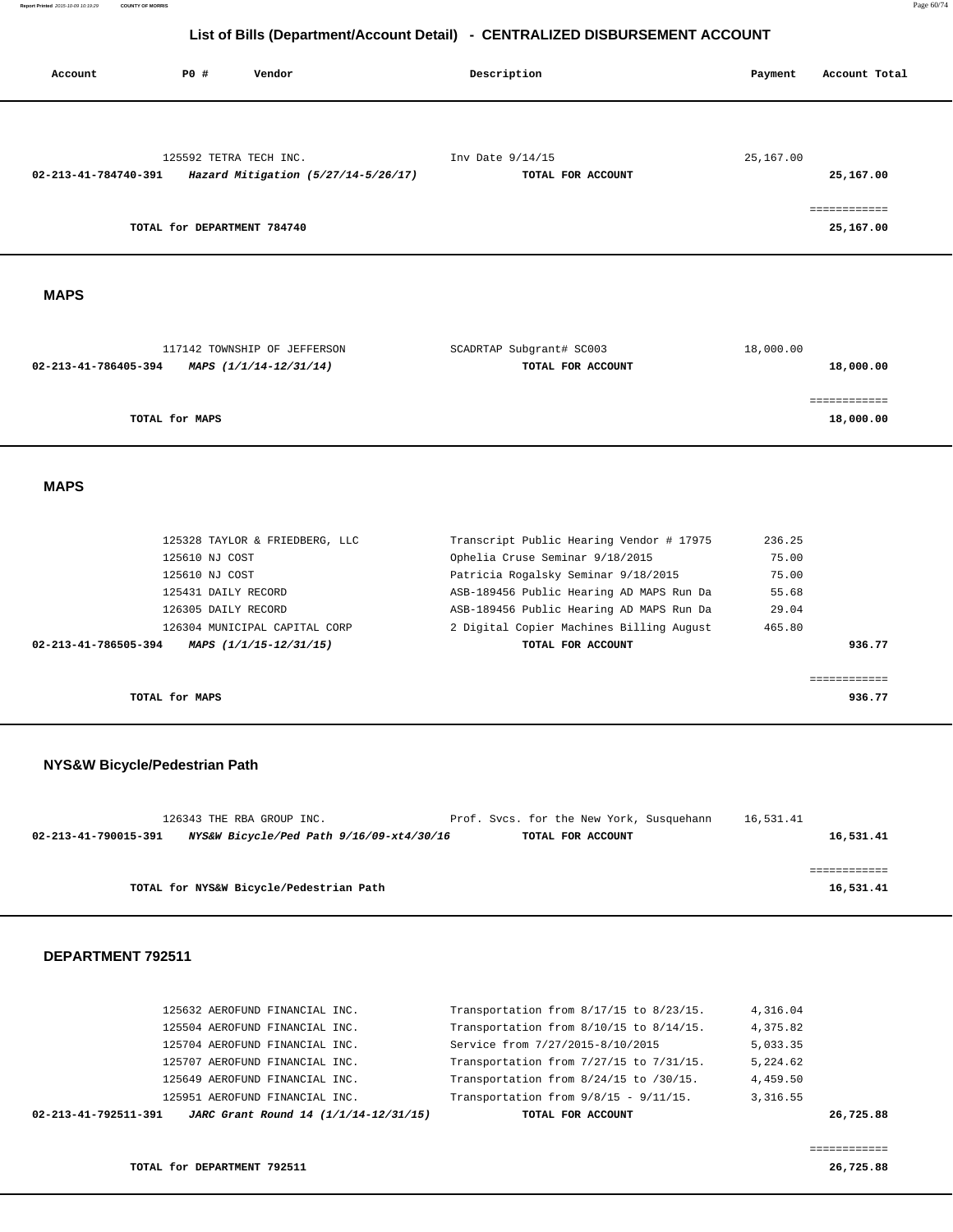| Account                       | P0 #                                                                           | Vendor                                                                                                                                                                                                   | Description                                                                                                                                                                                                                                                                 | Payment                                                              | Account Total             |
|-------------------------------|--------------------------------------------------------------------------------|----------------------------------------------------------------------------------------------------------------------------------------------------------------------------------------------------------|-----------------------------------------------------------------------------------------------------------------------------------------------------------------------------------------------------------------------------------------------------------------------------|----------------------------------------------------------------------|---------------------------|
| 02-213-41-784740-391          |                                                                                | 125592 TETRA TECH INC.<br>Hazard Mitigation (5/27/14-5/26/17)                                                                                                                                            | Inv Date 9/14/15<br>TOTAL FOR ACCOUNT                                                                                                                                                                                                                                       | 25,167.00                                                            | 25,167.00<br>============ |
|                               | TOTAL for DEPARTMENT 784740                                                    |                                                                                                                                                                                                          |                                                                                                                                                                                                                                                                             |                                                                      | 25,167.00                 |
| <b>MAPS</b>                   |                                                                                |                                                                                                                                                                                                          |                                                                                                                                                                                                                                                                             |                                                                      |                           |
| 02-213-41-786405-394          |                                                                                | 117142 TOWNSHIP OF JEFFERSON<br>MAPS (1/1/14-12/31/14)                                                                                                                                                   | SCADRTAP Subgrant# SC003<br>TOTAL FOR ACCOUNT                                                                                                                                                                                                                               | 18,000.00                                                            | 18,000.00                 |
|                               | TOTAL for MAPS                                                                 |                                                                                                                                                                                                          |                                                                                                                                                                                                                                                                             |                                                                      | ------------<br>18,000.00 |
| <b>MAPS</b>                   |                                                                                |                                                                                                                                                                                                          |                                                                                                                                                                                                                                                                             |                                                                      |                           |
| 02-213-41-786505-394          | 125610 NJ COST<br>125610 NJ COST<br>125431 DAILY RECORD<br>126305 DAILY RECORD | 125328 TAYLOR & FRIEDBERG, LLC<br>126304 MUNICIPAL CAPITAL CORP<br>MAPS (1/1/15-12/31/15)                                                                                                                | Transcript Public Hearing Vendor # 17975<br>Ophelia Cruse Seminar 9/18/2015<br>Patricia Rogalsky Seminar 9/18/2015<br>ASB-189456 Public Hearing AD MAPS Run Da<br>ASB-189456 Public Hearing AD MAPS Run Da<br>2 Digital Copier Machines Billing August<br>TOTAL FOR ACCOUNT | 236.25<br>75.00<br>75.00<br>55.68<br>29.04<br>465.80                 | 936.77                    |
|                               | TOTAL for MAPS                                                                 |                                                                                                                                                                                                          |                                                                                                                                                                                                                                                                             |                                                                      | ============<br>936.77    |
| NYS&W Bicycle/Pedestrian Path |                                                                                | 126343 THE RBA GROUP INC.                                                                                                                                                                                | Prof. Svcs. for the New York, Susquehann                                                                                                                                                                                                                                    | 16,531.41                                                            |                           |
| 02-213-41-790015-391          |                                                                                | NYS&W Bicycle/Ped Path 9/16/09-xt4/30/16                                                                                                                                                                 | TOTAL FOR ACCOUNT                                                                                                                                                                                                                                                           |                                                                      | 16,531.41                 |
|                               |                                                                                | TOTAL for NYS&W Bicycle/Pedestrian Path                                                                                                                                                                  |                                                                                                                                                                                                                                                                             |                                                                      | ============<br>16,531.41 |
| DEPARTMENT 792511             |                                                                                |                                                                                                                                                                                                          |                                                                                                                                                                                                                                                                             |                                                                      |                           |
|                               |                                                                                | 125632 AEROFUND FINANCIAL INC.<br>125504 AEROFUND FINANCIAL INC.<br>125704 AEROFUND FINANCIAL INC.<br>125707 AEROFUND FINANCIAL INC.<br>125649 AEROFUND FINANCIAL INC.<br>125951 AEROFUND FINANCIAL INC. | Transportation from 8/17/15 to 8/23/15.<br>Transportation from 8/10/15 to 8/14/15.<br>Service from 7/27/2015-8/10/2015<br>Transportation from 7/27/15 to 7/31/15.<br>Transportation from 8/24/15 to /30/15.<br>Transportation from $9/8/15$ - $9/11/15$ .                   | 4,316.04<br>4,375.82<br>5,033.35<br>5,224.62<br>4,459.50<br>3,316.55 |                           |

============

 **02-213-41-792511-391 JARC Grant Round 14 (1/1/14-12/31/15) TOTAL FOR ACCOUNT 26,725.88**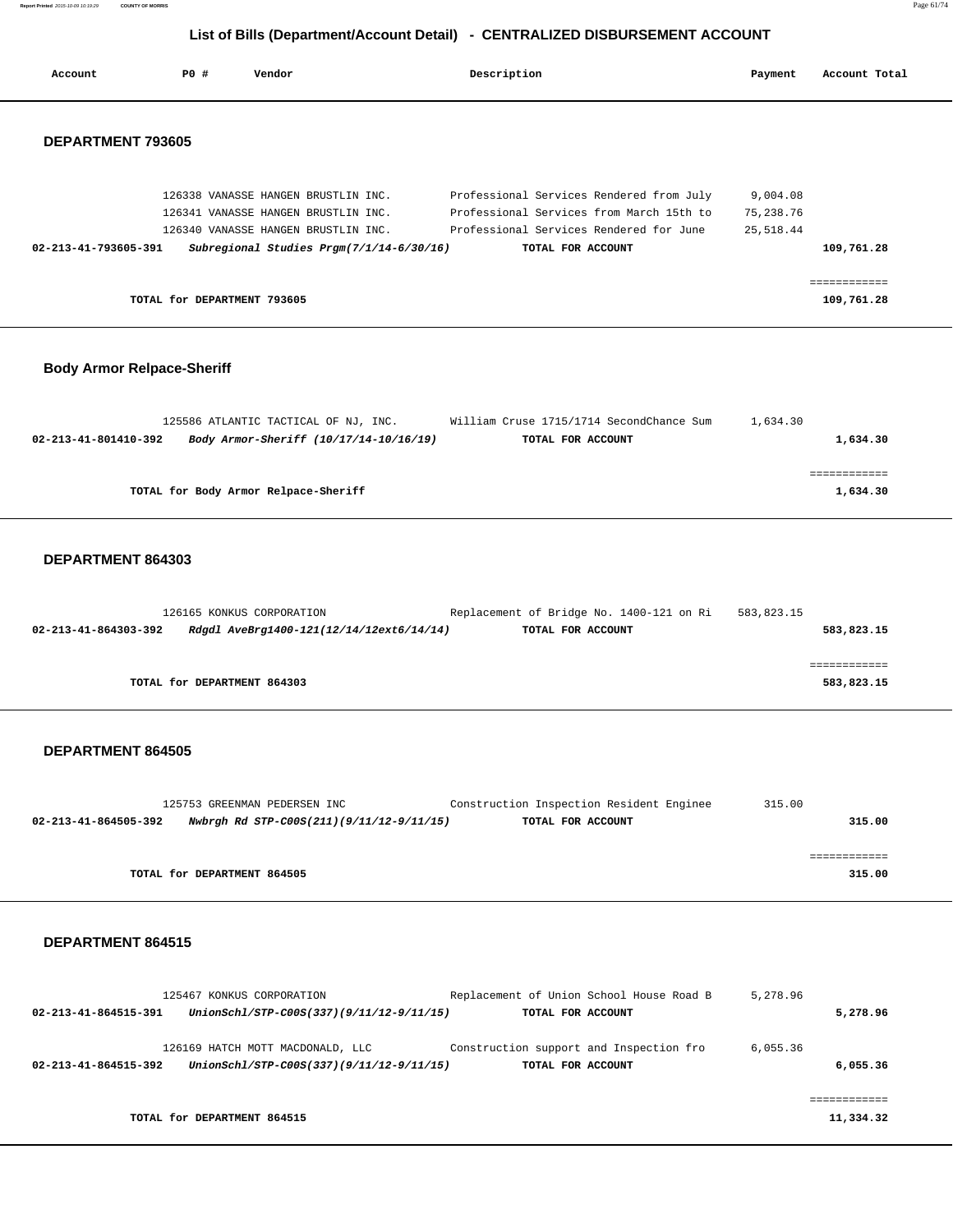**Report Printed** 2015-10-09 10:19:29 **COUNTY OF MORRIS** Page 61/74  **List of Bills (Department/Account Detail) - CENTRALIZED DISBURSEMENT ACCOUNT**

| Account                           | PO#                         | Vendor                                                                                                                                                        | Description |                                                                                                                                                      | Payment                              | Account Total              |
|-----------------------------------|-----------------------------|---------------------------------------------------------------------------------------------------------------------------------------------------------------|-------------|------------------------------------------------------------------------------------------------------------------------------------------------------|--------------------------------------|----------------------------|
| DEPARTMENT 793605                 |                             |                                                                                                                                                               |             |                                                                                                                                                      |                                      |                            |
| 02-213-41-793605-391              |                             | 126338 VANASSE HANGEN BRUSTLIN INC.<br>126341 VANASSE HANGEN BRUSTLIN INC.<br>126340 VANASSE HANGEN BRUSTLIN INC.<br>Subregional Studies Prgm(7/1/14-6/30/16) |             | Professional Services Rendered from July<br>Professional Services from March 15th to<br>Professional Services Rendered for June<br>TOTAL FOR ACCOUNT | 9,004.08<br>75, 238.76<br>25, 518.44 | 109,761.28                 |
|                                   | TOTAL for DEPARTMENT 793605 |                                                                                                                                                               |             |                                                                                                                                                      |                                      | ============<br>109,761.28 |
| <b>Body Armor Relpace-Sheriff</b> |                             |                                                                                                                                                               |             |                                                                                                                                                      |                                      |                            |
| 02-213-41-801410-392              |                             | 125586 ATLANTIC TACTICAL OF NJ, INC.<br>Body Armor-Sheriff (10/17/14-10/16/19)                                                                                |             | William Cruse 1715/1714 SecondChance Sum<br>TOTAL FOR ACCOUNT                                                                                        | 1,634.30                             | 1,634.30                   |
|                                   |                             | TOTAL for Body Armor Relpace-Sheriff                                                                                                                          |             |                                                                                                                                                      |                                      | ============<br>1,634.30   |
| DEPARTMENT 864303                 |                             |                                                                                                                                                               |             |                                                                                                                                                      |                                      |                            |
| 02-213-41-864303-392              |                             | 126165 KONKUS CORPORATION<br>Rdgdl AveBrg1400-121(12/14/12ext6/14/14)                                                                                         |             | Replacement of Bridge No. 1400-121 on Ri<br>TOTAL FOR ACCOUNT                                                                                        | 583,823.15                           | 583,823.15                 |
|                                   |                             |                                                                                                                                                               |             |                                                                                                                                                      |                                      | ============               |

**TOTAL for DEPARTMENT 864303 583,823.15**

#### **DEPARTMENT 864505**

| 125753 GREENMAN PEDERSEN INC                                     | Construction Inspection Resident Enginee | 315.00 |
|------------------------------------------------------------------|------------------------------------------|--------|
| Nwbrgh Rd STP-C00S(211)(9/11/12-9/11/15)<br>02-213-41-864505-392 | TOTAL FOR ACCOUNT                        | 315.00 |
|                                                                  |                                          |        |
|                                                                  |                                          |        |
| TOTAL for DEPARTMENT 864505                                      |                                          | 315.00 |

|                                | 125467 KONKUS CORPORATION                | Replacement of Union School House Road B | 5,278.96 |           |
|--------------------------------|------------------------------------------|------------------------------------------|----------|-----------|
| 02-213-41-864515-391           | UnionSchl/STP-C00S(337)(9/11/12-9/11/15) | TOTAL FOR ACCOUNT                        |          | 5,278.96  |
|                                | 126169 HATCH MOTT MACDONALD, LLC         | Construction support and Inspection fro  | 6.055.36 |           |
| $02 - 213 - 41 - 864515 - 392$ | UnionSchl/STP-C00S(337)(9/11/12-9/11/15) | TOTAL FOR ACCOUNT                        |          | 6,055.36  |
|                                |                                          |                                          |          |           |
|                                | TOTAL for DEPARTMENT 864515              |                                          |          | 11,334.32 |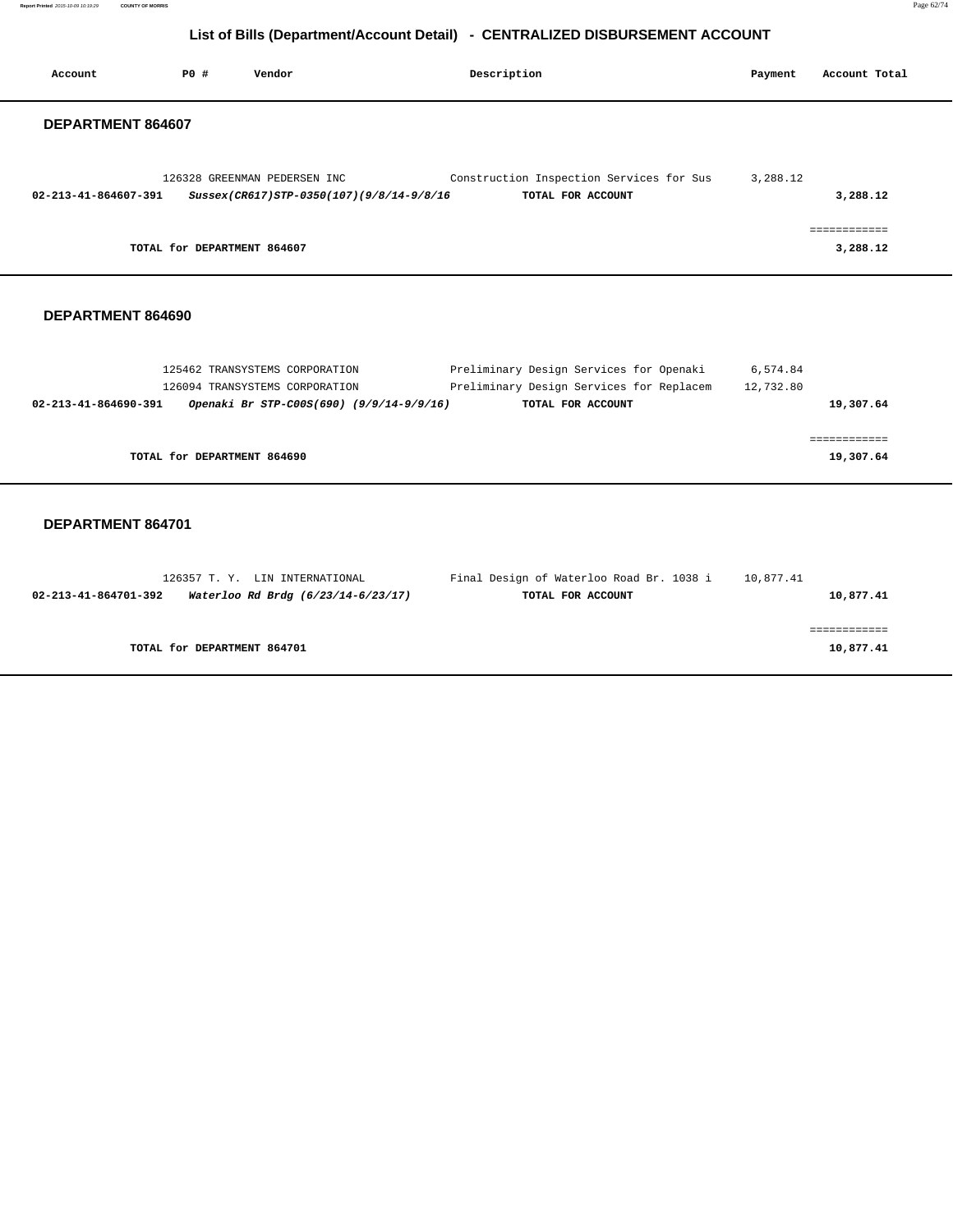**Report Printed** 2015-10-09 10:19:29 **COUNTY OF MORRIS** Page 62/74

## **List of Bills (Department/Account Detail) - CENTRALIZED DISBURSEMENT ACCOUNT**

| Account                        | <b>PO #</b>                 | Vendor                                                                   | Description                                                   | Payment  | Account Total            |  |
|--------------------------------|-----------------------------|--------------------------------------------------------------------------|---------------------------------------------------------------|----------|--------------------------|--|
| DEPARTMENT 864607              |                             |                                                                          |                                                               |          |                          |  |
| $02 - 213 - 41 - 864607 - 391$ |                             | 126328 GREENMAN PEDERSEN INC<br>Sussex(CR617)STP-0350(107)(9/8/14-9/8/16 | Construction Inspection Services for Sus<br>TOTAL FOR ACCOUNT | 3,288.12 | 3,288.12                 |  |
|                                | TOTAL for DEPARTMENT 864607 |                                                                          |                                                               |          | ------------<br>3,288.12 |  |
|                                |                             |                                                                          |                                                               |          |                          |  |

#### **DEPARTMENT 864690**

| 125462 TRANSYSTEMS CORPORATION                                   | Preliminary Design Services for Openaki  | 6,574.84  |
|------------------------------------------------------------------|------------------------------------------|-----------|
| 126094 TRANSYSTEMS CORPORATION                                   | Preliminary Design Services for Replacem | 12,732.80 |
| Openaki Br STP-C00S(690) (9/9/14-9/9/16)<br>02-213-41-864690-391 | TOTAL FOR ACCOUNT                        | 19,307.64 |
|                                                                  |                                          |           |
|                                                                  |                                          |           |
| TOTAL for DEPARTMENT 864690                                      |                                          | 19,307.64 |
|                                                                  |                                          |           |

| 126357 T. Y. LIN INTERNATIONAL                             | Final Design of Waterloo Road Br. 1038 i | 10,877.41 |
|------------------------------------------------------------|------------------------------------------|-----------|
| Waterloo Rd Brdg (6/23/14-6/23/17)<br>02-213-41-864701-392 | TOTAL FOR ACCOUNT                        | 10,877.41 |
|                                                            |                                          |           |
|                                                            |                                          |           |
| TOTAL for DEPARTMENT 864701                                |                                          | 10,877.41 |
|                                                            |                                          |           |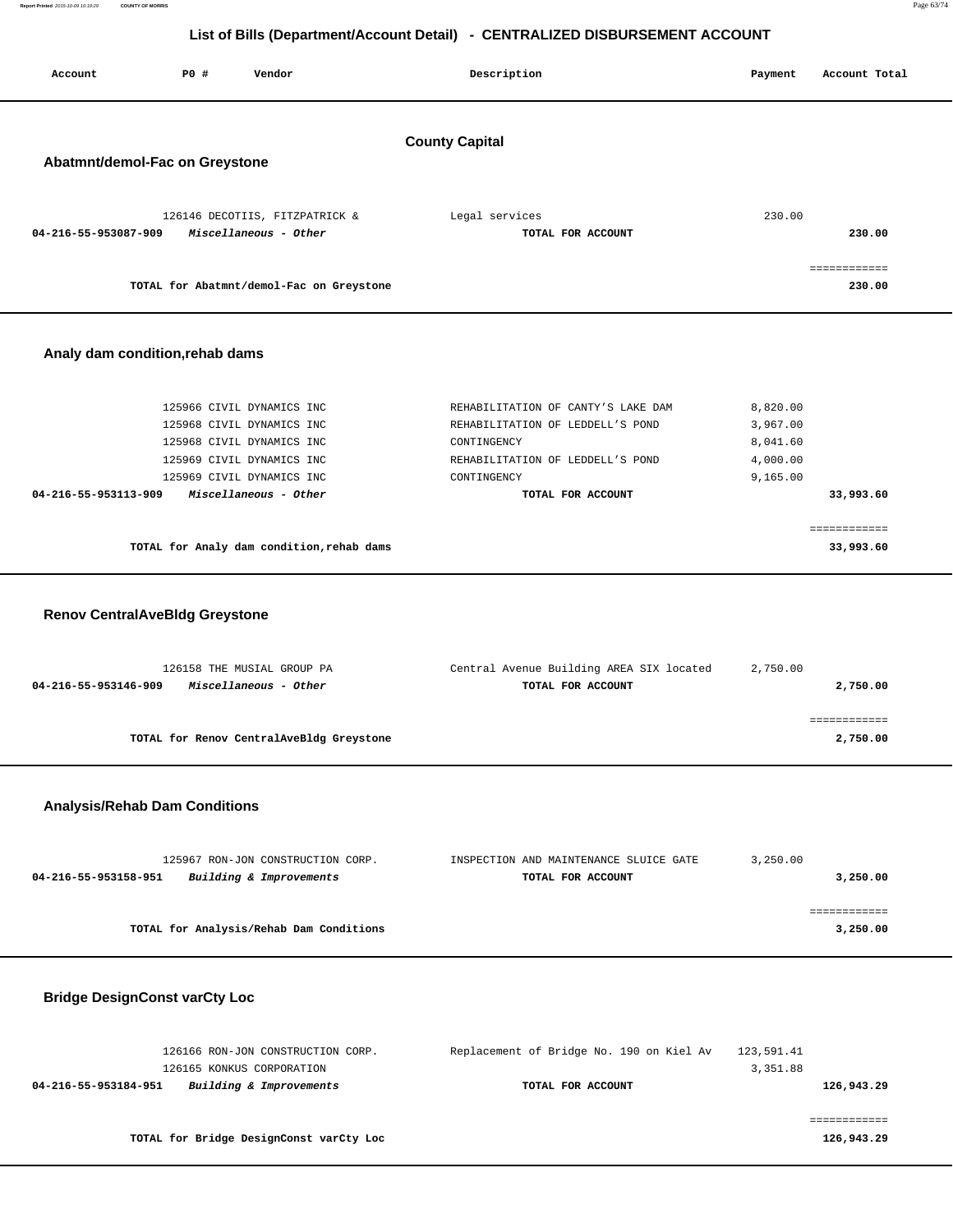| Report Printed 2015-10-09 10:19:29 | <b>COUNTY OF MORRIS</b> | Page 63/74 |
|------------------------------------|-------------------------|------------|
|                                    |                         |            |

| List of Bills (Department/Account Detail) - CENTRALIZED DISBURSEMENT ACCOUNT |      |                                                                                                                                                                        |                                                                                                                                                               |                                                          |                           |  |
|------------------------------------------------------------------------------|------|------------------------------------------------------------------------------------------------------------------------------------------------------------------------|---------------------------------------------------------------------------------------------------------------------------------------------------------------|----------------------------------------------------------|---------------------------|--|
| Account                                                                      | P0 # | Vendor                                                                                                                                                                 | Description                                                                                                                                                   | Payment                                                  | Account Total             |  |
| <b>County Capital</b>                                                        |      |                                                                                                                                                                        |                                                                                                                                                               |                                                          |                           |  |
| Abatmnt/demol-Fac on Greystone                                               |      |                                                                                                                                                                        |                                                                                                                                                               |                                                          |                           |  |
| 04-216-55-953087-909                                                         |      | 126146 DECOTIIS, FITZPATRICK &<br>Miscellaneous - Other                                                                                                                | Legal services<br>TOTAL FOR ACCOUNT                                                                                                                           | 230.00                                                   | 230.00                    |  |
|                                                                              |      | TOTAL for Abatmnt/demol-Fac on Greystone                                                                                                                               |                                                                                                                                                               |                                                          | ============<br>230.00    |  |
| Analy dam condition, rehab dams                                              |      |                                                                                                                                                                        |                                                                                                                                                               |                                                          |                           |  |
| 04-216-55-953113-909                                                         |      | 125966 CIVIL DYNAMICS INC<br>125968 CIVIL DYNAMICS INC<br>125968 CIVIL DYNAMICS INC<br>125969 CIVIL DYNAMICS INC<br>125969 CIVIL DYNAMICS INC<br>Miscellaneous - Other | REHABILITATION OF CANTY'S LAKE DAM<br>REHABILITATION OF LEDDELL'S POND<br>CONTINGENCY<br>REHABILITATION OF LEDDELL'S POND<br>CONTINGENCY<br>TOTAL FOR ACCOUNT | 8,820.00<br>3,967.00<br>8,041.60<br>4,000.00<br>9,165.00 | 33,993.60                 |  |
|                                                                              |      | TOTAL for Analy dam condition, rehab dams                                                                                                                              |                                                                                                                                                               |                                                          | ============<br>33,993.60 |  |
| <b>Renov CentralAveBldg Greystone</b>                                        |      |                                                                                                                                                                        |                                                                                                                                                               |                                                          |                           |  |
| 04-216-55-953146-909                                                         |      | 126158 THE MUSIAL GROUP PA<br>Miscellaneous - Other                                                                                                                    | Central Avenue Building AREA SIX located<br>TOTAL FOR ACCOUNT                                                                                                 | 2,750.00                                                 | 2,750.00                  |  |
|                                                                              |      | TOTAL for Renov CentralAveBldg Greystone                                                                                                                               |                                                                                                                                                               |                                                          | ============<br>2,750.00  |  |
| <b>Analysis/Rehab Dam Conditions</b>                                         |      |                                                                                                                                                                        |                                                                                                                                                               |                                                          |                           |  |
| 04-216-55-953158-951                                                         |      | 125967 RON-JON CONSTRUCTION CORP.<br>Building & Improvements                                                                                                           | INSPECTION AND MAINTENANCE SLUICE GATE<br>TOTAL FOR ACCOUNT                                                                                                   | 3,250.00                                                 | 3,250.00                  |  |
|                                                                              |      | TOTAL for Analysis/Rehab Dam Conditions                                                                                                                                |                                                                                                                                                               |                                                          | ============<br>3,250.00  |  |
| <b>Bridge DesignConst varCty Loc</b>                                         |      |                                                                                                                                                                        |                                                                                                                                                               |                                                          |                           |  |

| 126166 RON-JON CONSTRUCTION CORP.               | Replacement of Bridge No. 190 on Kiel Av | 123,591.41 |
|-------------------------------------------------|------------------------------------------|------------|
| 126165 KONKUS CORPORATION                       |                                          | 3,351.88   |
| Building & Improvements<br>04-216-55-953184-951 | TOTAL FOR ACCOUNT                        | 126,943.29 |
|                                                 |                                          |            |
|                                                 |                                          |            |
| TOTAL for Bridge DesignConst varCty Loc         |                                          | 126,943.29 |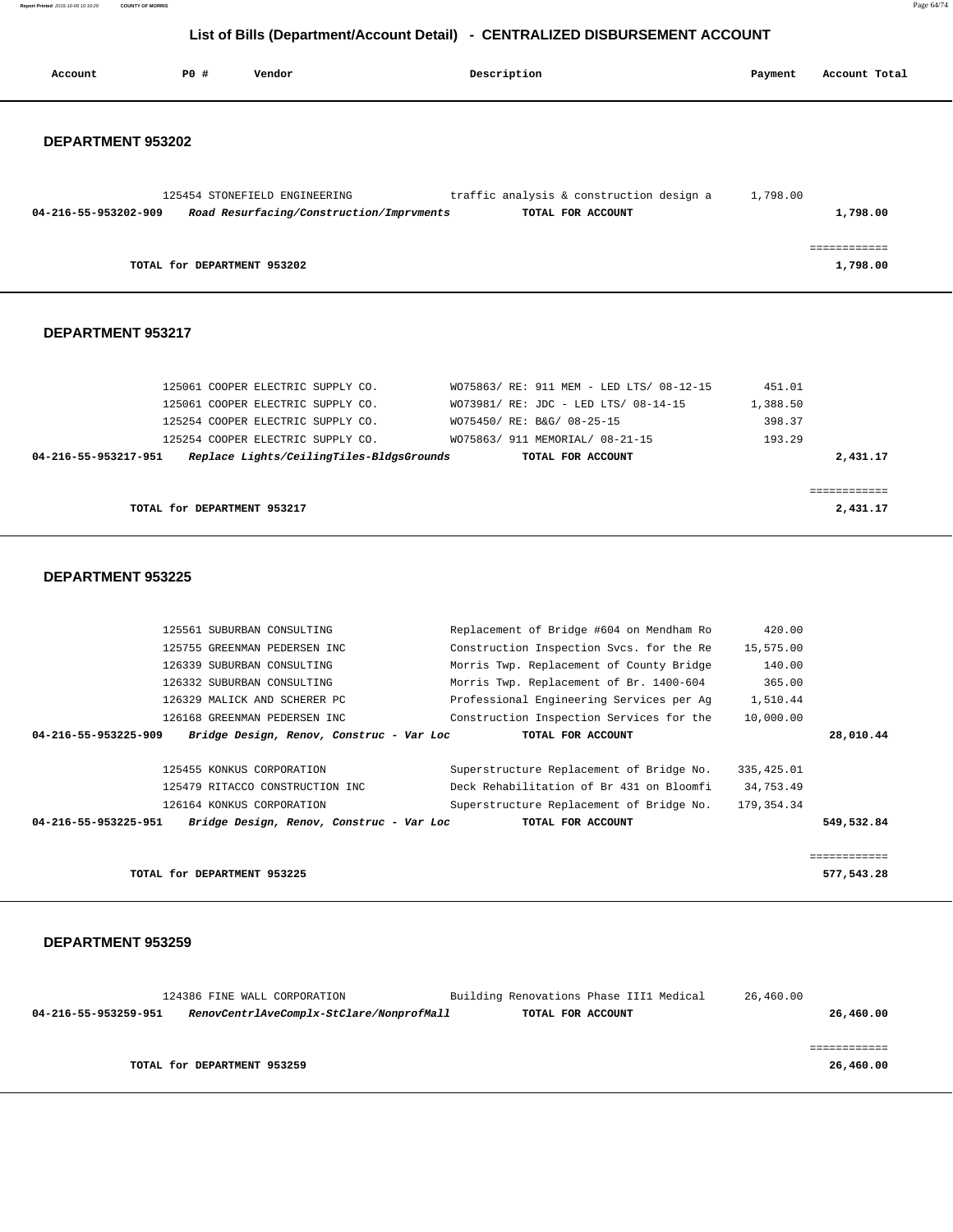**Report Printed** 2015-10-09 10:19:29 **COUNTY OF MORRIS** Page 64/74

## **List of Bills (Department/Account Detail) - CENTRALIZED DISBURSEMENT ACCOUNT**

| Account                  | PO# | Vendor                                   | Description                              | Payment  | Account Total            |
|--------------------------|-----|------------------------------------------|------------------------------------------|----------|--------------------------|
| DEPARTMENT 953202        |     |                                          |                                          |          |                          |
|                          |     |                                          |                                          |          |                          |
|                          |     | 125454 STONEFIELD ENGINEERING            | traffic analysis & construction design a | 1,798.00 |                          |
| 04-216-55-953202-909     |     | Road Resurfacing/Construction/Imprvments | TOTAL FOR ACCOUNT                        |          | 1,798.00                 |
|                          |     |                                          |                                          |          |                          |
|                          |     | TOTAL for DEPARTMENT 953202              |                                          |          | ============<br>1,798.00 |
|                          |     |                                          |                                          |          |                          |
| DEPARTMENT 953217        |     |                                          |                                          |          |                          |
|                          |     | 125061 COOPER ELECTRIC SUPPLY CO.        | WO75863/ RE: 911 MEM - LED LTS/ 08-12-15 | 451.01   |                          |
|                          |     | 125061 COOPER ELECTRIC SUPPLY CO.        | WO73981/ RE: JDC - LED LTS/ 08-14-15     | 1,388.50 |                          |
|                          |     | 125254 COOPER ELECTRIC SUPPLY CO.        | WO75450/ RE: B&G/ 08-25-15               | 398.37   |                          |
|                          |     | 125254 COOPER ELECTRIC SUPPLY CO.        | WO75863/ 911 MEMORIAL/ 08-21-15          | 193.29   |                          |
| 04-216-55-953217-951     |     | Replace Lights/CeilingTiles-BldgsGrounds | TOTAL FOR ACCOUNT                        |          | 2,431.17                 |
|                          |     |                                          |                                          |          | ============             |
|                          |     | TOTAL for DEPARTMENT 953217              |                                          |          | 2,431.17                 |
| <b>DEDADTMENT OF220E</b> |     |                                          |                                          |          |                          |

#### **DEPARTMENT 953225**

| 125561 SUBURBAN CONSULTING                                       | Replacement of Bridge #604 on Mendham Ro | 420.00      |              |
|------------------------------------------------------------------|------------------------------------------|-------------|--------------|
| 125755 GREENMAN PEDERSEN INC                                     | Construction Inspection Svcs. for the Re | 15,575.00   |              |
| 126339 SUBURBAN CONSULTING                                       | Morris Twp. Replacement of County Bridge | 140.00      |              |
| 126332 SUBURBAN CONSULTING                                       | Morris Twp. Replacement of Br. 1400-604  | 365.00      |              |
| 126329 MALICK AND SCHERER PC                                     | Professional Engineering Services per Ag | 1,510.44    |              |
| 126168 GREENMAN PEDERSEN INC                                     | Construction Inspection Services for the | 10,000.00   |              |
| 04-216-55-953225-909<br>Bridge Design, Renov, Construc - Var Loc | TOTAL FOR ACCOUNT                        |             | 28,010.44    |
|                                                                  |                                          |             |              |
| 125455 KONKUS CORPORATION                                        | Superstructure Replacement of Bridge No. | 335, 425.01 |              |
| 125479 RITACCO CONSTRUCTION INC                                  | Deck Rehabilitation of Br 431 on Bloomfi | 34,753.49   |              |
| 126164 KONKUS CORPORATION                                        | Superstructure Replacement of Bridge No. | 179,354.34  |              |
| 04-216-55-953225-951<br>Bridge Design, Renov, Construc - Var Loc | TOTAL FOR ACCOUNT                        |             | 549,532.84   |
|                                                                  |                                          |             |              |
|                                                                  |                                          |             | ============ |
| TOTAL for DEPARTMENT 953225                                      |                                          |             | 577,543.28   |
|                                                                  |                                          |             |              |

|                      | 124386 FINE WALL CORPORATION             | Building Renovations Phase III1 Medical | 26,460.00 |  |
|----------------------|------------------------------------------|-----------------------------------------|-----------|--|
| 04-216-55-953259-951 | RenovCentrlAveComplx-StClare/NonprofMall | TOTAL FOR ACCOUNT                       | 26,460.00 |  |
|                      |                                          |                                         |           |  |
|                      |                                          |                                         |           |  |
|                      | TOTAL for DEPARTMENT 953259              |                                         | 26,460.00 |  |
|                      |                                          |                                         |           |  |
|                      |                                          |                                         |           |  |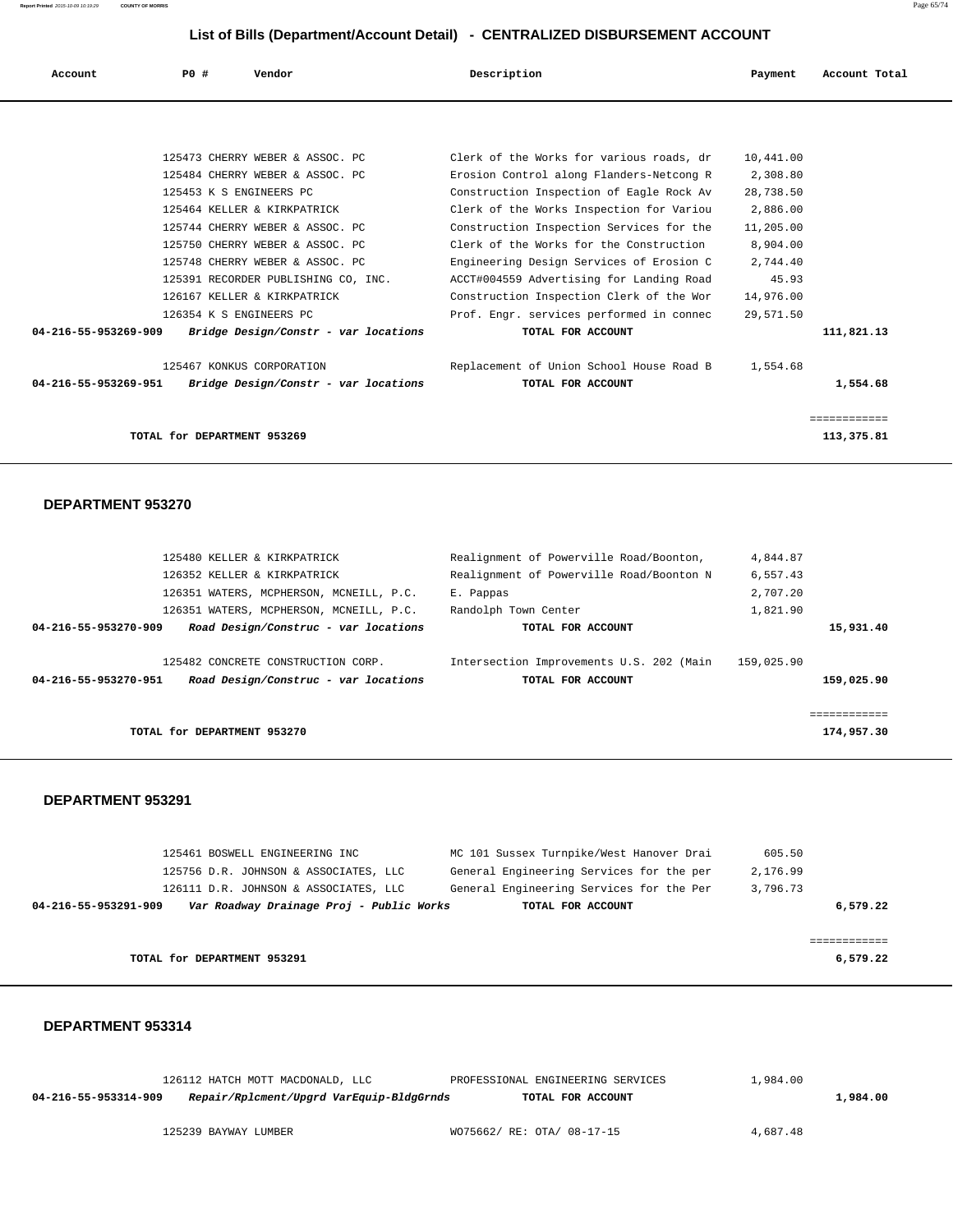| Account              | PO#                         | Vendor                               | Description                              | Payment   | Account Total |
|----------------------|-----------------------------|--------------------------------------|------------------------------------------|-----------|---------------|
|                      |                             |                                      |                                          |           |               |
|                      |                             | 125473 CHERRY WEBER & ASSOC. PC      | Clerk of the Works for various roads, dr | 10,441.00 |               |
|                      |                             | 125484 CHERRY WEBER & ASSOC. PC      | Erosion Control along Flanders-Netcong R | 2,308.80  |               |
|                      | 125453 K S ENGINEERS PC     |                                      | Construction Inspection of Eagle Rock Av | 28,738.50 |               |
|                      |                             | 125464 KELLER & KIRKPATRICK          | Clerk of the Works Inspection for Variou | 2,886.00  |               |
|                      |                             | 125744 CHERRY WEBER & ASSOC. PC      | Construction Inspection Services for the | 11,205.00 |               |
|                      |                             | 125750 CHERRY WEBER & ASSOC. PC      | Clerk of the Works for the Construction  | 8,904.00  |               |
|                      |                             | 125748 CHERRY WEBER & ASSOC. PC      | Engineering Design Services of Erosion C | 2,744.40  |               |
|                      |                             | 125391 RECORDER PUBLISHING CO, INC.  | ACCT#004559 Advertising for Landing Road | 45.93     |               |
|                      |                             | 126167 KELLER & KIRKPATRICK          | Construction Inspection Clerk of the Wor | 14,976.00 |               |
|                      | 126354 K S ENGINEERS PC     |                                      | Prof. Engr. services performed in connec | 29,571.50 |               |
| 04-216-55-953269-909 |                             | Bridge Design/Constr - var locations | TOTAL FOR ACCOUNT                        |           | 111,821.13    |
|                      |                             | 125467 KONKUS CORPORATION            | Replacement of Union School House Road B | 1,554.68  |               |
| 04-216-55-953269-951 |                             | Bridge Design/Constr - var locations | TOTAL FOR ACCOUNT                        |           | 1,554.68      |
|                      |                             |                                      |                                          |           | ============  |
|                      | TOTAL for DEPARTMENT 953269 |                                      |                                          |           | 113,375.81    |

#### **DEPARTMENT 953270**

|                      | 125480 KELLER & KIRKPATRICK                                                | Realignment of Powerville Road/Boonton,                       | 4,844.87                   |
|----------------------|----------------------------------------------------------------------------|---------------------------------------------------------------|----------------------------|
|                      | 126352 KELLER & KIRKPATRICK                                                | Realignment of Powerville Road/Boonton N                      | 6,557.43                   |
|                      | 126351 WATERS, MCPHERSON, MCNEILL, P.C.                                    | E. Pappas                                                     | 2,707.20                   |
|                      | 126351 WATERS, MCPHERSON, MCNEILL, P.C.                                    | Randolph Town Center                                          | 1,821.90                   |
| 04-216-55-953270-909 | Road Design/Construc - var locations                                       | TOTAL FOR ACCOUNT                                             | 15,931.40                  |
| 04-216-55-953270-951 | 125482 CONCRETE CONSTRUCTION CORP.<br>Road Design/Construc - var locations | Intersection Improvements U.S. 202 (Main<br>TOTAL FOR ACCOUNT | 159,025.90<br>159,025.90   |
|                      | TOTAL for DEPARTMENT 953270                                                |                                                               | ============<br>174,957.30 |
|                      |                                                                            |                                                               |                            |

#### **DEPARTMENT 953291**

| 125461 BOSWELL ENGINEERING INC                                   | MC 101 Sussex Turnpike/West Hanover Drai | 605.50   |
|------------------------------------------------------------------|------------------------------------------|----------|
| 125756 D.R. JOHNSON & ASSOCIATES, LLC                            | General Engineering Services for the per | 2,176.99 |
| 126111 D.R. JOHNSON & ASSOCIATES, LLC                            | General Engineering Services for the Per | 3,796.73 |
| Var Roadway Drainage Proj - Public Works<br>04-216-55-953291-909 | TOTAL FOR ACCOUNT                        | 6,579.22 |
|                                                                  |                                          |          |
|                                                                  |                                          |          |
| TOTAL for DEPARTMENT 953291                                      |                                          | 6,579.22 |

|                      | 126112 HATCH MOTT MACDONALD, LLC         | PROFESSIONAL ENGINEERING SERVICES | 1,984.00 |          |
|----------------------|------------------------------------------|-----------------------------------|----------|----------|
| 04-216-55-953314-909 | Repair/Rplcment/Upgrd VarEquip-BldgGrnds | TOTAL FOR ACCOUNT                 |          | 1,984.00 |
|                      |                                          |                                   |          |          |
|                      | 125239 BAYWAY LUMBER                     | WO75662/ RE: OTA/ 08-17-15        | 4,687.48 |          |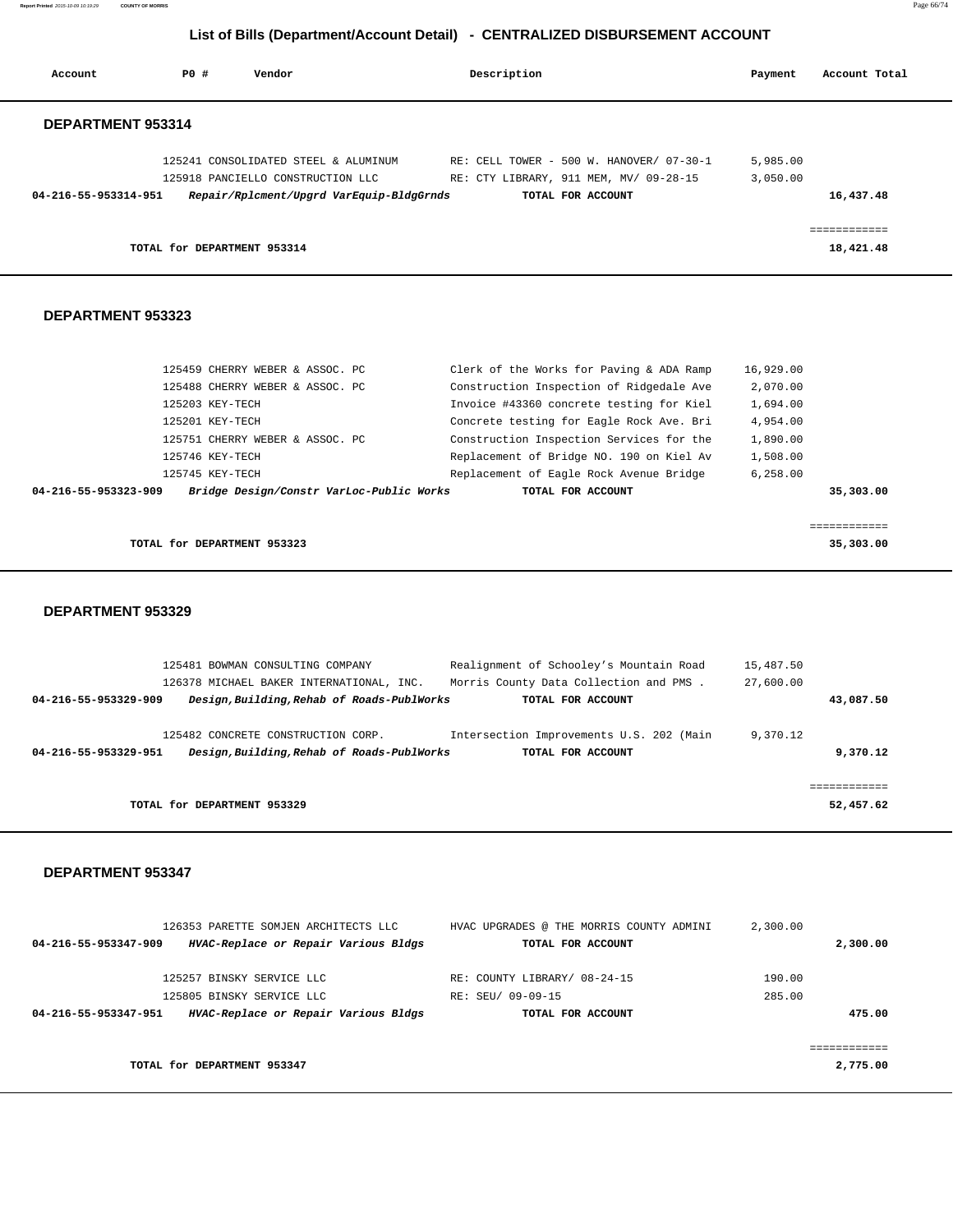**Report Printed** 2015-10-09 10:19:29 **COUNTY OF MORRIS** Page 66/74

## **List of Bills (Department/Account Detail) - CENTRALIZED DISBURSEMENT ACCOUNT**

| Account              | PO#                         | Vendor                                                                                                                | Description       |                                                                                    | Payment              | Account Total             |
|----------------------|-----------------------------|-----------------------------------------------------------------------------------------------------------------------|-------------------|------------------------------------------------------------------------------------|----------------------|---------------------------|
| DEPARTMENT 953314    |                             |                                                                                                                       |                   |                                                                                    |                      |                           |
| 04-216-55-953314-951 |                             | 125241 CONSOLIDATED STEEL & ALUMINUM<br>125918 PANCIELLO CONSTRUCTION LLC<br>Repair/Rplcment/Upgrd VarEquip-BldgGrnds | TOTAL FOR ACCOUNT | RE: CELL TOWER - 500 W. HANOVER/ 07-30-1<br>RE: CTY LIBRARY, 911 MEM, MV/ 09-28-15 | 5,985.00<br>3,050.00 | 16,437.48                 |
|                      | TOTAL for DEPARTMENT 953314 |                                                                                                                       |                   |                                                                                    |                      | ============<br>18,421.48 |

#### **DEPARTMENT 953323**

| 04-216-55-953323-909            | Bridge Design/Constr VarLoc-Public Works | TOTAL FOR ACCOUNT                        |           | 35,303,00 |
|---------------------------------|------------------------------------------|------------------------------------------|-----------|-----------|
| 125745 KEY-TECH                 |                                          | Replacement of Eagle Rock Avenue Bridge  | 6, 258.00 |           |
| 125746 KEY-TECH                 |                                          | Replacement of Bridge NO. 190 on Kiel Av | 1,508.00  |           |
| 125751 CHERRY WEBER & ASSOC. PC |                                          | Construction Inspection Services for the | 1,890.00  |           |
| 125201 KEY-TECH                 |                                          | Concrete testing for Eagle Rock Ave. Bri | 4,954.00  |           |
| 125203 KEY-TECH                 |                                          | Invoice #43360 concrete testing for Kiel | 1,694.00  |           |
| 125488 CHERRY WEBER & ASSOC. PC |                                          | Construction Inspection of Ridgedale Ave | 2,070.00  |           |
| 125459 CHERRY WEBER & ASSOC. PC |                                          | Clerk of the Works for Paving & ADA Ramp | 16,929.00 |           |

**TOTAL for DEPARTMENT 953323** 35,303.00

#### **DEPARTMENT 953329**

|                      | 125481 BOWMAN CONSULTING COMPANY           | Realignment of Schooley's Mountain Road  | 15,487.50 |
|----------------------|--------------------------------------------|------------------------------------------|-----------|
|                      | 126378 MICHAEL BAKER INTERNATIONAL, INC.   | Morris County Data Collection and PMS.   | 27,600.00 |
| 04-216-55-953329-909 | Design, Building, Rehab of Roads-PublWorks | TOTAL FOR ACCOUNT                        | 43,087.50 |
|                      |                                            |                                          |           |
|                      | 125482 CONCRETE CONSTRUCTION CORP.         | Intersection Improvements U.S. 202 (Main | 9,370.12  |
| 04-216-55-953329-951 | Design, Building, Rehab of Roads-PublWorks | TOTAL FOR ACCOUNT                        | 9,370.12  |
|                      |                                            |                                          |           |
|                      |                                            |                                          |           |
|                      | TOTAL for DEPARTMENT 953329                |                                          | 52,457.62 |
|                      |                                            |                                          |           |

|                      | 126353 PARETTE SOMJEN ARCHITECTS LLC | HVAC UPGRADES @ THE MORRIS COUNTY ADMINI | 2,300.00 |          |
|----------------------|--------------------------------------|------------------------------------------|----------|----------|
| 04-216-55-953347-909 | HVAC-Replace or Repair Various Bldgs | TOTAL FOR ACCOUNT                        |          | 2,300.00 |
|                      | 125257 BINSKY SERVICE LLC            | RE: COUNTY LIBRARY/ 08-24-15             | 190.00   |          |
|                      | 125805 BINSKY SERVICE LLC            | RE: SEU/ 09-09-15                        | 285.00   |          |
| 04-216-55-953347-951 | HVAC-Replace or Repair Various Bldgs | TOTAL FOR ACCOUNT                        |          | 475.00   |
|                      |                                      |                                          |          |          |
|                      |                                      |                                          |          |          |
|                      | TOTAL for DEPARTMENT 953347          |                                          |          | 2,775.00 |
|                      |                                      |                                          |          |          |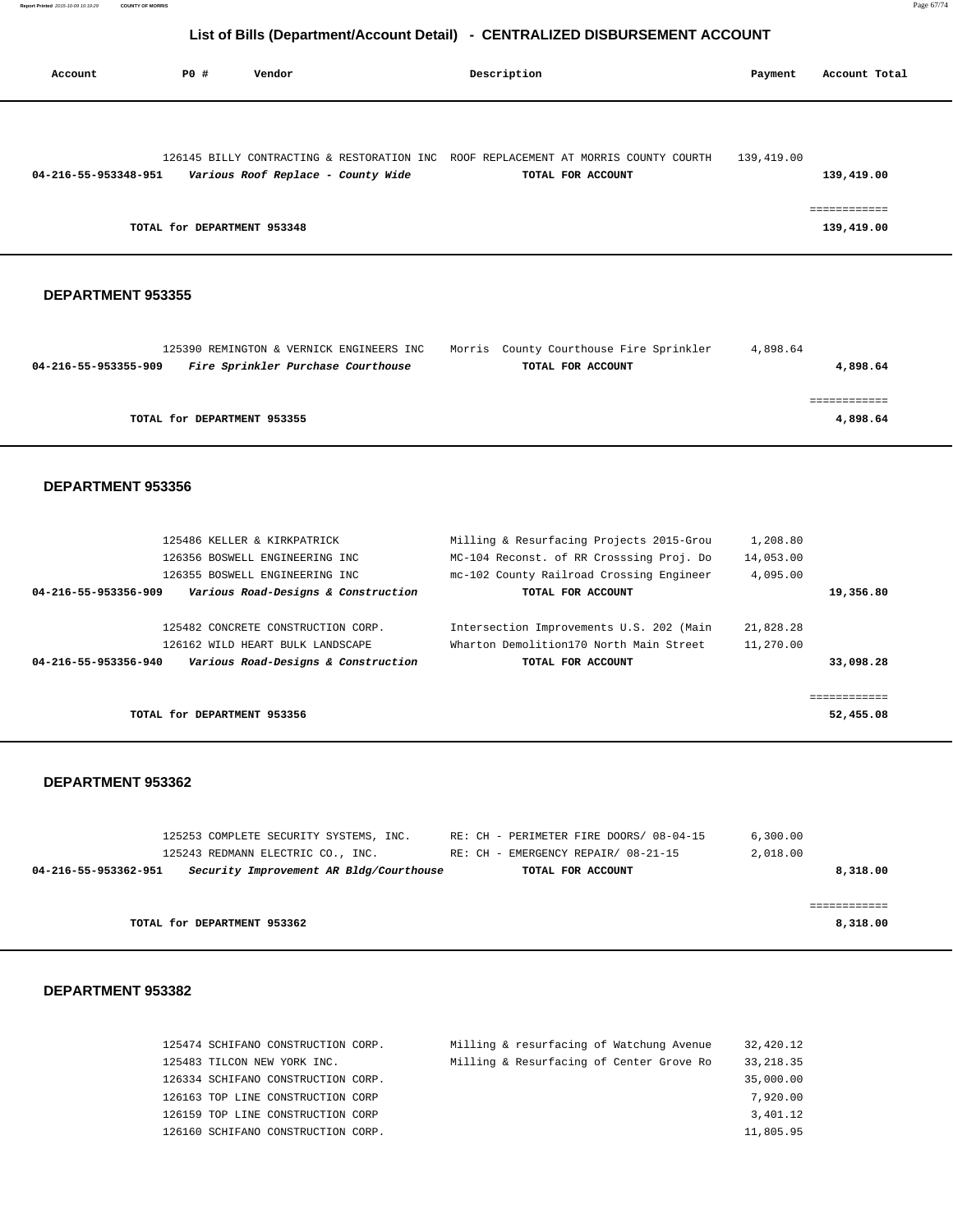| Account              | PO#                         | Vendor |                                    | Description |                                                                                                          | Payment    | Account Total              |
|----------------------|-----------------------------|--------|------------------------------------|-------------|----------------------------------------------------------------------------------------------------------|------------|----------------------------|
|                      |                             |        |                                    |             |                                                                                                          |            |                            |
| 04-216-55-953348-951 |                             |        | Various Roof Replace - County Wide |             | 126145 BILLY CONTRACTING & RESTORATION INC ROOF REPLACEMENT AT MORRIS COUNTY COURTH<br>TOTAL FOR ACCOUNT | 139,419.00 | 139,419.00                 |
|                      | TOTAL for DEPARTMENT 953348 |        |                                    |             |                                                                                                          |            | ============<br>139,419.00 |

#### **DEPARTMENT 953355**

|                      | 125390 REMINGTON & VERNICK ENGINEERS INC | Morris County Courthouse Fire Sprinkler | 4,898.64 |          |
|----------------------|------------------------------------------|-----------------------------------------|----------|----------|
| 04-216-55-953355-909 | Fire Sprinkler Purchase Courthouse       | TOTAL FOR ACCOUNT                       |          | 4,898.64 |
|                      |                                          |                                         |          |          |
|                      |                                          |                                         |          |          |
|                      | TOTAL for DEPARTMENT 953355              |                                         |          | 4,898.64 |
|                      |                                          |                                         |          |          |

#### **DEPARTMENT 953356**

|                      | 125486 KELLER & KIRKPATRICK         | Milling & Resurfacing Projects 2015-Grou | 1,208.80  |              |
|----------------------|-------------------------------------|------------------------------------------|-----------|--------------|
|                      | 126356 BOSWELL ENGINEERING INC      | MC-104 Reconst. of RR Crosssing Proj. Do | 14,053.00 |              |
|                      | 126355 BOSWELL ENGINEERING INC      | mc-102 County Railroad Crossing Engineer | 4,095.00  |              |
| 04-216-55-953356-909 | Various Road-Designs & Construction | TOTAL FOR ACCOUNT                        |           | 19,356.80    |
|                      | 125482 CONCRETE CONSTRUCTION CORP.  | Intersection Improvements U.S. 202 (Main | 21,828.28 |              |
|                      | 126162 WILD HEART BULK LANDSCAPE    | Wharton Demolition170 North Main Street  | 11,270.00 |              |
| 04-216-55-953356-940 | Various Road-Designs & Construction | TOTAL FOR ACCOUNT                        |           | 33,098.28    |
|                      |                                     |                                          |           |              |
|                      |                                     |                                          |           | :=========== |
|                      | TOTAL for DEPARTMENT 953356         |                                          |           | 52,455.08    |

#### **DEPARTMENT 953362**

|                      | 125253 COMPLETE SECURITY SYSTEMS, INC.  |  |  |  | RE: CH - PERIMETER FIRE DOORS/ 08-04-15 | 6,300,00 |          |
|----------------------|-----------------------------------------|--|--|--|-----------------------------------------|----------|----------|
|                      | 125243 REDMANN ELECTRIC CO., INC.       |  |  |  | RE: CH - EMERGENCY REPAIR/ 08-21-15     | 2,018.00 |          |
| 04-216-55-953362-951 | Security Improvement AR Bldg/Courthouse |  |  |  | TOTAL FOR ACCOUNT                       |          | 8,318.00 |
|                      |                                         |  |  |  |                                         |          |          |
|                      |                                         |  |  |  |                                         |          |          |
|                      | TOTAL for DEPARTMENT 953362             |  |  |  |                                         |          | 8,318.00 |
|                      |                                         |  |  |  |                                         |          |          |

| 125474 SCHIFANO CONSTRUCTION CORP. | Milling & resurfacing of Watchung Avenue | 32,420.12  |
|------------------------------------|------------------------------------------|------------|
| 125483 TILCON NEW YORK INC.        | Milling & Resurfacing of Center Grove Ro | 33, 218.35 |
| 126334 SCHIFANO CONSTRUCTION CORP. |                                          | 35,000.00  |
| 126163 TOP LINE CONSTRUCTION CORP  |                                          | 7,920.00   |
| 126159 TOP LINE CONSTRUCTION CORP  |                                          | 3,401.12   |
| 126160 SCHIFANO CONSTRUCTION CORP. |                                          | 11,805.95  |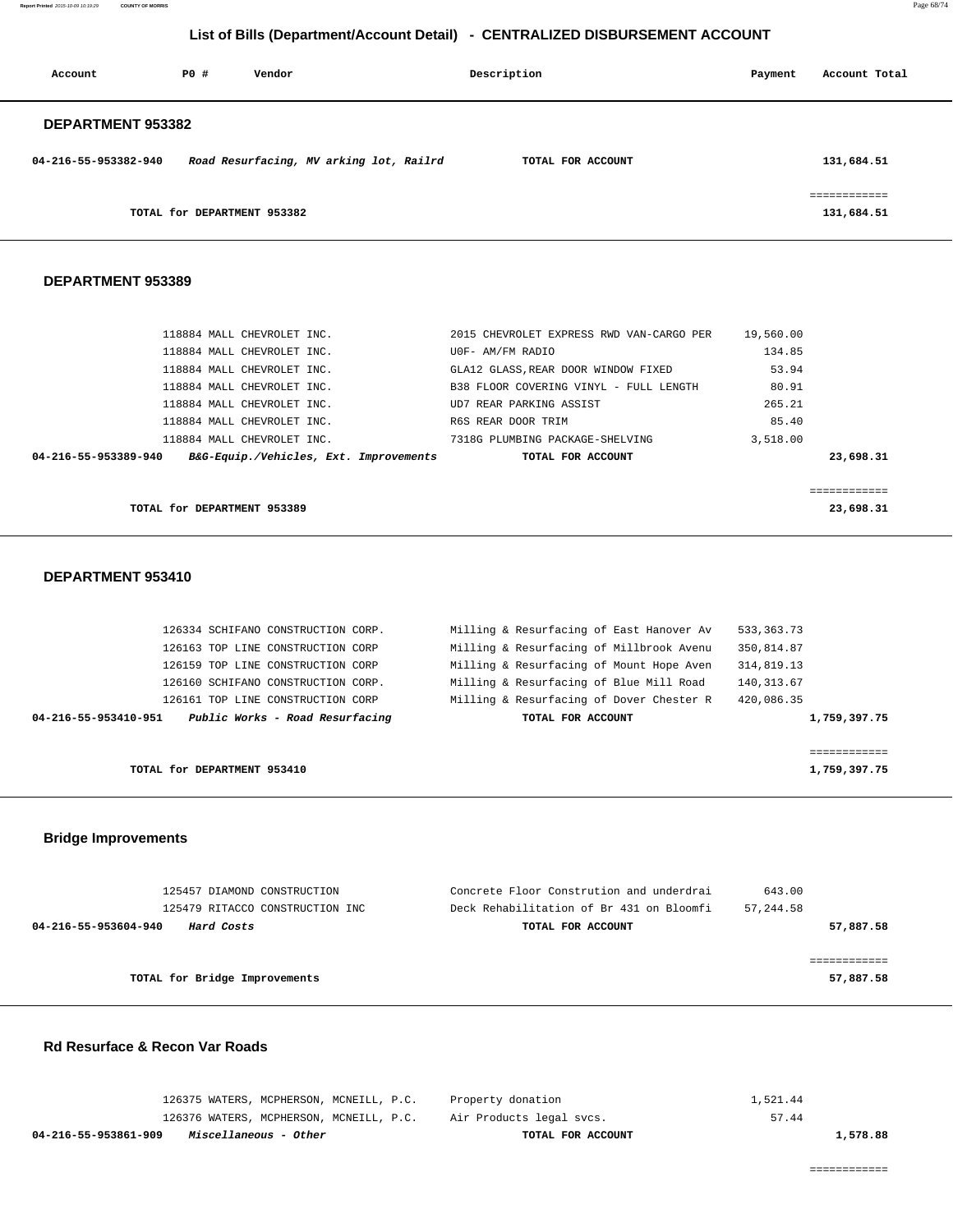**Report Printed** 2015-10-09 10:19:29 **COUNTY OF MORRIS** Page 68/74

## **List of Bills (Department/Account Detail) - CENTRALIZED DISBURSEMENT ACCOUNT**

| Account                  | PO# | Vendor                                  | Description       | Payment | Account Total              |
|--------------------------|-----|-----------------------------------------|-------------------|---------|----------------------------|
| <b>DEPARTMENT 953382</b> |     |                                         |                   |         |                            |
| 04-216-55-953382-940     |     | Road Resurfacing, MV arking lot, Railrd | TOTAL FOR ACCOUNT |         | 131,684.51                 |
|                          |     | TOTAL for DEPARTMENT 953382             |                   |         | ============<br>131,684.51 |

#### **DEPARTMENT 953389**

|                      | 118884 MALL CHEVROLET INC.             | 2015 CHEVROLET EXPRESS RWD VAN-CARGO PER | 19,560.00 |
|----------------------|----------------------------------------|------------------------------------------|-----------|
|                      | 118884 MALL CHEVROLET INC.             | U0F- AM/FM RADIO                         | 134.85    |
|                      | 118884 MALL CHEVROLET INC.             | GLA12 GLASS, REAR DOOR WINDOW FIXED      | 53.94     |
|                      | 118884 MALL CHEVROLET INC.             | B38 FLOOR COVERING VINYL - FULL LENGTH   | 80.91     |
|                      | 118884 MALL CHEVROLET INC.             | UD7 REAR PARKING ASSIST                  | 265.21    |
|                      | 118884 MALL CHEVROLET INC.             | R6S REAR DOOR TRIM                       | 85.40     |
|                      | 118884 MALL CHEVROLET INC.             | 7318G PLUMBING PACKAGE-SHELVING          | 3,518.00  |
| 04-216-55-953389-940 | B&G-Equip./Vehicles, Ext. Improvements | TOTAL FOR ACCOUNT                        | 23,698.31 |
|                      |                                        |                                          |           |
|                      |                                        |                                          |           |
|                      | TOTAL for DEPARTMENT 953389            |                                          | 23,698.31 |

#### **DEPARTMENT 953410**

| TOTAL for DEPARTMENT 953410                             |                                          | 1,759,397.75 |
|---------------------------------------------------------|------------------------------------------|--------------|
|                                                         |                                          | ============ |
| Public Works - Road Resurfacing<br>04-216-55-953410-951 | TOTAL FOR ACCOUNT                        | 1,759,397.75 |
| 126161 TOP LINE CONSTRUCTION CORP                       | Milling & Resurfacing of Dover Chester R | 420,086.35   |
| 126160 SCHIFANO CONSTRUCTION CORP.                      | Milling & Resurfacing of Blue Mill Road  | 140,313.67   |
| 126159 TOP LINE CONSTRUCTION CORP                       | Milling & Resurfacing of Mount Hope Aven | 314,819.13   |
| 126163 TOP LINE CONSTRUCTION CORP                       | Milling & Resurfacing of Millbrook Avenu | 350,814.87   |
| 126334 SCHIFANO CONSTRUCTION CORP.                      | Milling & Resurfacing of East Hanover Av | 533, 363. 73 |
|                                                         |                                          |              |

### **Bridge Improvements**

| 125457 DIAMOND CONSTRUCTION        | Concrete Floor Constrution and underdrai | 643.00      |
|------------------------------------|------------------------------------------|-------------|
| 125479 RITACCO CONSTRUCTION INC    | Deck Rehabilitation of Br 431 on Bloomfi | 57, 244, 58 |
| Hard Costs<br>04-216-55-953604-940 | TOTAL FOR ACCOUNT                        | 57,887.58   |
|                                    |                                          |             |
|                                    |                                          |             |
| TOTAL for Bridge Improvements      |                                          | 57,887.58   |
|                                    |                                          |             |

## **Rd Resurface & Recon Var Roads**

| 04-216-55-953861-909<br>Miscellaneous - Other | TOTAL FOR ACCOUNT        | 1,578.88 |
|-----------------------------------------------|--------------------------|----------|
| 126376 WATERS, MCPHERSON, MCNEILL, P.C.       | Air Products legal svcs. | 57.44    |
| 126375 WATERS, MCPHERSON, MCNEILL, P.C.       | Property donation        | 1,521.44 |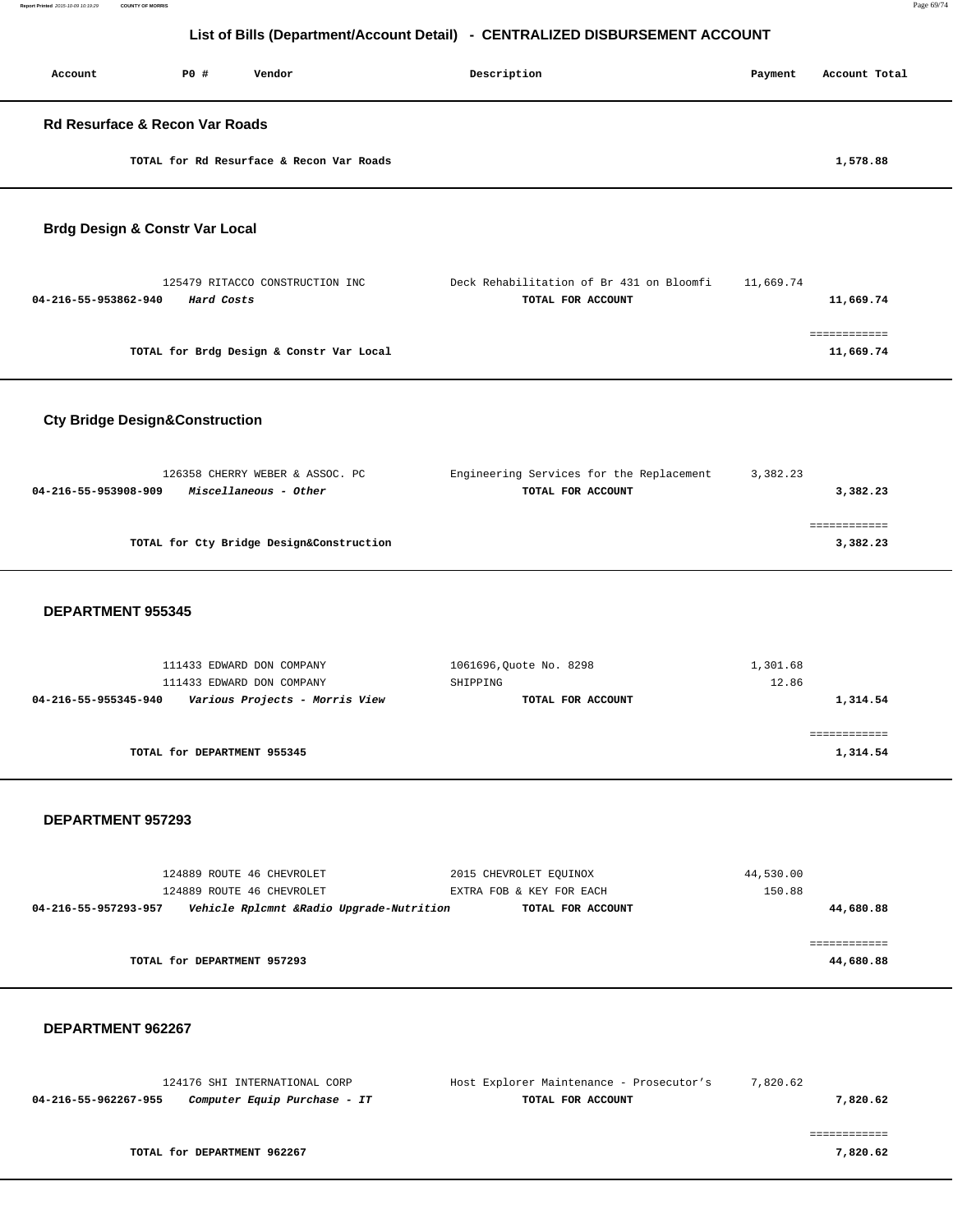| Account | P0#                                       | Vendor | Description | Payment | Account Total |
|---------|-------------------------------------------|--------|-------------|---------|---------------|
|         | <b>Rd Resurface &amp; Recon Var Roads</b> |        |             |         |               |
|         | TOTAL for Rd Resurface & Recon Var Roads  |        |             |         | 1,578.88      |
|         | <b>Brdg Design &amp; Constr Var Local</b> |        |             |         |               |

| 125479 RITACCO CONSTRUCTION INC          | Deck Rehabilitation of Br 431 on Bloomfi | 11,669.74 |
|------------------------------------------|------------------------------------------|-----------|
| 04-216-55-953862-940<br>Hard Costs       | TOTAL FOR ACCOUNT                        | 11,669.74 |
|                                          |                                          |           |
|                                          |                                          |           |
| TOTAL for Brdg Design & Constr Var Local |                                          | 11,669.74 |
|                                          |                                          |           |

### **Cty Bridge Design&Construction**

| 126358 CHERRY WEBER & ASSOC. PC               | Engineering Services for the Replacement | 3,382.23 |
|-----------------------------------------------|------------------------------------------|----------|
| 04-216-55-953908-909<br>Miscellaneous - Other | TOTAL FOR ACCOUNT                        | 3,382.23 |
|                                               |                                          |          |
|                                               |                                          |          |
| TOTAL for Cty Bridge Design&Construction      |                                          | 3,382.23 |
|                                               |                                          |          |

#### **DEPARTMENT 955345**

| 111433 EDWARD DON COMPANY                              | 1061696, Ouote No. 8298 | 1,301.68 |
|--------------------------------------------------------|-------------------------|----------|
| 111433 EDWARD DON COMPANY                              | SHIPPING                | 12.86    |
| Various Projects - Morris View<br>04-216-55-955345-940 | TOTAL FOR ACCOUNT       | 1,314.54 |
|                                                        |                         |          |
|                                                        |                         |          |
| TOTAL for DEPARTMENT 955345                            |                         | 1,314.54 |
|                                                        |                         |          |

#### **DEPARTMENT 957293**

|                      | 124889 ROUTE 46 CHEVROLET   |                                          | 2015 CHEVROLET EOUINOX   | 44,530.00 |           |
|----------------------|-----------------------------|------------------------------------------|--------------------------|-----------|-----------|
|                      | 124889 ROUTE 46 CHEVROLET   |                                          | EXTRA FOB & KEY FOR EACH | 150.88    |           |
| 04-216-55-957293-957 |                             | Vehicle Rplcmnt &Radio Upgrade-Nutrition | TOTAL FOR ACCOUNT        |           | 44,680.88 |
|                      |                             |                                          |                          |           |           |
|                      |                             |                                          |                          |           |           |
|                      | TOTAL for DEPARTMENT 957293 |                                          |                          |           | 44,680.88 |
|                      |                             |                                          |                          |           |           |

| 124176 SHI INTERNATIONAL CORP                        | Host Explorer Maintenance - Prosecutor's | 7,820.62 |
|------------------------------------------------------|------------------------------------------|----------|
| Computer Equip Purchase - IT<br>04-216-55-962267-955 | TOTAL FOR ACCOUNT                        | 7,820.62 |
|                                                      |                                          |          |
|                                                      |                                          |          |
| TOTAL for DEPARTMENT 962267                          |                                          | 7,820.62 |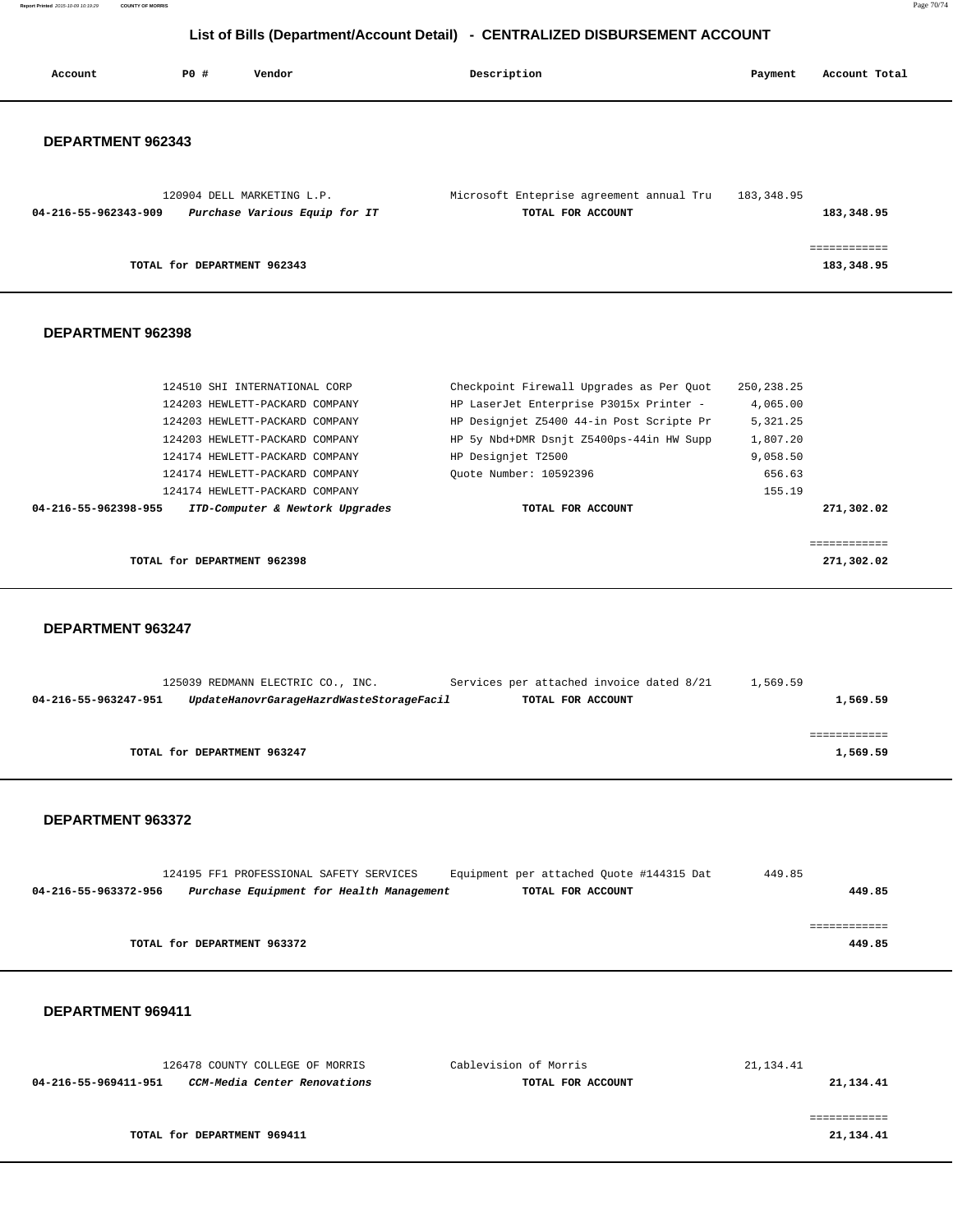**Report Printed** 2015-10-09 10:19:29 **COUNTY OF MORRIS** Page 70/74

## **List of Bills (Department/Account Detail) - CENTRALIZED DISBURSEMENT ACCOUNT**

| Account                  | PO#                         | Vendor                                                      | Description                                                   | Payment    | Account Total              |
|--------------------------|-----------------------------|-------------------------------------------------------------|---------------------------------------------------------------|------------|----------------------------|
| <b>DEPARTMENT 962343</b> |                             |                                                             |                                                               |            |                            |
| 04-216-55-962343-909     |                             | 120904 DELL MARKETING L.P.<br>Purchase Various Equip for IT | Microsoft Enteprise agreement annual Tru<br>TOTAL FOR ACCOUNT | 183,348.95 | 183,348.95                 |
|                          | TOTAL for DEPARTMENT 962343 |                                                             |                                                               |            | ------------<br>183,348.95 |
|                          |                             |                                                             |                                                               |            |                            |

#### **DEPARTMENT 962398**

| TOTAL for DEPARTMENT 962398                             |                                          | 271,302.02   |
|---------------------------------------------------------|------------------------------------------|--------------|
|                                                         |                                          | -----------  |
| 04-216-55-962398-955<br>ITD-Computer & Newtork Upgrades | TOTAL FOR ACCOUNT                        | 271,302.02   |
| 124174 HEWLETT-PACKARD COMPANY                          |                                          | 155.19       |
| 124174 HEWLETT-PACKARD COMPANY                          | Ouote Number: 10592396                   | 656.63       |
| 124174 HEWLETT-PACKARD COMPANY                          | HP Designjet T2500                       | 9,058.50     |
| 124203 HEWLETT-PACKARD COMPANY                          | HP 5y Nbd+DMR Dsnjt Z5400ps-44in HW Supp | 1,807.20     |
| 124203 HEWLETT-PACKARD COMPANY                          | HP Designjet Z5400 44-in Post Scripte Pr | 5, 321, 25   |
| 124203 HEWLETT-PACKARD COMPANY                          | HP LaserJet Enterprise P3015x Printer -  | 4,065.00     |
| 124510 SHI INTERNATIONAL CORP                           | Checkpoint Firewall Upgrades as Per Ouot | 250, 238. 25 |

 **DEPARTMENT 963247** 

|                      | 125039 REDMANN ELECTRIC CO., INC.        | Services per attached invoice dated 8/21 | 1,569.59 |
|----------------------|------------------------------------------|------------------------------------------|----------|
| 04-216-55-963247-951 | UpdateHanovrGarageHazrdWasteStorageFacil | TOTAL FOR ACCOUNT                        | 1,569.59 |
|                      |                                          |                                          |          |
|                      |                                          |                                          |          |
|                      | TOTAL for DEPARTMENT 963247              |                                          | 1,569.59 |
|                      |                                          |                                          |          |

#### **DEPARTMENT 963372**

|                      | 124195 FF1 PROFESSIONAL SAFETY SERVICES |                                          | Equipment per attached Quote #144315 Dat | 449.85 |
|----------------------|-----------------------------------------|------------------------------------------|------------------------------------------|--------|
| 04-216-55-963372-956 |                                         | Purchase Equipment for Health Management | TOTAL FOR ACCOUNT                        | 449.85 |
|                      |                                         |                                          |                                          |        |
|                      |                                         |                                          |                                          |        |
|                      | TOTAL for DEPARTMENT 963372             |                                          |                                          | 449.85 |

| 126478 COUNTY COLLEGE OF MORRIS                      | Cablevision of Morris | 21,134.41 |
|------------------------------------------------------|-----------------------|-----------|
| CCM-Media Center Renovations<br>04-216-55-969411-951 | TOTAL FOR ACCOUNT     | 21,134.41 |
|                                                      |                       |           |
|                                                      |                       |           |
| TOTAL for DEPARTMENT 969411                          |                       | 21,134.41 |
|                                                      |                       |           |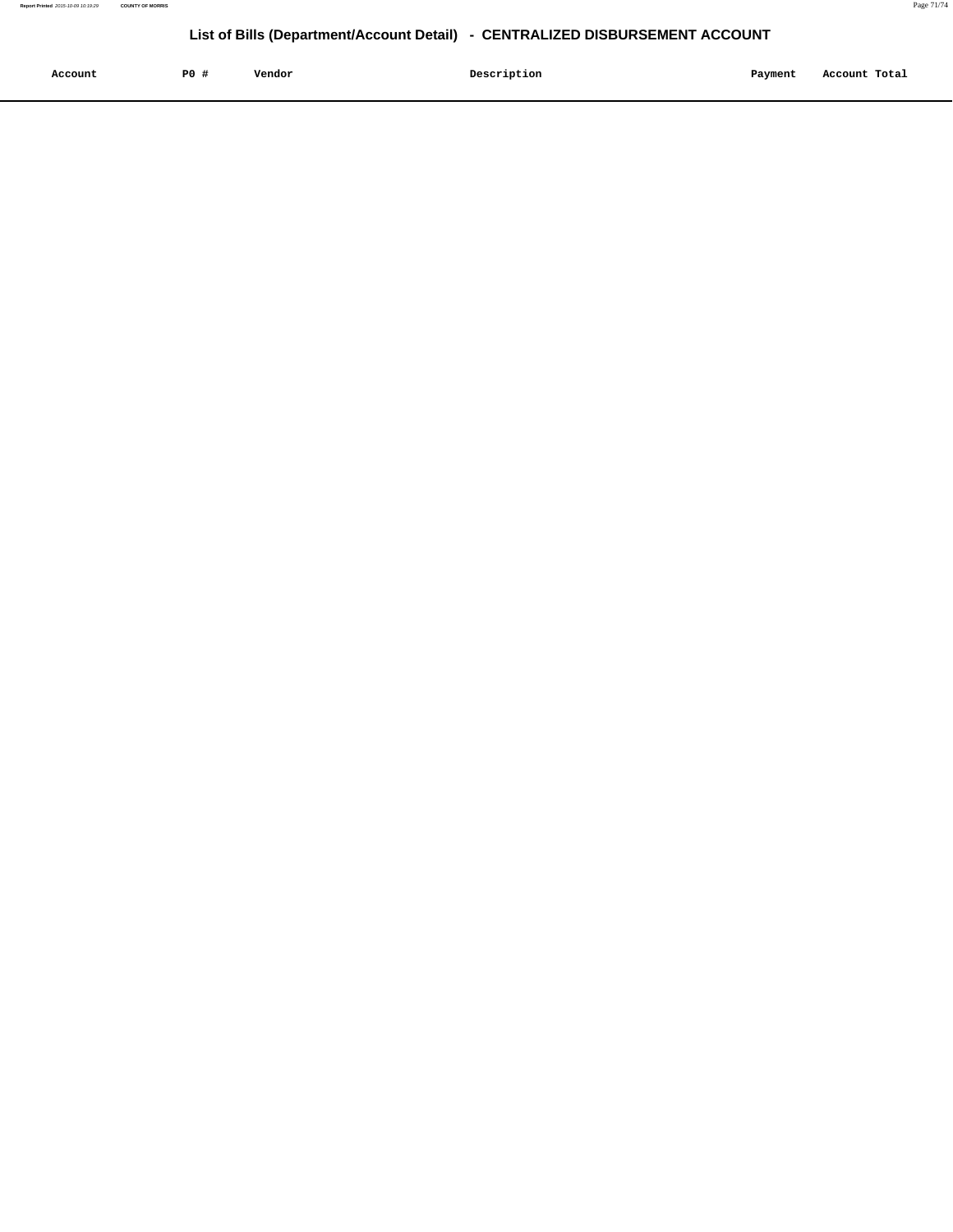| Account<br>. | P <sub>0</sub> | Vendor | Description | Payment | Account Total |
|--------------|----------------|--------|-------------|---------|---------------|
|              |                |        |             |         |               |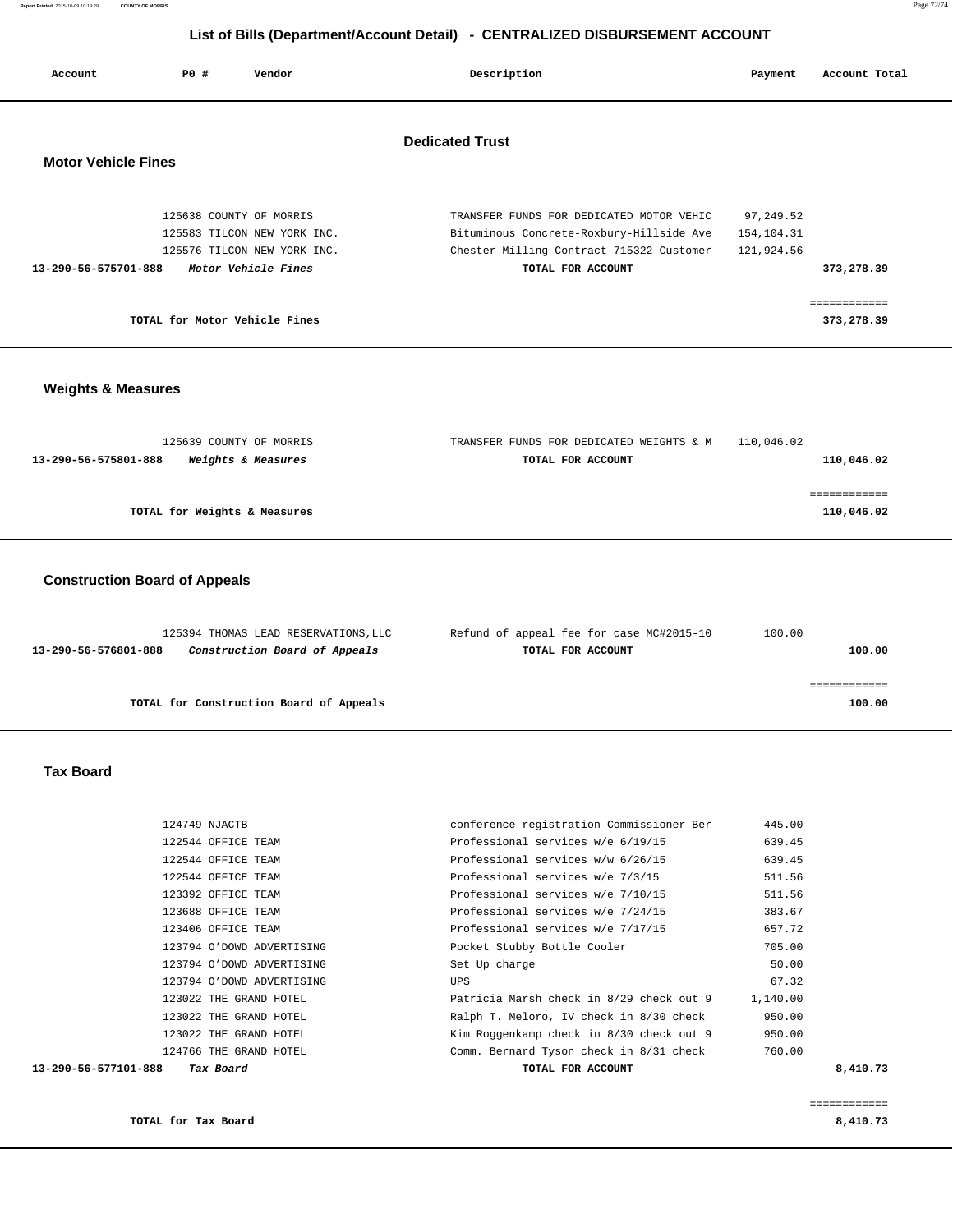| Account                                              | PO#                           | Vendor                                                                                                       | Description                                                                                                                                           | Payment                               | Account Total              |  |
|------------------------------------------------------|-------------------------------|--------------------------------------------------------------------------------------------------------------|-------------------------------------------------------------------------------------------------------------------------------------------------------|---------------------------------------|----------------------------|--|
| <b>Dedicated Trust</b><br><b>Motor Vehicle Fines</b> |                               |                                                                                                              |                                                                                                                                                       |                                       |                            |  |
| 13-290-56-575701-888                                 |                               | 125638 COUNTY OF MORRIS<br>125583 TILCON NEW YORK INC.<br>125576 TILCON NEW YORK INC.<br>Motor Vehicle Fines | TRANSFER FUNDS FOR DEDICATED MOTOR VEHIC<br>Bituminous Concrete-Roxbury-Hillside Ave<br>Chester Milling Contract 715322 Customer<br>TOTAL FOR ACCOUNT | 97,249.52<br>154,104.31<br>121,924.56 | 373,278.39                 |  |
|                                                      | TOTAL for Motor Vehicle Fines |                                                                                                              |                                                                                                                                                       |                                       | ------------<br>373,278.39 |  |

### **Weights & Measures**

| 125639 COUNTY OF MORRIS                                      | 110,046.02<br>TRANSFER FUNDS FOR DEDICATED WEIGHTS & M |            |
|--------------------------------------------------------------|--------------------------------------------------------|------------|
| <i><b>Weights &amp; Measures</b></i><br>13-290-56-575801-888 | TOTAL FOR ACCOUNT                                      | 110,046.02 |
|                                                              |                                                        |            |
|                                                              |                                                        |            |
| TOTAL for Weights & Measures                                 |                                                        | 110,046.02 |
|                                                              |                                                        |            |

### **Construction Board of Appeals**

| 125394 THOMAS LEAD RESERVATIONS, LLC                  | Refund of appeal fee for case MC#2015-10 | 100.00 |
|-------------------------------------------------------|------------------------------------------|--------|
| Construction Board of Appeals<br>13-290-56-576801-888 | TOTAL FOR ACCOUNT                        | 100.00 |
|                                                       |                                          |        |
|                                                       |                                          |        |
| TOTAL for Construction Board of Appeals               |                                          | 100.00 |

#### **Tax Board**

| Tax Board<br>13-290-56-577101-888 | TOTAL FOR ACCOUNT                        |          | 8,410.73 |
|-----------------------------------|------------------------------------------|----------|----------|
| 124766 THE GRAND HOTEL            | Comm. Bernard Tyson check in 8/31 check  | 760.00   |          |
| 123022 THE GRAND HOTEL            | Kim Roggenkamp check in 8/30 check out 9 | 950.00   |          |
| 123022 THE GRAND HOTEL            | Ralph T. Meloro, IV check in 8/30 check  | 950.00   |          |
| 123022 THE GRAND HOTEL            | Patricia Marsh check in 8/29 check out 9 | 1,140.00 |          |
| 123794 O'DOWD ADVERTISING         | UPS                                      | 67.32    |          |
| 123794 O'DOWD ADVERTISING         | Set Up charge                            | 50.00    |          |
| 123794 O'DOWD ADVERTISING         | Pocket Stubby Bottle Cooler              | 705.00   |          |
| 123406 OFFICE TEAM                | Professional services w/e 7/17/15        | 657.72   |          |
| 123688 OFFICE TEAM                | Professional services w/e 7/24/15        | 383.67   |          |
| 123392 OFFICE TEAM                | Professional services w/e 7/10/15        | 511.56   |          |
| 122544 OFFICE TEAM                | Professional services w/e 7/3/15         | 511.56   |          |
| 122544 OFFICE TEAM                | Professional services w/w 6/26/15        | 639.45   |          |
| 122544 OFFICE TEAM                | Professional services w/e 6/19/15        | 639.45   |          |
| 124749 NJACTB                     | conference registration Commissioner Ber | 445.00   |          |
|                                   |                                          |          |          |

**TOTAL for Tax Board** 8,410.73

============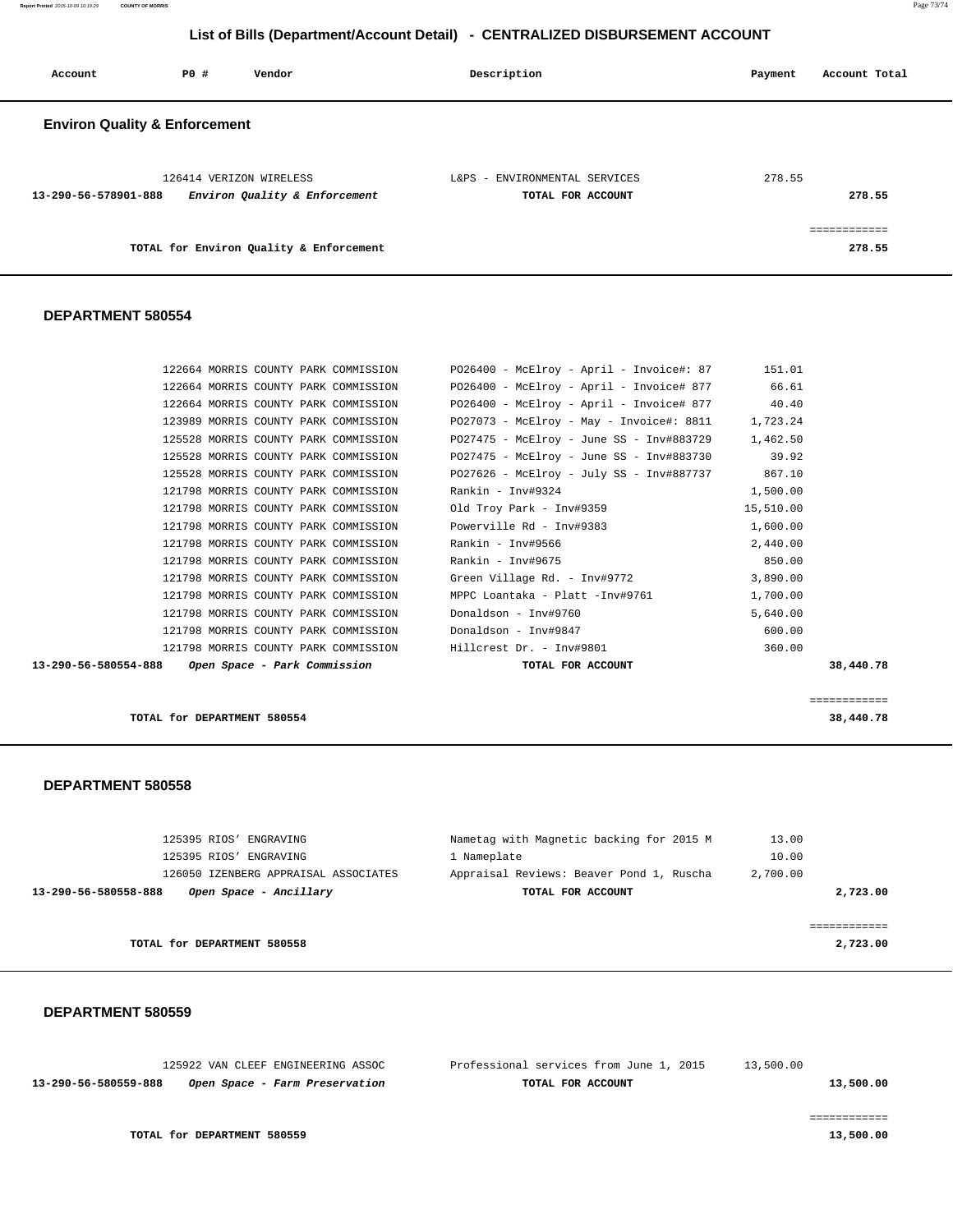**Report Printed** 2015-10-09 10:19:29 **COUNTY OF MORRIS** Page 73/74

## **List of Bills (Department/Account Detail) - CENTRALIZED DISBURSEMENT ACCOUNT**

| Account                                  | P0 # | Vendor                                                   | Description                                        | Account Total<br>Payment |
|------------------------------------------|------|----------------------------------------------------------|----------------------------------------------------|--------------------------|
| <b>Environ Quality &amp; Enforcement</b> |      |                                                          |                                                    |                          |
| 13-290-56-578901-888                     |      | 126414 VERIZON WIRELESS<br>Environ Quality & Enforcement | L&PS - ENVIRONMENTAL SERVICES<br>TOTAL FOR ACCOUNT | 278.55<br>278.55         |
|                                          |      | TOTAL for Environ Quality & Enforcement                  |                                                    | ------------<br>278.55   |

#### **DEPARTMENT 580554**

| 13-290-56-580554-888 |  | Open Space - Park Commission         | TOTAL FOR ACCOUNT                                 |           | 38,440.78 |
|----------------------|--|--------------------------------------|---------------------------------------------------|-----------|-----------|
|                      |  | 121798 MORRIS COUNTY PARK COMMISSION | Hillcrest Dr. - Inv#9801                          | 360.00    |           |
|                      |  | 121798 MORRIS COUNTY PARK COMMISSION | Donaldson - Inv#9847                              | 600.00    |           |
|                      |  | 121798 MORRIS COUNTY PARK COMMISSION | Donaldson - Inv#9760                              | 5,640.00  |           |
|                      |  | 121798 MORRIS COUNTY PARK COMMISSION | MPPC Loantaka - Platt -Inv#9761                   | 1,700.00  |           |
|                      |  | 121798 MORRIS COUNTY PARK COMMISSION | Green Village Rd. - Inv#9772                      | 3,890.00  |           |
|                      |  | 121798 MORRIS COUNTY PARK COMMISSION | Rankin - Inv#9675                                 | 850.00    |           |
|                      |  | 121798 MORRIS COUNTY PARK COMMISSION | Rankin - Inv#9566                                 | 2,440.00  |           |
|                      |  | 121798 MORRIS COUNTY PARK COMMISSION | Powerville Rd - Inv#9383                          | 1,600.00  |           |
|                      |  | 121798 MORRIS COUNTY PARK COMMISSION | Old Troy Park - Inv#9359                          | 15,510.00 |           |
|                      |  | 121798 MORRIS COUNTY PARK COMMISSION | Rankin - Inv#9324                                 | 1,500.00  |           |
|                      |  | 125528 MORRIS COUNTY PARK COMMISSION | PO27626 - McElroy - July SS - Inv#887737 867.10   |           |           |
|                      |  | 125528 MORRIS COUNTY PARK COMMISSION | PO27475 - McElrov - June SS - Inv#883730          | 39.92     |           |
|                      |  | 125528 MORRIS COUNTY PARK COMMISSION | PO27475 - McElrov - June SS - Inv#883729          | 1,462.50  |           |
|                      |  | 123989 MORRIS COUNTY PARK COMMISSION | PO27073 - McElroy - May - Invoice#: 8811          | 1,723.24  |           |
|                      |  | 122664 MORRIS COUNTY PARK COMMISSION | $PO26400 - McElroy - April - Invoice# 877$ 40.40  |           |           |
|                      |  | 122664 MORRIS COUNTY PARK COMMISSION | PO26400 - McElroy - April - Invoice# 877          | 66.61     |           |
|                      |  | 122664 MORRIS COUNTY PARK COMMISSION | $P026400 - McElroy - April - Invoice#: 87$ 151.01 |           |           |

**TOTAL for DEPARTMENT 580554 38,440.78**

#### **DEPARTMENT 580558**

| 125395 RIOS' ENGRAVING               |                   | 13.00                                                                                                               |
|--------------------------------------|-------------------|---------------------------------------------------------------------------------------------------------------------|
| 125395 RIOS'<br>ENGRAVING            | 1 Nameplate       | 10.00                                                                                                               |
| 126050 IZENBERG APPRAISAL ASSOCIATES |                   | 2,700.00                                                                                                            |
| Open Space - Ancillary               | TOTAL FOR ACCOUNT | 2,723.00                                                                                                            |
|                                      |                   |                                                                                                                     |
|                                      |                   |                                                                                                                     |
|                                      |                   | 2,723.00                                                                                                            |
|                                      |                   | Nametag with Magnetic backing for 2015 M<br>Appraisal Reviews: Beaver Pond 1, Ruscha<br>TOTAL for DEPARTMENT 580558 |

============

### **DEPARTMENT 580559**

|                      | 125922 VAN CLEEF ENGINEERING ASSOC | Professional services from June 1, 2015 | 13,500.00 |
|----------------------|------------------------------------|-----------------------------------------|-----------|
| 13-290-56-580559-888 | Open Space - Farm Preservation     | TOTAL FOR ACCOUNT                       | 13,500.00 |
|                      |                                    |                                         |           |
|                      |                                    |                                         |           |
|                      | TOTAL for DEPARTMENT 580559        |                                         | 13,500.00 |